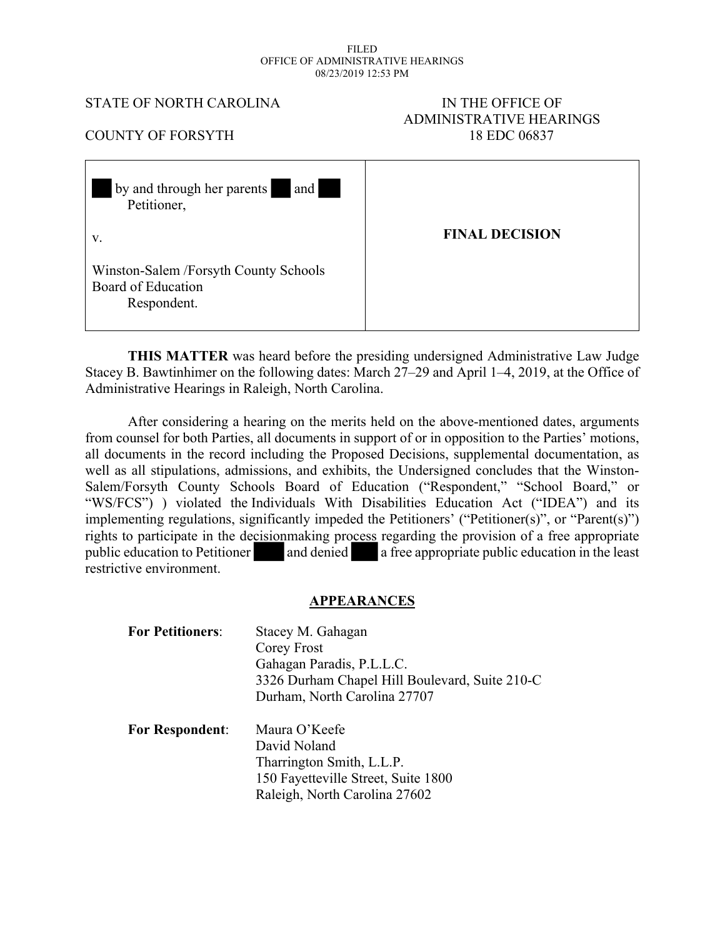#### FILED OFFICE OF ADMINISTRATIVE HEARINGS 08/23/2019 12:53 PM

#### STATE OF NORTH CAROLINA IN THE OFFICE OF

# ADMINISTRATIVE HEARINGS COUNTY OF FORSYTH 18 EDC 06837

| and<br>by and through her parents<br>Petitioner,                           |                       |
|----------------------------------------------------------------------------|-----------------------|
| V.                                                                         | <b>FINAL DECISION</b> |
| Winston-Salem /Forsyth County Schools<br>Board of Education<br>Respondent. |                       |

**THIS MATTER** was heard before the presiding undersigned Administrative Law Judge Stacey B. Bawtinhimer on the following dates: March 27–29 and April 1–4, 2019, at the Office of Administrative Hearings in Raleigh, North Carolina.

After considering a hearing on the merits held on the above-mentioned dates, arguments from counsel for both Parties, all documents in support of or in opposition to the Parties' motions, all documents in the record including the Proposed Decisions, supplemental documentation, as well as all stipulations, admissions, and exhibits, the Undersigned concludes that the Winston-Salem/Forsyth County Schools Board of Education ("Respondent," "School Board," or "WS/FCS") ) violated the Individuals With Disabilities Education Act ("IDEA") and its implementing regulations, significantly impeded the Petitioners' ("Petitioner(s)", or "Parent(s)") rights to participate in the decisionmaking process regarding the provision of a free appropriate public education to Petitioner and denied a free appropriate public education in the least restrictive environment.

#### **APPEARANCES**

| <b>For Petitioners:</b> | Stacey M. Gahagan<br>Corey Frost               |  |
|-------------------------|------------------------------------------------|--|
|                         |                                                |  |
|                         | Gahagan Paradis, P.L.L.C.                      |  |
|                         | 3326 Durham Chapel Hill Boulevard, Suite 210-C |  |
|                         | Durham, North Carolina 27707                   |  |
| <b>For Respondent:</b>  | Maura O'Keefe                                  |  |
|                         | David Noland                                   |  |
|                         | Tharrington Smith, L.L.P.                      |  |
|                         | 150 Fayetteville Street, Suite 1800            |  |
|                         | Raleigh, North Carolina 27602                  |  |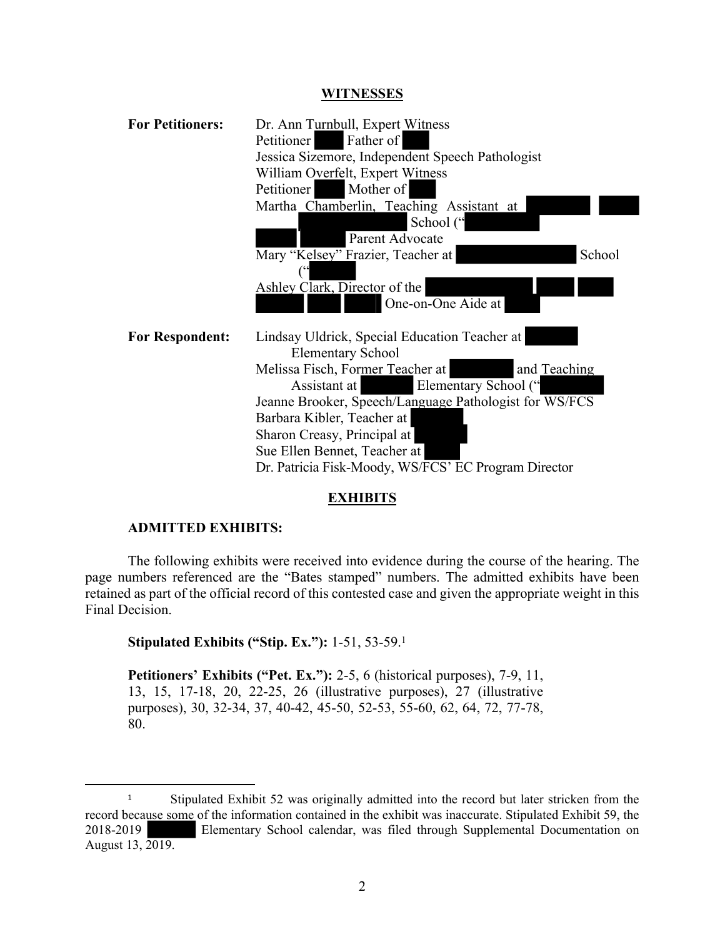#### **WITNESSES**

| <b>For Petitioners:</b> | Dr. Ann Turnbull, Expert Witness<br>Father of<br>Petitioner<br>Jessica Sizemore, Independent Speech Pathologist<br>William Overfelt, Expert Witness<br>Mother of<br>Petitioner<br>Martha Chamberlin, Teaching Assistant at<br>School ("<br>Parent Advocate<br>Mary "Kelsey" Frazier, Teacher at<br>School                                                                            |
|-------------------------|--------------------------------------------------------------------------------------------------------------------------------------------------------------------------------------------------------------------------------------------------------------------------------------------------------------------------------------------------------------------------------------|
|                         | Ashley Clark, Director of the<br>One-on-One Aide at                                                                                                                                                                                                                                                                                                                                  |
| <b>For Respondent:</b>  | Lindsay Uldrick, Special Education Teacher at<br><b>Elementary School</b><br>Melissa Fisch, Former Teacher at<br>and Teaching<br>Elementary School ("<br>Assistant at<br>Jeanne Brooker, Speech/Language Pathologist for WS/FCS<br>Barbara Kibler, Teacher at<br>Sharon Creasy, Principal at<br>Sue Ellen Bennet, Teacher at<br>Dr. Patricia Fisk-Moody, WS/FCS' EC Program Director |

#### **EXHIBITS**

#### **ADMITTED EXHIBITS:**

The following exhibits were received into evidence during the course of the hearing. The page numbers referenced are the "Bates stamped" numbers. The admitted exhibits have been retained as part of the official record of this contested case and given the appropriate weight in this Final Decision.

**Stipulated Exhibits ("Stip. Ex."):** 1-51, 53-59.<sup>1</sup>

**Petitioners' Exhibits ("Pet. Ex."):** 2-5, 6 (historical purposes), 7-9, 11, 13, 15, 17-18, 20, 22-25, 26 (illustrative purposes), 27 (illustrative purposes), 30, 32-34, 37, 40-42, 45-50, 52-53, 55-60, 62, 64, 72, 77-78, 80.

<sup>&</sup>lt;sup>1</sup> Stipulated Exhibit 52 was originally admitted into the record but later stricken from the record because some of the information contained in the exhibit was inaccurate. Stipulated Exhibit 59, the 2018-2019 Elementary School calendar, was filed through Supplemental Documentation on August 13, 2019.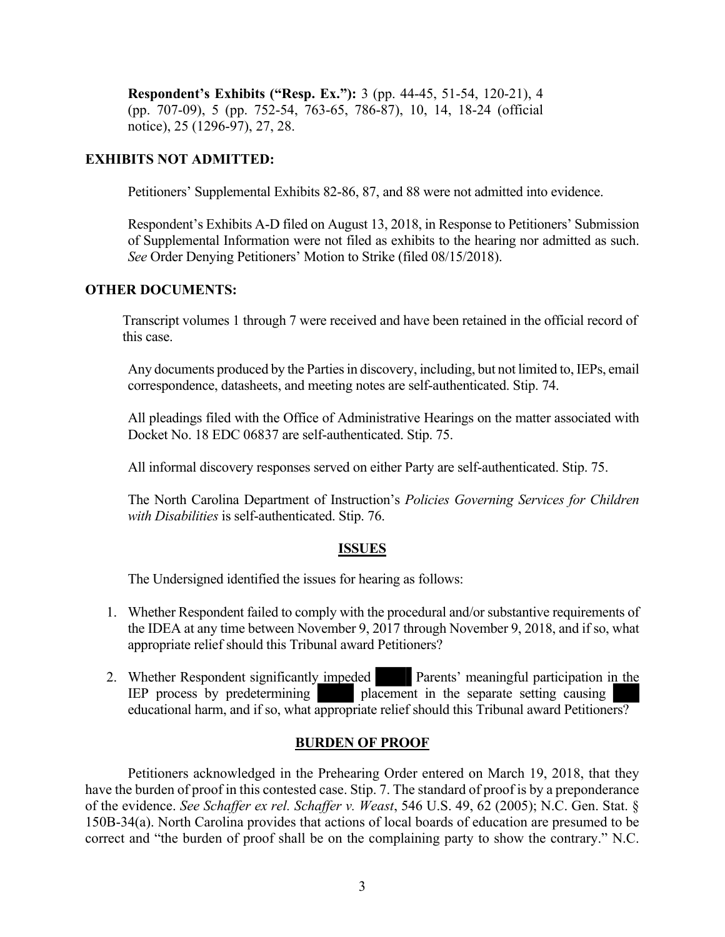**Respondent's Exhibits ("Resp. Ex."):** 3 (pp. 44-45, 51-54, 120-21), 4 (pp. 707-09), 5 (pp. 752-54, 763-65, 786-87), 10, 14, 18-24 (official notice), 25 (1296-97), 27, 28.

#### **EXHIBITS NOT ADMITTED:**

Petitioners' Supplemental Exhibits 82-86, 87, and 88 were not admitted into evidence.

Respondent's Exhibits A-D filed on August 13, 2018, in Response to Petitioners' Submission of Supplemental Information were not filed as exhibits to the hearing nor admitted as such. *See* Order Denying Petitioners' Motion to Strike (filed 08/15/2018).

#### **OTHER DOCUMENTS:**

Transcript volumes 1 through 7 were received and have been retained in the official record of this case.

Any documents produced by the Parties in discovery, including, but not limited to, IEPs, email correspondence, datasheets, and meeting notes are self-authenticated. Stip. 74.

All pleadings filed with the Office of Administrative Hearings on the matter associated with Docket No. 18 EDC 06837 are self-authenticated. Stip. 75.

All informal discovery responses served on either Party are self-authenticated. Stip. 75.

The North Carolina Department of Instruction's *Policies Governing Services for Children with Disabilities* is self-authenticated. Stip. 76.

#### **ISSUES**

The Undersigned identified the issues for hearing as follows:

- 1. Whether Respondent failed to comply with the procedural and/or substantive requirements of the IDEA at any time between November 9, 2017 through November 9, 2018, and if so, what appropriate relief should this Tribunal award Petitioners?
- 2. Whether Respondent significantly impeded Parents' meaningful participation in the IEP process by predetermining placement in the separate setting causing placement in the separate setting causing educational harm, and if so, what appropriate relief should this Tribunal award Petitioners?

#### **BURDEN OF PROOF**

Petitioners acknowledged in the Prehearing Order entered on March 19, 2018, that they have the burden of proof in this contested case. Stip. 7. The standard of proof is by a preponderance of the evidence. *See Schaffer ex rel. Schaffer v. Weast*, 546 U.S. 49, 62 (2005); N.C. Gen. Stat. § 150B-34(a). North Carolina provides that actions of local boards of education are presumed to be correct and "the burden of proof shall be on the complaining party to show the contrary." N.C.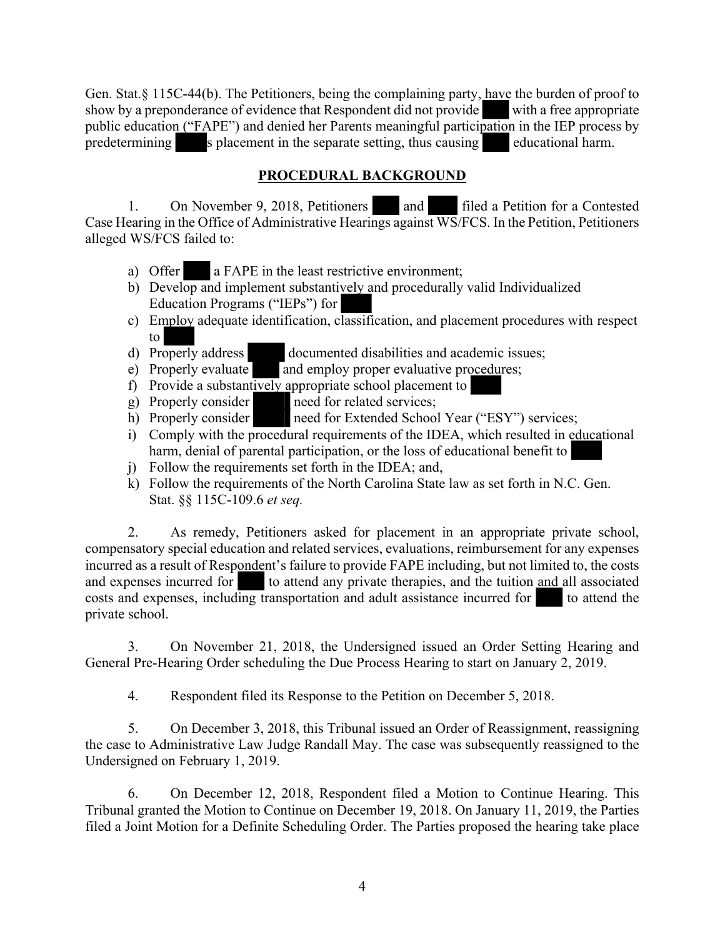Gen. Stat.§ 115C-44(b). The Petitioners, being the complaining party, have the burden of proof to show by a preponderance of evidence that Respondent did not provide with a free appropriate public education ("FAPE") and denied her Parents meaningful participation in the IEP process by predetermining s placement in the separate setting, thus causing educational harm.

## **PROCEDURAL BACKGROUND**

1. On November 9, 2018, Petitioners and filed a Petition for a Contested Case Hearing in the Office of Administrative Hearings against WS/FCS. In the Petition, Petitioners alleged WS/FCS failed to:

- a) Offer a FAPE in the least restrictive environment;
- b) Develop and implement substantively and procedurally valid Individualized Education Programs ("IEPs") for
- c) Employ adequate identification, classification, and placement procedures with respect to
- d) Properly address documented disabilities and academic issues;
- e) Properly evaluate and employ proper evaluative procedures;
- f) Provide a substantively appropriate school placement to
- g) Properly consider need for related services;
- h) Properly consider need for Extended School Year ("ESY") services;
- i) Comply with the procedural requirements of the IDEA, which resulted in educational harm, denial of parental participation, or the loss of educational benefit to
- j) Follow the requirements set forth in the IDEA; and,
- k) Follow the requirements of the North Carolina State law as set forth in N.C. Gen. Stat. §§ 115C-109.6 *et seq.*

2. As remedy, Petitioners asked for placement in an appropriate private school, compensatory special education and related services, evaluations, reimbursement for any expenses incurred as a result of Respondent's failure to provide FAPE including, but not limited to, the costs and expenses incurred for  $\Box$  to attend any private therapies, and the tuition and all associated to attend any private therapies, and the tuition and all associated costs and expenses, including transportation and adult assistance incurred for to attend the private school.

3. On November 21, 2018, the Undersigned issued an Order Setting Hearing and General Pre-Hearing Order scheduling the Due Process Hearing to start on January 2, 2019.

4. Respondent filed its Response to the Petition on December 5, 2018.

5. On December 3, 2018, this Tribunal issued an Order of Reassignment, reassigning the case to Administrative Law Judge Randall May. The case was subsequently reassigned to the Undersigned on February 1, 2019.

6. On December 12, 2018, Respondent filed a Motion to Continue Hearing. This Tribunal granted the Motion to Continue on December 19, 2018. On January 11, 2019, the Parties filed a Joint Motion for a Definite Scheduling Order. The Parties proposed the hearing take place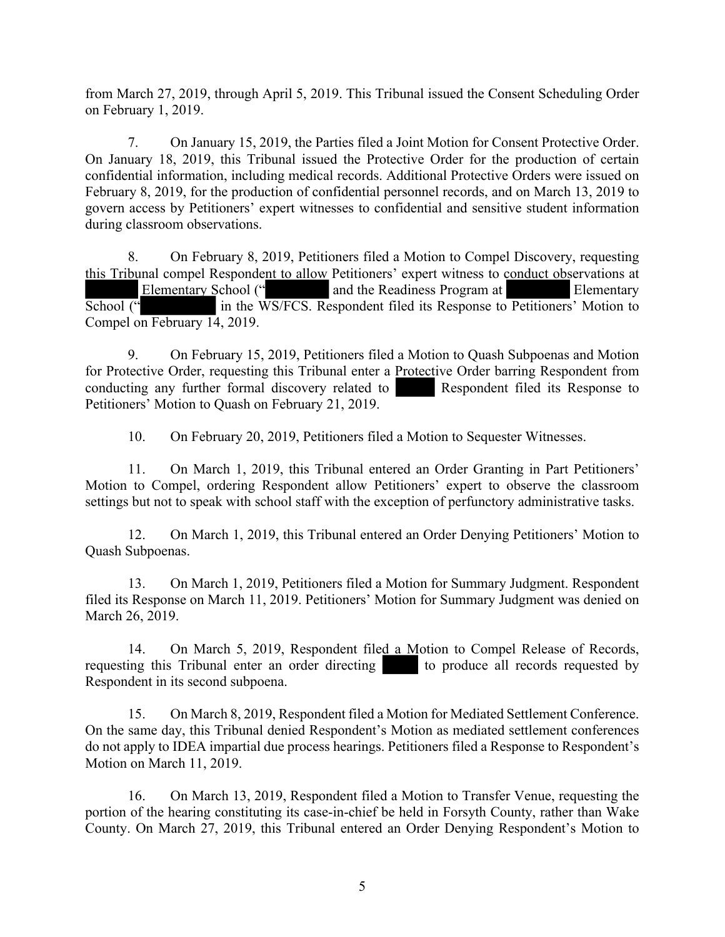from March 27, 2019, through April 5, 2019. This Tribunal issued the Consent Scheduling Order on February 1, 2019.

7. On January 15, 2019, the Parties filed a Joint Motion for Consent Protective Order. On January 18, 2019, this Tribunal issued the Protective Order for the production of certain confidential information, including medical records. Additional Protective Orders were issued on February 8, 2019, for the production of confidential personnel records, and on March 13, 2019 to govern access by Petitioners' expert witnesses to confidential and sensitive student information during classroom observations.

8. On February 8, 2019, Petitioners filed a Motion to Compel Discovery, requesting this Tribunal compel Respondent to allow Petitioners' expert witness to conduct observations at Elementary School (" and the Readiness Program at Elementary School (" in the WS/FCS. Respondent filed its Response to Petitioners' Motion to Compel on February 14, 2019.

9. On February 15, 2019, Petitioners filed a Motion to Quash Subpoenas and Motion for Protective Order, requesting this Tribunal enter a Protective Order barring Respondent from conducting any further formal discovery related to Respondent filed its Response to Petitioners' Motion to Quash on February 21, 2019.

10. On February 20, 2019, Petitioners filed a Motion to Sequester Witnesses.

11. On March 1, 2019, this Tribunal entered an Order Granting in Part Petitioners' Motion to Compel, ordering Respondent allow Petitioners' expert to observe the classroom settings but not to speak with school staff with the exception of perfunctory administrative tasks.

12. On March 1, 2019, this Tribunal entered an Order Denying Petitioners' Motion to Quash Subpoenas.

13. On March 1, 2019, Petitioners filed a Motion for Summary Judgment. Respondent filed its Response on March 11, 2019. Petitioners' Motion for Summary Judgment was denied on March 26, 2019.

14. On March 5, 2019, Respondent filed a Motion to Compel Release of Records, requesting this Tribunal enter an order directing to produce all records requested by Respondent in its second subpoena.

15. On March 8, 2019, Respondent filed a Motion for Mediated Settlement Conference. On the same day, this Tribunal denied Respondent's Motion as mediated settlement conferences do not apply to IDEA impartial due process hearings. Petitioners filed a Response to Respondent's Motion on March 11, 2019.

16. On March 13, 2019, Respondent filed a Motion to Transfer Venue, requesting the portion of the hearing constituting its case-in-chief be held in Forsyth County, rather than Wake County. On March 27, 2019, this Tribunal entered an Order Denying Respondent's Motion to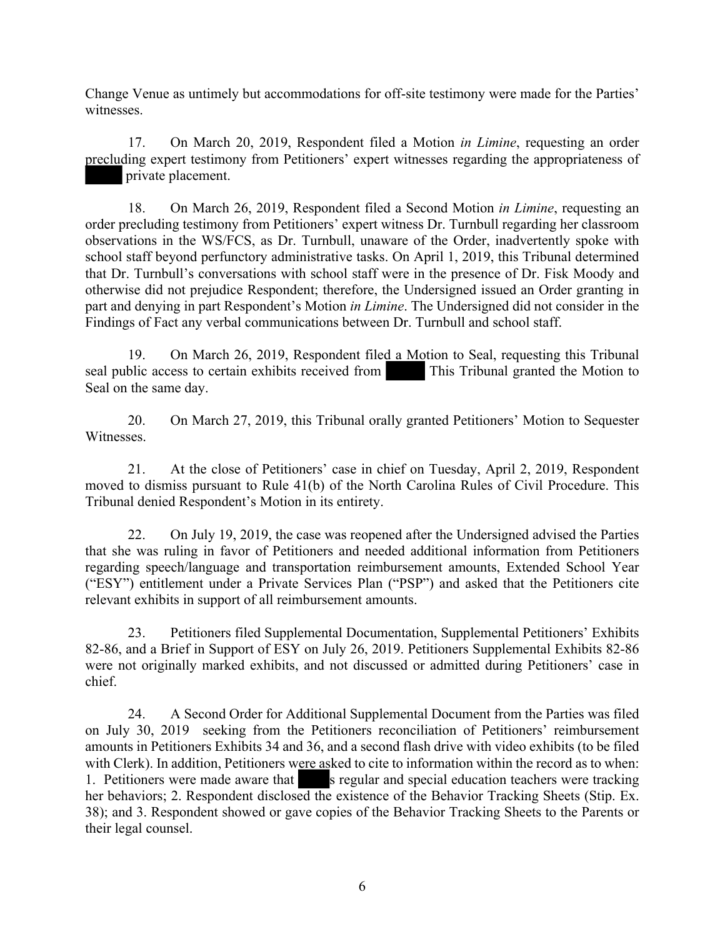Change Venue as untimely but accommodations for off-site testimony were made for the Parties' witnesses.

17. On March 20, 2019, Respondent filed a Motion *in Limine*, requesting an order precluding expert testimony from Petitioners' expert witnesses regarding the appropriateness of private placement.

18. On March 26, 2019, Respondent filed a Second Motion *in Limine*, requesting an order precluding testimony from Petitioners' expert witness Dr. Turnbull regarding her classroom observations in the WS/FCS, as Dr. Turnbull, unaware of the Order, inadvertently spoke with school staff beyond perfunctory administrative tasks. On April 1, 2019, this Tribunal determined that Dr. Turnbull's conversations with school staff were in the presence of Dr. Fisk Moody and otherwise did not prejudice Respondent; therefore, the Undersigned issued an Order granting in part and denying in part Respondent's Motion *in Limine*. The Undersigned did not consider in the Findings of Fact any verbal communications between Dr. Turnbull and school staff.

19. On March 26, 2019, Respondent filed a Motion to Seal, requesting this Tribunal seal public access to certain exhibits received from This Tribunal granted the Motion to Seal on the same day.

20. On March 27, 2019, this Tribunal orally granted Petitioners' Motion to Sequester Witnesses.

21. At the close of Petitioners' case in chief on Tuesday, April 2, 2019, Respondent moved to dismiss pursuant to Rule 41(b) of the North Carolina Rules of Civil Procedure. This Tribunal denied Respondent's Motion in its entirety.

22. On July 19, 2019, the case was reopened after the Undersigned advised the Parties that she was ruling in favor of Petitioners and needed additional information from Petitioners regarding speech/language and transportation reimbursement amounts, Extended School Year ("ESY") entitlement under a Private Services Plan ("PSP") and asked that the Petitioners cite relevant exhibits in support of all reimbursement amounts.

23. Petitioners filed Supplemental Documentation, Supplemental Petitioners' Exhibits 82-86, and a Brief in Support of ESY on July 26, 2019. Petitioners Supplemental Exhibits 82-86 were not originally marked exhibits, and not discussed or admitted during Petitioners' case in chief.

24. A Second Order for Additional Supplemental Document from the Parties was filed on July 30, 2019 seeking from the Petitioners reconciliation of Petitioners' reimbursement amounts in Petitioners Exhibits 34 and 36, and a second flash drive with video exhibits (to be filed with Clerk). In addition, Petitioners were asked to cite to information within the record as to when: 1. Petitioners were made aware that s regular and special education teachers were tracking her behaviors; 2. Respondent disclosed the existence of the Behavior Tracking Sheets (Stip. Ex. 38); and 3. Respondent showed or gave copies of the Behavior Tracking Sheets to the Parents or their legal counsel.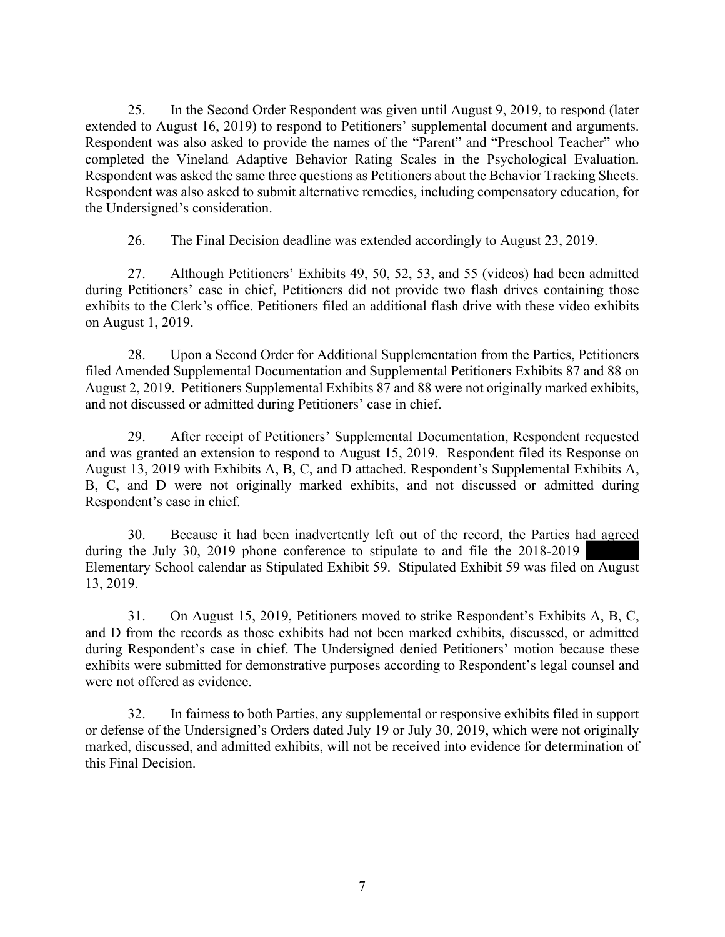25. In the Second Order Respondent was given until August 9, 2019, to respond (later extended to August 16, 2019) to respond to Petitioners' supplemental document and arguments. Respondent was also asked to provide the names of the "Parent" and "Preschool Teacher" who completed the Vineland Adaptive Behavior Rating Scales in the Psychological Evaluation. Respondent was asked the same three questions as Petitioners about the Behavior Tracking Sheets. Respondent was also asked to submit alternative remedies, including compensatory education, for the Undersigned's consideration.

26. The Final Decision deadline was extended accordingly to August 23, 2019.

27. Although Petitioners' Exhibits 49, 50, 52, 53, and 55 (videos) had been admitted during Petitioners' case in chief, Petitioners did not provide two flash drives containing those exhibits to the Clerk's office. Petitioners filed an additional flash drive with these video exhibits on August 1, 2019.

28. Upon a Second Order for Additional Supplementation from the Parties, Petitioners filed Amended Supplemental Documentation and Supplemental Petitioners Exhibits 87 and 88 on August 2, 2019. Petitioners Supplemental Exhibits 87 and 88 were not originally marked exhibits, and not discussed or admitted during Petitioners' case in chief.

29. After receipt of Petitioners' Supplemental Documentation, Respondent requested and was granted an extension to respond to August 15, 2019. Respondent filed its Response on August 13, 2019 with Exhibits A, B, C, and D attached. Respondent's Supplemental Exhibits A, B, C, and D were not originally marked exhibits, and not discussed or admitted during Respondent's case in chief.

30. Because it had been inadvertently left out of the record, the Parties had agreed during the July 30, 2019 phone conference to stipulate to and file the 2018-2019 Elementary School calendar as Stipulated Exhibit 59. Stipulated Exhibit 59 was filed on August 13, 2019.

31. On August 15, 2019, Petitioners moved to strike Respondent's Exhibits A, B, C, and D from the records as those exhibits had not been marked exhibits, discussed, or admitted during Respondent's case in chief. The Undersigned denied Petitioners' motion because these exhibits were submitted for demonstrative purposes according to Respondent's legal counsel and were not offered as evidence.

32. In fairness to both Parties, any supplemental or responsive exhibits filed in support or defense of the Undersigned's Orders dated July 19 or July 30, 2019, which were not originally marked, discussed, and admitted exhibits, will not be received into evidence for determination of this Final Decision.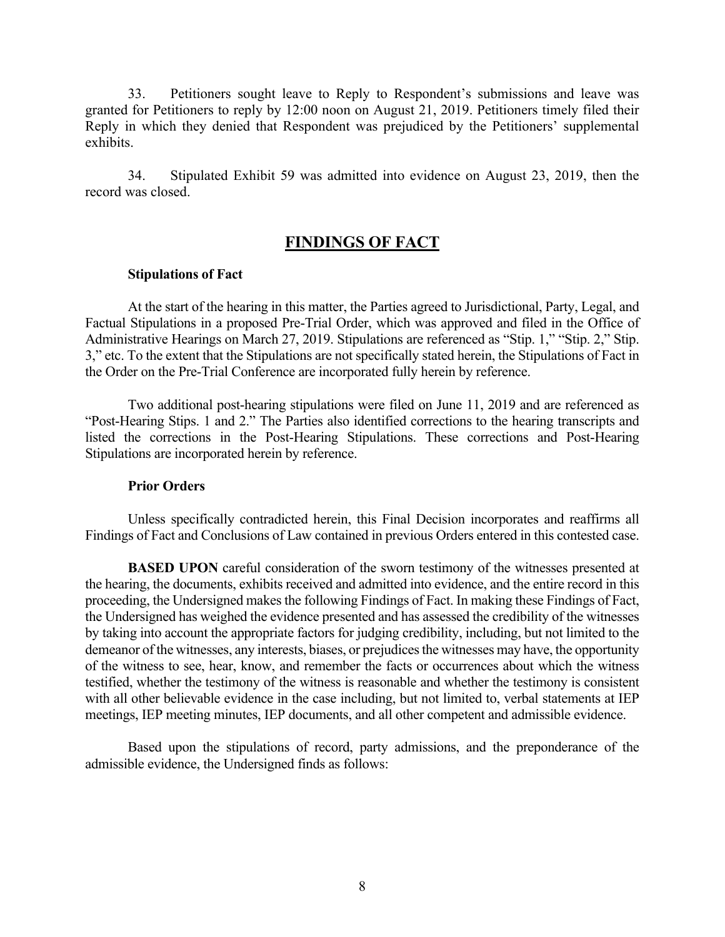33. Petitioners sought leave to Reply to Respondent's submissions and leave was granted for Petitioners to reply by 12:00 noon on August 21, 2019. Petitioners timely filed their Reply in which they denied that Respondent was prejudiced by the Petitioners' supplemental exhibits.

34. Stipulated Exhibit 59 was admitted into evidence on August 23, 2019, then the record was closed.

# **FINDINGS OF FACT**

#### **Stipulations of Fact**

At the start of the hearing in this matter, the Parties agreed to Jurisdictional, Party, Legal, and Factual Stipulations in a proposed Pre-Trial Order, which was approved and filed in the Office of Administrative Hearings on March 27, 2019. Stipulations are referenced as "Stip. 1," "Stip. 2," Stip. 3," etc. To the extent that the Stipulations are not specifically stated herein, the Stipulations of Fact in the Order on the Pre-Trial Conference are incorporated fully herein by reference.

Two additional post-hearing stipulations were filed on June 11, 2019 and are referenced as "Post-Hearing Stips. 1 and 2." The Parties also identified corrections to the hearing transcripts and listed the corrections in the Post-Hearing Stipulations. These corrections and Post-Hearing Stipulations are incorporated herein by reference.

#### **Prior Orders**

Unless specifically contradicted herein, this Final Decision incorporates and reaffirms all Findings of Fact and Conclusions of Law contained in previous Orders entered in this contested case.

**BASED UPON** careful consideration of the sworn testimony of the witnesses presented at the hearing, the documents, exhibits received and admitted into evidence, and the entire record in this proceeding, the Undersigned makes the following Findings of Fact. In making these Findings of Fact, the Undersigned has weighed the evidence presented and has assessed the credibility of the witnesses by taking into account the appropriate factors for judging credibility, including, but not limited to the demeanor of the witnesses, any interests, biases, or prejudices the witnesses may have, the opportunity of the witness to see, hear, know, and remember the facts or occurrences about which the witness testified, whether the testimony of the witness is reasonable and whether the testimony is consistent with all other believable evidence in the case including, but not limited to, verbal statements at IEP meetings, IEP meeting minutes, IEP documents, and all other competent and admissible evidence.

Based upon the stipulations of record, party admissions, and the preponderance of the admissible evidence, the Undersigned finds as follows: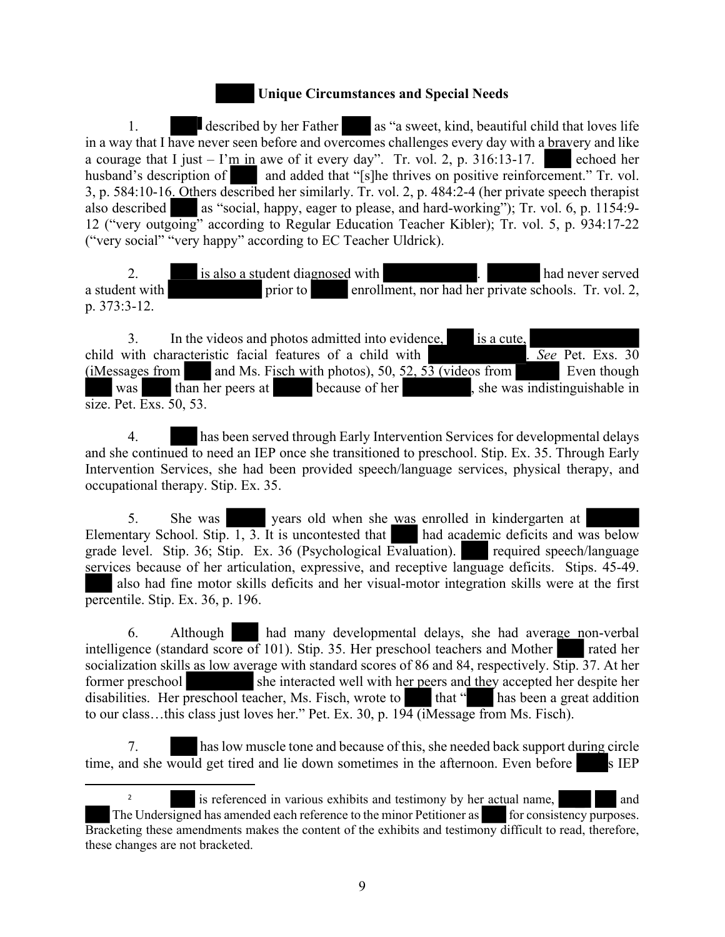#### **Unique Circumstances and Special Needs**

1. **described by her Father** as "a sweet, kind, beautiful child that loves life in a way that I have never seen before and overcomes challenges every day with a bravery and like a courage that I just  $-1$ 'm in awe of it every day". Tr. vol. 2, p. 316:13-17. husband's description of and added that "[s]he thrives on positive reinforcement." Tr. vol. 3, p. 584:10-16. Others described her similarly. Tr. vol. 2, p. 484:2-4 (her private speech therapist also described as "social, happy, eager to please, and hard-working"); Tr. vol. 6, p. 1154:9- 12 ("very outgoing" according to Regular Education Teacher Kibler); Tr. vol. 5, p. 934:17-22 ("very social" "very happy" according to EC Teacher Uldrick).

2. is also a student diagnosed with 2. had never served a student with prior to enrollment, nor had her private schools. Tr. vol. 2, p. 373:3-12.

3. In the videos and photos admitted into evidence, is a cute,<br>with characteristic facial features of a child with See Pet. Exs. 30 child with characteristic facial features of a child with .  $(i$ Messages from and Ms. Fisch with photos), 50, 52, 53 (videos from Even though was than her peers at because of her , she was indistinguishable in size. Pet. Exs. 50, 53.

4. has been served through Early Intervention Services for developmental delays and she continued to need an IEP once she transitioned to preschool. Stip. Ex. 35. Through Early Intervention Services, she had been provided speech/language services, physical therapy, and occupational therapy. Stip. Ex. 35.

5. She was years old when she was enrolled in kindergarten at Elementary School. Stip.  $\overline{1, 3}$ . It is uncontested that had academic deficits and was below grade level. Stip. 36; Stip. Ex. 36 (Psychological Evaluation). required speech/language services because of her articulation, expressive, and receptive language deficits. Stips. 45-49. also had fine motor skills deficits and her visual-motor integration skills were at the first percentile. Stip. Ex. 36, p. 196.

6. Although had many developmental delays, she had average non-verbal intelligence (standard score of 101). Stip. 35. Her preschool teachers and Mother rated her socialization skills as low average with standard scores of 86 and 84, respectively. Stip. 37. At her former preschool she interacted well with her peers and they accepted her despite her disabilities. Her preschool teacher, Ms. Fisch, wrote to that " has been a great addition to our class...this class just loves her." Pet. Ex. 30, p.  $19\overline{4}$  (iMessage from Ms. Fisch).

7. has low muscle tone and because of this, she needed back support during circle time, and she would get tired and lie down sometimes in the afternoon. Even before s IEP

<sup>2</sup> is referenced in various exhibits and testimony by her actual name, The Undersigned has amended each reference to the minor Petitioner as for consistency purposes. Bracketing these amendments makes the content of the exhibits and testimony difficult to read, therefore, these changes are not bracketed.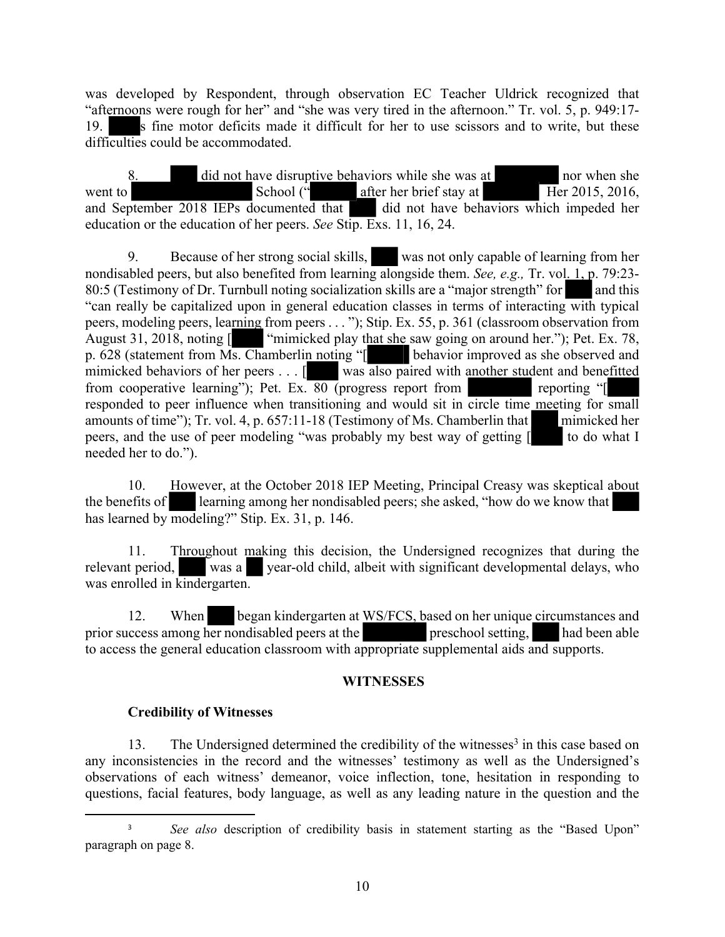was developed by Respondent, through observation EC Teacher Uldrick recognized that "afternoons were rough for her" and "she was very tired in the afternoon." Tr. vol. 5, p. 949:17- 19. s fine motor deficits made it difficult for her to use scissors and to write, but these difficulties could be accommodated.

did not have disruptive behaviors while she was at nor when she went to School (" after her brief stay at Her 2015, 2016, and September 2018 IEPs documented that did not have behaviors which impeded her education or the education of her peers. *See* Stip. Exs. 11, 16, 24.

9. Because of her strong social skills, was not only capable of learning from her nondisabled peers, but also benefited from learning alongside them. *See, e.g.,* Tr. vol. 1, p. 79:23- 80:5 (Testimony of Dr. Turnbull noting socialization skills are a "major strength" for and this "can really be capitalized upon in general education classes in terms of interacting with typical peers, modeling peers, learning from peers . . . "); Stip. Ex. 55, p. 361 (classroom observation from August 31, 2018, noting [ "mimicked play that she saw going on around her."); Pet. Ex. 78, p. 628 (statement from Ms. Chamberlin noting "[ behavior improved as she observed and mimicked behaviors of her peers . . . [ was also paired with another student and benefitted from cooperative learning"); Pet. Ex. 80 (progress report from reporting "[ responded to peer influence when transitioning and would sit in circle time meeting for small amounts of time"); Tr. vol. 4, p. 657:11-18 (Testimony of Ms. Chamberlin that mimicked her peers, and the use of peer modeling "was probably my best way of getting  $\lceil \cdot \rceil$  to do what I needed her to do.").

10. However, at the October 2018 IEP Meeting, Principal Creasy was skeptical about the benefits of learning among her nondisabled peers; she asked, "how do we know that has learned by modeling?" Stip. Ex. 31, p. 146.

11. Throughout making this decision, the Undersigned recognizes that during the relevant period, was a year-old child, albeit with significant developmental delays, who was enrolled in kindergarten.

12. When began kindergarten at WS/FCS, based on her unique circumstances and prior success among her nondisabled peers at the preschool setting, had been able to access the general education classroom with appropriate supplemental aids and supports.

#### **WITNESSES**

#### **Credibility of Witnesses**

13. The Undersigned determined the credibility of the witnesses<sup>3</sup> in this case based on any inconsistencies in the record and the witnesses' testimony as well as the Undersigned's observations of each witness' demeanor, voice inflection, tone, hesitation in responding to questions, facial features, body language, as well as any leading nature in the question and the

<sup>&</sup>lt;sup>3</sup> *See also* description of credibility basis in statement starting as the "Based Upon" paragraph on page 8.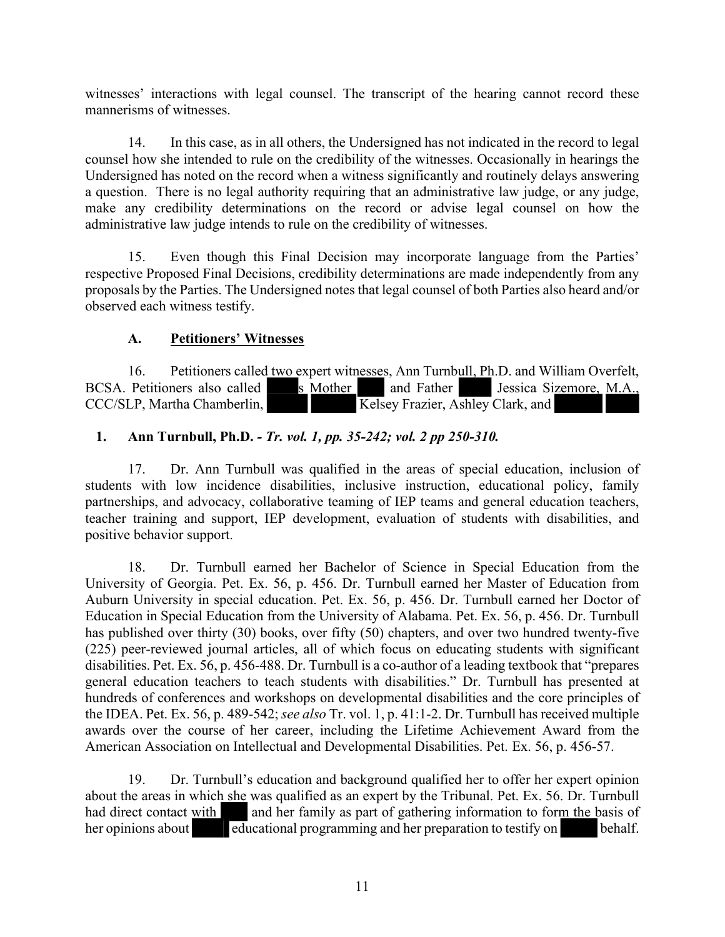witnesses' interactions with legal counsel. The transcript of the hearing cannot record these mannerisms of witnesses.

14. In this case, as in all others, the Undersigned has not indicated in the record to legal counsel how she intended to rule on the credibility of the witnesses. Occasionally in hearings the Undersigned has noted on the record when a witness significantly and routinely delays answering a question. There is no legal authority requiring that an administrative law judge, or any judge, make any credibility determinations on the record or advise legal counsel on how the administrative law judge intends to rule on the credibility of witnesses.

15. Even though this Final Decision may incorporate language from the Parties' respective Proposed Final Decisions, credibility determinations are made independently from any proposals by the Parties. The Undersigned notes that legal counsel of both Parties also heard and/or observed each witness testify.

## **A. Petitioners' Witnesses**

16. Petitioners called two expert witnesses, Ann Turnbull, Ph.D. and William Overfelt, BCSA. Petitioners also called s Mother and Father Jessica Sizemore, M.A., s Mother and Father CCC/SLP, Martha Chamberlin, Kelsey Frazier, Ashley Clark, and

## **1. Ann Turnbull, Ph.D.** *- Tr. vol. 1, pp. 35-242; vol. 2 pp 250-310.*

17. Dr. Ann Turnbull was qualified in the areas of special education, inclusion of students with low incidence disabilities, inclusive instruction, educational policy, family partnerships, and advocacy, collaborative teaming of IEP teams and general education teachers, teacher training and support, IEP development, evaluation of students with disabilities, and positive behavior support.

18. Dr. Turnbull earned her Bachelor of Science in Special Education from the University of Georgia. Pet. Ex. 56, p. 456. Dr. Turnbull earned her Master of Education from Auburn University in special education. Pet. Ex. 56, p. 456. Dr. Turnbull earned her Doctor of Education in Special Education from the University of Alabama. Pet. Ex. 56, p. 456. Dr. Turnbull has published over thirty (30) books, over fifty (50) chapters, and over two hundred twenty-five (225) peer-reviewed journal articles, all of which focus on educating students with significant disabilities. Pet. Ex. 56, p. 456-488. Dr. Turnbull is a co-author of a leading textbook that "prepares general education teachers to teach students with disabilities." Dr. Turnbull has presented at hundreds of conferences and workshops on developmental disabilities and the core principles of the IDEA. Pet. Ex. 56, p. 489-542; *see also* Tr. vol. 1, p. 41:1-2. Dr. Turnbull has received multiple awards over the course of her career, including the Lifetime Achievement Award from the American Association on Intellectual and Developmental Disabilities. Pet. Ex. 56, p. 456-57.

19. Dr. Turnbull's education and background qualified her to offer her expert opinion about the areas in which she was qualified as an expert by the Tribunal. Pet. Ex. 56. Dr. Turnbull had direct contact with and her family as part of gathering information to form the basis of her opinions about educational programming and her preparation to testify on behalf.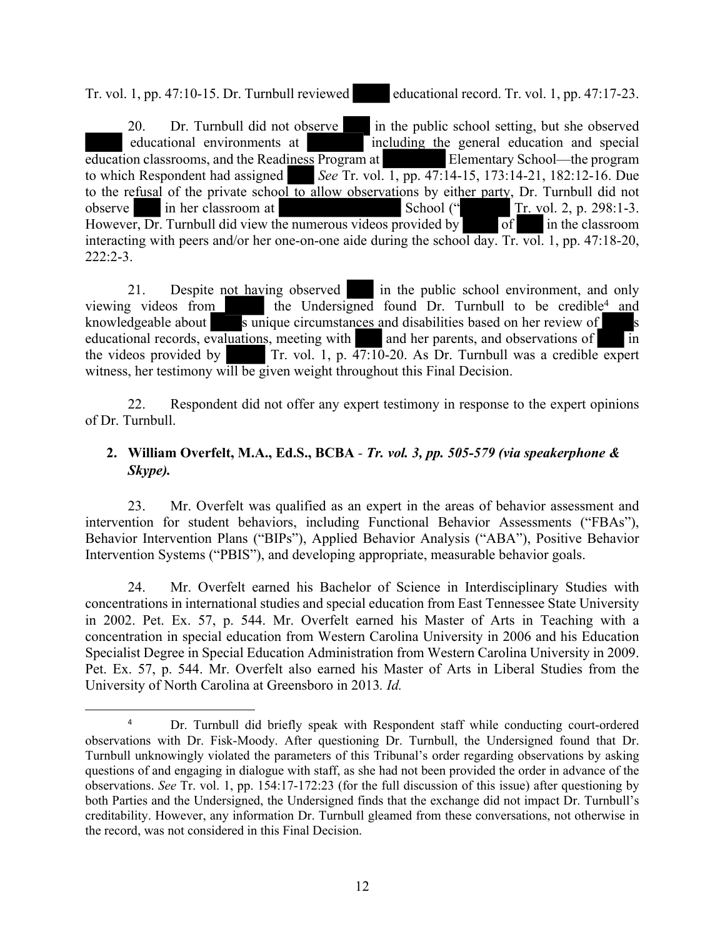Tr. vol. 1, pp. 47:10-15. Dr. Turnbull reviewed educational record. Tr. vol. 1, pp. 47:17-23.

20. Dr. Turnbull did not observe in the public school setting, but she observed educational environments at **including the general education and special** education classrooms, and the Readiness Program at Elementary School—the program to which Respondent had assigned *See* Tr. vol. 1, pp. 47:14-15, 173:14-21, 182:12-16. Due to the refusal of the private school to allow observations by either party, Dr. Turnbull did not observe in her classroom at School (" Tr. vol. 2, p. 298:1-3. However, Dr. Turnbull did view the numerous videos provided by of in the classroom interacting with peers and/or her one-on-one aide during the school day. Tr. vol. 1, pp. 47:18-20, 222:2-3.

21. Despite not having observed in the public school environment, and only videos from the Undersigned found Dr. Turnbull to be credible<sup>4</sup> and viewing videos from the Undersigned found Dr. Turnbull to be credible<sup>4</sup> and knowledgeable about s unique circumstances and disabilities based on her review of s educational records, evaluations, meeting with and her parents, and observations of in the videos provided by Tr. vol. 1, p. 47:10-20. As Dr. Turnbull was a credible expert witness, her testimony will be given weight throughout this Final Decision.

22. Respondent did not offer any expert testimony in response to the expert opinions of Dr. Turnbull.

## **2. William Overfelt, M.A., Ed.S., BCBA** *- Tr. vol. 3, pp. 505-579 (via speakerphone & Skype).*

23. Mr. Overfelt was qualified as an expert in the areas of behavior assessment and intervention for student behaviors, including Functional Behavior Assessments ("FBAs"), Behavior Intervention Plans ("BIPs"), Applied Behavior Analysis ("ABA"), Positive Behavior Intervention Systems ("PBIS"), and developing appropriate, measurable behavior goals.

24. Mr. Overfelt earned his Bachelor of Science in Interdisciplinary Studies with concentrations in international studies and special education from East Tennessee State University in 2002. Pet. Ex. 57, p. 544. Mr. Overfelt earned his Master of Arts in Teaching with a concentration in special education from Western Carolina University in 2006 and his Education Specialist Degree in Special Education Administration from Western Carolina University in 2009. Pet. Ex. 57, p. 544. Mr. Overfelt also earned his Master of Arts in Liberal Studies from the University of North Carolina at Greensboro in 2013*. Id.*

<sup>&</sup>lt;sup>4</sup> Dr. Turnbull did briefly speak with Respondent staff while conducting court-ordered observations with Dr. Fisk-Moody. After questioning Dr. Turnbull, the Undersigned found that Dr. Turnbull unknowingly violated the parameters of this Tribunal's order regarding observations by asking questions of and engaging in dialogue with staff, as she had not been provided the order in advance of the observations. *See* Tr. vol. 1, pp. 154:17-172:23 (for the full discussion of this issue) after questioning by both Parties and the Undersigned, the Undersigned finds that the exchange did not impact Dr. Turnbull's creditability. However, any information Dr. Turnbull gleamed from these conversations, not otherwise in the record, was not considered in this Final Decision.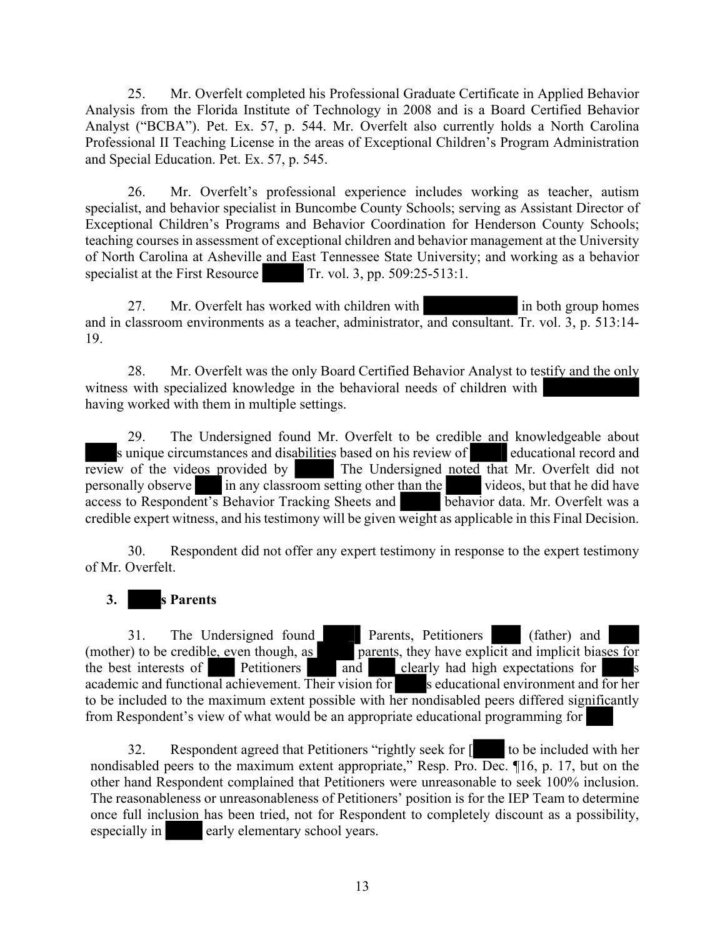25. Mr. Overfelt completed his Professional Graduate Certificate in Applied Behavior Analysis from the Florida Institute of Technology in 2008 and is a Board Certified Behavior Analyst ("BCBA"). Pet. Ex. 57, p. 544. Mr. Overfelt also currently holds a North Carolina Professional II Teaching License in the areas of Exceptional Children's Program Administration and Special Education. Pet. Ex. 57, p. 545.

26. Mr. Overfelt's professional experience includes working as teacher, autism specialist, and behavior specialist in Buncombe County Schools; serving as Assistant Director of Exceptional Children's Programs and Behavior Coordination for Henderson County Schools; teaching courses in assessment of exceptional children and behavior management at the University of North Carolina at Asheville and East Tennessee State University; and working as a behavior specialist at the First Resource Tr. vol. 3, pp. 509:25-513:1.

27. Mr. Overfelt has worked with children with in both group homes and in classroom environments as a teacher, administrator, and consultant. Tr. vol. 3, p. 513:14- 19.

28. Mr. Overfelt was the only Board Certified Behavior Analyst to testify and the only witness with specialized knowledge in the behavioral needs of children with having worked with them in multiple settings.

29. The Undersigned found Mr. Overfelt to be credible and knowledgeable about s unique circumstances and disabilities based on his review of educational record and review of the videos provided by The Undersigned noted that Mr. Overfelt did not The Undersigned noted that Mr. Overfelt did not personally observe in any classroom setting other than the videos, but that he did have access to Respondent's Behavior Tracking Sheets and behavior data. Mr. Overfelt was a access to Respondent's Behavior Tracking Sheets and credible expert witness, and his testimony will be given weight as applicable in this Final Decision.

30. Respondent did not offer any expert testimony in response to the expert testimony of Mr. Overfelt.

# **3. s Parents**

31. The Undersigned found Parents, Petitioners (father) and (mother) to be credible, even though, as parents, they have explicit and implicit biases for the best interests of Petitioners and  $\alpha$  clearly had high expectations for academic and functional achievement. Their vision for s educational environment and for her to be included to the maximum extent possible with her nondisabled peers differed significantly from Respondent's view of what would be an appropriate educational programming for

32. Respondent agreed that Petitioners "rightly seek for  $\lceil \cdot \cdot \rceil$  to be included with her nondisabled peers to the maximum extent appropriate," Resp. Pro. Dec. ¶16, p. 17, but on the other hand Respondent complained that Petitioners were unreasonable to seek 100% inclusion. The reasonableness or unreasonableness of Petitioners' position is for the IEP Team to determine once full inclusion has been tried, not for Respondent to completely discount as a possibility, especially in early elementary school years.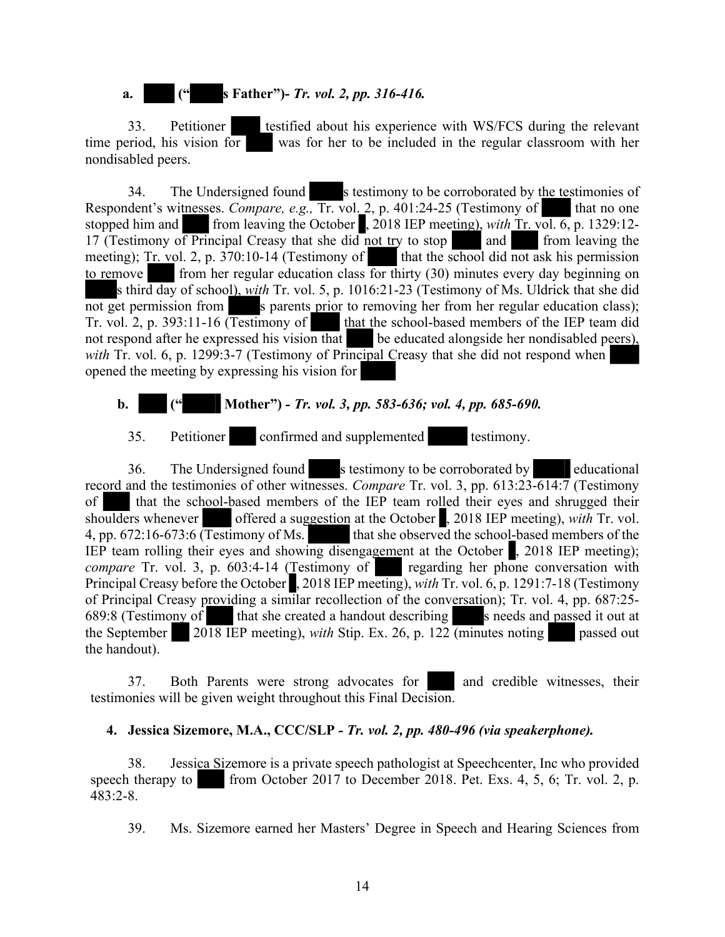# **a. (" s Father")-** *Tr. vol. 2, pp. 316-416.*

33. Petitioner testified about his experience with WS/FCS during the relevant time period, his vision for was for her to be included in the regular classroom with her nondisabled peers.

34. The Undersigned found s testimony to be corroborated by the testimonies of Respondent's witnesses. *Compare, e.g.*, Tr. vol. 2, p. 401:24-25 (Testimony of that no one stopped him and from leaving the October , 2018 IEP meeting), *with* Tr. vol. 6, p. 1329:12- 17 (Testimony of Principal Creasy that she did not try to stop and from leaving the meeting); Tr. vol. 2, p. 370:10-14 (Testimony of that the school did not ask his permission to remove from her regular education class for thirty (30) minutes every day beginning on s third day of school), *with* Tr. vol. 5, p. 1016:21-23 (Testimony of Ms. Uldrick that she did not get permission from s parents prior to removing her from her regular education class); Tr. vol. 2, p. 393:11-16 (Testimony of that the school-based members of the IEP team did not respond after he expressed his vision that be educated alongside her nondisabled peers), *with* Tr. vol. 6, p. 1299:3-7 (Testimony of Principal Creasy that she did not respond when opened the meeting by expressing his vision for

# **b. (" Mother")** *- Tr. vol. 3, pp. 583-636; vol. 4, pp. 685-690.*

35. Petitioner confirmed and supplemented testimony.

36. The Undersigned found s testimony to be corroborated by educational record and the testimonies of other witnesses. *Compare* Tr. vol. 3, pp. 613:23-614:7 (Testimony of that the school-based members of the IEP team rolled their eyes and shrugged their shoulders whenever offered a suggestion at the October , 2018 IEP meeting), *with* Tr. vol. 4, pp. 672:16-673:6 (Testimony of Ms. that she observed the school-based members of the IEP team rolling their eyes and showing disengagement at the October , 2018 IEP meeting); *compare* Tr. vol. 3, p. 603:4-14 (Testimony of regarding her phone conversation with Principal Creasy before the October , 2018 IEP meeting), *with* Tr. vol. 6, p. 1291:7-18 (Testimony of Principal Creasy providing a similar recollection of the conversation); Tr. vol. 4, pp. 687:25- 689:8 (Testimony of that she created a handout describing s needs and passed it out at the September 2018 IEP meeting), *with* Stip. Ex. 26, p. 122 (minutes noting passed out the handout).

37. Both Parents were strong advocates for and credible witnesses, their testimonies will be given weight throughout this Final Decision.

#### **4. Jessica Sizemore, M.A., CCC/SLP** *- Tr. vol. 2, pp. 480-496 (via speakerphone).*

38. Jessica Sizemore is a private speech pathologist at Speechcenter, Inc who provided speech therapy to from October 2017 to December 2018. Pet. Exs.  $4, 5, 6$ ; Tr. vol.  $2, p$ . 483:2-8.

39. Ms. Sizemore earned her Masters' Degree in Speech and Hearing Sciences from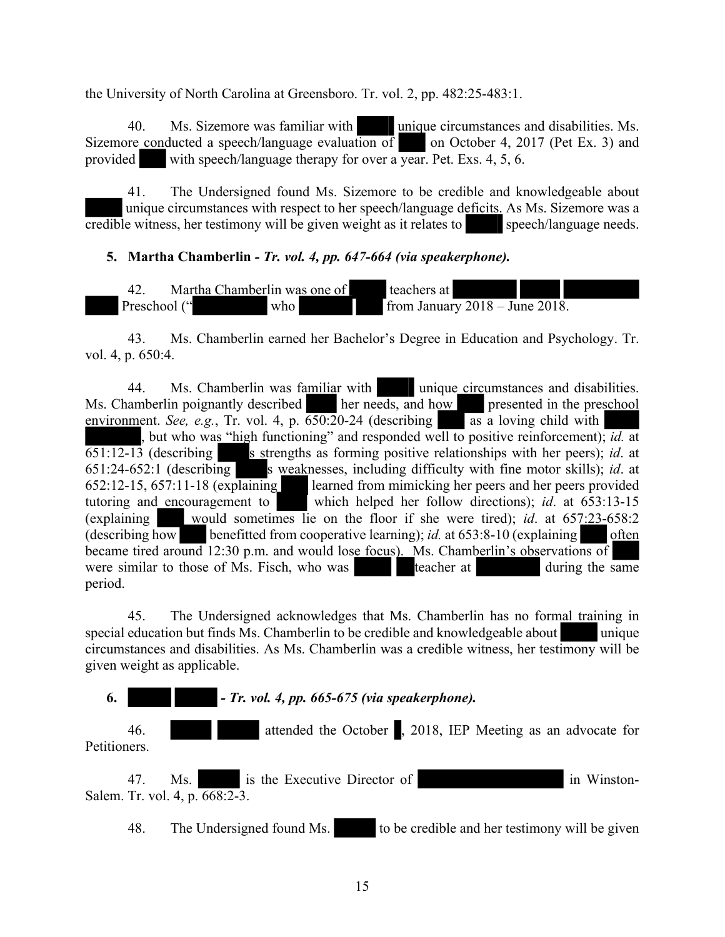the University of North Carolina at Greensboro. Tr. vol. 2, pp. 482:25-483:1.

40. Ms. Sizemore was familiar with unique circumstances and disabilities. Ms. Sizemore conducted a speech/language evaluation of on October 4, 2017 (Pet Ex. 3) and provided with speech/language therapy for over a year. Pet. Exs. 4, 5, 6.

41. The Undersigned found Ms. Sizemore to be credible and knowledgeable about unique circumstances with respect to her speech/language deficits. As Ms. Sizemore was a credible witness, her testimony will be given weight as it relates to speech/language needs.

#### **5. Martha Chamberlin** *- Tr. vol. 4, pp. 647-664 (via speakerphone).*

42. Martha Chamberlin was one of teachers at Preschool (" who from January 2018 – June 2018.

43. Ms. Chamberlin earned her Bachelor's Degree in Education and Psychology. Tr. vol. 4, p. 650:4.

44. Ms. Chamberlin was familiar with unique circumstances and disabilities. Ms. Chamberlin poignantly described her needs, and how presented in the preschool environment. *See, e.g.*, Tr. vol. 4, p.  $\overline{650:20}$ -24 (describing as a loving child with , but who was "high functioning" and responded well to positive reinforcement); *id.* at 651:12-13 (describing s strengths as forming positive relationships with her peers); *id.* at 651:24-652:1 (describing s weaknesses, including difficulty with fine motor skills); *id*. at 652:12-15, 657:11-18 (explaining learned from mimicking her peers and her peers provided tutoring and encouragement to which helped her follow directions); *id*. at 653:13-15 (explaining would sometimes lie on the floor if she were tired); *id*. at 657:23-658:2 (describing how benefitted from cooperative learning); *id.* at  $653:8-10$  (explaining often became tired around 12:30 p.m. and would lose focus). Ms. Chamberlin's observations of were similar to those of Ms. Fisch, who was teacher at during the same period.

45. The Undersigned acknowledges that Ms. Chamberlin has no formal training in special education but finds Ms. Chamberlin to be credible and knowledgeable about unique circumstances and disabilities. As Ms. Chamberlin was a credible witness, her testimony will be given weight as applicable.

**6.** *- Tr. vol. 4, pp. 665-675 (via speakerphone).*

46. attended the October , 2018, IEP Meeting as an advocate for Petitioners.

47. Ms. is the Executive Director of in Winston-Salem. Tr. vol. 4, p. 668:2-3.

48. The Undersigned found Ms. to be credible and her testimony will be given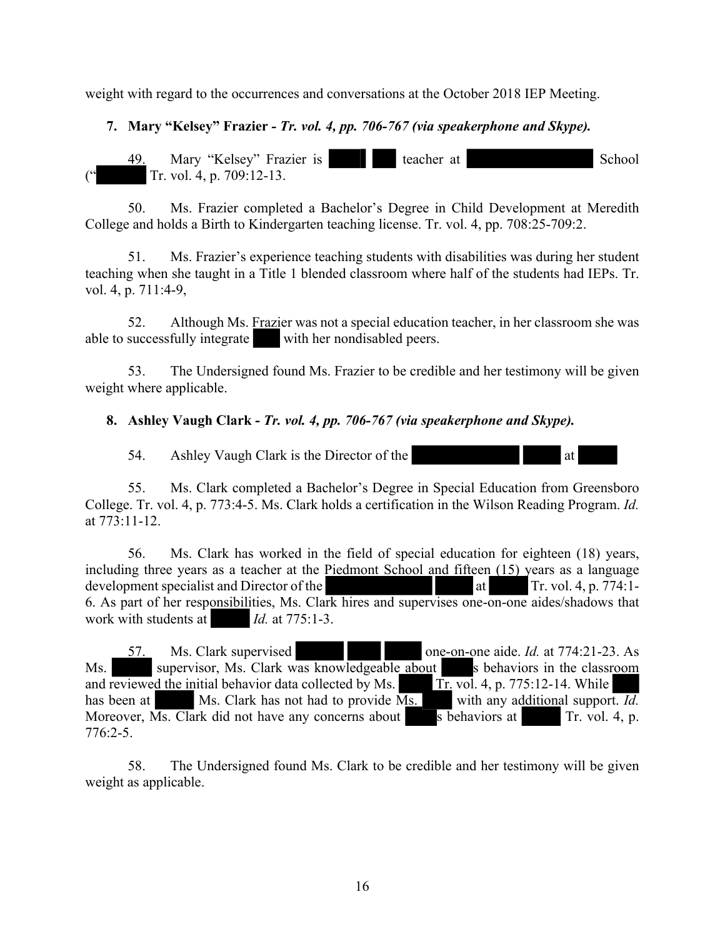weight with regard to the occurrences and conversations at the October 2018 IEP Meeting.

## **7. Mary "Kelsey" Frazier** *- Tr. vol. 4, pp. 706-767 (via speakerphone and Skype).*

49. Mary "Kelsey" Frazier is teacher at School Tr. vol. 4, p. 709:12-13.

50. Ms. Frazier completed a Bachelor's Degree in Child Development at Meredith College and holds a Birth to Kindergarten teaching license. Tr. vol. 4, pp. 708:25-709:2.

51. Ms. Frazier's experience teaching students with disabilities was during her student teaching when she taught in a Title 1 blended classroom where half of the students had IEPs. Tr. vol. 4, p. 711:4-9,

52. Although Ms. Frazier was not a special education teacher, in her classroom she was able to successfully integrate with her nondisabled peers.

53. The Undersigned found Ms. Frazier to be credible and her testimony will be given weight where applicable.

#### **8. Ashley Vaugh Clark -** *Tr. vol. 4, pp. 706-767 (via speakerphone and Skype).*

54. Ashley Vaugh Clark is the Director of the at

55. Ms. Clark completed a Bachelor's Degree in Special Education from Greensboro College. Tr. vol. 4, p. 773:4-5. Ms. Clark holds a certification in the Wilson Reading Program. *Id.* at 773:11-12.

56. Ms. Clark has worked in the field of special education for eighteen (18) years, including three years as a teacher at the Piedmont School and fifteen (15) years as a language development specialist and Director of the  $\qquad \qquad$  at Tr. vol. 4, p. 774:1-6. As part of her responsibilities, Ms. Clark hires and supervises one-on-one aides/shadows that work with students at *Id.* at 775:1-3.

57. Ms. Clark supervised one-on-one aide. *Id.* at 774:21-23. As Ms. supervisor, Ms. Clark was knowledgeable about s behaviors in the classroom and reviewed the initial behavior data collected by Ms.  $\overline{T}$  Tr. vol. 4, p. 775:12-14. While has been at Ms. Clark has not had to provide Ms. with any additional support. *Id.* Moreover,  $\overline{Ms}$ . Clark did not have any concerns about s behaviors at Tr. vol. 4, p. 776:2-5.

58. The Undersigned found Ms. Clark to be credible and her testimony will be given weight as applicable.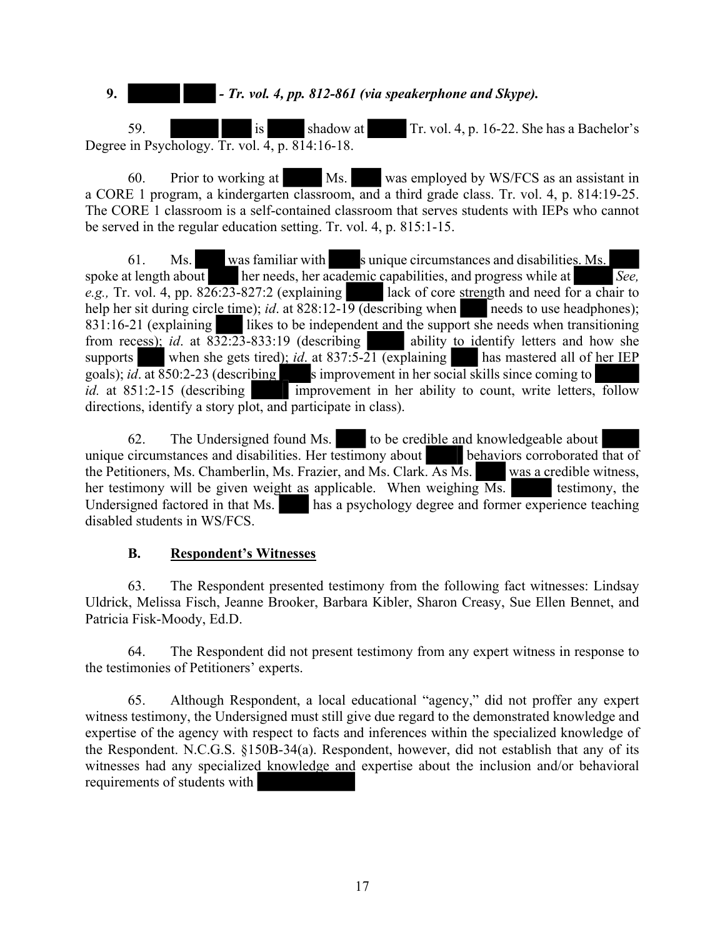**9.** *- Tr. vol. 4, pp. 812-861 (via speakerphone and Skype).*

59. is shadow at Tr. vol. 4, p. 16-22. She has a Bachelor's Degree in Psychology. Tr. vol. 4, p. 814:16-18.

60. Prior to working at Ms. was employed by WS/FCS as an assistant in a CORE 1 program, a kindergarten classroom, and a third grade class. Tr. vol. 4, p. 814:19-25. The CORE 1 classroom is a self-contained classroom that serves students with IEPs who cannot be served in the regular education setting. Tr. vol. 4, p. 815:1-15.

61. Ms. was familiar with s unique circumstances and disabilities. Ms. spoke at length about her needs, her academic capabilities, and progress while at *See, e.g.*, Tr. vol. 4, pp.  $826:23-827:2$  (explaining a lack of core strength and need for a chair to help her sit during circle time); *id.* at 828:12-19 (describing when needs to use headphones); 831:16-21 (explaining likes to be independent and the support she needs when transitioning from recess); *id.* at  $832:23-833:19$  (describing ability to identify letters and how she supports when she gets tired);  $id$  at 837:5-21 (explaining has mastered all of her IEP goals); *id.* at 850:2-23 (describing s improvement in her social skills since coming to *id.* at 851:2-15 (describing improvement in her ability to count, write letters, follow directions, identify a story plot, and participate in class).

62. The Undersigned found Ms. to be credible and knowledgeable about unique circumstances and disabilities. Her testimony about behaviors corroborated that of the Petitioners, Ms. Chamberlin, Ms. Frazier, and Ms. Clark. As Ms. was a credible witness, her testimony will be given weight as applicable. When weighing Ms. Undersigned factored in that Ms. has a psychology degree and former experience teaching disabled students in WS/FCS.

#### **B. Respondent's Witnesses**

63. The Respondent presented testimony from the following fact witnesses: Lindsay Uldrick, Melissa Fisch, Jeanne Brooker, Barbara Kibler, Sharon Creasy, Sue Ellen Bennet, and Patricia Fisk-Moody, Ed.D.

64. The Respondent did not present testimony from any expert witness in response to the testimonies of Petitioners' experts.

65. Although Respondent, a local educational "agency," did not proffer any expert witness testimony, the Undersigned must still give due regard to the demonstrated knowledge and expertise of the agency with respect to facts and inferences within the specialized knowledge of the Respondent. N.C.G.S. §150B-34(a). Respondent, however, did not establish that any of its witnesses had any specialized knowledge and expertise about the inclusion and/or behavioral requirements of students with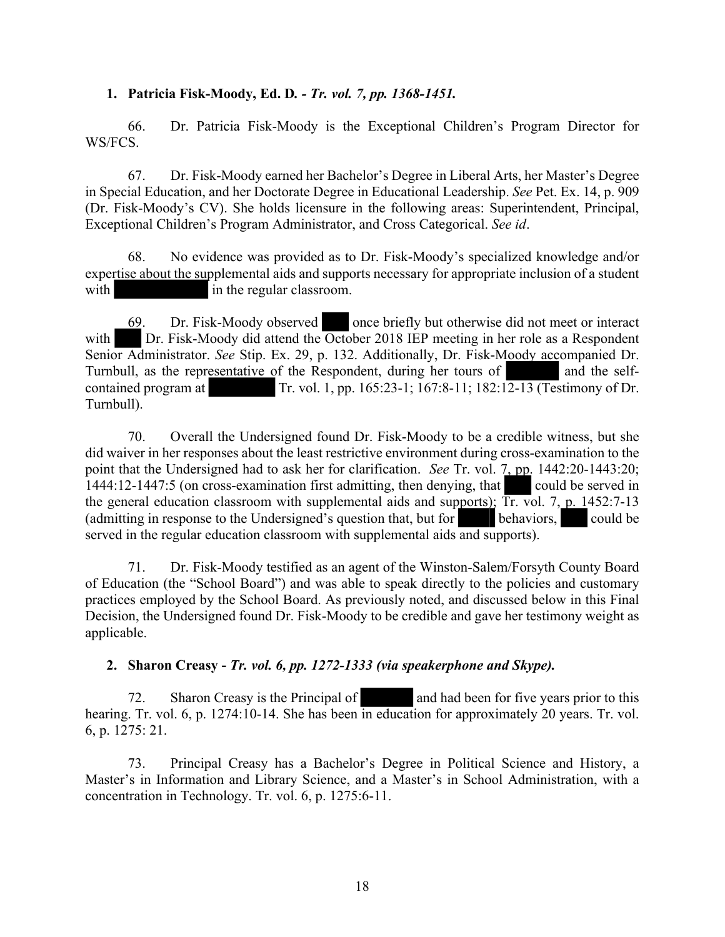#### **1. Patricia Fisk-Moody, Ed. D***. - Tr. vol. 7, pp. 1368-1451.*

66. Dr. Patricia Fisk-Moody is the Exceptional Children's Program Director for WS/FCS.

67. Dr. Fisk-Moody earned her Bachelor's Degree in Liberal Arts, her Master's Degree in Special Education, and her Doctorate Degree in Educational Leadership. *See* Pet. Ex. 14, p. 909 (Dr. Fisk-Moody's CV). She holds licensure in the following areas: Superintendent, Principal, Exceptional Children's Program Administrator, and Cross Categorical. *See id*.

68. No evidence was provided as to Dr. Fisk-Moody's specialized knowledge and/or expertise about the supplemental aids and supports necessary for appropriate inclusion of a student with in the regular classroom.

69. Dr. Fisk-Moody observed once briefly but otherwise did not meet or interact with Dr. Fisk-Moody did attend the October 2018 IEP meeting in her role as a Respondent Senior Administrator. *See* Stip. Ex. 29, p. 132. Additionally, Dr. Fisk-Moody accompanied Dr. Turnbull, as the representative of the Respondent, during her tours of and the selfcontained program at Tr. vol. 1, pp. 165:23-1; 167:8-11; 182:12-13 (Testimony of Dr. Turnbull).

70. Overall the Undersigned found Dr. Fisk-Moody to be a credible witness, but she did waiver in her responses about the least restrictive environment during cross-examination to the point that the Undersigned had to ask her for clarification. *See* Tr. vol. 7, pp. 1442:20-1443:20; 1444:12-1447:5 (on cross-examination first admitting, then denying, that could be served in the general education classroom with supplemental aids and supports);  $\overline{\text{Tr}}$  vol. 7, p. 1452:7-13 (admitting in response to the Undersigned's question that, but for behaviors, could be served in the regular education classroom with supplemental aids and supports).

71. Dr. Fisk-Moody testified as an agent of the Winston-Salem/Forsyth County Board of Education (the "School Board") and was able to speak directly to the policies and customary practices employed by the School Board. As previously noted, and discussed below in this Final Decision, the Undersigned found Dr. Fisk-Moody to be credible and gave her testimony weight as applicable.

#### **2. Sharon Creasy -** *Tr. vol. 6, pp. 1272-1333 (via speakerphone and Skype).*

72. Sharon Creasy is the Principal of and had been for five years prior to this hearing. Tr. vol. 6, p. 1274:10-14. She has been in education for approximately 20 years. Tr. vol. 6, p. 1275: 21.

73. Principal Creasy has a Bachelor's Degree in Political Science and History, a Master's in Information and Library Science, and a Master's in School Administration, with a concentration in Technology. Tr. vol. 6, p. 1275:6-11.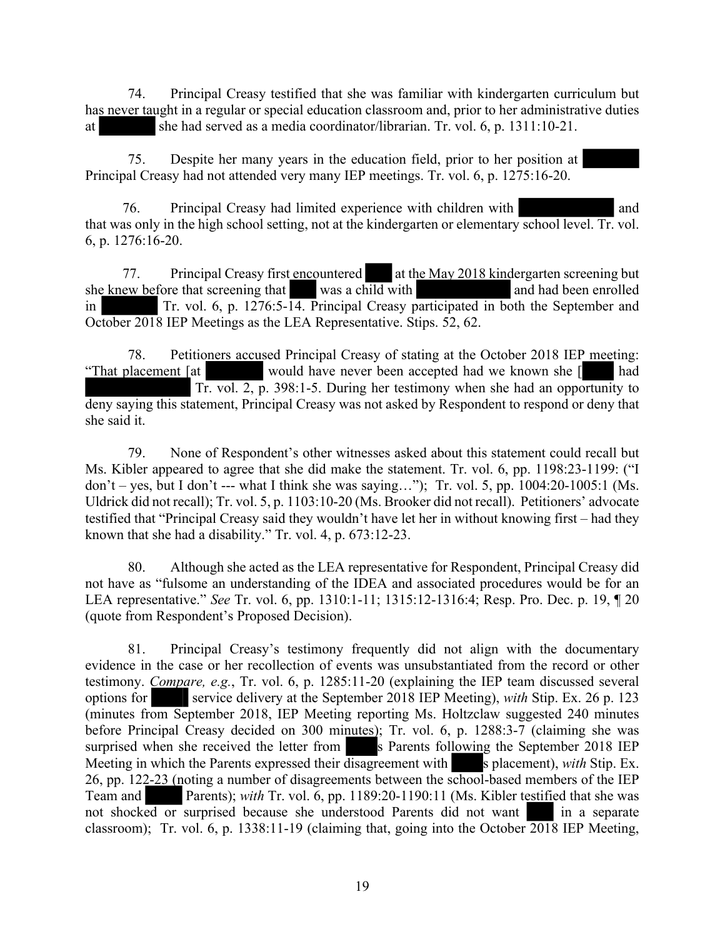74. Principal Creasy testified that she was familiar with kindergarten curriculum but has never taught in a regular or special education classroom and, prior to her administrative duties at she had served as a media coordinator/librarian. Tr. vol. 6, p. 1311:10-21.

75. Despite her many years in the education field, prior to her position at Principal Creasy had not attended very many IEP meetings. Tr. vol. 6, p. 1275:16-20.

76. Principal Creasy had limited experience with children with and that was only in the high school setting, not at the kindergarten or elementary school level. Tr. vol. 6, p. 1276:16-20.

77. Principal Creasy first encountered at the May 2018 kindergarten screening but she knew before that screening that was a child with and had been enrolled in Tr. vol. 6, p. 1276:5-14. Principal Creasy participated in both the September and October 2018 IEP Meetings as the LEA Representative. Stips. 52, 62.

78. Petitioners accused Principal Creasy of stating at the October 2018 IEP meeting: "That placement [at would have never been accepted had we known she [ had Tr. vol. 2, p. 398:1-5. During her testimony when she had an opportunity to deny saying this statement, Principal Creasy was not asked by Respondent to respond or deny that she said it.

79. None of Respondent's other witnesses asked about this statement could recall but Ms. Kibler appeared to agree that she did make the statement. Tr. vol. 6, pp. 1198:23-1199: ("I don't – yes, but I don't --- what I think she was saying..."); Tr. vol. 5, pp.  $1004:20-1005:1$  (Ms. Uldrick did not recall); Tr. vol. 5, p. 1103:10-20 (Ms. Brooker did not recall). Petitioners' advocate testified that "Principal Creasy said they wouldn't have let her in without knowing first – had they known that she had a disability." Tr. vol. 4, p. 673:12-23.

80. Although she acted as the LEA representative for Respondent, Principal Creasy did not have as "fulsome an understanding of the IDEA and associated procedures would be for an LEA representative." *See* Tr. vol. 6, pp. 1310:1-11; 1315:12-1316:4; Resp. Pro. Dec. p. 19, ¶ 20 (quote from Respondent's Proposed Decision).

81. Principal Creasy's testimony frequently did not align with the documentary evidence in the case or her recollection of events was unsubstantiated from the record or other testimony. *Compare, e.g.*, Tr. vol. 6, p. 1285:11-20 (explaining the IEP team discussed several options for service delivery at the September 2018 IEP Meeting), *with* Stip. Ex. 26 p. 123 (minutes from September 2018, IEP Meeting reporting Ms. Holtzclaw suggested 240 minutes before Principal Creasy decided on 300 minutes); Tr. vol. 6, p. 1288:3-7 (claiming she was surprised when she received the letter from s Parents following the September 2018 IEP Meeting in which the Parents expressed their disagreement with s placement), *with* Stip. Ex. 26, pp. 122-23 (noting a number of disagreements between the school-based members of the IEP Team and Parents); *with* Tr. vol. 6, pp. 1189:20-1190:11 (Ms. Kibler testified that she was not shocked or surprised because she understood Parents did not want in a separate classroom); Tr. vol. 6, p. 1338:11-19 (claiming that, going into the October 2018 IEP Meeting,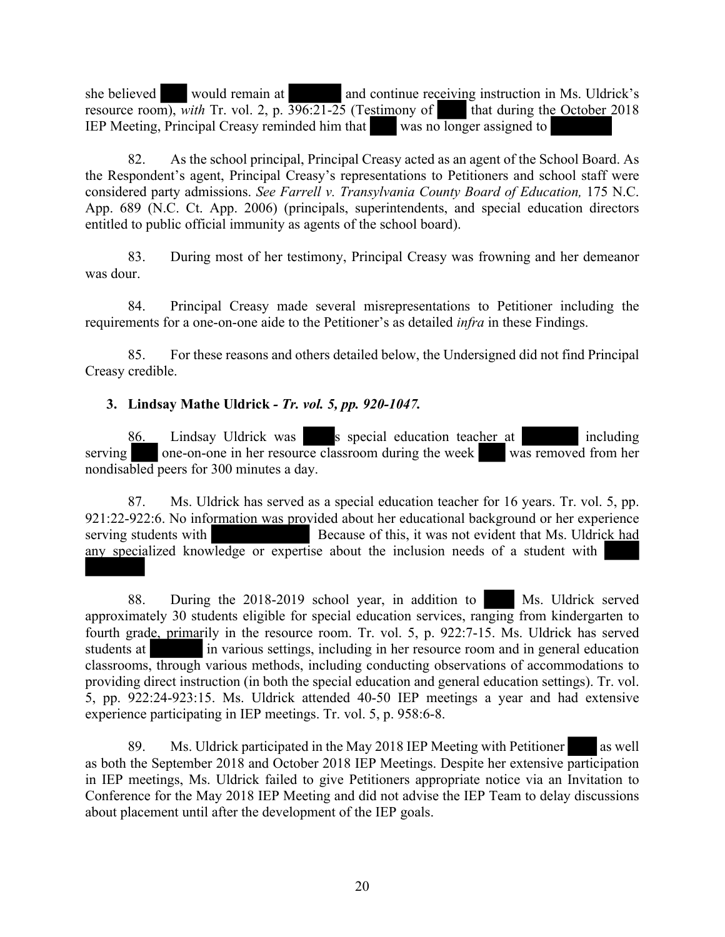she believed would remain at and continue receiving instruction in Ms. Uldrick's resource room), *with* Tr. vol. 2, p.  $\overline{396:21-25}$  (Testimony of that during the October 2018) IEP Meeting, Principal Creasy reminded him that was no longer assigned to

82. As the school principal, Principal Creasy acted as an agent of the School Board. As the Respondent's agent, Principal Creasy's representations to Petitioners and school staff were considered party admissions. *See Farrell v. Transylvania County Board of Education,* 175 N.C. App. 689 (N.C. Ct. App. 2006) (principals, superintendents, and special education directors entitled to public official immunity as agents of the school board).

83. During most of her testimony, Principal Creasy was frowning and her demeanor was dour.

84. Principal Creasy made several misrepresentations to Petitioner including the requirements for a one-on-one aide to the Petitioner's as detailed *infra* in these Findings.

85. For these reasons and others detailed below, the Undersigned did not find Principal Creasy credible.

## **3. Lindsay Mathe Uldrick** *- Tr. vol. 5, pp. 920-1047.*

86. Lindsay Uldrick was special education teacher at including serving one-on-one in her resource classroom during the week was removed from her nondisabled peers for 300 minutes a day.

87. Ms. Uldrick has served as a special education teacher for 16 years. Tr. vol. 5, pp. 921:22-922:6. No information was provided about her educational background or her experience serving students with Because of this, it was not evident that Ms. Uldrick had any specialized knowledge or expertise about the inclusion needs of a student with

88. During the 2018-2019 school year, in addition to Ms. Uldrick served approximately 30 students eligible for special education services, ranging from kindergarten to fourth grade, primarily in the resource room. Tr. vol. 5, p. 922:7-15. Ms. Uldrick has served students at in various settings, including in her resource room and in general education classrooms, through various methods, including conducting observations of accommodations to providing direct instruction (in both the special education and general education settings). Tr. vol. 5, pp. 922:24-923:15. Ms. Uldrick attended 40-50 IEP meetings a year and had extensive experience participating in IEP meetings. Tr. vol. 5, p. 958:6-8.

89. Ms. Uldrick participated in the May 2018 IEP Meeting with Petitioner as well as both the September 2018 and October 2018 IEP Meetings. Despite her extensive participation in IEP meetings, Ms. Uldrick failed to give Petitioners appropriate notice via an Invitation to Conference for the May 2018 IEP Meeting and did not advise the IEP Team to delay discussions about placement until after the development of the IEP goals.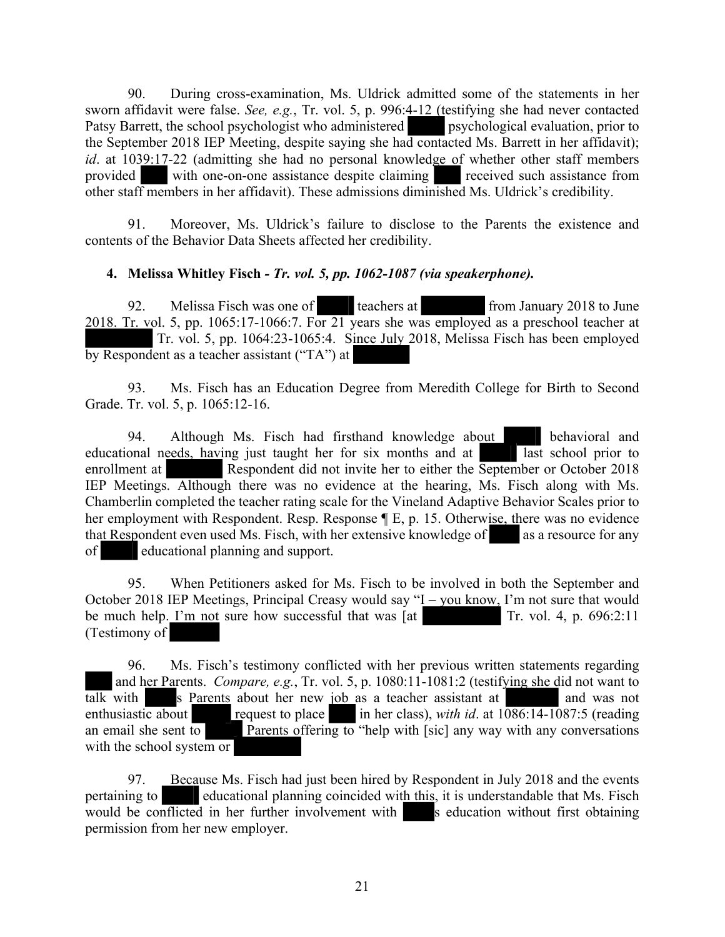90. During cross-examination, Ms. Uldrick admitted some of the statements in her sworn affidavit were false. *See, e.g.*, Tr. vol. 5, p. 996:4-12 (testifying she had never contacted Patsy Barrett, the school psychologist who administered psychological evaluation, prior to the September 2018 IEP Meeting, despite saying she had contacted Ms. Barrett in her affidavit); *id*. at 1039:17-22 (admitting she had no personal knowledge of whether other staff members provided with one-on-one assistance despite claiming received such assistance from other staff members in her affidavit). These admissions diminished Ms. Uldrick's credibility.

91. Moreover, Ms. Uldrick's failure to disclose to the Parents the existence and contents of the Behavior Data Sheets affected her credibility.

## **4. Melissa Whitley Fisch** *- Tr. vol. 5, pp. 1062-1087 (via speakerphone).*

92. Melissa Fisch was one of teachers at from January 2018 to June 2018. Tr. vol. 5, pp. 1065:17-1066:7. For 21 years she was employed as a preschool teacher at Tr. vol. 5, pp. 1064:23-1065:4. Since July 2018, Melissa Fisch has been employed by Respondent as a teacher assistant ("TA") at

93. Ms. Fisch has an Education Degree from Meredith College for Birth to Second Grade. Tr. vol. 5, p. 1065:12-16.

94. Although Ms. Fisch had firsthand knowledge about behavioral and educational needs, having just taught her for six months and at last school prior to enrollment at Respondent did not invite her to either the September or October 2018 IEP Meetings. Although there was no evidence at the hearing, Ms. Fisch along with Ms. Chamberlin completed the teacher rating scale for the Vineland Adaptive Behavior Scales prior to her employment with Respondent. Resp. Response ¶ E, p. 15. Otherwise, there was no evidence that Respondent even used Ms. Fisch, with her extensive knowledge of as a resource for any of educational planning and support.

95. When Petitioners asked for Ms. Fisch to be involved in both the September and October 2018 IEP Meetings, Principal Creasy would say "I – you know, I'm not sure that would be much help. I'm not sure how successful that was  $\begin{bmatrix} \frac{1}{1} \\ \frac{1}{1} \\ \frac{1}{1} \\ \frac{1}{1} \\ \frac{1}{1} \\ \frac{1}{1} \\ \frac{1}{1} \\ \frac{1}{1} \\ \frac{1}{1} \\ \frac{1}{1} \\ \frac{1}{1} \\ \frac{1}{1} \\ \frac{1}{1} \\ \frac{1}{1} \\ \frac{1}{1} \\ \frac{1}{1} \\ \frac{1}{1} \\ \frac{1}{1} \\ \frac{1}{1} \\ \frac{1}{1} \\ \frac{$ (Testimony of

96. Ms. Fisch's testimony conflicted with her previous written statements regarding and her Parents. *Compare, e.g.*, Tr. vol. 5, p. 1080:11-1081:2 (testifying she did not want to  $\overline{talk}$  with s Parents about her new  $\overline{job}$  as a teacher assistant at and was not enthusiastic about request to place in her class), *with id.* at  $1086:14-1087:5$  (reading an email she sent to Parents offering to "help with [sic] any way with any conversations with the school system or

97. Because Ms. Fisch had just been hired by Respondent in July 2018 and the events pertaining to educational planning coincided with this, it is understandable that Ms. Fisch would be conflicted in her further involvement with s education without first obtaining permission from her new employer.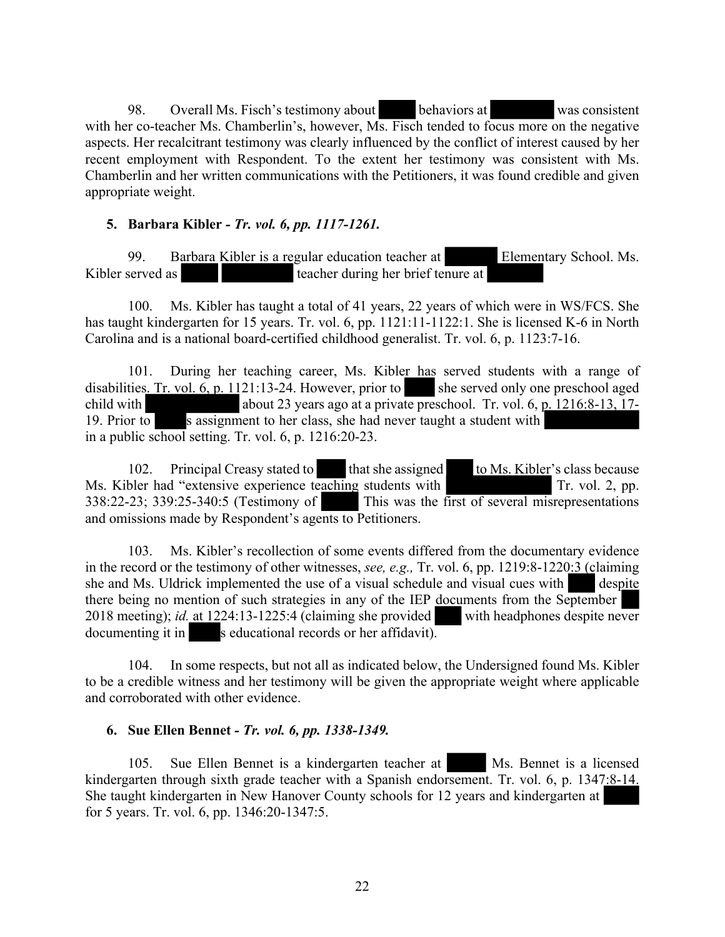98. Overall Ms. Fisch's testimony about behaviors at was consistent with her co-teacher Ms. Chamberlin's, however, Ms. Fisch tended to focus more on the negative aspects. Her recalcitrant testimony was clearly influenced by the conflict of interest caused by her recent employment with Respondent. To the extent her testimony was consistent with Ms. Chamberlin and her written communications with the Petitioners, it was found credible and given appropriate weight.

#### **5. Barbara Kibler** *- Tr. vol. 6, pp. 1117-1261.*

99. Barbara Kibler is a regular education teacher at Elementary School. Ms. Kibler served as teacher during her brief tenure at

100. Ms. Kibler has taught a total of 41 years, 22 years of which were in WS/FCS. She has taught kindergarten for 15 years. Tr. vol. 6, pp. 1121:11-1122:1. She is licensed K-6 in North Carolina and is a national board-certified childhood generalist. Tr. vol. 6, p. 1123:7-16.

101. During her teaching career, Ms. Kibler has served students with a range of disabilities. Tr. vol.  $6$ , p. 1121:13-24. However, prior to she served only one preschool aged child with about 23 years ago at a private preschool. Tr. vol. 6, p. 1216:8-13, 17- 19. Prior to s assignment to her class, she had never taught a student with in a public school setting. Tr. vol. 6, p. 1216:20-23.

102. Principal Creasy stated to that she assigned to Ms. Kibler's class because Ms. Kibler had "extensive experience teaching students with Tr. vol. 2, pp. 338:22-23; 339:25-340:5 (Testimony of This was the first of several misrepresentations and omissions made by Respondent's agents to Petitioners.

103. Ms. Kibler's recollection of some events differed from the documentary evidence in the record or the testimony of other witnesses, *see, e.g.,* Tr. vol. 6, pp. 1219:8-1220:3 (claiming she and Ms. Uldrick implemented the use of a visual schedule and visual cues with despite there being no mention of such strategies in any of the IEP documents from the September 2018 meeting); *id.* at 1224:13-1225:4 (claiming she provided with headphones despite never  $documenting it in$  s educational records or her affidavit).

104. In some respects, but not all as indicated below, the Undersigned found Ms. Kibler to be a credible witness and her testimony will be given the appropriate weight where applicable and corroborated with other evidence.

#### **6. Sue Ellen Bennet** *- Tr. vol. 6, pp. 1338-1349.*

105. Sue Ellen Bennet is a kindergarten teacher at Ms. Bennet is a licensed kindergarten through sixth grade teacher with a Spanish endorsement. Tr. vol. 6, p. 1347:8-14. She taught kindergarten in New Hanover County schools for 12 years and kindergarten at for 5 years. Tr. vol. 6, pp. 1346:20-1347:5.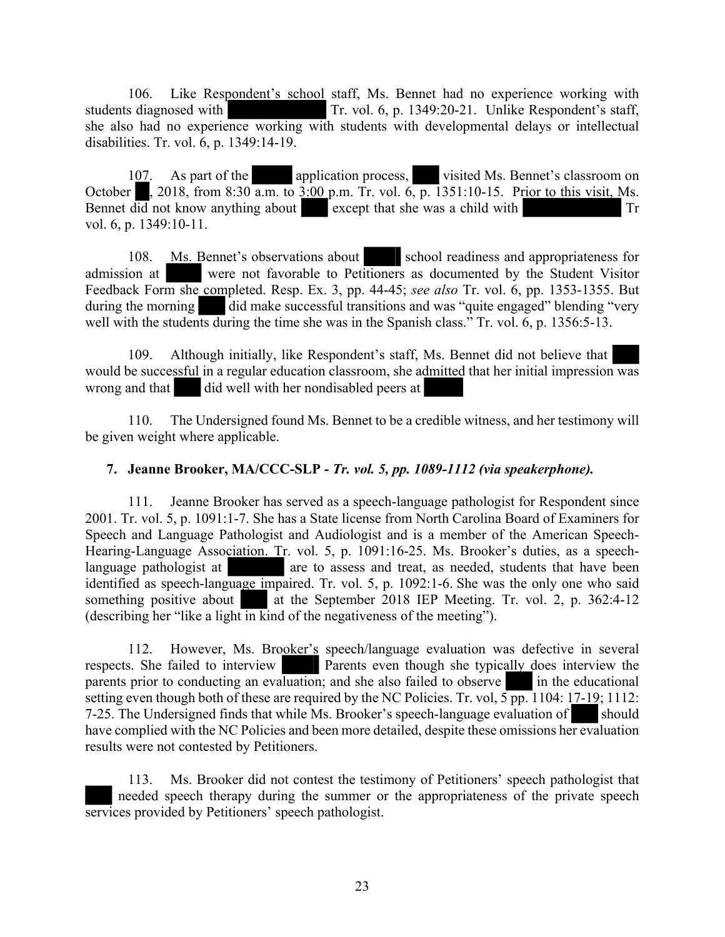106. Like Respondent's school staff, Ms. Bennet had no experience working with students diagnosed with Tr. vol. 6, p. 1349:20-21. Unlike Respondent's staff, she also had no experience working with students with developmental delays or intellectual disabilities. Tr. vol. 6, p. 1349:14-19.

107. As part of the application process, visited Ms. Bennet's classroom on October , 2018, from 8:30 a.m. to 3:00 p.m. Tr. vol. 6, p. 1351:10-15. Prior to this visit, Ms. Bennet did not know anything about except that she was a child with Tr vol. 6, p. 1349:10-11.

108. Ms. Bennet's observations about school readiness and appropriateness for admission at were not favorable to Petitioners as documented by the Student Visitor Feedback Form she completed. Resp. Ex. 3, pp. 44-45; *see also* Tr. vol. 6, pp. 1353-1355. But during the morning did make successful transitions and was "quite engaged" blending "very well with the students during the time she was in the Spanish class." Tr. vol. 6, p. 1356:5-13.

109. Although initially, like Respondent's staff, Ms. Bennet did not believe that would be successful in a regular education classroom, she admitted that her initial impression was wrong and that did well with her nondisabled peers at

110. The Undersigned found Ms. Bennet to be a credible witness, and her testimony will be given weight where applicable.

#### **7. Jeanne Brooker, MA/CCC-SLP -** *Tr. vol. 5, pp. 1089-1112 (via speakerphone).*

111. Jeanne Brooker has served as a speech-language pathologist for Respondent since 2001. Tr. vol. 5, p. 1091:1-7. She has a State license from North Carolina Board of Examiners for Speech and Language Pathologist and Audiologist and is a member of the American Speech-Hearing-Language Association. Tr. vol. 5, p. 1091:16-25. Ms. Brooker's duties, as a speechlanguage pathologist at are to assess and treat, as needed, students that have been identified as speech-language impaired. Tr. vol. 5, p. 1092:1-6. She was the only one who said something positive about at the September 2018 IEP Meeting. Tr. vol. 2, p. 362:4-12 (describing her "like a light in kind of the negativeness of the meeting").

112. However, Ms. Brooker's speech/language evaluation was defective in several respects. She failed to interview Parents even though she typically does interview the parents prior to conducting an evaluation; and she also failed to observe  $\overline{\phantom{a}}$  in the educational setting even though both of these are required by the NC Policies. Tr. vol,  $5 \overline{pp}$ . 1104: 17-19; 1112: 7-25. The Undersigned finds that while Ms. Brooker's speech-language evaluation of should have complied with the NC Policies and been more detailed, despite these omissions her evaluation results were not contested by Petitioners.

113. Ms. Brooker did not contest the testimony of Petitioners' speech pathologist that needed speech therapy during the summer or the appropriateness of the private speech services provided by Petitioners' speech pathologist.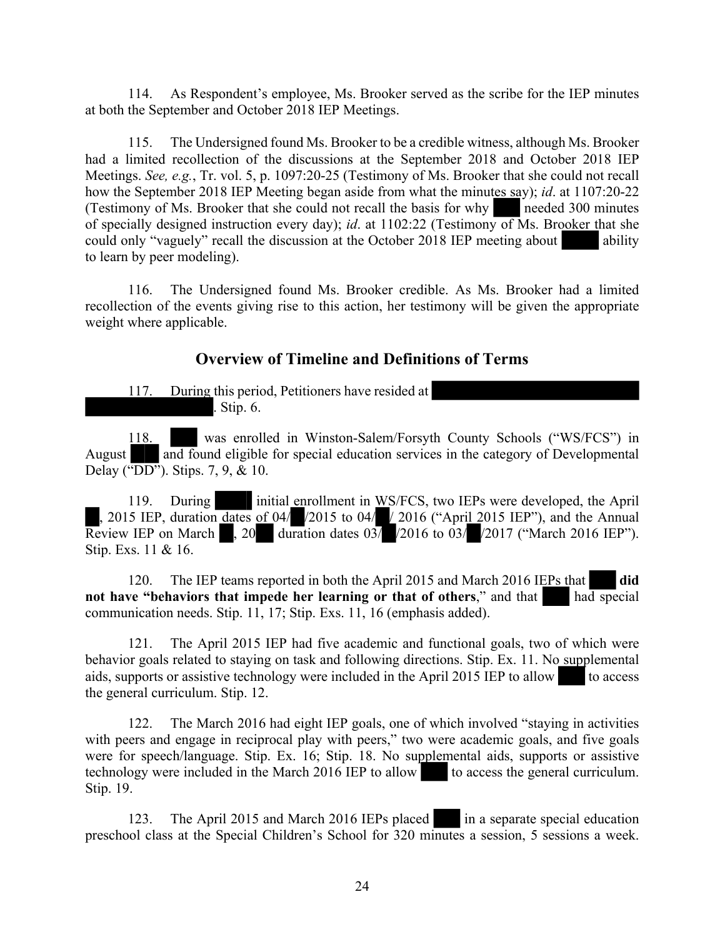114. As Respondent's employee, Ms. Brooker served as the scribe for the IEP minutes at both the September and October 2018 IEP Meetings.

115. The Undersigned found Ms. Brooker to be a credible witness, although Ms. Brooker had a limited recollection of the discussions at the September 2018 and October 2018 IEP Meetings. *See, e.g.*, Tr. vol. 5, p. 1097:20-25 (Testimony of Ms. Brooker that she could not recall how the September 2018 IEP Meeting began aside from what the minutes say); *id*. at 1107:20-22 (Testimony of Ms. Brooker that she could not recall the basis for why needed 300 minutes of specially designed instruction every day); *id*. at 1102:22 (Testimony of Ms. Brooker that she could only "vaguely" recall the discussion at the October 2018 IEP meeting about ability to learn by peer modeling).

116. The Undersigned found Ms. Brooker credible. As Ms. Brooker had a limited recollection of the events giving rise to this action, her testimony will be given the appropriate weight where applicable.

# **Overview of Timeline and Definitions of Terms**

117. During this period, Petitioners have resided at . Stip. 6.

118. was enrolled in Winston-Salem/Forsyth County Schools ("WS/FCS") in August and found eligible for special education services in the category of Developmental Delay ("DD"). Stips. 7, 9, & 10.

119. During initial enrollment in WS/FCS, two IEPs were developed, the April , 2015 IEP, duration dates of 04/ /2015 to 04/ / 2016 ("April 2015 IEP"), and the Annual Review IEP on March , 20 duration dates 03/ /2016 to 03/ /2017 ("March 2016 IEP"). Stip. Exs. 11 & 16.

120. The IEP teams reported in both the April 2015 and March 2016 IEPs that **did not have "behaviors that impede her learning or that of others," and that had special** communication needs. Stip. 11, 17; Stip. Exs. 11, 16 (emphasis added).

121. The April 2015 IEP had five academic and functional goals, two of which were behavior goals related to staying on task and following directions. Stip. Ex. 11. No supplemental aids, supports or assistive technology were included in the April 2015 IEP to allow to access the general curriculum. Stip. 12.

122. The March 2016 had eight IEP goals, one of which involved "staying in activities with peers and engage in reciprocal play with peers," two were academic goals, and five goals were for speech/language. Stip. Ex. 16; Stip. 18. No supplemental aids, supports or assistive technology were included in the March 2016 IEP to allow to access the general curriculum. Stip. 19.

123. The April 2015 and March 2016 IEPs placed in a separate special education preschool class at the Special Children's School for 320 minutes a session, 5 sessions a week.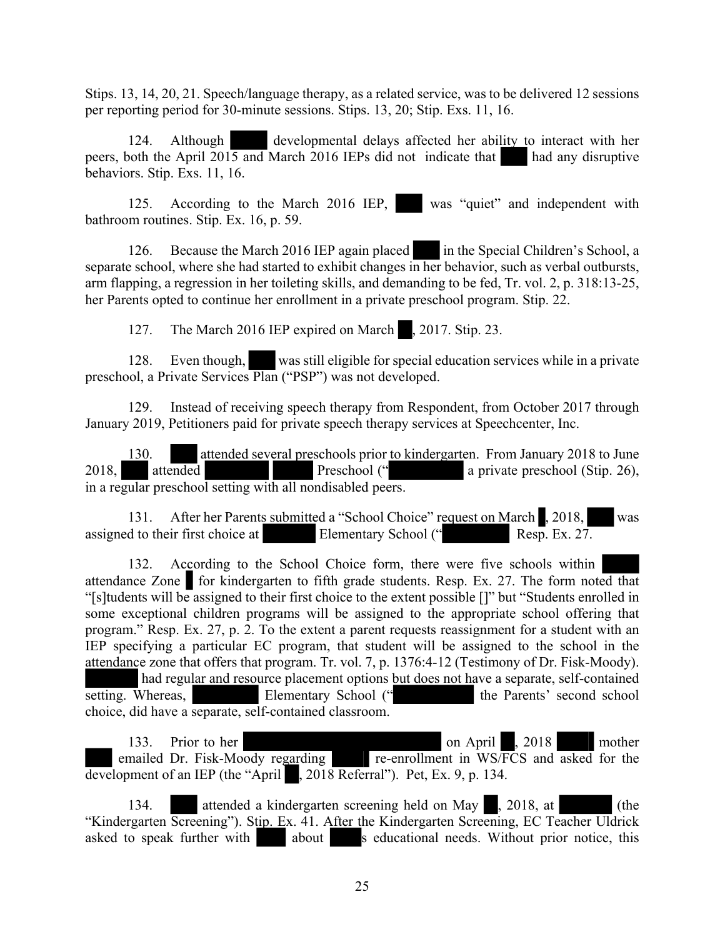Stips. 13, 14, 20, 21. Speech/language therapy, as a related service, was to be delivered 12 sessions per reporting period for 30-minute sessions. Stips. 13, 20; Stip. Exs. 11, 16.

124. Although developmental delays affected her ability to interact with her peers, both the April 2015 and March 2016 IEPs did not indicate that had any disruptive behaviors. Stip. Exs. 11, 16.

125. According to the March 2016 IEP, was "quiet" and independent with bathroom routines. Stip. Ex. 16, p. 59.

126. Because the March 2016 IEP again placed in the Special Children's School, a separate school, where she had started to exhibit changes in her behavior, such as verbal outbursts, arm flapping, a regression in her toileting skills, and demanding to be fed, Tr. vol. 2, p. 318:13-25, her Parents opted to continue her enrollment in a private preschool program. Stip. 22.

127. The March 2016 IEP expired on March , 2017. Stip. 23.

128. Even though, was still eligible for special education services while in a private preschool, a Private Services Plan ("PSP") was not developed.

129. Instead of receiving speech therapy from Respondent, from October 2017 through January 2019, Petitioners paid for private speech therapy services at Speechcenter, Inc.

130. attended several preschools prior to kindergarten. From January 2018 to June 2018, attended Preschool (" a private preschool (Stip. 26), in a regular preschool setting with all nondisabled peers.

131. After her Parents submitted a "School Choice" request on March , 2018, was assigned to their first choice at Elementary School ("Resp. Ex. 27.

132. According to the School Choice form, there were five schools within attendance Zone for kindergarten to fifth grade students. Resp. Ex. 27. The form noted that "[s]tudents will be assigned to their first choice to the extent possible []" but "Students enrolled in some exceptional children programs will be assigned to the appropriate school offering that program." Resp. Ex. 27, p. 2. To the extent a parent requests reassignment for a student with an IEP specifying a particular EC program, that student will be assigned to the school in the attendance zone that offers that program. Tr. vol. 7, p. 1376:4-12 (Testimony of Dr. Fisk-Moody). had regular and resource placement options but does not have a separate, self-contained<br>Vhereas,<br>Elementary School ("<br>In Parents' second school setting. Whereas, Elementary School (" the Parents' second school choice, did have a separate, self-contained classroom.

133. Prior to her on April , 2018 mother emailed Dr. Fisk-Moody regarding re-enrollment in WS/FCS and asked for the development of an IEP (the "April , 2018 Referral"). Pet, Ex. 9, p. 134.

134. attended a kindergarten screening held on May , 2018, at (the "Kindergarten Screening"). Stip. Ex. 41. After the Kindergarten Screening, EC Teacher Uldrick asked to speak further with about s educational needs. Without prior notice, this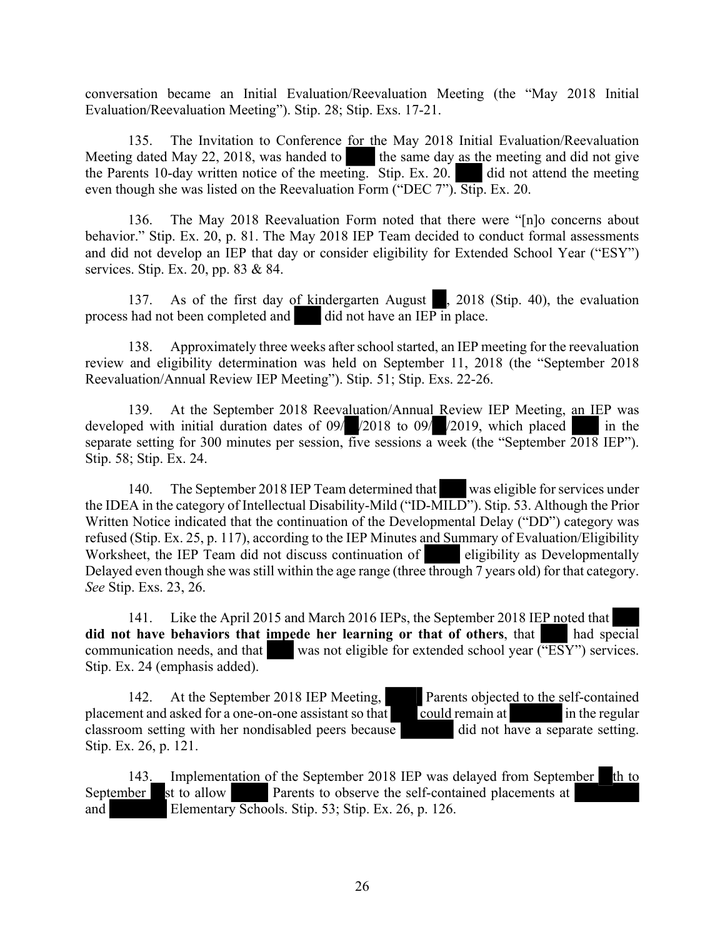conversation became an Initial Evaluation/Reevaluation Meeting (the "May 2018 Initial Evaluation/Reevaluation Meeting"). Stip. 28; Stip. Exs. 17-21.

135. The Invitation to Conference for the May 2018 Initial Evaluation/Reevaluation Meeting dated May 22, 2018, was handed to the same day  $\frac{1}{2}$  as the meeting and did not give the Parents 10-day written notice of the meeting. Stip. Ex. 20. did not attend the meeting even though she was listed on the Reevaluation Form ("DEC 7"). Stip. Ex. 20.

136. The May 2018 Reevaluation Form noted that there were "[n]o concerns about behavior." Stip. Ex. 20, p. 81. The May 2018 IEP Team decided to conduct formal assessments and did not develop an IEP that day or consider eligibility for Extended School Year ("ESY") services. Stip. Ex. 20, pp. 83 & 84.

137. As of the first day of kindergarten August , 2018 (Stip. 40), the evaluation process had not been completed and did not have an IEP in place.

138. Approximately three weeks after school started, an IEP meeting for the reevaluation review and eligibility determination was held on September 11, 2018 (the "September 2018 Reevaluation/Annual Review IEP Meeting"). Stip. 51; Stip. Exs. 22-26.

139. At the September 2018 Reevaluation/Annual Review IEP Meeting, an IEP was developed with initial duration dates of  $09/$   $\sqrt{2018}$  to  $09/$   $\sqrt{2019}$ , which placed in the separate setting for 300 minutes per session, five sessions a week (the "September  $\overline{2018}$  IEP"). Stip. 58; Stip. Ex. 24.

140. The September 2018 IEP Team determined that was eligible for services under the IDEA in the category of Intellectual Disability-Mild ("ID-MILD"). Stip. 53. Although the Prior Written Notice indicated that the continuation of the Developmental Delay ("DD") category was refused (Stip. Ex. 25, p. 117), according to the IEP Minutes and Summary of Evaluation/Eligibility Worksheet, the IEP Team did not discuss continuation of eligibility as Developmentally Delayed even though she was still within the age range (three through 7 years old) for that category. *See* Stip. Exs. 23, 26.

141. Like the April 2015 and March 2016 IEPs, the September 2018 IEP noted that **did not have behaviors that impede her learning or that of others**, that had special communication needs, and that was not eligible for extended school year  $(\overline{HSY})$  services. Stip. Ex. 24 (emphasis added).

142. At the September 2018 IEP Meeting, Parents objected to the self-contained placement and asked for a one-on-one assistant so that  $\overline{\phantom{a}}$  could remain at in the regular classroom setting with her nondisabled peers because  $\overline{a}$  did not have a separate setting. Stip. Ex. 26, p. 121.

143. Implementation of the September 2018 IEP was delayed from September th to September st to allow Parents to observe the self-contained placements at and Elementary Schools. Stip. 53; Stip. Ex. 26, p. 126.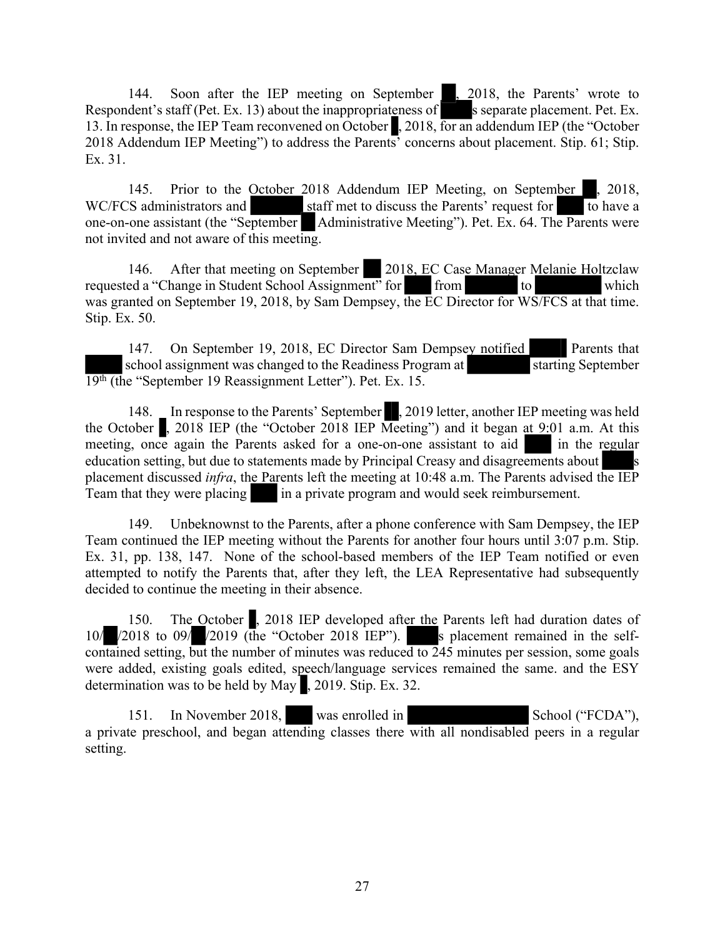144. Soon after the IEP meeting on September 1, 2018, the Parents' wrote to Respondent's staff (Pet. Ex. 13) about the inappropriateness of s separate placement. Pet. Ex. 13. In response, the IEP Team reconvened on October , 2018, for an addendum IEP (the "October 2018 Addendum IEP Meeting") to address the Parents' concerns about placement. Stip. 61; Stip. Ex. 31.

145. Prior to the October 2018 Addendum IEP Meeting, on September , 2018, WC/FCS administrators and staff met to discuss the Parents' request for to have a one-on-one assistant (the "September Administrative Meeting"). Pet. Ex. 64. The Parents were not invited and not aware of this meeting.

146. After that meeting on September 2018, EC Case Manager Melanie Holtzclaw requested a "Change in Student School Assignment" for from to to which was granted on September 19, 2018, by Sam Dempsey, the EC Director for WS/FCS at that time. Stip. Ex. 50.

147. On September 19, 2018, EC Director Sam Dempsey notified Parents that school assignment was changed to the Readiness Program at starting September 19th (the "September 19 Reassignment Letter"). Pet. Ex. 15.

148. In response to the Parents' September , 2019 letter, another IEP meeting was held the October  $\blacksquare$ , 2018 IEP (the "October 2018 IEP Meeting") and it began at 9:01 a.m. At this meeting, once again the Parents asked for a one-on-one assistant to aid in the regular education setting, but due to statements made by Principal Creasy and disagreements about placement discussed *infra*, the Parents left the meeting at 10:48 a.m. The Parents advised the IEP Team that they were placing in a private program and would seek reimbursement.

149. Unbeknownst to the Parents, after a phone conference with Sam Dempsey, the IEP Team continued the IEP meeting without the Parents for another four hours until 3:07 p.m. Stip. Ex. 31, pp. 138, 147. None of the school-based members of the IEP Team notified or even attempted to notify the Parents that, after they left, the LEA Representative had subsequently decided to continue the meeting in their absence.

150. The October , 2018 IEP developed after the Parents left had duration dates of 10/  $\sqrt{2018}$  to 09/  $\sqrt{2019}$  (the "October 2018 IEP"). s placement remained in the selfcontained setting, but the number of minutes was reduced to  $\overline{245}$  minutes per session, some goals were added, existing goals edited, speech/language services remained the same. and the ESY determination was to be held by May , 2019. Stip. Ex. 32.

151. In November 2018, was enrolled in School ("FCDA"), a private preschool, and began attending classes there with all nondisabled peers in a regular setting.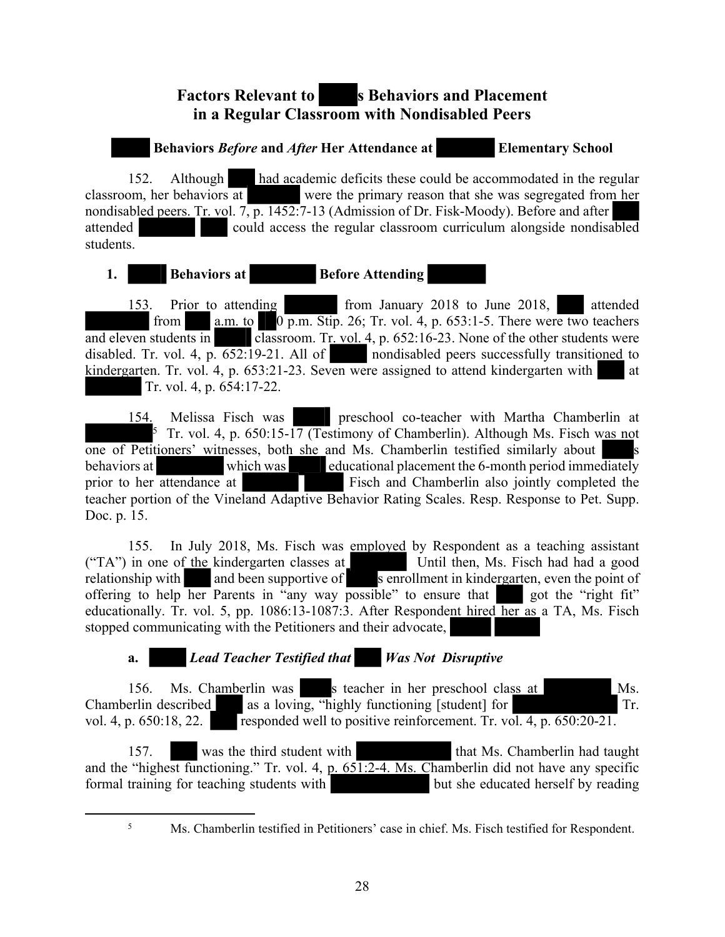# **Factors Relevant to Sehaviors and Placement in a Regular Classroom with Nondisabled Peers**

## **Behaviors** *Before* **and** *After* **Her Attendance at Elementary School**

152. Although had academic deficits these could be accommodated in the regular classroom, her behaviors at were the primary reason that she was segregated from her nondisabled peers. Tr. vol. 7, p. 1452:7-13 (Admission of Dr. Fisk-Moody). Before and after attended could access the regular classroom curriculum alongside nondisabled students.

## **1.** Behaviors at **Before Attending**

153. Prior to attending from January 2018 to June 2018, attended from  $a.m.$  to  $0 \overline{p.m.}$  Stip. 26; Tr. vol. 4, p. 653:1-5. There were two teachers and eleven students in classroom. Tr. vol. 4, p. 652:16-23. None of the other students were disabled. Tr. vol. 4,  $p. 652:19-21$ . All of nondisabled peers successfully transitioned to kindergarten. Tr. vol. 4, p. 653:21-23. Seven were assigned to attend kindergarten with at Tr. vol. 4, p. 654:17-22.

154. Melissa Fisch was preschool co-teacher with Martha Chamberlin at <sup>5</sup> Tr. vol. 4, p. 650:15-17 (Testimony of Chamberlin). Although Ms. Fisch was not one of Petitioners' witnesses, both she and Ms. Chamberlin testified similarly about behaviors at which was educational placement the 6-month period immediately prior to her attendance at Fisch and Chamberlin also jointly completed the teacher portion of the Vineland Adaptive Behavior Rating Scales. Resp. Response to Pet. Supp. Doc. p. 15.

155. In July 2018, Ms. Fisch was employed by Respondent as a teaching assistant ("TA") in one of the kindergarten classes at Until then, Ms. Fisch had had a good relationship with and been supportive of senrollment in kindergarten, even the point of offering to help her Parents in "any way possible" to ensure that got the "right fit" offering to help her Parents in "any way possible" to ensure that educationally. Tr. vol. 5, pp. 1086:13-1087:3. After Respondent hired her as a TA, Ms. Fisch stopped communicating with the Petitioners and their advocate,

# **a.** *Lead Teacher Testified that Was Not Disruptive*

156. Ms. Chamberlin was s teacher in her preschool class at Ms. Chamberlin described as a loving, "highly functioning [student] for Tr. vol. 4, p. 650:18, 22. responded well to positive reinforcement. Tr. vol. 4, p. 650:20-21.

157. was the third student with that Ms. Chamberlin had taught and the "highest functioning." Tr. vol. 4, p. 651:2-4. Ms. Chamberlin did not have any specific formal training for teaching students with but she educated herself by reading

<sup>5</sup> Ms. Chamberlin testified in Petitioners' case in chief. Ms. Fisch testified for Respondent.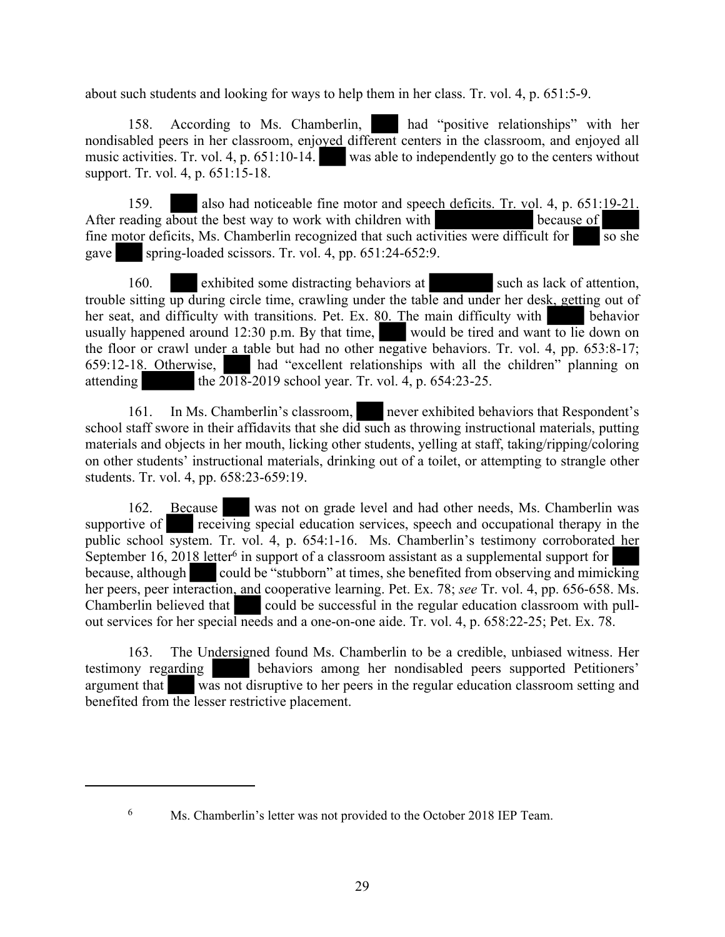about such students and looking for ways to help them in her class. Tr. vol. 4, p. 651:5-9.

158. According to Ms. Chamberlin, had "positive relationships" with her nondisabled peers in her classroom, enjoyed different centers in the classroom, and enjoyed all music activities. Tr. vol. 4, p. 651:10-14. was able to independently go to the centers without support. Tr. vol. 4, p. 651:15-18.

159. also had noticeable fine motor and speech deficits. Tr. vol. 4, p. 651:19-21. After reading about the best way to work with children with because of fine motor deficits, Ms. Chamberlin recognized that such activities were difficult for so she gave spring-loaded scissors. Tr. vol. 4, pp.  $651:24-652:9$ .

160. exhibited some distracting behaviors at such as lack of attention, trouble sitting up during circle time, crawling under the table and under her desk, getting out of her seat, and difficulty with transitions. Pet. Ex. 80. The main difficulty with behavior usually happened around 12:30 p.m. By that time, would be tired and want to lie down on the floor or crawl under a table but had no other negative behaviors. Tr. vol. 4, pp. 653:8-17; 659:12-18. Otherwise, had "excellent relationships with all the children" planning on attending the  $2018-2019$  school year. Tr. vol. 4, p. 654:23-25.

161. In Ms. Chamberlin's classroom, never exhibited behaviors that Respondent's school staff swore in their affidavits that she did such as throwing instructional materials, putting materials and objects in her mouth, licking other students, yelling at staff, taking/ripping/coloring on other students' instructional materials, drinking out of a toilet, or attempting to strangle other students. Tr. vol. 4, pp. 658:23-659:19.

162. Because was not on grade level and had other needs, Ms. Chamberlin was supportive of **receiving** special education services, speech and occupational therapy in the public school system. Tr. vol. 4, p. 654:1-16. Ms. Chamberlin's testimony corroborated her September 16, 2018 letter<sup>6</sup> in support of a classroom assistant as a supplemental support for because, although could be "stubborn" at times, she benefited from observing and mimicking her peers, peer interaction, and cooperative learning. Pet. Ex. 78; *see* Tr. vol. 4, pp. 656-658. Ms. Chamberlin believed that could be successful in the regular education classroom with pullout services for her special needs and a one-on-one aide. Tr. vol. 4, p. 658:22-25; Pet. Ex. 78.

163. The Undersigned found Ms. Chamberlin to be a credible, unbiased witness. Her testimony regarding behaviors among her nondisabled peers supported Petitioners' argument that was not disruptive to her peers in the regular education classroom setting and benefited from the lesser restrictive placement.

<sup>6</sup> Ms. Chamberlin's letter was not provided to the October 2018 IEP Team.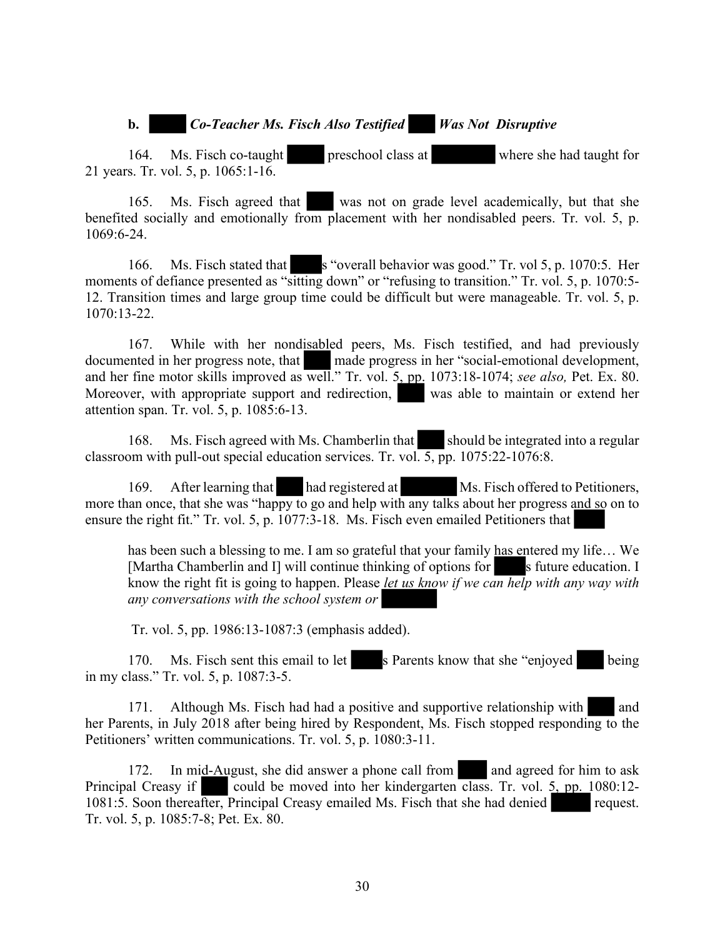#### **b.** *Co-Teacher Ms. Fisch Also Testified Was Not Disruptive*

164. Ms. Fisch co-taught preschool class at where she had taught for 21 years. Tr. vol. 5, p. 1065:1-16.

165. Ms. Fisch agreed that was not on grade level academically, but that she benefited socially and emotionally from placement with her nondisabled peers. Tr. vol. 5, p. 1069:6-24.

166. Ms. Fisch stated that s "overall behavior was good." Tr. vol 5, p. 1070:5. Her moments of defiance presented as "sitting down" or "refusing to transition." Tr. vol. 5, p. 1070:5-12. Transition times and large group time could be difficult but were manageable. Tr. vol. 5, p. 1070:13-22.

167. While with her nondisabled peers, Ms. Fisch testified, and had previously documented in her progress note, that made progress in her "social-emotional development, and her fine motor skills improved as well." Tr. vol. 5, pp. 1073:18-1074; *see also,* Pet. Ex. 80. Moreover, with appropriate support and redirection, was able to maintain or extend her attention span. Tr. vol. 5, p. 1085:6-13.

168. Ms. Fisch agreed with Ms. Chamberlin that should be integrated into a regular classroom with pull-out special education services. Tr. vol. 5, pp. 1075:22-1076:8.

169. After learning that had registered at Ms. Fisch offered to Petitioners, more than once, that she was "happy to go and help with any talks about her progress and so on to ensure the right fit." Tr. vol. 5, p. 1077:3-18. Ms. Fisch even emailed Petitioners that

has been such a blessing to me. I am so grateful that your family has entered my life… We [Martha Chamberlin and I] will continue thinking of options for s future education. I know the right fit is going to happen. Please *let us know if we can help with any way with any conversations with the school system or* 

Tr. vol. 5, pp. 1986:13-1087:3 (emphasis added).

170. Ms. Fisch sent this email to let s Parents know that she "enjoyed being in my class." Tr. vol. 5, p. 1087:3-5.

171. Although Ms. Fisch had had a positive and supportive relationship with and her Parents, in July 2018 after being hired by Respondent, Ms. Fisch stopped responding to the Petitioners' written communications. Tr. vol. 5, p. 1080:3-11.

172. In mid-August, she did answer a phone call from and agreed for him to ask Principal Creasy if could be moved into her kindergarten class. Tr. vol. 5, pp. 1080:12-1081:5. Soon thereafter, Principal Creasy emailed Ms. Fisch that she had denied request. Tr. vol. 5, p. 1085:7-8; Pet. Ex. 80.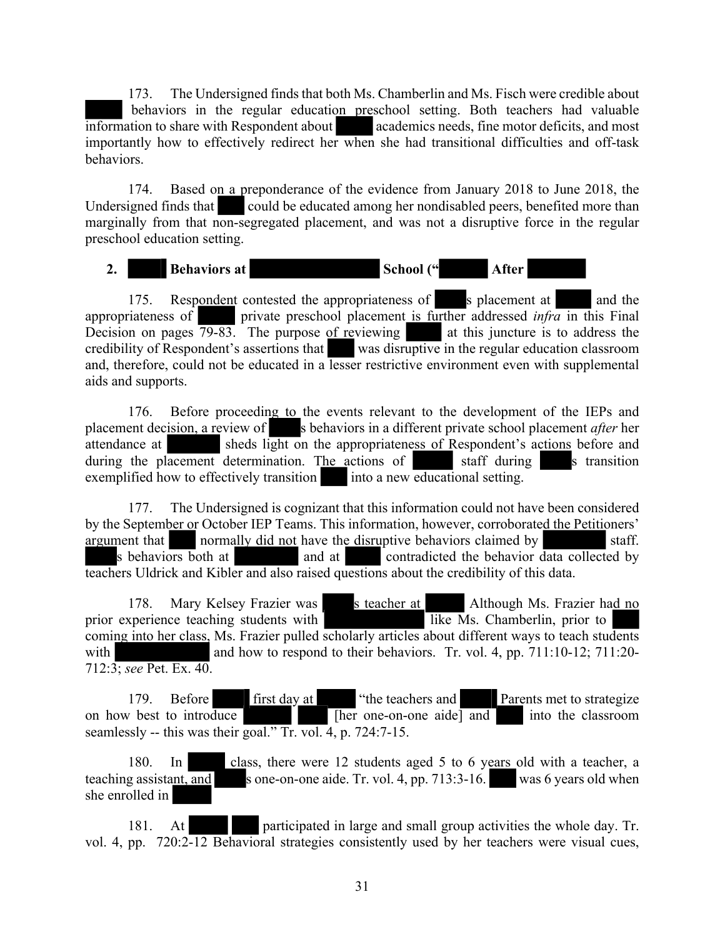173. The Undersigned finds that both Ms. Chamberlin and Ms. Fisch were credible about behaviors in the regular education preschool setting. Both teachers had valuable information to share with Respondent about academics needs, fine motor deficits, and most importantly how to effectively redirect her when she had transitional difficulties and off-task behaviors.

174. Based on a preponderance of the evidence from January 2018 to June 2018, the Undersigned finds that could be educated among her nondisabled peers, benefited more than marginally from that non-segregated placement, and was not a disruptive force in the regular preschool education setting.

2. **Behaviors at School ("** After

175. Respondent contested the appropriateness of s placement at and the appropriateness of private preschool placement is further addressed *infra* in this Final Decision on pages  $\frac{79-83}{ }$ . The purpose of reviewing at this juncture is to address the Decision on pages  $\overline{79-83}$ . The purpose of reviewing credibility of Respondent's assertions that was disruptive in the regular education classroom and, therefore, could not be educated in a lesser restrictive environment even with supplemental aids and supports.

176. Before proceeding to the events relevant to the development of the IEPs and placement decision, a review of s behaviors in a different private school placement *after* her attendance at sheds light on the appropriateness of Respondent's actions before and during the placement determination. The actions of staff during s transition exemplified how to effectively transition into a new educational setting.

177. The Undersigned is cognizant that this information could not have been considered by the September or October IEP Teams. This information, however, corroborated the Petitioners' argument that normally did not have the disruptive behaviors claimed by staff. s behaviors both at and at contradicted the behavior data collected by teachers Uldrick and Kibler and also raised questions about the credibility of this data.

178. Mary Kelsey Frazier was s teacher at Although Ms. Frazier had no sperience teaching students with like Ms. Chamberlin, prior to prior experience teaching students with coming into her class, Ms. Frazier pulled scholarly articles about different ways to teach students with and how to respond to their behaviors. Tr. vol. 4, pp. 711:10-12; 711:20-712:3; *see* Pet. Ex. 40.

179. Before first day at "the teachers and Parents met to strategize on how best to introduce  $\sqrt{h}$  [her one-on-one aide] and into the classroom seamlessly -- this was their goal." Tr. vol. 4, p. 724:7-15.

180. In class, there were 12 students aged 5 to 6 years old with a teacher, a teaching assistant, and s one-on-one aide. Tr. vol. 4, pp.  $713:3-16$ . was 6 years old when she enrolled in

181. At participated in large and small group activities the whole day. Tr. vol. 4, pp. 720:2-12 Behavioral strategies consistently used by her teachers were visual cues,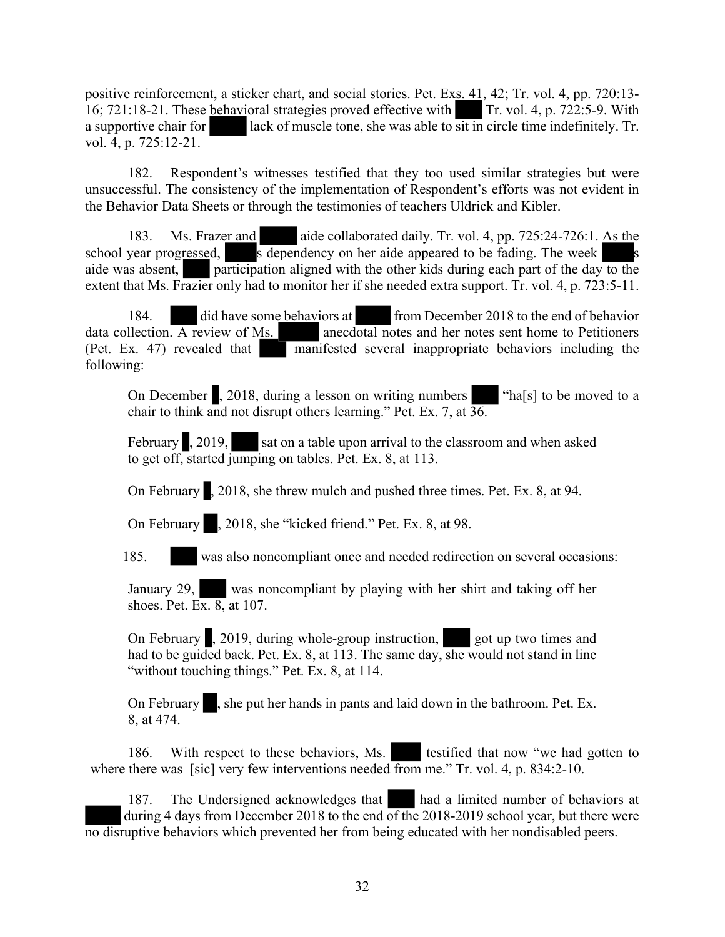positive reinforcement, a sticker chart, and social stories. Pet. Exs. 41, 42; Tr. vol. 4, pp. 720:13- 16; 721:18-21. These behavioral strategies proved effective with Tr. vol. 4, p. 722:5-9. With a supportive chair for lack of muscle tone, she was able to sit in circle time indefinitely. Tr. vol. 4, p. 725:12-21.

182. Respondent's witnesses testified that they too used similar strategies but were unsuccessful. The consistency of the implementation of Respondent's efforts was not evident in the Behavior Data Sheets or through the testimonies of teachers Uldrick and Kibler.

183. Ms. Frazer and aide collaborated daily. Tr. vol. 4, pp. 725:24-726:1. As the school year progressed, s dependency on her aide appeared to be fading. The week aide was absent, participation aligned with the other kids during each part of the day to the extent that Ms. Frazier only had to monitor her if she needed extra support. Tr. vol. 4, p. 723:5-11.

184. did have some behaviors at from December 2018 to the end of behavior  $data$  collection. A review of Ms.  $area$  anecdotal notes and her notes sent home to Petitioners (Pet. Ex. 47) revealed that manifested several inappropriate behaviors including the following:

On December , 2018, during a lesson on writing numbers "ha[s] to be moved to a chair to think and not disrupt others learning." Pet. Ex. 7, at 36.

February , 2019, sat on a table upon arrival to the classroom and when asked to get off, started jumping on tables. Pet. Ex. 8, at 113.

On February , 2018, she threw mulch and pushed three times. Pet. Ex. 8, at 94.

On February , 2018, she "kicked friend." Pet. Ex. 8, at 98.

185. was also noncompliant once and needed redirection on several occasions:

January 29, was noncompliant by playing with her shirt and taking off her shoes. Pet. Ex.  $8$ , at 107.

On February , 2019, during whole-group instruction, got up two times and had to be guided back. Pet. Ex. 8, at 113. The same day, she would not stand in line "without touching things." Pet. Ex. 8, at 114.

On February , she put her hands in pants and laid down in the bathroom. Pet. Ex. 8, at 474.

186. With respect to these behaviors, Ms. testified that now "we had gotten to where there was [sic] very few interventions needed from me." Tr. vol. 4, p. 834:2-10.

187. The Undersigned acknowledges that had a limited number of behaviors at during 4 days from December 2018 to the end of the 2018-2019 school year, but there were no disruptive behaviors which prevented her from being educated with her nondisabled peers.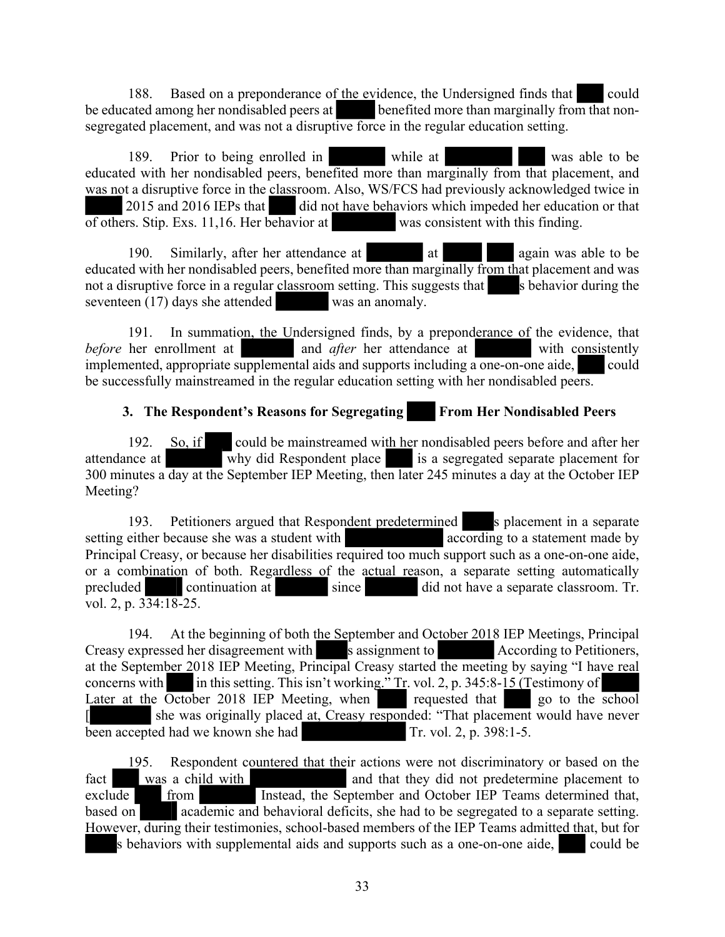188. Based on a preponderance of the evidence, the Undersigned finds that could be educated among her nondisabled peers at benefited more than marginally from that nonsegregated placement, and was not a disruptive force in the regular education setting.

189. Prior to being enrolled in while at was able to be was able to be educated with her nondisabled peers, benefited more than marginally from that placement, and was not a disruptive force in the classroom. Also, WS/FCS had previously acknowledged twice in 2015 and 2016 IEPs that did not have behaviors which impeded her education or that of others. Stip. Exs. 11,16. Her behavior at was consistent with this finding.

190. Similarly, after her attendance at at again was able to be educated with her nondisabled peers, benefited more than marginally from that placement and was not a disruptive force in a regular classroom setting. This suggests that s behavior during the seventeen (17) days she attended was an anomaly.

191. In summation, the Undersigned finds, by a preponderance of the evidence, that *before* her enrollment at and *after* her attendance at with consistently implemented, appropriate supplemental aids and supports including a one-on-one aide, could be successfully mainstreamed in the regular education setting with her nondisabled peers.

## **3. The Respondent's Reasons for Segregating From Her Nondisabled Peers**

192. So, if could be mainstreamed with her nondisabled peers before and after her attendance at why did Respondent place is a segregated separate placement for 300 minutes a day at the September IEP Meeting, then later 245 minutes a day at the October IEP Meeting?

193. Petitioners argued that Respondent predetermined s placement in a separate either because she was a student with setting either because she was a student with Principal Creasy, or because her disabilities required too much support such as a one-on-one aide, or a combination of both. Regardless of the actual reason, a separate setting automatically precluded continuation at since  $\frac{1}{\sqrt{1-\frac{1}{n}}}$  and not have a separate classroom. Tr. precluded continuation at since did not have a separate classroom. Tr. vol. 2, p. 334:18-25.

194. At the beginning of both the September and October 2018 IEP Meetings, Principal Creasy expressed her disagreement with s assignment to According to Petitioners, at the September 2018 IEP Meeting, Principal Creasy started the meeting by saying "I have real concerns with in this setting. This isn't working." Tr. vol. 2, p. 345:8-15 (Testimony of Later at the October 2018 IEP Meeting, when requested that go to the school she was originally placed at, Creasy responded: "That placement would have never been accepted had we known she had Tr. vol. 2, p. 398:1-5.

195. Respondent countered that their actions were not discriminatory or based on the fact was a child with and that they did not predetermine placement to exclude from Instead, the September and October IEP Teams determined that, based on academic and behavioral deficits, she had to be segregated to a separate setting. However, during their testimonies, school-based members of the IEP Teams admitted that, but for s behaviors with supplemental aids and supports such as a one-on-one aide, could be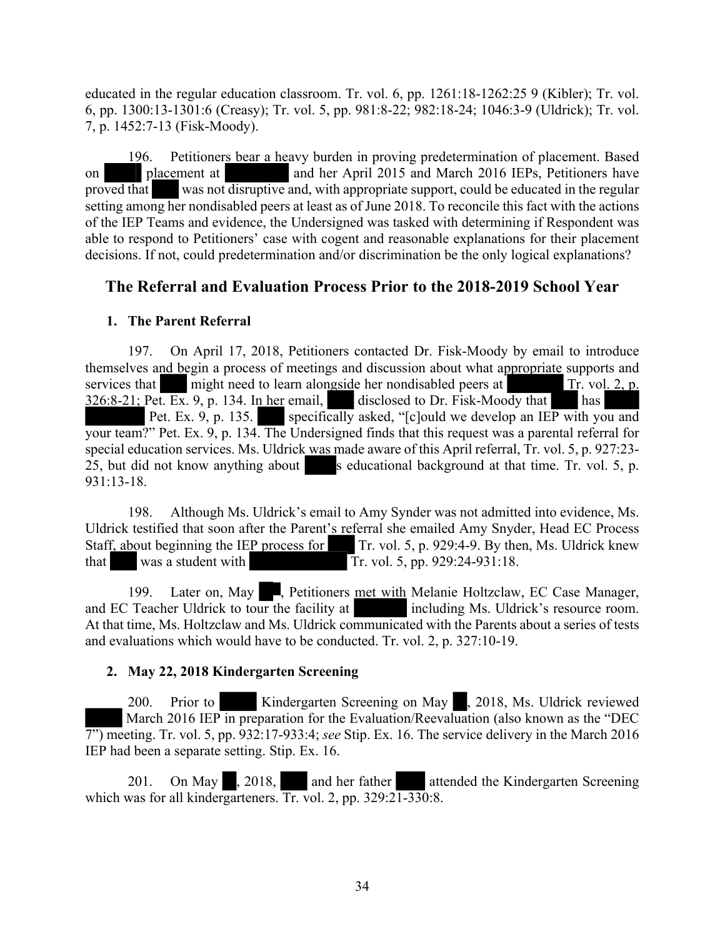educated in the regular education classroom. Tr. vol. 6, pp. 1261:18-1262:25 9 (Kibler); Tr. vol. 6, pp. 1300:13-1301:6 (Creasy); Tr. vol. 5, pp. 981:8-22; 982:18-24; 1046:3-9 (Uldrick); Tr. vol. 7, p. 1452:7-13 (Fisk-Moody).

196. Petitioners bear a heavy burden in proving predetermination of placement. Based on placement at and her April 2015 and March 2016 IEPs, Petitioners have proved that was not disruptive and, with appropriate support, could be educated in the regular setting among her nondisabled peers at least as of June 2018. To reconcile this fact with the actions of the IEP Teams and evidence, the Undersigned was tasked with determining if Respondent was able to respond to Petitioners' case with cogent and reasonable explanations for their placement decisions. If not, could predetermination and/or discrimination be the only logical explanations?

# **The Referral and Evaluation Process Prior to the 2018-2019 School Year**

#### **1. The Parent Referral**

197. On April 17, 2018, Petitioners contacted Dr. Fisk-Moody by email to introduce themselves and begin a process of meetings and discussion about what appropriate supports and services that might need to learn alongside her nondisabled peers at Tr. vol. 2, p. 326:8-21; Pet. Ex. 9, p. 134. In her email, disclosed to Dr. Fisk-Moody that has Pet. Ex. 9, p. 135. specifically asked, "[c]ould we develop an IEP with you and your team?" Pet. Ex. 9, p. 134. The Undersigned finds that this request was a parental referral for special education services. Ms. Uldrick was made aware of this April referral, Tr. vol. 5, p. 927:23- 25, but did not know anything about s educational background at that time. Tr. vol. 5, p. 931:13-18.

198. Although Ms. Uldrick's email to Amy Synder was not admitted into evidence, Ms. Uldrick testified that soon after the Parent's referral she emailed Amy Snyder, Head EC Process Staff, about beginning the IEP process for Tr. vol. 5, p. 929:4-9. By then, Ms. Uldrick knew that was a student with Tr. vol. 5, pp. 929:24-931:18.

199. Later on, May , Petitioners met with Melanie Holtzclaw, EC Case Manager, and EC Teacher Uldrick to tour the facility at including Ms. Uldrick's resource room. At that time, Ms. Holtzclaw and Ms. Uldrick communicated with the Parents about a series of tests and evaluations which would have to be conducted. Tr. vol. 2, p. 327:10-19.

#### **2. May 22, 2018 Kindergarten Screening**

200. Prior to Kindergarten Screening on May , 2018, Ms. Uldrick reviewed March 2016 IEP in preparation for the Evaluation/Reevaluation (also known as the "DEC 7") meeting. Tr. vol. 5, pp. 932:17-933:4; *see* Stip. Ex. 16. The service delivery in the March 2016 IEP had been a separate setting. Stip. Ex. 16.

201. On May , 2018, and her father attended the Kindergarten Screening which was for all kindergarteners. Tr. vol. 2, pp. 329:21-330:8.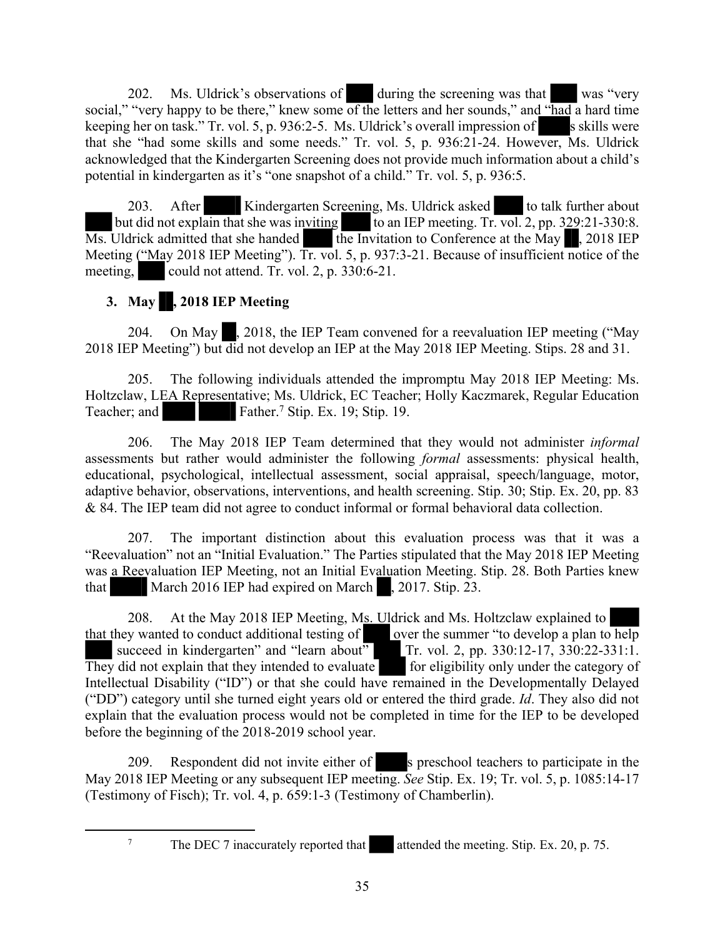202. Ms. Uldrick's observations of during the screening was that was "very social," "very happy to be there," knew some of the letters and her sounds," and "had a hard time keeping her on task." Tr. vol. 5, p. 936:2-5. Ms. Uldrick's overall impression of s skills were that she "had some skills and some needs." Tr. vol. 5, p. 936:21-24. However, Ms. Uldrick acknowledged that the Kindergarten Screening does not provide much information about a child's potential in kindergarten as it's "one snapshot of a child." Tr. vol. 5, p. 936:5.

203. After Kindergarten Screening, Ms. Uldrick asked to talk further about but did not explain that she was inviting to an IEP meeting. Tr. vol. 2, pp.  $329:21-330:8$ .  $\overline{Ms}$ . Uldrick admitted that she handed the Invitation to Conference at the May , 2018 IEP Meeting ("May 2018 IEP Meeting"). Tr. vol. 5, p. 937:3-21. Because of insufficient notice of the meeting, could not attend. Tr. vol. 2, p.  $330:6-21$ .

# **3. May , 2018 IEP Meeting**

204. On May , 2018, the IEP Team convened for a reevaluation IEP meeting ("May 2018 IEP Meeting") but did not develop an IEP at the May 2018 IEP Meeting. Stips. 28 and 31.

205. The following individuals attended the impromptu May 2018 IEP Meeting: Ms. Holtzclaw, LEA Representative; Ms. Uldrick, EC Teacher; Holly Kaczmarek, Regular Education Teacher; and Father.<sup>7</sup> Stip. Ex. 19; Stip. 19.

206. The May 2018 IEP Team determined that they would not administer *informal* assessments but rather would administer the following *formal* assessments: physical health, educational, psychological, intellectual assessment, social appraisal, speech/language, motor, adaptive behavior, observations, interventions, and health screening. Stip. 30; Stip. Ex. 20, pp. 83 & 84. The IEP team did not agree to conduct informal or formal behavioral data collection.

207. The important distinction about this evaluation process was that it was a "Reevaluation" not an "Initial Evaluation." The Parties stipulated that the May 2018 IEP Meeting was a Reevaluation IEP Meeting, not an Initial Evaluation Meeting. Stip. 28. Both Parties knew that March 2016 IEP had expired on March , 2017. Stip. 23.

208. At the May 2018 IEP Meeting, Ms. Uldrick and Ms. Holtzclaw explained to that they wanted to conduct additional testing of over the summer "to develop a plan to help succeed in kindergarten" and "learn about" Tr. vol. 2, pp. 330:12-17, 330:22-331:1. They did not explain that they intended to evaluate for eligibility only under the category of Intellectual Disability ("ID") or that she could have remained in the Developmentally Delayed ("DD") category until she turned eight years old or entered the third grade. *Id*. They also did not explain that the evaluation process would not be completed in time for the IEP to be developed before the beginning of the 2018-2019 school year.

209. Respondent did not invite either of s preschool teachers to participate in the May 2018 IEP Meeting or any subsequent IEP meeting. *See* Stip. Ex. 19; Tr. vol. 5, p. 1085:14-17 (Testimony of Fisch); Tr. vol. 4, p. 659:1-3 (Testimony of Chamberlin).

<sup>&</sup>lt;sup>7</sup> The DEC 7 inaccurately reported that attended the meeting. Stip. Ex. 20, p. 75.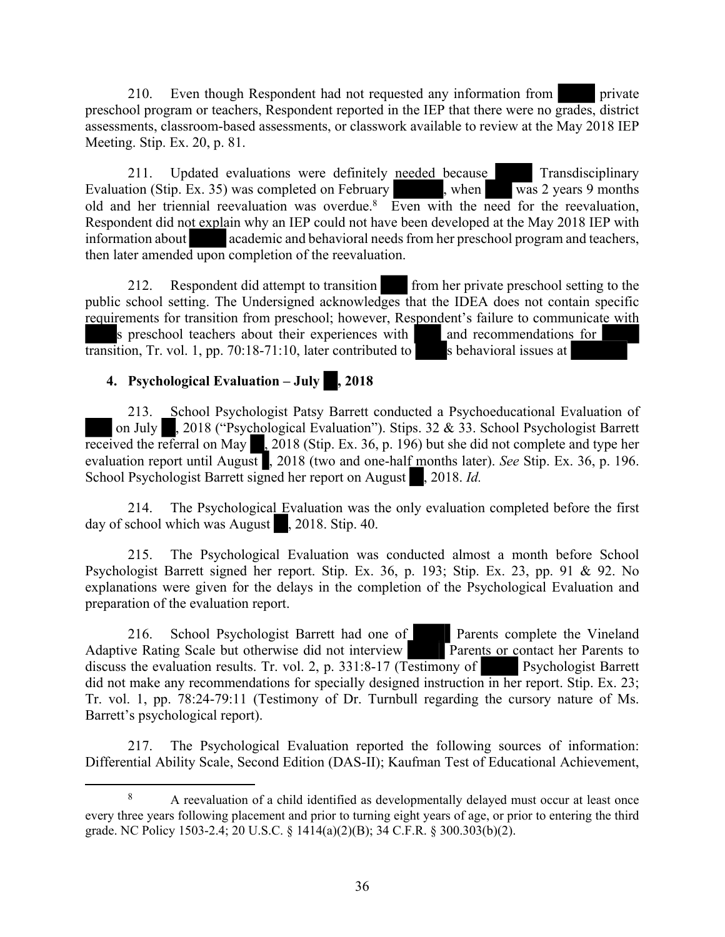210. Even though Respondent had not requested any information from **private** preschool program or teachers, Respondent reported in the IEP that there were no grades, district assessments, classroom-based assessments, or classwork available to review at the May 2018 IEP Meeting. Stip. Ex. 20, p. 81.

211. Updated evaluations were definitely needed because Transdisciplinary Transdisciplinary Transdisciplinary Transdisciplinary Transdisciplinary Transdisciplinary Transdisciplinary Transdisciplinary Updated on February Tr Evaluation (Stip. Ex. 35) was completed on February old and her triennial reevaluation was overdue.<sup>8</sup> Even with the need for the reevaluation, Respondent did not explain why an IEP could not have been developed at the May 2018 IEP with information about academic and behavioral needs from her preschool program and teachers, then later amended upon completion of the reevaluation.

212. Respondent did attempt to transition from her private preschool setting to the public school setting. The Undersigned acknowledges that the IDEA does not contain specific requirements for transition from preschool; however, Respondent's failure to communicate with s preschool teachers about their experiences with and recommendations for transition, Tr. vol. 1, pp. 70:18-71:10, later contributed to s behavioral issues at

## **4. Psychological Evaluation – July , 2018**

213. School Psychologist Patsy Barrett conducted a Psychoeducational Evaluation of on July , 2018 ("Psychological Evaluation"). Stips. 32 & 33. School Psychologist Barrett received the referral on May  $\sim$  2018 (Stip. Ex. 36, p. 196) but she did not complete and type her  $2018$  (Stip. Ex. 36, p. 196) but she did not complete and type her evaluation report until August , 2018 (two and one-half months later). *See* Stip. Ex. 36, p. 196. School Psychologist Barrett signed her report on August , 2018. *Id.* 

214. The Psychological Evaluation was the only evaluation completed before the first day of school which was August , 2018. Stip. 40.

215. The Psychological Evaluation was conducted almost a month before School Psychologist Barrett signed her report. Stip. Ex. 36, p. 193; Stip. Ex. 23, pp. 91 & 92. No explanations were given for the delays in the completion of the Psychological Evaluation and preparation of the evaluation report.

216. School Psychologist Barrett had one of Parents complete the Vineland Adaptive Rating Scale but otherwise did not interview Parents or contact her Parents to discuss the evaluation results. Tr. vol. 2, p. 331:8-17 (Testimony of Psychologist Barrett did not make any recommendations for specially designed instruction in her report. Stip. Ex. 23; Tr. vol. 1, pp. 78:24-79:11 (Testimony of Dr. Turnbull regarding the cursory nature of Ms. Barrett's psychological report).

217. The Psychological Evaluation reported the following sources of information: Differential Ability Scale, Second Edition (DAS-II); Kaufman Test of Educational Achievement,

<sup>&</sup>lt;sup>8</sup> A reevaluation of a child identified as developmentally delayed must occur at least once every three years following placement and prior to turning eight years of age, or prior to entering the third grade. NC Policy 1503-2.4; 20 U.S.C. § 1414(a)(2)(B); 34 C.F.R. § 300.303(b)(2).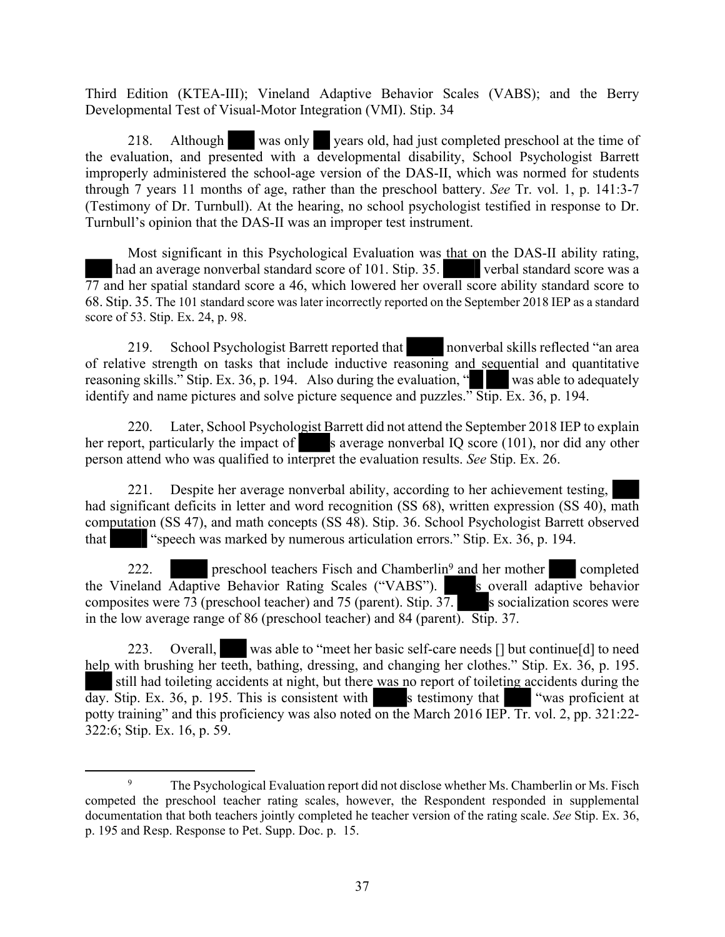Third Edition (KTEA-III); Vineland Adaptive Behavior Scales (VABS); and the Berry Developmental Test of Visual-Motor Integration (VMI). Stip. 34

218. Although was only years old, had just completed preschool at the time of the evaluation, and presented with a developmental disability, School Psychologist Barrett improperly administered the school-age version of the DAS-II, which was normed for students through 7 years 11 months of age, rather than the preschool battery. *See* Tr. vol. 1, p. 141:3-7 (Testimony of Dr. Turnbull). At the hearing, no school psychologist testified in response to Dr. Turnbull's opinion that the DAS-II was an improper test instrument.

Most significant in this Psychological Evaluation was that on the DAS-II ability rating, had an average nonverbal standard score of 101. Stip. 35. verbal standard score was a 77 and her spatial standard score a 46, which lowered her overall score ability standard score to 68. Stip. 35. The 101 standard score was later incorrectly reported on the September 2018 IEP as a standard score of 53. Stip. Ex. 24, p. 98.

219. School Psychologist Barrett reported that nonverbal skills reflected "an area of relative strength on tasks that include inductive reasoning and sequential and quantitative reasoning skills." Stip. Ex. 36, p. 194. Also during the evaluation, " $\blacksquare$  was able to adequately identify and name pictures and solve picture sequence and puzzles." Stip. Ex. 36, p. 194.

220. Later, School Psychologist Barrett did not attend the September 2018 IEP to explain her report, particularly the impact of s average nonverbal IQ score  $(101)$ , nor did any other person attend who was qualified to interpret the evaluation results. *See* Stip. Ex. 26.

221. Despite her average nonverbal ability, according to her achievement testing, had significant deficits in letter and word recognition (SS 68), written expression (SS 40), math computation (SS 47), and math concepts (SS 48). Stip. 36. School Psychologist Barrett observed that "speech was marked by numerous articulation errors." Stip. Ex. 36, p. 194.

222. **preschool teachers Fisch and Chamberlin**<sup>9</sup> and her mother completed the Vineland Adaptive Behavior Rating Scales ("VABS"). S overall adaptive behavior composites were 73 (preschool teacher) and 75 (parent). Stip. 37. s socialization scores were in the low average range of 86 (preschool teacher) and 84 (parent). Stip. 37.

223. Overall, was able to "meet her basic self-care needs [] but continue[d] to need help with brushing her teeth, bathing, dressing, and changing her clothes." Stip. Ex. 36, p. 195. still had toileting accidents at night, but there was no report of toileting accidents during the day. Stip. Ex. 36, p. 195. This is consistent with s testimony that "was proficient at potty training" and this proficiency was also noted on the March 2016 IEP. Tr. vol. 2, pp. 321:22- 322:6; Stip. Ex. 16, p. 59.

<sup>9</sup> The Psychological Evaluation report did not disclose whether Ms. Chamberlin or Ms. Fisch competed the preschool teacher rating scales, however, the Respondent responded in supplemental documentation that both teachers jointly completed he teacher version of the rating scale. *See* Stip. Ex. 36, p. 195 and Resp. Response to Pet. Supp. Doc. p. 15.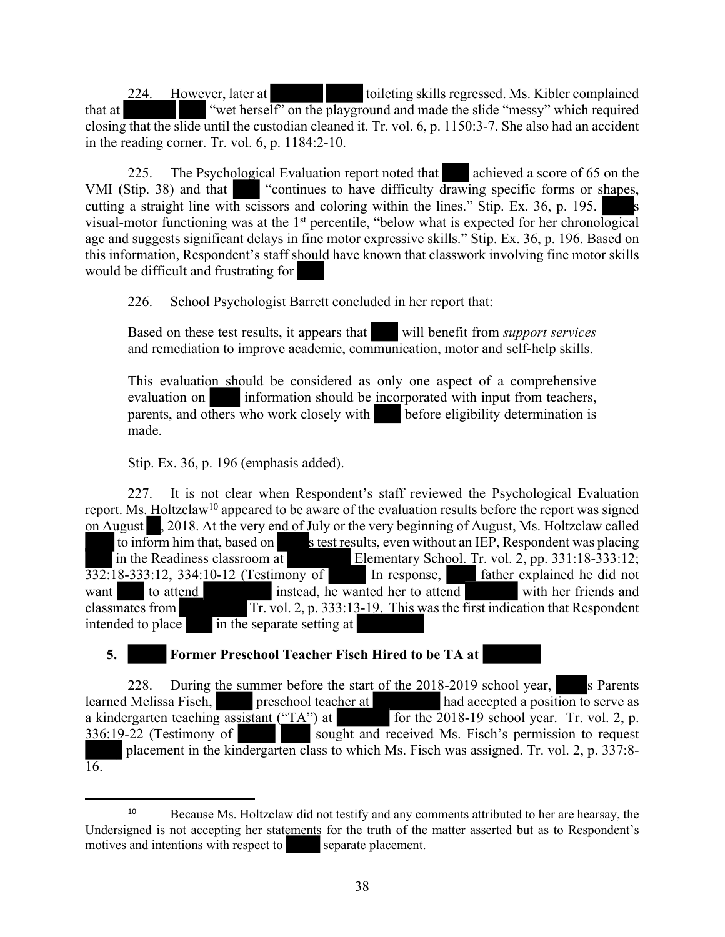224. However, later at toileting skills regressed. Ms. Kibler complained that at "wet herself" on the playground and made the slide "messy" which required closing that the slide until the custodian cleaned it. Tr. vol. 6, p. 1150:3-7. She also had an accident in the reading corner. Tr. vol. 6, p. 1184:2-10.

225. The Psychological Evaluation report noted that achieved a score of 65 on the VMI (Stip. 38) and that "continues to have difficulty drawing specific forms or shapes, cutting a straight line with scissors and coloring within the lines." Stip. Ex.  $36$ , p. 195. visual-motor functioning was at the 1<sup>st</sup> percentile, "below what is expected for her chronological age and suggests significant delays in fine motor expressive skills." Stip. Ex. 36, p. 196. Based on this information, Respondent's staff should have known that classwork involving fine motor skills would be difficult and frustrating for

226. School Psychologist Barrett concluded in her report that:

Based on these test results, it appears that will benefit from *support services* and remediation to improve academic, communication, motor and self-help skills.

This evaluation should be considered as only one aspect of a comprehensive evaluation on information should be incorporated with input from teachers, parents, and others who work closely with before eligibility determination is made.

Stip. Ex. 36, p. 196 (emphasis added).

227. It is not clear when Respondent's staff reviewed the Psychological Evaluation report. Ms. Holtzclaw<sup>10</sup> appeared to be aware of the evaluation results before the report was signed on August , 2018. At the very end of July or the very beginning of August, Ms. Holtzclaw called to inform him that, based on stest results, even without an IEP, Respondent was placing in the Readiness classroom at Elementary School. Tr. vol. 2, pp. 331:18-333:12; 332:18-333:12, 334:10-12 (Testimony of In response, father explained he did not want to attend instead, he wanted her to attend with her friends and classmates from Tr. vol. 2, p. 333:13-19. This was the first indication that Respondent intended to place in the separate setting at

**5. Former Preschool Teacher Fisch Hired to be TA at**

228. During the summer before the start of the  $2018-2019$  school year, s Parents learned Melissa Fisch, preschool teacher at had accepted a position to serve as a kindergarten teaching assistant  $("TA")$  at for the 2018-19 school year. Tr. vol. 2, p. 336:19-22 (Testimony of sought and received Ms. Fisch's permission to request placement in the kindergarten class to which Ms. Fisch was assigned. Tr. vol. 2, p. 337:8- 16.

<sup>&</sup>lt;sup>10</sup> Because Ms. Holtzclaw did not testify and any comments attributed to her are hearsay, the Undersigned is not accepting her statements for the truth of the matter asserted but as to Respondent's motives and intentions with respect to separate placement.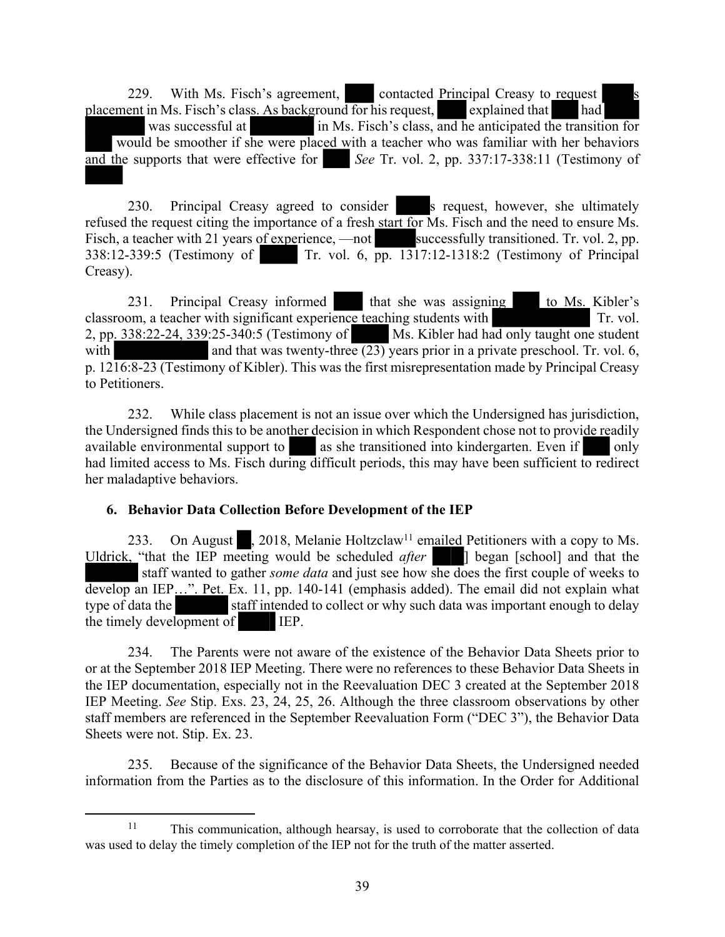229. With Ms. Fisch's agreement, contacted Principal Creasy to request placement in Ms. Fisch's class. As background for his request, explained that had was successful at in Ms. Fisch's class, and he anticipated the transition for would be smoother if she were placed with a teacher who was familiar with her behaviors and the supports that were effective for *See* Tr. vol. 2, pp. 337:17-338:11 (Testimony of

230. Principal Creasy agreed to consider s request, however, she ultimately refused the request citing the importance of a fresh start for Ms. Fisch and the need to ensure Ms. Fisch, a teacher with 21 years of experience, —not successfully transitioned. Tr. vol. 2, pp. 338:12-339:5 (Testimony of Tr. vol. 6, pp. 1317:12-1318:2 (Testimony of Principal Creasy).

231. Principal Creasy informed that she was assigning to Ms. Kibler's classroom, a teacher with significant experience teaching students with Tr. vol. 2, pp.  $338:22-24$ ,  $339:25-340:5$  (Testimony of Ms. Kibler had had only taught one student with and that was twenty-three  $(23)$  years prior in a private preschool. Tr. vol. 6, p. 1216:8-23 (Testimony of Kibler). This was the first misrepresentation made by Principal Creasy to Petitioners.

232. While class placement is not an issue over which the Undersigned has jurisdiction, the Undersigned finds this to be another decision in which Respondent chose not to provide readily available environmental support to as she transitioned into kindergarten. Even if only had limited access to Ms. Fisch during difficult periods, this may have been sufficient to redirect her maladaptive behaviors.

# **6. Behavior Data Collection Before Development of the IEP**

233. On August , 2018, Melanie Holtzclaw<sup>11</sup> emailed Petitioners with a copy to Ms. Uldrick, "that the IEP meeting would be scheduled *after* ] began [school] and that the staff wanted to gather *some data* and just see how she does the first couple of weeks to develop an IEP...". Pet. Ex. 11, pp. 140-141 (emphasis added). The email did not explain what type of data the staff intended to collect or why such data was important enough to delay staff intended to collect or why such data was important enough to delay the timely development of IEP.

234. The Parents were not aware of the existence of the Behavior Data Sheets prior to or at the September 2018 IEP Meeting. There were no references to these Behavior Data Sheets in the IEP documentation, especially not in the Reevaluation DEC 3 created at the September 2018 IEP Meeting. *See* Stip. Exs. 23, 24, 25, 26. Although the three classroom observations by other staff members are referenced in the September Reevaluation Form ("DEC 3"), the Behavior Data Sheets were not. Stip. Ex. 23.

235. Because of the significance of the Behavior Data Sheets, the Undersigned needed information from the Parties as to the disclosure of this information. In the Order for Additional

<sup>11</sup> This communication, although hearsay, is used to corroborate that the collection of data was used to delay the timely completion of the IEP not for the truth of the matter asserted.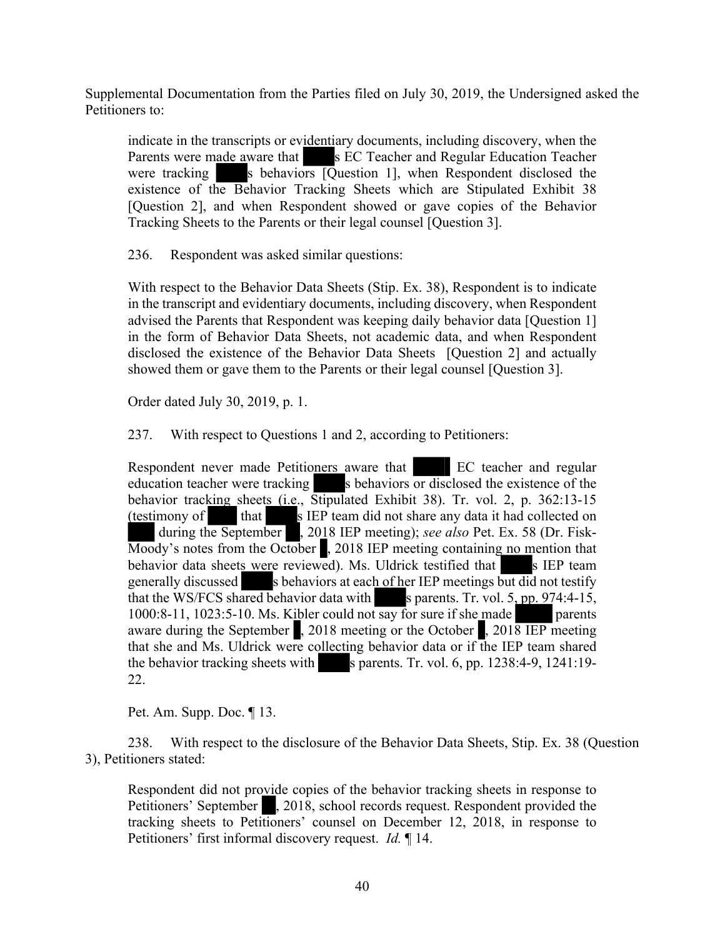Supplemental Documentation from the Parties filed on July 30, 2019, the Undersigned asked the Petitioners to:

indicate in the transcripts or evidentiary documents, including discovery, when the Parents were made aware that s EC Teacher and Regular Education Teacher were tracking s behaviors  $\overline{Q}$  uestion 1], when Respondent disclosed the existence of the Behavior Tracking Sheets which are Stipulated Exhibit 38 [Question 2], and when Respondent showed or gave copies of the Behavior Tracking Sheets to the Parents or their legal counsel [Question 3].

236. Respondent was asked similar questions:

With respect to the Behavior Data Sheets (Stip. Ex. 38), Respondent is to indicate in the transcript and evidentiary documents, including discovery, when Respondent advised the Parents that Respondent was keeping daily behavior data [Question 1] in the form of Behavior Data Sheets, not academic data, and when Respondent disclosed the existence of the Behavior Data Sheets [Question 2] and actually showed them or gave them to the Parents or their legal counsel [Question 3].

Order dated July 30, 2019, p. 1.

237. With respect to Questions 1 and 2, according to Petitioners:

Respondent never made Petitioners aware that EC teacher and regular education teacher were tracking s behaviors or disclosed the existence of the behavior tracking sheets (i.e., Stipulated Exhibit 38). Tr. vol. 2, p. 362:13-15 (testimony of that s IEP team did not share any data it had collected on during the September , 2018 IEP meeting); *see also* Pet. Ex. 58 (Dr. Fisk-Moody's notes from the October , 2018 IEP meeting containing no mention that behavior data sheets were reviewed). Ms. Uldrick testified that s IEP team generally discussed s behaviors at each of her IEP meetings but did not testify that the WS/FCS shared behavior data with s parents. Tr. vol. 5, pp.  $974:4-15$ , 1000:8-11, 1023:5-10. Ms. Kibler could not say for sure if she made parents aware during the September , 2018 meeting or the October , 2018 IEP meeting that she and Ms. Uldrick were collecting behavior data or if the IEP team shared the behavior tracking sheets with s parents. Tr. vol. 6, pp.  $1238:4-9$ ,  $1241:19-$ 22.

Pet. Am. Supp. Doc. ¶ 13.

238. With respect to the disclosure of the Behavior Data Sheets, Stip. Ex. 38 (Question 3), Petitioners stated:

Respondent did not provide copies of the behavior tracking sheets in response to Petitioners' September , 2018, school records request. Respondent provided the tracking sheets to Petitioners' counsel on December 12, 2018, in response to Petitioners' first informal discovery request. *Id.* ¶ 14.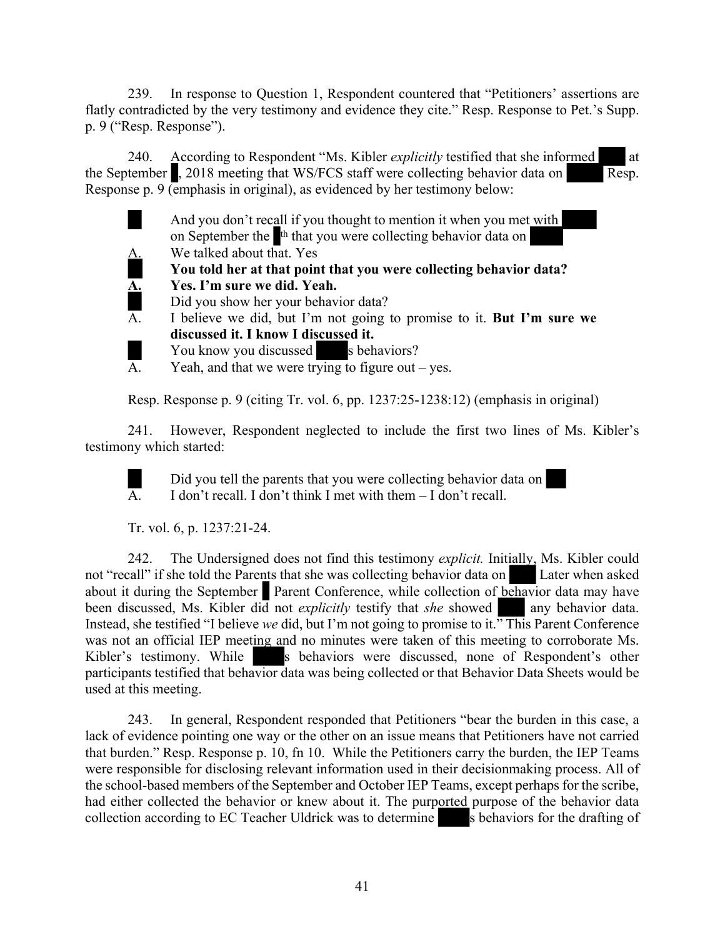239. In response to Question 1, Respondent countered that "Petitioners' assertions are flatly contradicted by the very testimony and evidence they cite." Resp. Response to Pet.'s Supp. p. 9 ("Resp. Response").

240. According to Respondent "Ms. Kibler *explicitly* testified that she informed at the September  $\Box$ , 2018 meeting that WS/FCS staff were collecting behavior data on Resp. Response p. 9 (emphasis in original), as evidenced by her testimony below:



Resp. Response p. 9 (citing Tr. vol. 6, pp. 1237:25-1238:12) (emphasis in original)

241. However, Respondent neglected to include the first two lines of Ms. Kibler's testimony which started:

Did you tell the parents that you were collecting behavior data on  $\overline{A}$ . I don't recall. I don't think I met with them  $-$  I don't recall.

Tr. vol. 6, p. 1237:21-24.

242. The Undersigned does not find this testimony *explicit.* Initially, Ms. Kibler could not "recall" if she told the Parents that she was collecting behavior data on Later when asked about it during the September Parent Conference, while collection of behavior data may have been discussed, Ms. Kibler did not *explicitly* testify that *she* showed any behavior data. Instead, she testified "I believe *we* did, but I'm not going to promise to it." This Parent Conference was not an official IEP meeting and no minutes were taken of this meeting to corroborate Ms. Kibler's testimony. While s behaviors were discussed, none of Respondent's other participants testified that behavior data was being collected or that Behavior Data Sheets would be used at this meeting.

243. In general, Respondent responded that Petitioners "bear the burden in this case, a lack of evidence pointing one way or the other on an issue means that Petitioners have not carried that burden." Resp. Response p. 10, fn 10. While the Petitioners carry the burden, the IEP Teams were responsible for disclosing relevant information used in their decisionmaking process. All of the school-based members of the September and October IEP Teams, except perhaps for the scribe, had either collected the behavior or knew about it. The purported purpose of the behavior data collection according to EC Teacher Uldrick was to determine s behaviors for the drafting of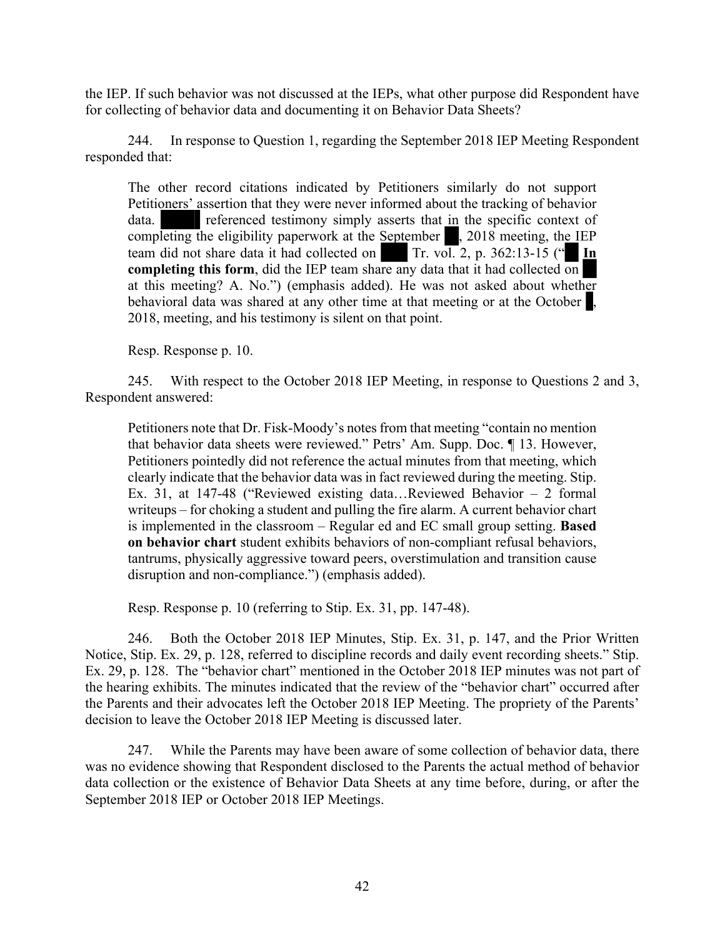the IEP. If such behavior was not discussed at the IEPs, what other purpose did Respondent have for collecting of behavior data and documenting it on Behavior Data Sheets?

244. In response to Question 1, regarding the September 2018 IEP Meeting Respondent responded that:

The other record citations indicated by Petitioners similarly do not support Petitioners' assertion that they were never informed about the tracking of behavior data. **referenced** testimony simply asserts that in the specific context of completing the eligibility paperwork at the September , 2018 meeting, the IEP team did not share data it had collected on Tr. vol. 2, p. 362:13-15 ( $\cdot$  **In completing this form**, did the IEP team share any data that it had collected on at this meeting? A. No.") (emphasis added). He was not asked about whether behavioral data was shared at any other time at that meeting or at the October  $\blacksquare$ . 2018, meeting, and his testimony is silent on that point.

Resp. Response p. 10.

245. With respect to the October 2018 IEP Meeting, in response to Questions 2 and 3, Respondent answered:

Petitioners note that Dr. Fisk-Moody's notes from that meeting "contain no mention that behavior data sheets were reviewed." Petrs' Am. Supp. Doc. ¶ 13. However, Petitioners pointedly did not reference the actual minutes from that meeting, which clearly indicate that the behavior data was in fact reviewed during the meeting. Stip. Ex. 31, at 147-48 ("Reviewed existing data…Reviewed Behavior – 2 formal writeups – for choking a student and pulling the fire alarm. A current behavior chart is implemented in the classroom – Regular ed and EC small group setting. **Based on behavior chart** student exhibits behaviors of non-compliant refusal behaviors, tantrums, physically aggressive toward peers, overstimulation and transition cause disruption and non-compliance.") (emphasis added).

Resp. Response p. 10 (referring to Stip. Ex. 31, pp. 147-48).

246. Both the October 2018 IEP Minutes, Stip. Ex. 31, p. 147, and the Prior Written Notice, Stip. Ex. 29, p. 128, referred to discipline records and daily event recording sheets." Stip. Ex. 29, p. 128. The "behavior chart" mentioned in the October 2018 IEP minutes was not part of the hearing exhibits. The minutes indicated that the review of the "behavior chart" occurred after the Parents and their advocates left the October 2018 IEP Meeting. The propriety of the Parents' decision to leave the October 2018 IEP Meeting is discussed later.

247. While the Parents may have been aware of some collection of behavior data, there was no evidence showing that Respondent disclosed to the Parents the actual method of behavior data collection or the existence of Behavior Data Sheets at any time before, during, or after the September 2018 IEP or October 2018 IEP Meetings.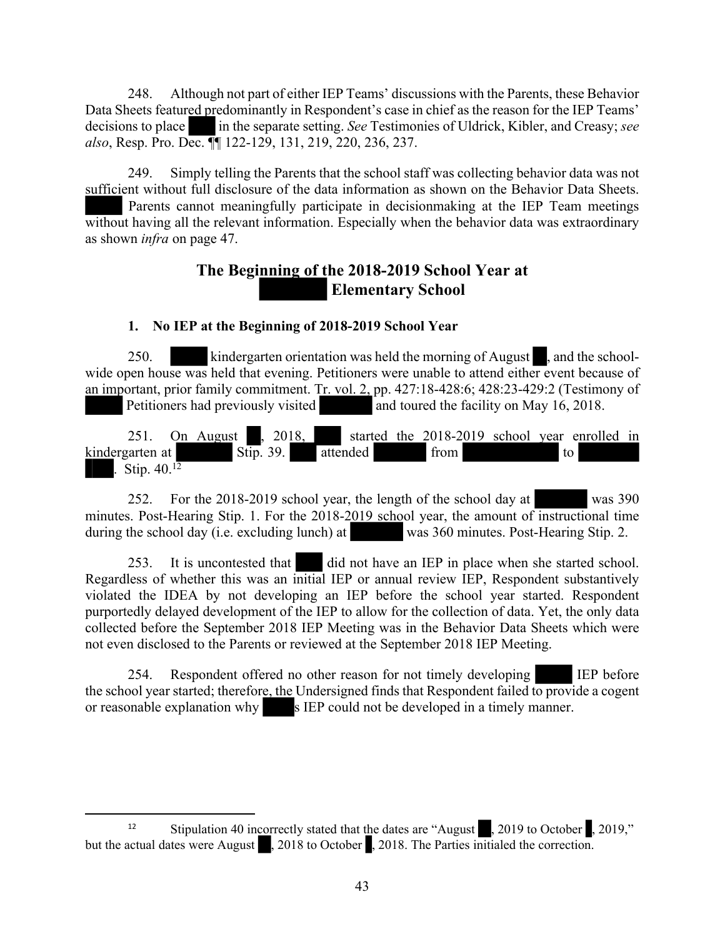248. Although not part of either IEP Teams' discussions with the Parents, these Behavior Data Sheets featured predominantly in Respondent's case in chief as the reason for the IEP Teams' decisions to place in the separate setting. *See* Testimonies of Uldrick, Kibler, and Creasy; *see also*, Resp. Pro. Dec. ¶¶ 122-129, 131, 219, 220, 236, 237.

249. Simply telling the Parents that the school staff was collecting behavior data was not sufficient without full disclosure of the data information as shown on the Behavior Data Sheets. Parents cannot meaningfully participate in decisionmaking at the IEP Team meetings without having all the relevant information. Especially when the behavior data was extraordinary as shown *infra* on page 47.

# **The Beginning of the 2018-2019 School Year at Elementary School**

# **1. No IEP at the Beginning of 2018-2019 School Year**

250. kindergarten orientation was held the morning of August , and the schoolwide open house was held that evening. Petitioners were unable to attend either event because of an important, prior family commitment. Tr. vol. 2, pp. 427:18-428:6; 428:23-429:2 (Testimony of Petitioners had previously visited and toured the facility on May 16, 2018.

251. On August  $\frac{2018}{100}$  started the 2018-2019 school year enrolled in kindergarten at Stip. 39. attended from to to Stip.  $40^{12}$ 

252. For the 2018-2019 school year, the length of the school day at was 390 minutes. Post-Hearing Stip. 1. For the 2018-2019 school year, the amount of instructional time during the school day (i.e. excluding lunch) at was 360 minutes. Post-Hearing Stip. 2.

253. It is uncontested that did not have an IEP in place when she started school. Regardless of whether this was an initial IEP or annual review IEP, Respondent substantively violated the IDEA by not developing an IEP before the school year started. Respondent purportedly delayed development of the IEP to allow for the collection of data. Yet, the only data collected before the September 2018 IEP Meeting was in the Behavior Data Sheets which were not even disclosed to the Parents or reviewed at the September 2018 IEP Meeting.

254. Respondent offered no other reason for not timely developing IEP before the school year started; therefore, the Undersigned finds that Respondent failed to provide a cogent or reasonable explanation why s IEP could not be developed in a timely manner.

<sup>&</sup>lt;sup>12</sup> Stipulation 40 incorrectly stated that the dates are "August", 2019 to October , 2019," but the actual dates were August , 2018 to October , 2018. The Parties initialed the correction.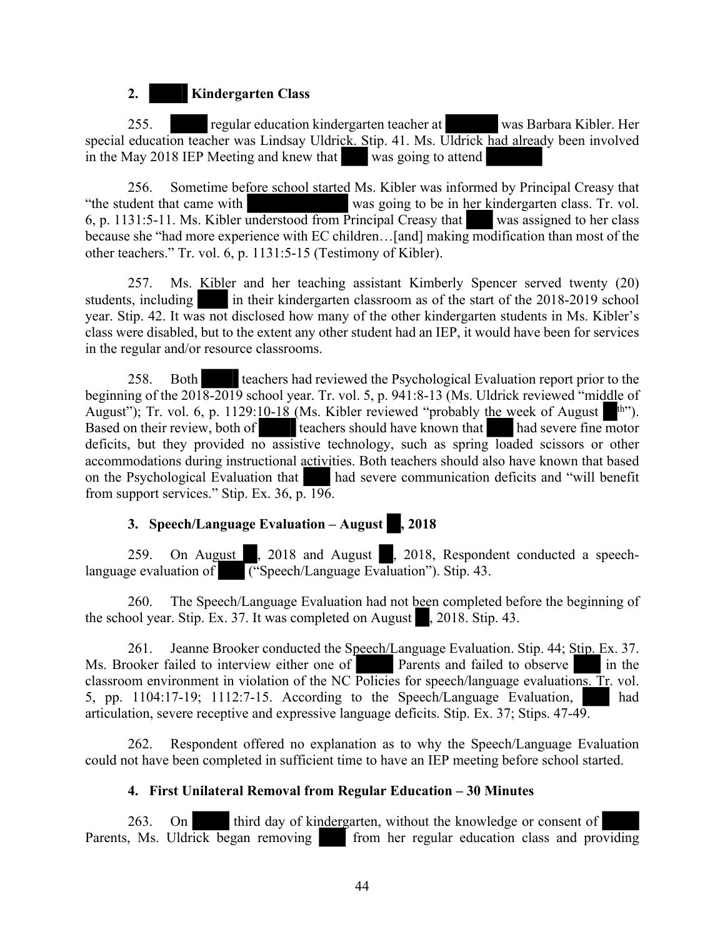# **2. Kindergarten Class**

255. regular education kindergarten teacher at was Barbara Kibler. Her special education teacher was Lindsay Uldrick. Stip. 41. Ms. Uldrick had already been involved in the May 2018 IEP Meeting and knew that was going to attend

256. Sometime before school started Ms. Kibler was informed by Principal Creasy that "the student that came with was going to be in her kindergarten class. Tr. vol. 6, p. 1131:5-11. Ms. Kibler understood from Principal Creasy that was assigned to her class because she "had more experience with EC children...[and] making modification than most of the other teachers." Tr. vol. 6, p. 1131:5-15 (Testimony of Kibler).

257. Ms. Kibler and her teaching assistant Kimberly Spencer served twenty (20) students, including in their kindergarten classroom as of the start of the 2018-2019 school year. Stip. 42. It was not disclosed how many of the other kindergarten students in Ms. Kibler's class were disabled, but to the extent any other student had an IEP, it would have been for services in the regular and/or resource classrooms.

258. Both teachers had reviewed the Psychological Evaluation report prior to the beginning of the 2018-2019 school year. Tr. vol. 5, p. 941:8-13 (Ms. Uldrick reviewed "middle of August"); Tr. vol. 6, p. 1129:10-18 (Ms. Kibler reviewed "probably the week of August  $\mu$ "). Based on their review, both of teachers should have known that had severe fine motor deficits, but they provided no assistive technology, such as spring loaded scissors or other accommodations during instructional activities. Both teachers should also have known that based on the Psychological Evaluation that had severe communication deficits and "will benefit from support services." Stip. Ex. 36, p. 196.

# **3. Speech/Language Evaluation – August , 2018**

259. On August , 2018 and August , 2018, Respondent conducted a speechlanguage evaluation of ("Speech/Language Evaluation"). Stip. 43.

260. The Speech/Language Evaluation had not been completed before the beginning of the school year. Stip. Ex. 37. It was completed on August , 2018. Stip. 43.

261. Jeanne Brooker conducted the Speech/Language Evaluation. Stip. 44; Stip. Ex. 37. Ms. Brooker failed to interview either one of Parents and failed to observe in the classroom environment in violation of the NC Policies for speech/language evaluations. Tr. vol. 5, pp.  $1104:17-19$ ;  $1112:7-15$ . According to the Speech/Language Evaluation, had articulation, severe receptive and expressive language deficits. Stip. Ex. 37; Stips. 47-49.

262. Respondent offered no explanation as to why the Speech/Language Evaluation could not have been completed in sufficient time to have an IEP meeting before school started.

# **4. First Unilateral Removal from Regular Education – 30 Minutes**

263. On third day of kindergarten, without the knowledge or consent of Parents, Ms. Uldrick began removing from her regular education class and providing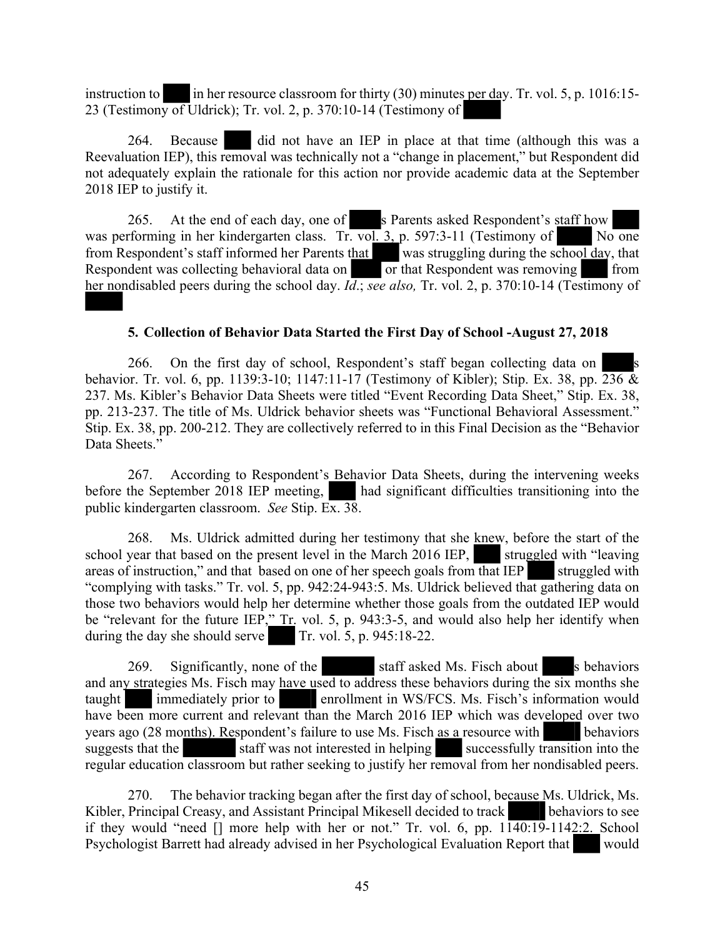instruction to in her resource classroom for thirty  $(30)$  minutes per day. Tr. vol. 5, p. 1016:15-23 (Testimony of Uldrick); Tr. vol. 2, p. 370:10-14 (Testimony of

264. Because did not have an IEP in place at that time (although this was a Reevaluation IEP), this removal was technically not a "change in placement," but Respondent did not adequately explain the rationale for this action nor provide academic data at the September 2018 IEP to justify it.

265. At the end of each day, one of s Parents asked Respondent's staff how was performing in her kindergarten class. Tr. vol. 3, p. 597:3-11 (Testimony of No one from Respondent's staff informed her Parents that was struggling during the school day, that Respondent was collecting behavioral data on  $\overline{a}$  or that Respondent was removing from her nondisabled peers during the school day. *Id*.; *see also,* Tr. vol. 2, p. 370:10-14 (Testimony of

#### **5. Collection of Behavior Data Started the First Day of School -August 27, 2018**

266. On the first day of school, Respondent's staff began collecting data on s behavior. Tr. vol. 6, pp. 1139:3-10; 1147:11-17 (Testimony of Kibler); Stip. Ex. 38, pp. 236 & 237. Ms. Kibler's Behavior Data Sheets were titled "Event Recording Data Sheet," Stip. Ex. 38, pp. 213-237. The title of Ms. Uldrick behavior sheets was "Functional Behavioral Assessment." Stip. Ex. 38, pp. 200-212. They are collectively referred to in this Final Decision as the "Behavior Data Sheets."

267. According to Respondent's Behavior Data Sheets, during the intervening weeks before the September 2018 IEP meeting, had significant difficulties transitioning into the public kindergarten classroom. *See* Stip. Ex. 38.

268. Ms. Uldrick admitted during her testimony that she knew, before the start of the school year that based on the present level in the March 2016 IEP, struggled with "leaving" areas of instruction," and that based on one of her speech goals from that IEP struggled with "complying with tasks." Tr. vol. 5, pp. 942:24-943:5. Ms. Uldrick believed that gathering data on those two behaviors would help her determine whether those goals from the outdated IEP would be "relevant for the future IEP," Tr. vol. 5, p. 943:3-5, and would also help her identify when during the day she should serve  $\boxed{\text{Tr. vol. 5, p. 945:18-22.}}$ 

269. Significantly, none of the staff asked Ms. Fisch about s behaviors and any strategies Ms. Fisch may have used to address these behaviors during the six months she taught immediately prior to enrollment in WS/FCS. Ms. Fisch's information would have been more current and relevant than the March 2016 IEP which was developed over two years ago (28 months). Respondent's failure to use Ms. Fisch as a resource with behaviors suggests that the staff was not interested in helping successfully transition into the regular education classroom but rather seeking to justify her removal from her nondisabled peers.

270. The behavior tracking began after the first day of school, because Ms. Uldrick, Ms. Kibler, Principal Creasy, and Assistant Principal Mikesell decided to track behaviors to see if they would "need  $\lceil \rceil$  more help with her or not." Tr. vol. 6, pp.  $1140:19$ -1142:2. School Psychologist Barrett had already advised in her Psychological Evaluation Report that would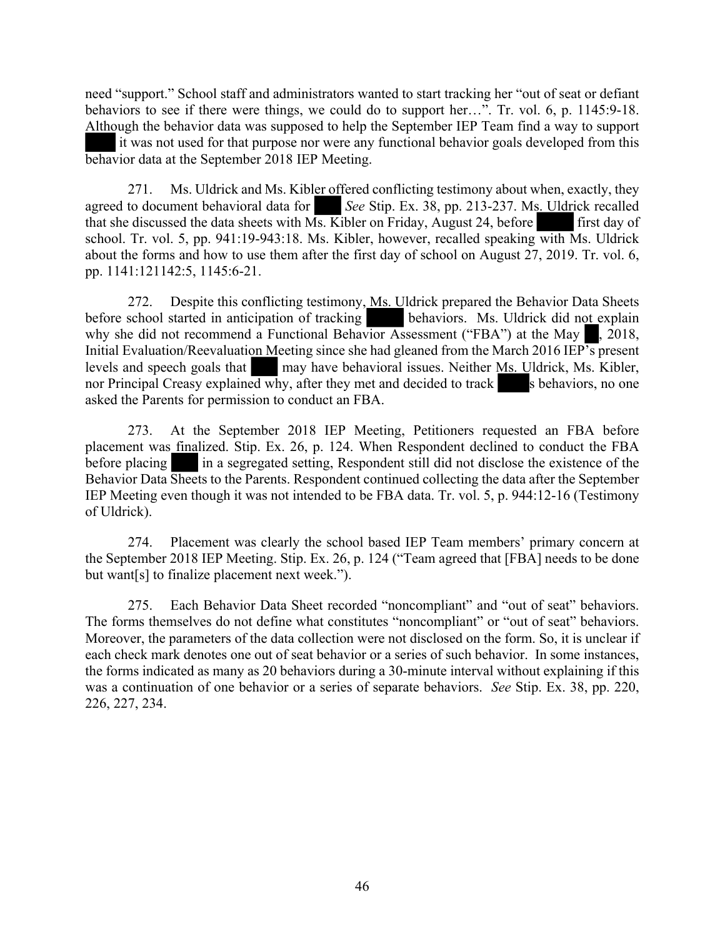need "support." School staff and administrators wanted to start tracking her "out of seat or defiant behaviors to see if there were things, we could do to support her…". Tr. vol. 6, p. 1145:9-18. Although the behavior data was supposed to help the September IEP Team find a way to support it was not used for that purpose nor were any functional behavior goals developed from this behavior data at the September 2018 IEP Meeting.

271. Ms. Uldrick and Ms. Kibler offered conflicting testimony about when, exactly, they agreed to document behavioral data for *See* Stip. Ex. 38, pp. 213-237. Ms. Uldrick recalled that she discussed the data sheets with  $\overline{Ms}$ . Kibler on Friday, August 24, before first day of school. Tr. vol. 5, pp. 941:19-943:18. Ms. Kibler, however, recalled speaking with Ms. Uldrick about the forms and how to use them after the first day of school on August 27, 2019. Tr. vol. 6, pp. 1141:121142:5, 1145:6-21.

272. Despite this conflicting testimony, Ms. Uldrick prepared the Behavior Data Sheets before school started in anticipation of tracking behaviors. Ms. Uldrick did not explain why she did not recommend a Functional Behavior Assessment ("FBA") at the May , 2018, Initial Evaluation/Reevaluation Meeting since she had gleaned from the March 2016 IEP's present levels and speech goals that may have behavioral issues. Neither Ms. Uldrick, Ms. Kibler, nor Principal Creasy explained why, after they met and decided to track s behaviors, no one asked the Parents for permission to conduct an FBA.

273. At the September 2018 IEP Meeting, Petitioners requested an FBA before placement was finalized. Stip. Ex. 26, p. 124. When Respondent declined to conduct the FBA before placing in a segregated setting, Respondent still did not disclose the existence of the Behavior Data Sheets to the Parents. Respondent continued collecting the data after the September IEP Meeting even though it was not intended to be FBA data. Tr. vol. 5, p. 944:12-16 (Testimony of Uldrick).

274. Placement was clearly the school based IEP Team members' primary concern at the September 2018 IEP Meeting. Stip. Ex. 26, p. 124 ("Team agreed that [FBA] needs to be done but want[s] to finalize placement next week.").

275. Each Behavior Data Sheet recorded "noncompliant" and "out of seat" behaviors. The forms themselves do not define what constitutes "noncompliant" or "out of seat" behaviors. Moreover, the parameters of the data collection were not disclosed on the form. So, it is unclear if each check mark denotes one out of seat behavior or a series of such behavior. In some instances, the forms indicated as many as 20 behaviors during a 30-minute interval without explaining if this was a continuation of one behavior or a series of separate behaviors. *See* Stip. Ex. 38, pp. 220, 226, 227, 234.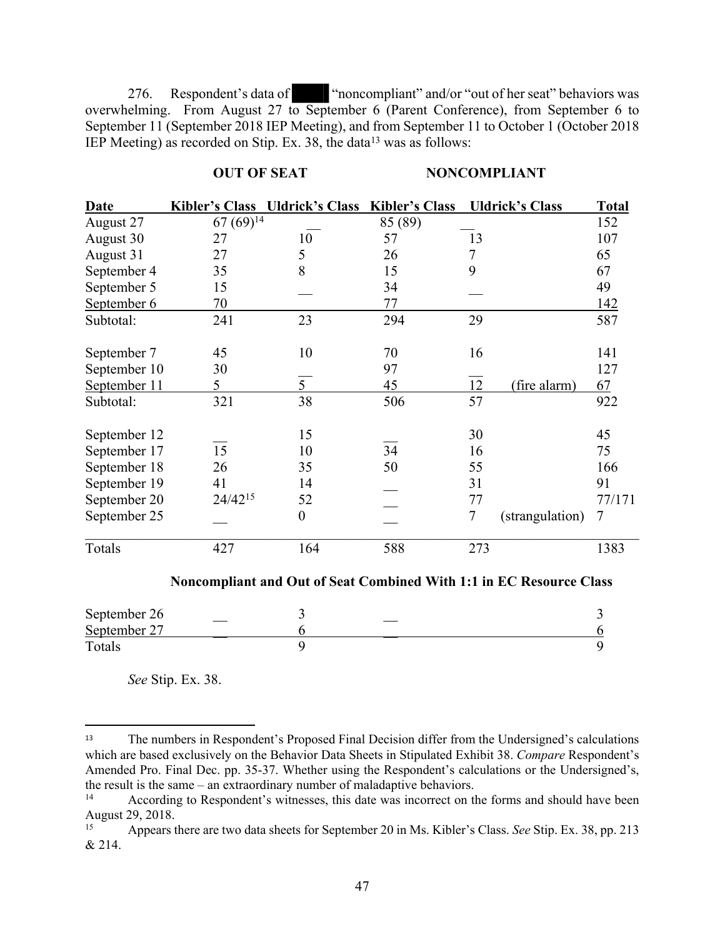276. Respondent's data of "noncompliant" and/or "out of her seat" behaviors was overwhelming. From August 27 to September 6 (Parent Conference), from September 6 to September 11 (September 2018 IEP Meeting), and from September 11 to October 1 (October 2018 IEP Meeting) as recorded on Stip. Ex. 38, the data<sup>13</sup> was as follows:

#### **OUT OF SEAT MONCOMPLIANT**

| <b>Date</b>                                                         |               | <b>Kibler's Class Uldrick's Class</b> | <b>Kibler's Class</b> |                  | <b>Uldrick's Class</b> | <b>Total</b>   |  |
|---------------------------------------------------------------------|---------------|---------------------------------------|-----------------------|------------------|------------------------|----------------|--|
| August 27                                                           | $67(69)^{14}$ |                                       | 85 (89)               |                  |                        | 152            |  |
| August 30                                                           | 27            | 10                                    | 57                    | 13               |                        | 107            |  |
| August 31                                                           | 27            | 5                                     | 26                    | $\boldsymbol{7}$ |                        | 65             |  |
| September 4                                                         | 35            | 8                                     | 15                    | 9                |                        | 67             |  |
| September 5                                                         | 15            |                                       | 34                    |                  |                        | 49             |  |
| September 6                                                         | 70            |                                       | 77                    |                  |                        | 142            |  |
| Subtotal:                                                           | 241           | 23                                    | 294                   | 29               |                        | 587            |  |
|                                                                     |               |                                       |                       |                  |                        |                |  |
| September 7                                                         | 45            | 10                                    | 70                    | 16               |                        | 141            |  |
| September 10                                                        | 30            |                                       | 97                    |                  |                        | 127            |  |
| September 11                                                        | 5             | $\overline{5}$                        | 45                    | 12               | (fire alarm)           | 67             |  |
| Subtotal:                                                           | 321           | 38                                    | 506                   | 57               |                        | 922            |  |
|                                                                     |               |                                       |                       |                  |                        |                |  |
| September 12                                                        |               | 15                                    |                       | 30               |                        | 45             |  |
| September 17                                                        | 15            | 10                                    | 34                    | 16               |                        | 75             |  |
| September 18                                                        | 26            | 35                                    | 50                    | 55               |                        | 166            |  |
| September 19                                                        | 41            | 14                                    |                       | 31               |                        | 91             |  |
| September 20                                                        | 24/4215       | 52                                    |                       | 77               |                        | 77/171         |  |
| September 25                                                        |               | $\boldsymbol{0}$                      |                       | $\tau$           | (strangulation)        | $\overline{7}$ |  |
| Totals                                                              | 427           | 164                                   | 588                   | 273              |                        | 1383           |  |
| Noncompliant and Out of Seat Combined With 1:1 in EC Resource Class |               |                                       |                       |                  |                        |                |  |

| September 26 |  |
|--------------|--|
| September 27 |  |
| Totals       |  |

*See* Stip. Ex. 38.

<sup>13</sup> The numbers in Respondent's Proposed Final Decision differ from the Undersigned's calculations which are based exclusively on the Behavior Data Sheets in Stipulated Exhibit 38. *Compare* Respondent's Amended Pro. Final Dec. pp. 35-37. Whether using the Respondent's calculations or the Undersigned's, the result is the same – an extraordinary number of maladaptive behaviors.

<sup>&</sup>lt;sup>14</sup> According to Respondent's witnesses, this date was incorrect on the forms and should have been August 29, 2018.

<sup>15</sup> Appears there are two data sheets for September 20 in Ms. Kibler's Class. *See* Stip. Ex. 38, pp. 213 & 214.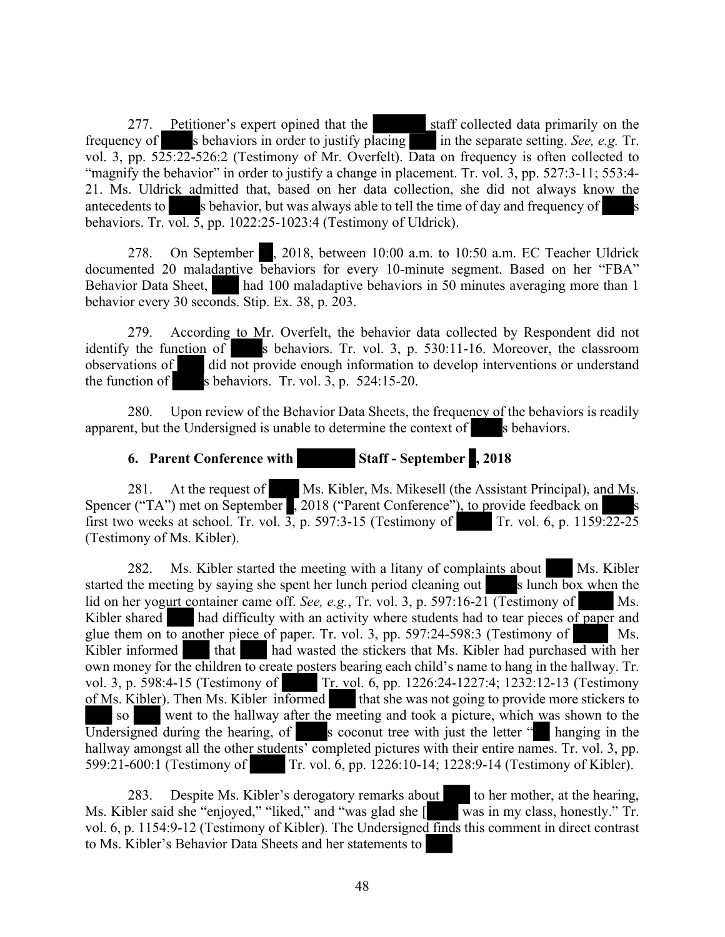277. Petitioner's expert opined that the staff collected data primarily on the frequency of s behaviors in order to justify placing in the separate setting. *See, e.g.* Tr. vol. 3, pp. 525:22-526:2 (Testimony of Mr. Overfelt). Data on frequency is often collected to "magnify the behavior" in order to justify a change in placement. Tr. vol. 3, pp. 527:3-11; 553:4-21. Ms. Uldrick admitted that, based on her data collection, she did not always know the antecedents to s behavior, but was always able to tell the time of day and frequency of s behaviors. Tr. vol. 5, pp. 1022:25-1023:4 (Testimony of Uldrick).

278. On September , 2018, between 10:00 a.m. to 10:50 a.m. EC Teacher Uldrick documented 20 maladaptive behaviors for every 10-minute segment. Based on her "FBA" Behavior Data Sheet, had 100 maladaptive behaviors in 50 minutes averaging more than 1 behavior every 30 seconds. Stip. Ex. 38, p. 203.

279. According to Mr. Overfelt, the behavior data collected by Respondent did not identify the function of s behaviors. Tr. vol. 3, p.  $530:11-16$ . Moreover, the classroom observations of did not provide enough information to develop interventions or understand did not provide enough information to develop interventions or understand the function of s behaviors. Tr. vol.  $3$ , p.  $524:15-20$ .

280. Upon review of the Behavior Data Sheets, the frequency of the behaviors is readily apparent, but the Undersigned is unable to determine the context of s behaviors.

# **6.** Parent Conference with Staff - September , 2018

281. At the request of Ms. Kibler, Ms. Mikesell (the Assistant Principal), and Ms. Spencer ("TA") met on September , 2018 ("Parent Conference"), to provide feedback on first two weeks at school. Tr. vol.  $\overline{3}$ , p. 597:3-15 (Testimony of Tr. vol. 6, p. 1159:22-25) (Testimony of Ms. Kibler).

282. Ms. Kibler started the meeting with a litany of complaints about Ms. Kibler started the meeting by saying she spent her lunch period cleaning out s lunch box when the lid on her yogurt container came off. *See, e.g.*, Tr. vol. 3, p. 597:16-21 (Testimony of Ms. Kibler shared had difficulty with an activity where students had to tear pieces of paper and glue them on to another piece of paper. Tr. vol. 3, pp. 597:24-598:3 (Testimony of Ms. Kibler informed that had wasted the stickers that Ms. Kibler had purchased with her own money for the children to create posters bearing each child's name to hang in the hallway. Tr. vol. 3, p. 598:4-15 (Testimony of Tr. vol. 6, pp. 1226:24-1227:4; 1232:12-13 (Testimony of Ms. Kibler). Then Ms. Kibler informed that she was not going to provide more stickers to so went to the hallway after the meeting and took a picture, which was shown to the  $\overline{Undersigned}$  during the hearing, of s coconut tree with just the letter  $"$  hanging in the hallway amongst all the other students' completed pictures with their entire names. Tr. vol. 3, pp. 599:21-600:1 (Testimony of Tr. vol. 6, pp. 1226:10-14; 1228:9-14 (Testimony of Kibler).

283. Despite Ms. Kibler's derogatory remarks about to her mother, at the hearing, Ms. Kibler said she "enjoyed," "liked," and "was glad she [ was in my class, honestly." Tr. vol. 6, p. 1154:9-12 (Testimony of Kibler). The Undersigned finds this comment in direct contrast to Ms. Kibler's Behavior Data Sheets and her statements to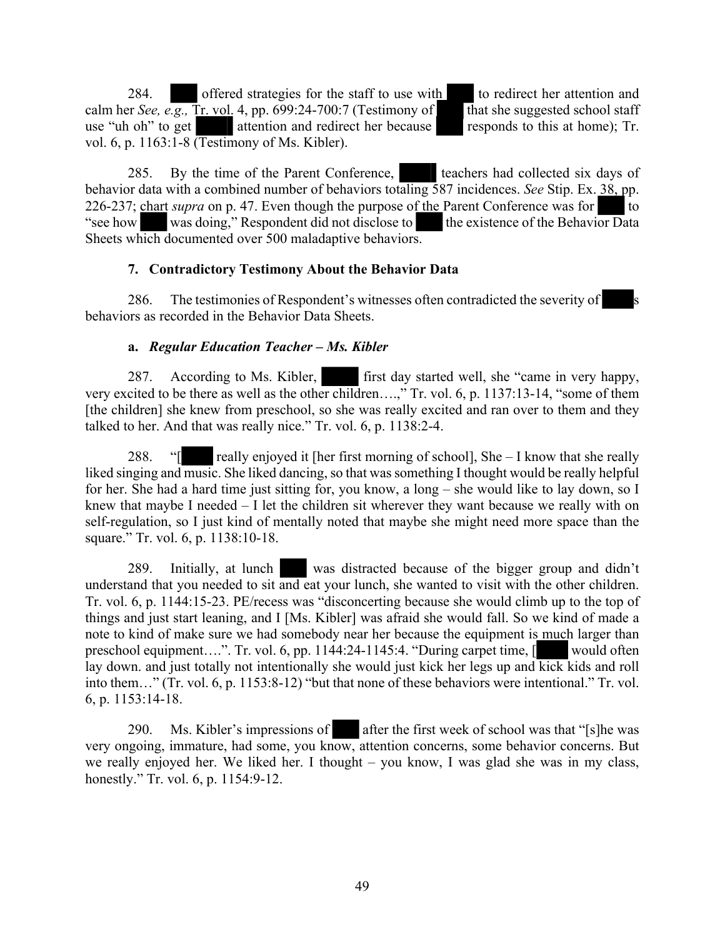284. offered strategies for the staff to use with to redirect her attention and calm her *See, e.g.*, Tr. vol. 4, pp. 699:24-700:7 (Testimony of that she suggested school staff use "uh oh" to get attention and redirect her because responds to this at home); Tr. vol. 6, p. 1163:1-8 (Testimony of Ms. Kibler).

285. By the time of the Parent Conference, teachers had collected six days of behavior data with a combined number of behaviors totaling 587 incidences. *See* Stip. Ex. 38, pp. 226-237; chart *supra* on p. 47. Even though the purpose of the Parent Conference was for to "see how was doing," Respondent did not disclose to the existence of the Behavior Data Sheets which documented over 500 maladaptive behaviors.

# **7. Contradictory Testimony About the Behavior Data**

286. The testimonies of Respondent's witnesses often contradicted the severity of behaviors as recorded in the Behavior Data Sheets.

# **a.** *Regular Education Teacher – Ms. Kibler*

287. According to Ms. Kibler, first day started well, she "came in very happy, very excited to be there as well as the other children….," Tr. vol. 6, p. 1137:13-14, "some of them [the children] she knew from preschool, so she was really excited and ran over to them and they talked to her. And that was really nice." Tr. vol. 6, p. 1138:2-4.

288. "[ really enjoyed it [her first morning of school], She – I know that she really liked singing and music. She liked dancing, so that was something I thought would be really helpful for her. She had a hard time just sitting for, you know, a long – she would like to lay down, so I knew that maybe I needed – I let the children sit wherever they want because we really with on self-regulation, so I just kind of mentally noted that maybe she might need more space than the square." Tr. vol. 6, p. 1138:10-18.

289. Initially, at lunch was distracted because of the bigger group and didn't understand that you needed to sit and eat your lunch, she wanted to visit with the other children. Tr. vol. 6, p. 1144:15-23. PE/recess was "disconcerting because she would climb up to the top of things and just start leaning, and I [Ms. Kibler] was afraid she would fall. So we kind of made a note to kind of make sure we had somebody near her because the equipment is much larger than preschool equipment….". Tr. vol. 6, pp. 1144:24-1145:4. "During carpet time, [ would often lay down. and just totally not intentionally she would just kick her legs up and kick kids and roll into them…" (Tr. vol. 6, p. 1153:8-12) "but that none of these behaviors were intentional." Tr. vol. 6, p. 1153:14-18.

290. Ms. Kibler's impressions of after the first week of school was that "[s]he was very ongoing, immature, had some, you know, attention concerns, some behavior concerns. But we really enjoyed her. We liked her. I thought – you know, I was glad she was in my class, honestly." Tr. vol. 6, p. 1154:9-12.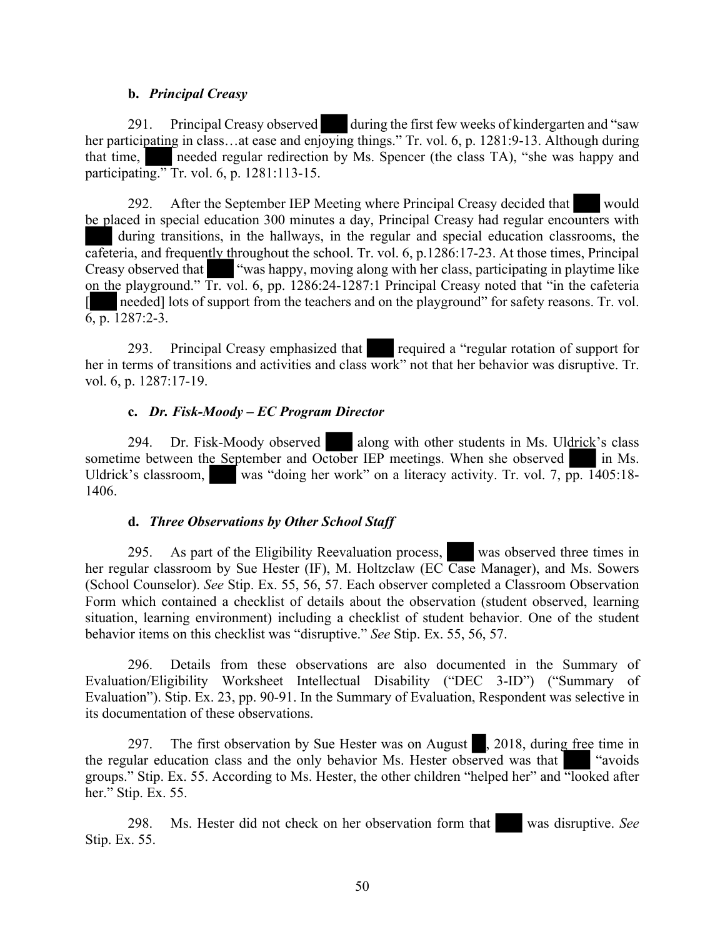#### **b.** *Principal Creasy*

291. Principal Creasy observed during the first few weeks of kindergarten and "saw her participating in class...at ease and enjoying things." Tr. vol. 6, p. 1281:9-13. Although during that time, needed regular redirection by Ms. Spencer (the class TA), "she was happy and participating." Tr. vol. 6, p. 1281:113-15.

292. After the September IEP Meeting where Principal Creasy decided that would be placed in special education 300 minutes a day, Principal Creasy had regular encounters with during transitions, in the hallways, in the regular and special education classrooms, the cafeteria, and frequently throughout the school. Tr. vol. 6, p.1286:17-23. At those times, Principal Creasy observed that "was happy, moving along with her class, participating in playtime like on the playground." Tr. vol. 6, pp. 1286:24-1287:1 Principal Creasy noted that "in the cafeteria [ needed] lots of support from the teachers and on the playground" for safety reasons. Tr. vol. 6, p. 1287:2-3.

293. Principal Creasy emphasized that required a "regular rotation of support for her in terms of transitions and activities and class work" not that her behavior was disruptive. Tr. vol. 6, p. 1287:17-19.

#### **c.** *Dr. Fisk-Moody – EC Program Director*

294. Dr. Fisk-Moody observed along with other students in Ms. Uldrick's class sometime between the September and October IEP meetings. When she observed in Ms. Uldrick's classroom, was "doing her work" on a literacy activity. Tr. vol. 7, pp. 1405:18-1406.

#### **d.** *Three Observations by Other School Staff*

295. As part of the Eligibility Reevaluation process, was observed three times in her regular classroom by Sue Hester (IF), M. Holtzclaw (EC Case Manager), and Ms. Sowers (School Counselor). *See* Stip. Ex. 55, 56, 57. Each observer completed a Classroom Observation Form which contained a checklist of details about the observation (student observed, learning situation, learning environment) including a checklist of student behavior. One of the student behavior items on this checklist was "disruptive." *See* Stip. Ex. 55, 56, 57.

296. Details from these observations are also documented in the Summary of Evaluation/Eligibility Worksheet Intellectual Disability ("DEC 3-ID") ("Summary of Evaluation"). Stip. Ex. 23, pp. 90-91. In the Summary of Evaluation, Respondent was selective in its documentation of these observations.

297. The first observation by Sue Hester was on August , 2018, during free time in the regular education class and the only behavior Ms. Hester observed was that "avoids groups." Stip. Ex. 55. According to Ms. Hester, the other children "helped her" and "looked after her." Stip. Ex. 55.

298. Ms. Hester did not check on her observation form that was disruptive. *See*  Stip. Ex. 55.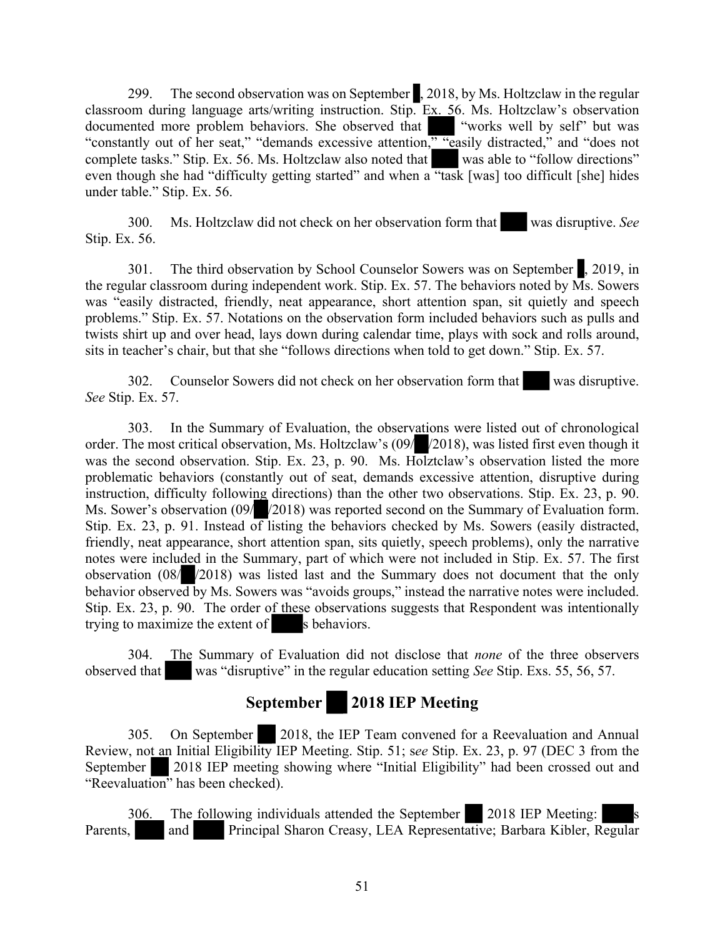299. The second observation was on September , 2018, by Ms. Holtzclaw in the regular classroom during language arts/writing instruction. Stip. Ex. 56. Ms. Holtzclaw's observation documented more problem behaviors. She observed that "works well by self" but was documented more problem behaviors. She observed that "constantly out of her seat," "demands excessive attention," "easily distracted," and "does not complete tasks." Stip. Ex. 56. Ms. Holtzclaw also noted that was able to "follow directions" even though she had "difficulty getting started" and when a "task [was] too difficult [she] hides under table." Stip. Ex. 56.

300. Ms. Holtzclaw did not check on her observation form that was disruptive. *See*  Stip. Ex. 56.

301. The third observation by School Counselor Sowers was on September , 2019, in the regular classroom during independent work. Stip. Ex. 57. The behaviors noted by Ms. Sowers was "easily distracted, friendly, neat appearance, short attention span, sit quietly and speech problems." Stip. Ex. 57. Notations on the observation form included behaviors such as pulls and twists shirt up and over head, lays down during calendar time, plays with sock and rolls around, sits in teacher's chair, but that she "follows directions when told to get down." Stip. Ex. 57.

302. Counselor Sowers did not check on her observation form that was disruptive. *See* Stip. Ex. 57.

303. In the Summary of Evaluation, the observations were listed out of chronological order. The most critical observation, Ms. Holtzclaw's (09/ /2018), was listed first even though it was the second observation. Stip. Ex. 23, p. 90. Ms. Holztclaw's observation listed the more problematic behaviors (constantly out of seat, demands excessive attention, disruptive during instruction, difficulty following directions) than the other two observations. Stip. Ex. 23, p. 90. Ms. Sower's observation (09/ /2018) was reported second on the Summary of Evaluation form. Stip. Ex. 23, p. 91. Instead of listing the behaviors checked by Ms. Sowers (easily distracted, friendly, neat appearance, short attention span, sits quietly, speech problems), only the narrative notes were included in the Summary, part of which were not included in Stip. Ex. 57. The first observation (08/ /2018) was listed last and the Summary does not document that the only behavior observed by Ms. Sowers was "avoids groups," instead the narrative notes were included. Stip. Ex. 23, p. 90. The order of these observations suggests that Respondent was intentionally trying to maximize the extent of s behaviors.

304. The Summary of Evaluation did not disclose that *none* of the three observers observed that was "disruptive" in the regular education setting *See* Stip. Exs. 55, 56, 57.

# **September 2018 IEP Meeting**

305. On September 2018, the IEP Team convened for a Reevaluation and Annual Review, not an Initial Eligibility IEP Meeting. Stip. 51; s*ee* Stip. Ex. 23, p. 97 (DEC 3 from the September 2018 IEP meeting showing where "Initial Eligibility" had been crossed out and "Reevaluation" has been checked).

306. The following individuals attended the September 2018 IEP Meeting: Parents, and Principal Sharon Creasy, LEA Representative; Barbara Kibler, Regular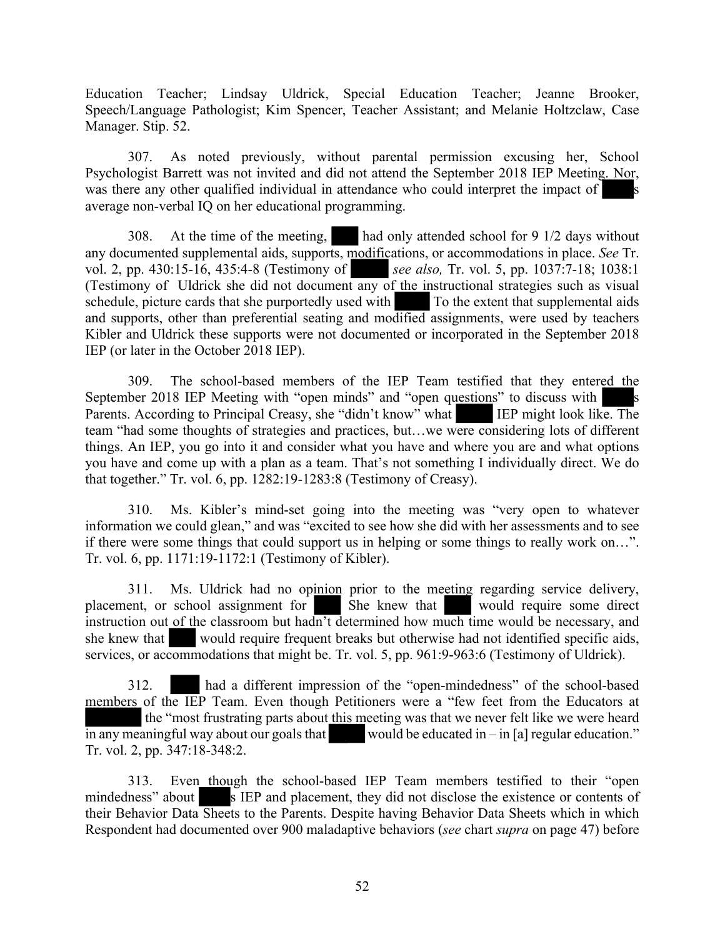Education Teacher; Lindsay Uldrick, Special Education Teacher; Jeanne Brooker, Speech/Language Pathologist; Kim Spencer, Teacher Assistant; and Melanie Holtzclaw, Case Manager. Stip. 52.

307. As noted previously, without parental permission excusing her, School Psychologist Barrett was not invited and did not attend the September 2018 IEP Meeting. Nor, was there any other qualified individual in attendance who could interpret the impact of average non-verbal IQ on her educational programming.

308. At the time of the meeting, had only attended school for 9 1/2 days without any documented supplemental aids, supports, modifications, or accommodations in place. *See* Tr. vol. 2, pp. 430:15-16, 435:4-8 (Testimony of *see also*, Tr. vol. 5, pp. 1037:7-18; 1038:1 see also, Tr. vol. 5, pp. 1037:7-18; 1038:1 (Testimony of Uldrick she did not document any of the instructional strategies such as visual schedule, picture cards that she purportedly used with To the extent that supplemental aids and supports, other than preferential seating and modified assignments, were used by teachers Kibler and Uldrick these supports were not documented or incorporated in the September 2018 IEP (or later in the October 2018 IEP).

309. The school-based members of the IEP Team testified that they entered the September 2018 IEP Meeting with "open minds" and "open questions" to discuss with s Parents. According to Principal Creasy, she "didn't know" what IEP might look like. The team "had some thoughts of strategies and practices, but…we were considering lots of different things. An IEP, you go into it and consider what you have and where you are and what options you have and come up with a plan as a team. That's not something I individually direct. We do that together." Tr. vol. 6, pp. 1282:19-1283:8 (Testimony of Creasy).

310. Ms. Kibler's mind-set going into the meeting was "very open to whatever information we could glean," and was "excited to see how she did with her assessments and to see if there were some things that could support us in helping or some things to really work on…". Tr. vol. 6, pp. 1171:19-1172:1 (Testimony of Kibler).

311. Ms. Uldrick had no opinion prior to the meeting regarding service delivery, ent, or school assignment for She knew that would require some direct placement, or school assignment for She knew that instruction out of the classroom but hadn't determined how much time would be necessary, and she knew that would require frequent breaks but otherwise had not identified specific aids, services, or accommodations that might be. Tr. vol. 5, pp. 961:9-963:6 (Testimony of Uldrick).

312. had a different impression of the "open-mindedness" of the school-based members of the IEP Team. Even though Petitioners were a "few feet from the Educators at the "most frustrating parts about this meeting was that we never felt like we were heard in any meaningful way about our goals that would be educated in – in [a] regular education." Tr. vol. 2, pp. 347:18-348:2.

313. Even though the school-based IEP Team members testified to their "open mindedness" about s IEP and placement, they did not disclose the existence or contents of their Behavior Data Sheets to the Parents. Despite having Behavior Data Sheets which in which Respondent had documented over 900 maladaptive behaviors (*see* chart *supra* on page 47) before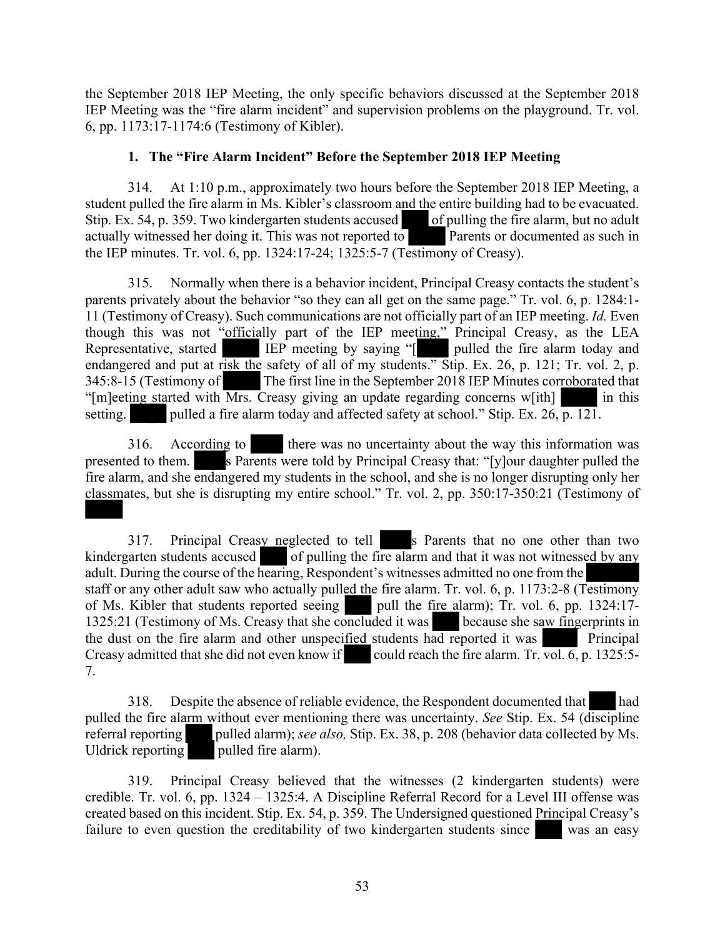the September 2018 IEP Meeting, the only specific behaviors discussed at the September 2018 IEP Meeting was the "fire alarm incident" and supervision problems on the playground. Tr. vol. 6, pp. 1173:17-1174:6 (Testimony of Kibler).

#### **1. The "Fire Alarm Incident" Before the September 2018 IEP Meeting**

314. At 1:10 p.m., approximately two hours before the September 2018 IEP Meeting, a student pulled the fire alarm in Ms. Kibler's classroom and the entire building had to be evacuated. Stip. Ex. 54, p. 359. Two kindergarten students accused of pulling the fire alarm, but no adult actually witnessed her doing it. This was not reported to Parents or documented as such in the IEP minutes. Tr. vol. 6, pp. 1324:17-24; 1325:5-7 (Testimony of Creasy).

315. Normally when there is a behavior incident, Principal Creasy contacts the student's parents privately about the behavior "so they can all get on the same page." Tr. vol. 6, p. 1284:1- 11 (Testimony of Creasy). Such communications are not officially part of an IEP meeting. *Id.* Even though this was not "officially part of the IEP meeting," Principal Creasy, as the LEA Representative, started IEP meeting by saying "[ pulled the fire alarm today and endangered and put at risk the safety of all of my students." Stip. Ex. 26, p. 121; Tr. vol. 2, p. 345:8-15 (Testimony of The first line in the September 2018 IEP Minutes corroborated that "[m]eeting started with Mrs. Creasy giving an update regarding concerns w[ith] in this setting. pulled a fire alarm today and affected safety at school." Stip. Ex. 26,  $\overline{p}$ . 121.

316. According to there was no uncertainty about the way this information was presented to them. s Parents were told by Principal Creasy that: "[y]our daughter pulled the fire alarm, and she endangered my students in the school, and she is no longer disrupting only her classmates, but she is disrupting my entire school." Tr. vol. 2, pp. 350:17-350:21 (Testimony of

317. Principal Creasy neglected to tell s Parents that no one other than two kindergarten students accused of pulling the fire alarm and that it was not witnessed by any adult. During the course of the hearing, Respondent's witnesses admitted no one from the staff or any other adult saw who actually pulled the fire alarm. Tr. vol. 6, p. 1173:2-8 (Testimony of Ms. Kibler that students reported seeing pull the fire alarm);  $Tr.$  vol. 6, pp. 1324:17-1325:21 (Testimony of Ms. Creasy that she concluded it was because she saw fingerprints in the dust on the fire alarm and other unspecified students had reported it was Principal Creasy admitted that she did not even know if could reach the fire alarm. Tr. vol.  $\overline{6}$ , p. 1325:5-7.

318. Despite the absence of reliable evidence, the Respondent documented that had pulled the fire alarm without ever mentioning there was uncertainty. *See* Stip. Ex. 54 (discipline referral reporting pulled alarm); *see also,* Stip. Ex. 38, p. 208 (behavior data collected by Ms. Uldrick reporting pulled fire alarm).

319. Principal Creasy believed that the witnesses (2 kindergarten students) were credible. Tr. vol. 6, pp. 1324 – 1325:4. A Discipline Referral Record for a Level III offense was created based on this incident. Stip. Ex. 54, p. 359. The Undersigned questioned Principal Creasy's failure to even question the creditability of two kindergarten students since was an easy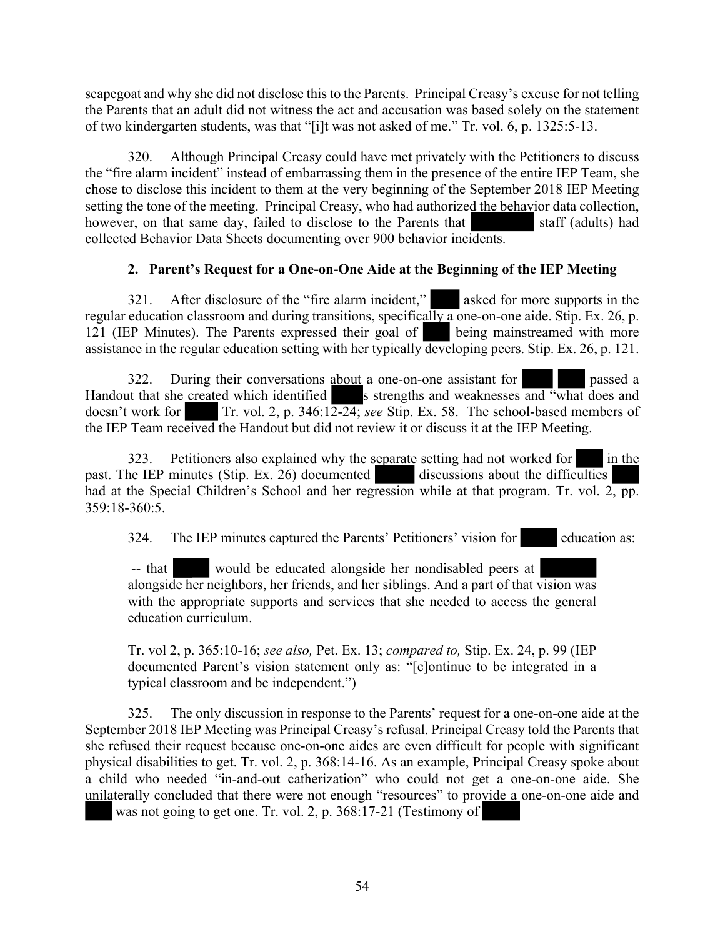scapegoat and why she did not disclose this to the Parents. Principal Creasy's excuse for not telling the Parents that an adult did not witness the act and accusation was based solely on the statement of two kindergarten students, was that "[i]t was not asked of me." Tr. vol. 6, p. 1325:5-13.

320. Although Principal Creasy could have met privately with the Petitioners to discuss the "fire alarm incident" instead of embarrassing them in the presence of the entire IEP Team, she chose to disclose this incident to them at the very beginning of the September 2018 IEP Meeting setting the tone of the meeting. Principal Creasy, who had authorized the behavior data collection, however, on that same day, failed to disclose to the Parents that staff (adults) had collected Behavior Data Sheets documenting over 900 behavior incidents.

# **2. Parent's Request for a One-on-One Aide at the Beginning of the IEP Meeting**

321. After disclosure of the "fire alarm incident," asked for more supports in the regular education classroom and during transitions, specifically a one-on-one aide. Stip. Ex. 26, p. 121 (IEP Minutes). The Parents expressed their goal of being mainstreamed with more assistance in the regular education setting with her typically developing peers. Stip. Ex. 26, p. 121.

322. During their conversations about a one-on-one assistant for passed a Handout that she created which identified s strengths and weaknesses and "what does and doesn't work for Tr. vol. 2, p.  $346:12-24$ ; *see* Stip. Ex. 58. The school-based members of the IEP Team received the Handout but did not review it or discuss it at the IEP Meeting.

323. Petitioners also explained why the separate setting had not worked for in the past. The IEP minutes (Stip. Ex. 26) documented discussions about the difficulties had at the Special Children's School and her regression while at that program. Tr. vol. 2, pp. 359:18-360:5.

324. The IEP minutes captured the Parents' Petitioners' vision for education as:

-- that would be educated alongside her nondisabled peers at alongside her neighbors, her friends, and her siblings. And a part of that vision was with the appropriate supports and services that she needed to access the general education curriculum.

Tr. vol 2, p. 365:10-16; *see also,* Pet. Ex. 13; *compared to,* Stip. Ex. 24, p. 99 (IEP documented Parent's vision statement only as: "[c]ontinue to be integrated in a typical classroom and be independent.")

325. The only discussion in response to the Parents' request for a one-on-one aide at the September 2018 IEP Meeting was Principal Creasy's refusal. Principal Creasy told the Parents that she refused their request because one-on-one aides are even difficult for people with significant physical disabilities to get. Tr. vol. 2, p. 368:14-16. As an example, Principal Creasy spoke about a child who needed "in-and-out catherization" who could not get a one-on-one aide. She unilaterally concluded that there were not enough "resources" to provide a one-on-one aide and

was not going to get one. Tr. vol. 2, p. 368:17-21 (Testimony of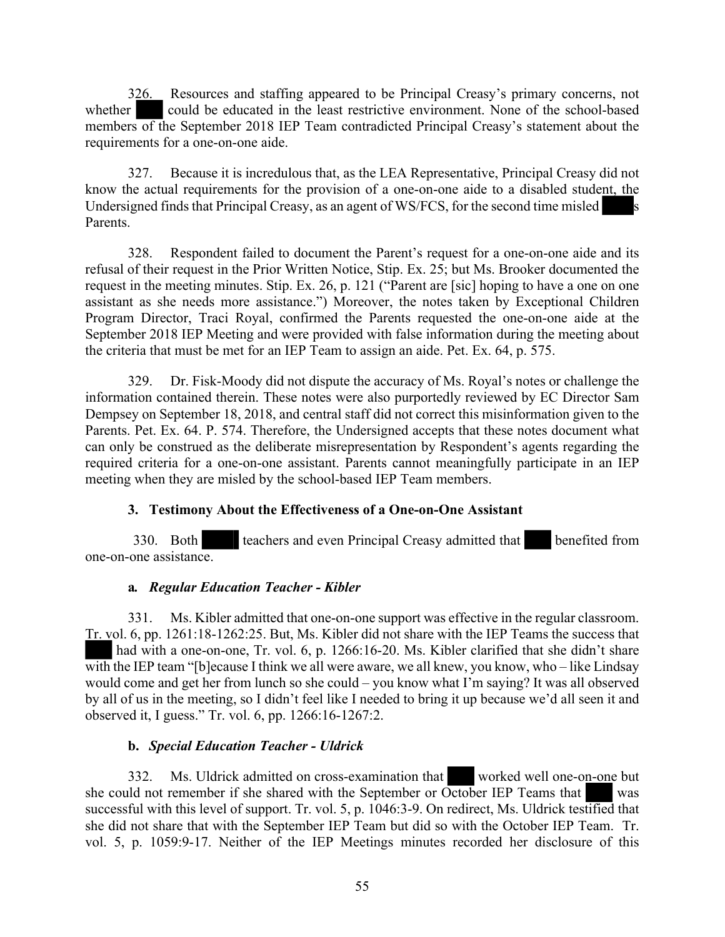326. Resources and staffing appeared to be Principal Creasy's primary concerns, not whether could be educated in the least restrictive environment. None of the school-based members of the September 2018 IEP Team contradicted Principal Creasy's statement about the requirements for a one-on-one aide.

327. Because it is incredulous that, as the LEA Representative, Principal Creasy did not know the actual requirements for the provision of a one-on-one aide to a disabled student, the Undersigned finds that Principal Creasy, as an agent of WS/FCS, for the second time misled s Parents.

328. Respondent failed to document the Parent's request for a one-on-one aide and its refusal of their request in the Prior Written Notice, Stip. Ex. 25; but Ms. Brooker documented the request in the meeting minutes. Stip. Ex. 26, p. 121 ("Parent are [sic] hoping to have a one on one assistant as she needs more assistance.") Moreover, the notes taken by Exceptional Children Program Director, Traci Royal, confirmed the Parents requested the one-on-one aide at the September 2018 IEP Meeting and were provided with false information during the meeting about the criteria that must be met for an IEP Team to assign an aide. Pet. Ex. 64, p. 575.

329. Dr. Fisk-Moody did not dispute the accuracy of Ms. Royal's notes or challenge the information contained therein. These notes were also purportedly reviewed by EC Director Sam Dempsey on September 18, 2018, and central staff did not correct this misinformation given to the Parents. Pet. Ex. 64. P. 574. Therefore, the Undersigned accepts that these notes document what can only be construed as the deliberate misrepresentation by Respondent's agents regarding the required criteria for a one-on-one assistant. Parents cannot meaningfully participate in an IEP meeting when they are misled by the school-based IEP Team members.

# **3. Testimony About the Effectiveness of a One-on-One Assistant**

330. Both teachers and even Principal Creasy admitted that benefited from one-on-one assistance.

#### **a***. Regular Education Teacher - Kibler*

331. Ms. Kibler admitted that one-on-one support was effective in the regular classroom. Tr. vol. 6, pp. 1261:18-1262:25. But, Ms. Kibler did not share with the IEP Teams the success that had with a one-on-one, Tr. vol. 6, p. 1266:16-20. Ms. Kibler clarified that she didn't share with the IEP team "[b]ecause I think we all were aware, we all knew, you know, who – like Lindsay would come and get her from lunch so she could – you know what I'm saying? It was all observed by all of us in the meeting, so I didn't feel like I needed to bring it up because we'd all seen it and observed it, I guess." Tr. vol. 6, pp. 1266:16-1267:2.

#### **b.** *Special Education Teacher - Uldrick*

332. Ms. Uldrick admitted on cross-examination that worked well one-on-one but she could not remember if she shared with the September or October IEP Teams that was successful with this level of support. Tr. vol. 5, p. 1046:3-9. On redirect, Ms. Uldrick testified that she did not share that with the September IEP Team but did so with the October IEP Team. Tr. vol. 5, p. 1059:9-17. Neither of the IEP Meetings minutes recorded her disclosure of this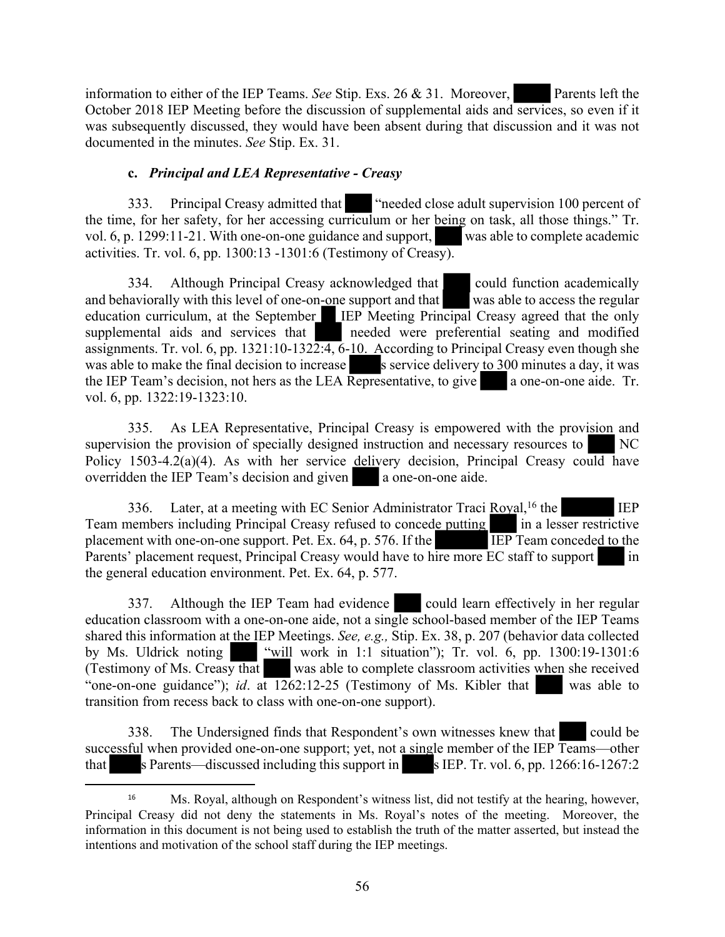information to either of the IEP Teams. *See* Stip. Exs. 26 & 31. Moreover, Parents left the October 2018 IEP Meeting before the discussion of supplemental aids and services, so even if it was subsequently discussed, they would have been absent during that discussion and it was not documented in the minutes. *See* Stip. Ex. 31.

# **c.** *Principal and LEA Representative - Creasy*

333. Principal Creasy admitted that "needed close adult supervision 100 percent of the time, for her safety, for her accessing curriculum or her being on task, all those things." Tr. vol. 6, p. 1299:11-21. With one-on-one guidance and support, was able to complete academic activities. Tr. vol. 6, pp. 1300:13 -1301:6 (Testimony of Creasy).

334. Although Principal Creasy acknowledged that could function academically and behaviorally with this level of one-on-one support and that was able to access the regular education curriculum, at the September IEP Meeting Principal Creasy agreed that the only supplemental aids and services that needed were preferential seating and modified assignments. Tr. vol. 6, pp. 1321:10-1322:4, 6-10. According to Principal Creasy even though she was able to make the final decision to increase s service delivery to 300 minutes a day, it was the IEP Team's decision, not hers as the LEA Representative, to give a one-on-one aide. Tr. vol. 6, pp. 1322:19-1323:10.

335. As LEA Representative, Principal Creasy is empowered with the provision and supervision the provision of specially designed instruction and necessary resources to NC Policy 1503-4.2(a)(4). As with her service delivery decision, Principal Creasy could have overridden the IEP Team's decision and given a one-on-one aide.

336. Later, at a meeting with EC Senior Administrator Traci Royal,<sup>16</sup> the IEP Team members including Principal Creasy refused to concede putting in a lesser restrictive placement with one-on-one support. Pet. Ex.  $64$ , p.  $576$ . If the IEP Team conceded to the Parents' placement request, Principal Creasy would have to hire more EC staff to support in the general education environment. Pet. Ex. 64, p. 577.

337. Although the IEP Team had evidence could learn effectively in her regular education classroom with a one-on-one aide, not a single school-based member of the IEP Teams shared this information at the IEP Meetings. *See, e.g.,* Stip. Ex. 38, p. 207 (behavior data collected by Ms. Uldrick noting "will work in 1:1 situation"); Tr. vol. 6, pp. 1300:19-1301:6 (Testimony of Ms. Creasy that was able to complete classroom activities when she received "one-on-one guidance"); *id*. at 1262:12-25 (Testimony of Ms. Kibler that was able to transition from recess back to class with one-on-one support).

338. The Undersigned finds that Respondent's own witnesses knew that could be successful when provided one-on-one support; yet, not a single member of the IEP Teams—other that s Parents—discussed including this support in s IEP. Tr. vol. 6, pp. 1266:16-1267:2

<sup>16</sup> Ms. Royal, although on Respondent's witness list, did not testify at the hearing, however, Principal Creasy did not deny the statements in Ms. Royal's notes of the meeting. Moreover, the information in this document is not being used to establish the truth of the matter asserted, but instead the intentions and motivation of the school staff during the IEP meetings.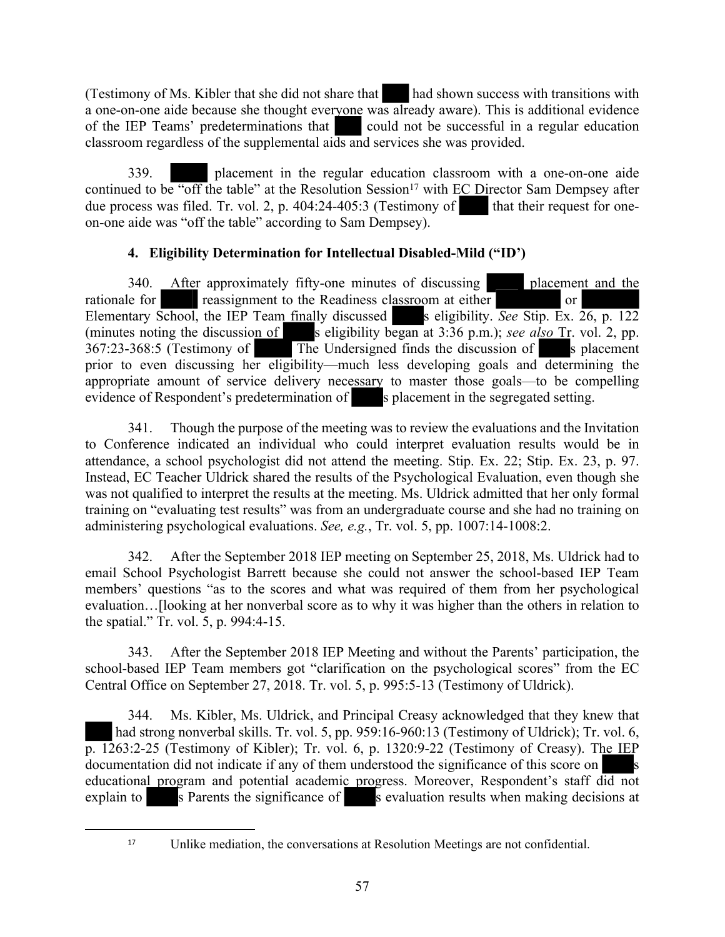(Testimony of Ms. Kibler that she did not share that had shown success with transitions with a one-on-one aide because she thought everyone was already aware). This is additional evidence of the IEP Teams' predeterminations that could not be successful in a regular education classroom regardless of the supplemental aids and services she was provided.

339. placement in the regular education classroom with a one-on-one aide continued to be "off the table" at the Resolution Session<sup>17</sup> with EC Director Sam Dempsey after due process was filed. Tr. vol. 2, p.  $404:24-405:3$  (Testimony of that their request for oneon-one aide was "off the table" according to Sam Dempsey).

# **4. Eligibility Determination for Intellectual Disabled-Mild ("ID')**

340. After approximately fifty-one minutes of discussing placement and the rationale for reassignment to the Readiness classroom at either or Elementary School, the IEP Team finally discussed s eligibility. *See* Stip. Ex. 26, p. 122 (minutes noting the discussion of seligibility began at 3:36 p.m.); *see also* Tr. vol. 2, pp. 367:23-368:5 (Testimony of The Undersigned finds the discussion of s placement prior to even discussing her eligibility—much less developing goals and determining the appropriate amount of service delivery necessary to master those goals—to be compelling evidence of Respondent's predetermination of s placement in the segregated setting.

341. Though the purpose of the meeting was to review the evaluations and the Invitation to Conference indicated an individual who could interpret evaluation results would be in attendance, a school psychologist did not attend the meeting. Stip. Ex. 22; Stip. Ex. 23, p. 97. Instead, EC Teacher Uldrick shared the results of the Psychological Evaluation, even though she was not qualified to interpret the results at the meeting. Ms. Uldrick admitted that her only formal training on "evaluating test results" was from an undergraduate course and she had no training on administering psychological evaluations. *See, e.g.*, Tr. vol. 5, pp. 1007:14-1008:2.

342. After the September 2018 IEP meeting on September 25, 2018, Ms. Uldrick had to email School Psychologist Barrett because she could not answer the school-based IEP Team members' questions "as to the scores and what was required of them from her psychological evaluation…[looking at her nonverbal score as to why it was higher than the others in relation to the spatial." Tr. vol. 5, p. 994:4-15.

343. After the September 2018 IEP Meeting and without the Parents' participation, the school-based IEP Team members got "clarification on the psychological scores" from the EC Central Office on September 27, 2018. Tr. vol. 5, p. 995:5-13 (Testimony of Uldrick).

344. Ms. Kibler, Ms. Uldrick, and Principal Creasy acknowledged that they knew that had strong nonverbal skills. Tr. vol. 5, pp. 959:16-960:13 (Testimony of Uldrick); Tr. vol. 6,  $\overline{p}$ . 1263:2-25 (Testimony of Kibler); Tr. vol. 6, p. 1320:9-22 (Testimony of Creasy). The IEP documentation did not indicate if any of them understood the significance of this score on educational program and potential academic progress. Moreover, Respondent's staff did not explain to s Parents the significance of s evaluation results when making decisions at

<sup>17</sup> Unlike mediation, the conversations at Resolution Meetings are not confidential.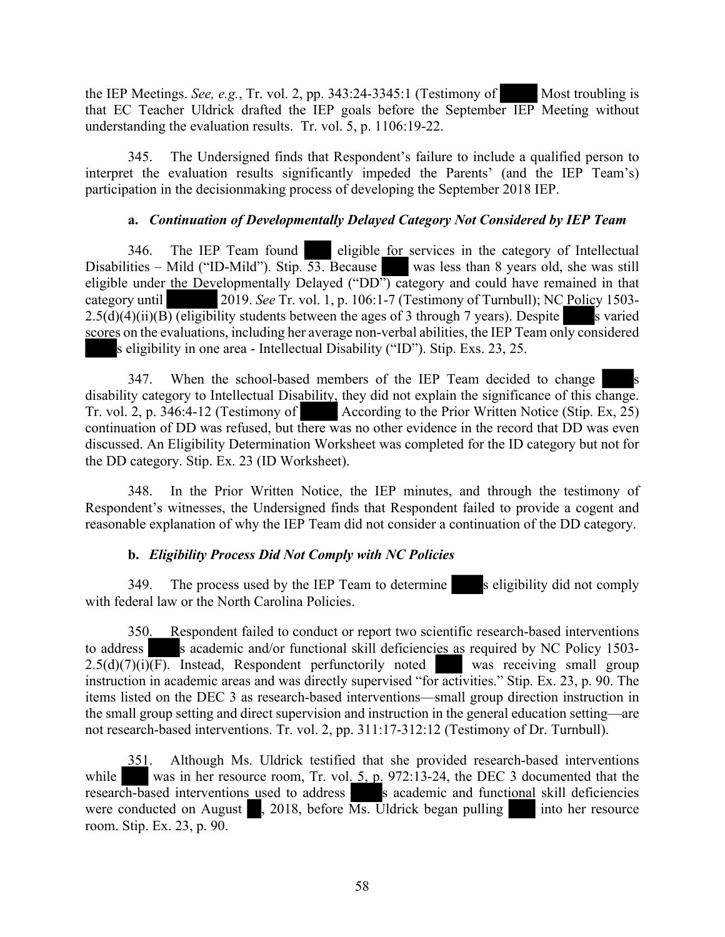the IEP Meetings. *See, e.g.*, Tr. vol. 2, pp. 343:24-3345:1 (Testimony of Most troubling is that EC Teacher Uldrick drafted the IEP goals before the September IEP Meeting without understanding the evaluation results. Tr. vol. 5, p. 1106:19-22.

345. The Undersigned finds that Respondent's failure to include a qualified person to interpret the evaluation results significantly impeded the Parents' (and the IEP Team's) participation in the decisionmaking process of developing the September 2018 IEP.

#### **a.** *Continuation of Developmentally Delayed Category Not Considered by IEP Team*

346. The IEP Team found eligible for services in the category of Intellectual Disabilities – Mild ("ID-Mild"). Stip. 53. Because was less than 8 years old, she was still eligible under the Developmentally Delayed ("DD") category and could have remained in that category until 2019. *See* Tr. vol. 1, p. 106:1-7 (Testimony of Turnbull); NC Policy 1503-  $2.5(d)(4)(ii)(B)$  (eligibility students between the ages of 3 through 7 years). Despite s varied scores on the evaluations, including her average non-verbal abilities, the IEP Team only considered s eligibility in one area - Intellectual Disability ("ID"). Stip. Exs. 23, 25.

347. When the school-based members of the IEP Team decided to change disability category to Intellectual Disability, they did not explain the significance of this change. Tr. vol. 2, p. 346:4-12 (Testimony of According to the Prior Written Notice (Stip. Ex, 25) continuation of DD was refused, but there was no other evidence in the record that DD was even discussed. An Eligibility Determination Worksheet was completed for the ID category but not for the DD category. Stip. Ex. 23 (ID Worksheet).

348. In the Prior Written Notice, the IEP minutes, and through the testimony of Respondent's witnesses, the Undersigned finds that Respondent failed to provide a cogent and reasonable explanation of why the IEP Team did not consider a continuation of the DD category.

# **b.** *Eligibility Process Did Not Comply with NC Policies*

349. The process used by the IEP Team to determine s eligibility did not comply with federal law or the North Carolina Policies.

350. Respondent failed to conduct or report two scientific research-based interventions to address s academic and/or functional skill deficiencies as required by NC Policy 1503- $2.5(d)(7)(i)\overline{(F)}$ . Instead, Respondent perfunctorily noted was receiving small group instruction in academic areas and was directly supervised "for activities." Stip. Ex. 23, p. 90. The items listed on the DEC 3 as research-based interventions—small group direction instruction in the small group setting and direct supervision and instruction in the general education setting—are not research-based interventions. Tr. vol. 2, pp. 311:17-312:12 (Testimony of Dr. Turnbull).

351. Although Ms. Uldrick testified that she provided research-based interventions while was in her resource room, Tr. vol. 5, p. 972:13-24, the DEC 3 documented that the research-based interventions used to address s academic and functional skill deficiencies were conducted on August  $\blacksquare$ , 2018, before Ms. Uldrick began pulling into her resource room. Stip. Ex. 23, p. 90.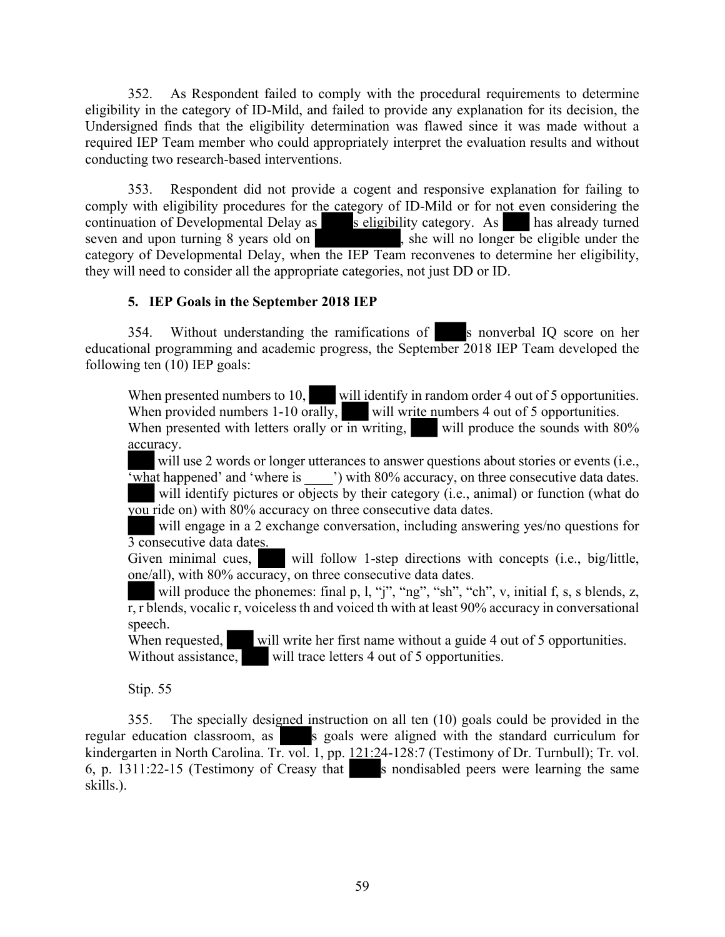352. As Respondent failed to comply with the procedural requirements to determine eligibility in the category of ID-Mild, and failed to provide any explanation for its decision, the Undersigned finds that the eligibility determination was flawed since it was made without a required IEP Team member who could appropriately interpret the evaluation results and without conducting two research-based interventions.

353. Respondent did not provide a cogent and responsive explanation for failing to comply with eligibility procedures for the category of ID-Mild or for not even considering the continuation of Developmental Delay as seligibility category. As has already turned seven and upon turning 8 years old on , she will no longer be eligible under the category of Developmental Delay, when the IEP Team reconvenes to determine her eligibility, they will need to consider all the appropriate categories, not just DD or ID.

# **5. IEP Goals in the September 2018 IEP**

354. Without understanding the ramifications of s nonverbal IQ score on her educational programming and academic progress, the September 2018 IEP Team developed the following ten (10) IEP goals:

When presented numbers to 10, will identify in random order 4 out of 5 opportunities. When provided numbers 1-10 orally, will write numbers 4 out of 5 opportunities.

When presented with letters orally or in writing, will produce the sounds with  $80\%$ accuracy.

will use 2 words or longer utterances to answer questions about stories or events (i.e., 'what happened' and 'where is \_\_\_\_') with 80% accuracy, on three consecutive data dates.

will identify pictures or objects by their category (i.e., animal) or function (what do you ride on) with 80% accuracy on three consecutive data dates.

will engage in a 2 exchange conversation, including answering yes/no questions for 3 consecutive data dates.

Given minimal cues, will follow 1-step directions with concepts (i.e., big/little, one/all), with 80% accuracy, on three consecutive data dates.

will produce the phonemes: final p, l, "j", "ng", "sh", "ch", v, initial f, s, s blends, z,  $\overline{r}$ ,  $\overline{r}$  blends, vocalic  $\overline{r}$ , voiceless th and voiced th with at least 90% accuracy in conversational speech.

When requested, will write her first name without a guide 4 out of 5 opportunities. Without assistance, will trace letters 4 out of 5 opportunities.

Stip. 55

355. The specially designed instruction on all ten (10) goals could be provided in the regular education classroom, as s goals were aligned with the standard curriculum for kindergarten in North Carolina. Tr. vol. 1, pp. 121:24-128:7 (Testimony of Dr. Turnbull); Tr. vol. 6, p.  $1311:22-15$  (Testimony of Creasy that s nondisabled peers were learning the same skills.).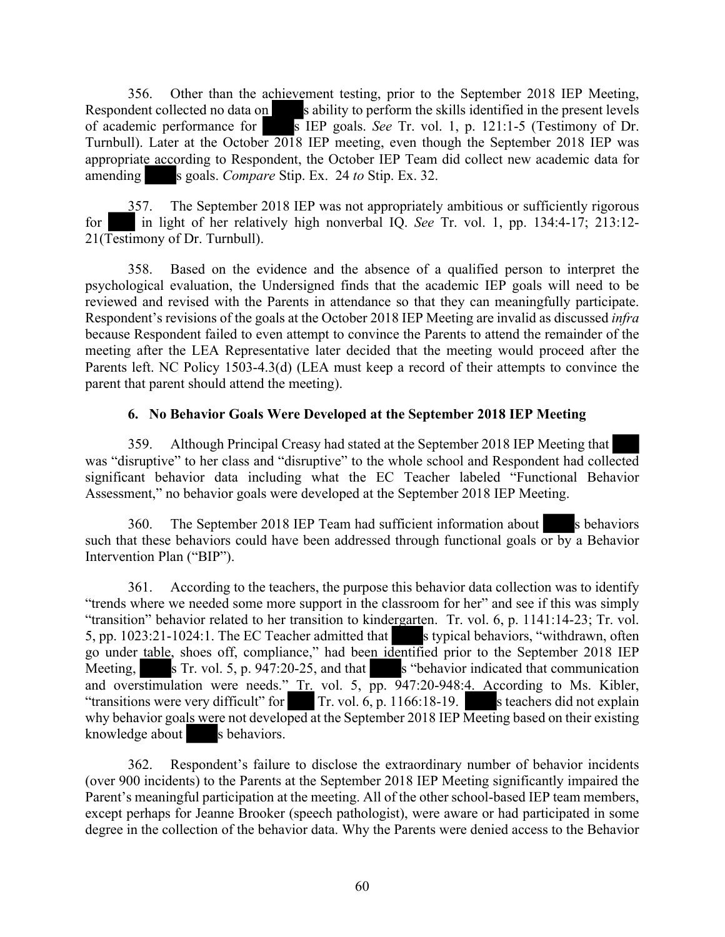356. Other than the achievement testing, prior to the September 2018 IEP Meeting, Respondent collected no data on s ability to perform the skills identified in the present levels of academic performance for s IEP goals. *See* Tr. vol. 1, p. 121:1-5 (Testimony of Dr. Turnbull). Later at the October 2018 IEP meeting, even though the September 2018 IEP was appropriate according to Respondent, the October IEP Team did collect new academic data for amending s goals. *Compare* Stip. Ex. 24 *to* Stip. Ex. 32.

357. The September 2018 IEP was not appropriately ambitious or sufficiently rigorous for in light of her relatively high nonverbal IQ. *See* Tr. vol. 1, pp. 134:4-17; 213:12- 21(Testimony of Dr. Turnbull).

358. Based on the evidence and the absence of a qualified person to interpret the psychological evaluation, the Undersigned finds that the academic IEP goals will need to be reviewed and revised with the Parents in attendance so that they can meaningfully participate. Respondent's revisions of the goals at the October 2018 IEP Meeting are invalid as discussed *infra*  because Respondent failed to even attempt to convince the Parents to attend the remainder of the meeting after the LEA Representative later decided that the meeting would proceed after the Parents left. NC Policy 1503-4.3(d) (LEA must keep a record of their attempts to convince the parent that parent should attend the meeting).

# **6. No Behavior Goals Were Developed at the September 2018 IEP Meeting**

359. Although Principal Creasy had stated at the September 2018 IEP Meeting that was "disruptive" to her class and "disruptive" to the whole school and Respondent had collected significant behavior data including what the EC Teacher labeled "Functional Behavior Assessment," no behavior goals were developed at the September 2018 IEP Meeting.

360. The September 2018 IEP Team had sufficient information about s behaviors such that these behaviors could have been addressed through functional goals  $\overline{or}$  by a Behavior Intervention Plan ("BIP").

361. According to the teachers, the purpose this behavior data collection was to identify "trends where we needed some more support in the classroom for her" and see if this was simply "transition" behavior related to her transition to kindergarten. Tr. vol. 6, p. 1141:14-23; Tr. vol. 5, pp. 1023:21-1024:1. The EC Teacher admitted that s typical behaviors, "withdrawn, often go under table, shoes off, compliance," had been identified prior to the September 2018 IEP Meeting,  $s$  Tr. vol. 5, p. 947:20-25, and that  $s$  "behavior indicated that communication and overstimulation were needs." Tr. vol. 5, pp. 947:20-948:4. According to Ms. Kibler, "transitions were very difficult" for Tr. vol.  $\overrightarrow{6}$ , p. 1166:18-19. S teachers did not explain why behavior goals were not developed at the September 2018 IEP Meeting based on their existing knowledge about s behaviors.

362. Respondent's failure to disclose the extraordinary number of behavior incidents (over 900 incidents) to the Parents at the September 2018 IEP Meeting significantly impaired the Parent's meaningful participation at the meeting. All of the other school-based IEP team members, except perhaps for Jeanne Brooker (speech pathologist), were aware or had participated in some degree in the collection of the behavior data. Why the Parents were denied access to the Behavior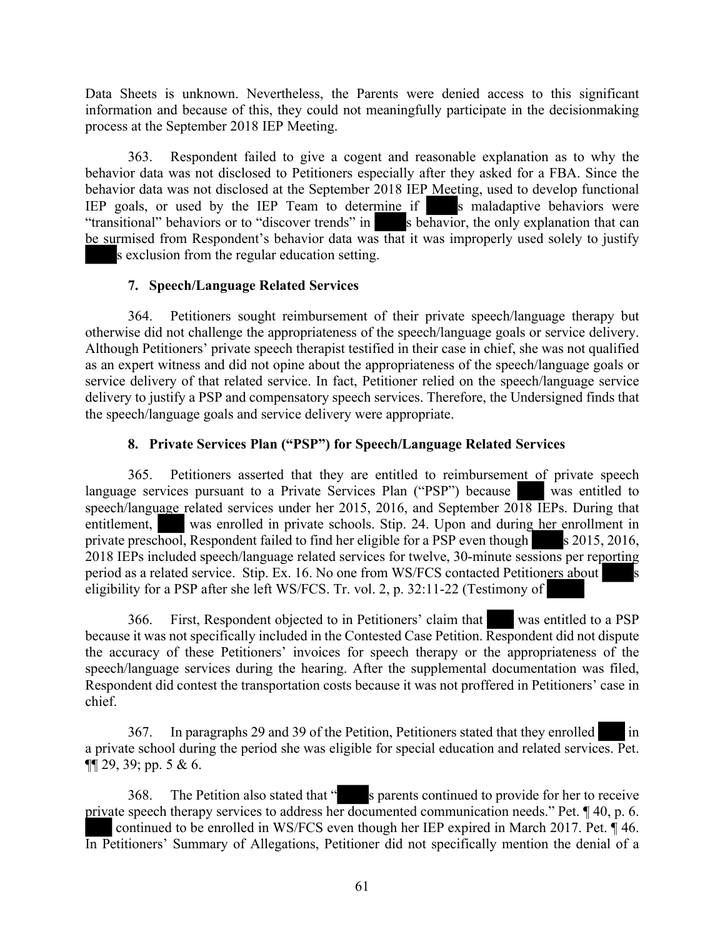Data Sheets is unknown. Nevertheless, the Parents were denied access to this significant information and because of this, they could not meaningfully participate in the decisionmaking process at the September 2018 IEP Meeting.

363. Respondent failed to give a cogent and reasonable explanation as to why the behavior data was not disclosed to Petitioners especially after they asked for a FBA. Since the behavior data was not disclosed at the September 2018 IEP Meeting, used to develop functional IEP goals, or used by the IEP Team to determine if  $\overline{\phantom{a}}$  is maladaptive behaviors were "transitional" behaviors or to "discover trends" in s behavior, the only explanation that can be surmised from Respondent's behavior data was that it was improperly used solely to justify s exclusion from the regular education setting.

# **7. Speech/Language Related Services**

364. Petitioners sought reimbursement of their private speech/language therapy but otherwise did not challenge the appropriateness of the speech/language goals or service delivery. Although Petitioners' private speech therapist testified in their case in chief, she was not qualified as an expert witness and did not opine about the appropriateness of the speech/language goals or service delivery of that related service. In fact, Petitioner relied on the speech/language service delivery to justify a PSP and compensatory speech services. Therefore, the Undersigned finds that the speech/language goals and service delivery were appropriate.

# **8. Private Services Plan ("PSP") for Speech/Language Related Services**

365. Petitioners asserted that they are entitled to reimbursement of private speech language services pursuant to a Private Services Plan ("PSP") because was entitled to speech/language related services under her 2015, 2016, and September 2018 IEPs. During that entitlement, was enrolled in private schools. Stip. 24. Upon and during her enrollment in private preschool, Respondent failed to find her eligible for a PSP even though  $\sim$  s 2015, 2016, 2018 IEPs included speech/language related services for twelve, 30-minute sessions per reporting period as a related service. Stip. Ex. 16. No one from WS/FCS contacted Petitioners about eligibility for a PSP after she left WS/FCS. Tr. vol. 2, p. 32:11-22 (Testimony of

366. First, Respondent objected to in Petitioners' claim that was entitled to a PSP because it was not specifically included in the Contested Case Petition. Respondent did not dispute the accuracy of these Petitioners' invoices for speech therapy or the appropriateness of the speech/language services during the hearing. After the supplemental documentation was filed, Respondent did contest the transportation costs because it was not proffered in Petitioners' case in chief.

367. In paragraphs 29 and 39 of the Petition, Petitioners stated that they enrolled in a private school during the period she was eligible for special education and related services. Pet.  $\P\P$  29, 39; pp. 5 & 6.

368. The Petition also stated that " s parents continued to provide for her to receive private speech therapy services to address her documented communication needs." Pet. ¶ 40, p. 6. continued to be enrolled in WS/FCS even though her IEP expired in March 2017. Pet. ¶ 46. In Petitioners' Summary of Allegations, Petitioner did not specifically mention the denial of a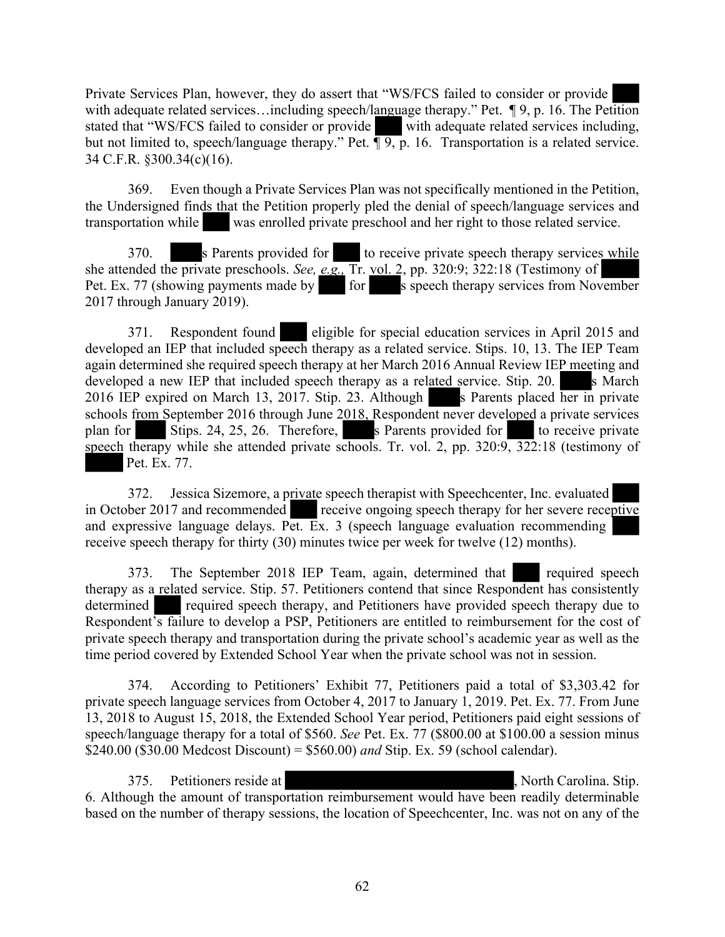Private Services Plan, however, they do assert that "WS/FCS failed to consider or provide with adequate related services...including speech/language therapy." Pet. ¶ 9, p. 16. The Petition stated that "WS/FCS failed to consider or provide with adequate related services including, but not limited to, speech/language therapy." Pet. **[9, p. 16.** Transportation is a related service. 34 C.F.R. §300.34(c)(16).

369. Even though a Private Services Plan was not specifically mentioned in the Petition, the Undersigned finds that the Petition properly pled the denial of speech/language services and transportation while was enrolled private preschool and her right to those related service.

370. s Parents provided for to receive private speech therapy services while she attended the private preschools. *See, e.g.,* Tr. vol. 2, pp. 320:9; 322:18 (Testimony of Pet. Ex. 77 (showing payments made by for s speech therapy services from November 2017 through January 2019).

371. Respondent found eligible for special education services in April 2015 and developed an IEP that included speech therapy as a related service. Stips. 10, 13. The IEP Team again determined she required speech therapy at her March 2016 Annual Review IEP meeting and developed a new IEP that included speech therapy as a related service. Stip.  $20$ . S March 2016 IEP expired on March 13, 2017. Stip. 23. Although s Parents placed her in private schools from September 2016 through June 2018, Respondent never developed a private services plan for Stips. 24, 25, 26. Therefore, s Parents provided for to receive private speech therapy while she attended private schools. Tr. vol. 2, pp. 320:9, 322:18 (testimony of Pet. Ex. 77.

372. Jessica Sizemore, a private speech therapist with Speechcenter, Inc. evaluated in October 2017 and recommended receive ongoing speech therapy for her severe receptive and expressive language delays. Pet. Ex. 3 (speech language evaluation recommending receive speech therapy for thirty (30) minutes twice per week for twelve (12) months).

373. The September 2018 IEP Team, again, determined that required speech therapy as a related service. Stip. 57. Petitioners contend that since Respondent has consistently determined required speech therapy, and Petitioners have provided speech therapy due to Respondent's failure to develop a PSP, Petitioners are entitled to reimbursement for the cost of private speech therapy and transportation during the private school's academic year as well as the time period covered by Extended School Year when the private school was not in session.

374. According to Petitioners' Exhibit 77, Petitioners paid a total of \$3,303.42 for private speech language services from October 4, 2017 to January 1, 2019. Pet. Ex. 77. From June 13, 2018 to August 15, 2018, the Extended School Year period, Petitioners paid eight sessions of speech/language therapy for a total of \$560. *See* Pet. Ex. 77 (\$800.00 at \$100.00 a session minus \$240.00 (\$30.00 Medcost Discount) = \$560.00) *and* Stip. Ex. 59 (school calendar).

375. Petitioners reside at , North Carolina. Stip. 6. Although the amount of transportation reimbursement would have been readily determinable based on the number of therapy sessions, the location of Speechcenter, Inc. was not on any of the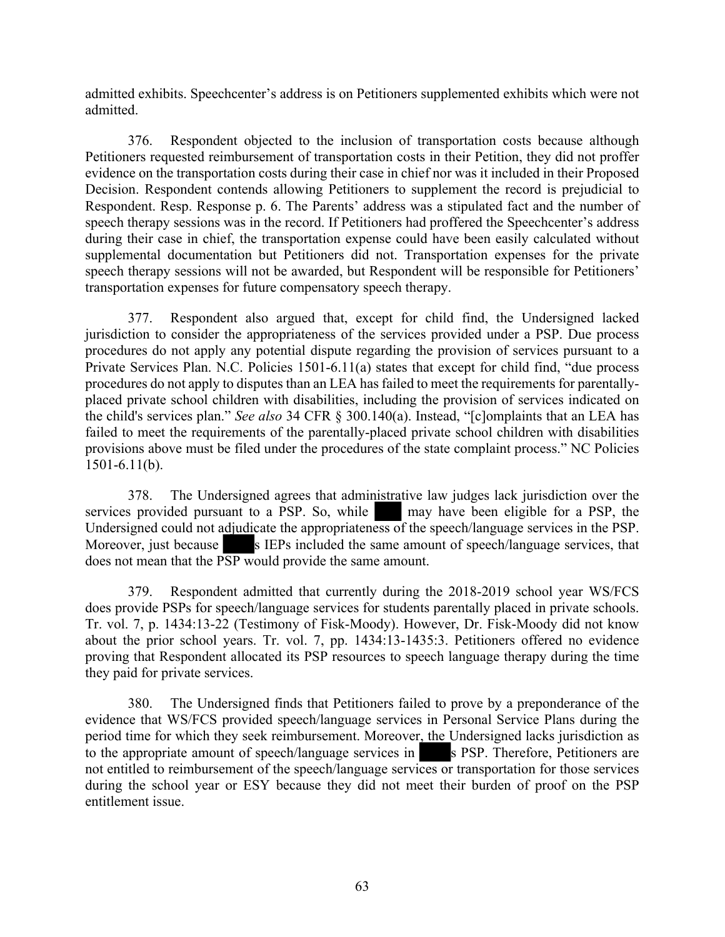admitted exhibits. Speechcenter's address is on Petitioners supplemented exhibits which were not admitted.

376. Respondent objected to the inclusion of transportation costs because although Petitioners requested reimbursement of transportation costs in their Petition, they did not proffer evidence on the transportation costs during their case in chief nor was it included in their Proposed Decision. Respondent contends allowing Petitioners to supplement the record is prejudicial to Respondent. Resp. Response p. 6. The Parents' address was a stipulated fact and the number of speech therapy sessions was in the record. If Petitioners had proffered the Speechcenter's address during their case in chief, the transportation expense could have been easily calculated without supplemental documentation but Petitioners did not. Transportation expenses for the private speech therapy sessions will not be awarded, but Respondent will be responsible for Petitioners' transportation expenses for future compensatory speech therapy.

377. Respondent also argued that, except for child find, the Undersigned lacked jurisdiction to consider the appropriateness of the services provided under a PSP. Due process procedures do not apply any potential dispute regarding the provision of services pursuant to a Private Services Plan. N.C. Policies 1501-6.11(a) states that except for child find, "due process procedures do not apply to disputes than an LEA has failed to meet the requirements for parentallyplaced private school children with disabilities, including the provision of services indicated on the child's services plan." *See also* 34 CFR § 300.140(a). Instead, "[c]omplaints that an LEA has failed to meet the requirements of the parentally-placed private school children with disabilities provisions above must be filed under the procedures of the state complaint process." NC Policies 1501-6.11(b).

378. The Undersigned agrees that administrative law judges lack jurisdiction over the services provided pursuant to a PSP. So, while may have been eligible for a PSP, the Undersigned could not adjudicate the appropriateness of the speech/language services in the PSP. Moreover, just because s IEPs included the same amount of speech/language services, that does not mean that the PSP would provide the same amount.

379. Respondent admitted that currently during the 2018-2019 school year WS/FCS does provide PSPs for speech/language services for students parentally placed in private schools. Tr. vol. 7, p. 1434:13-22 (Testimony of Fisk-Moody). However, Dr. Fisk-Moody did not know about the prior school years. Tr. vol. 7, pp. 1434:13-1435:3. Petitioners offered no evidence proving that Respondent allocated its PSP resources to speech language therapy during the time they paid for private services.

380. The Undersigned finds that Petitioners failed to prove by a preponderance of the evidence that WS/FCS provided speech/language services in Personal Service Plans during the period time for which they seek reimbursement. Moreover, the Undersigned lacks jurisdiction as to the appropriate amount of speech/language services in s PSP. Therefore, Petitioners are not entitled to reimbursement of the speech/language services or transportation for those services during the school year or ESY because they did not meet their burden of proof on the PSP entitlement issue.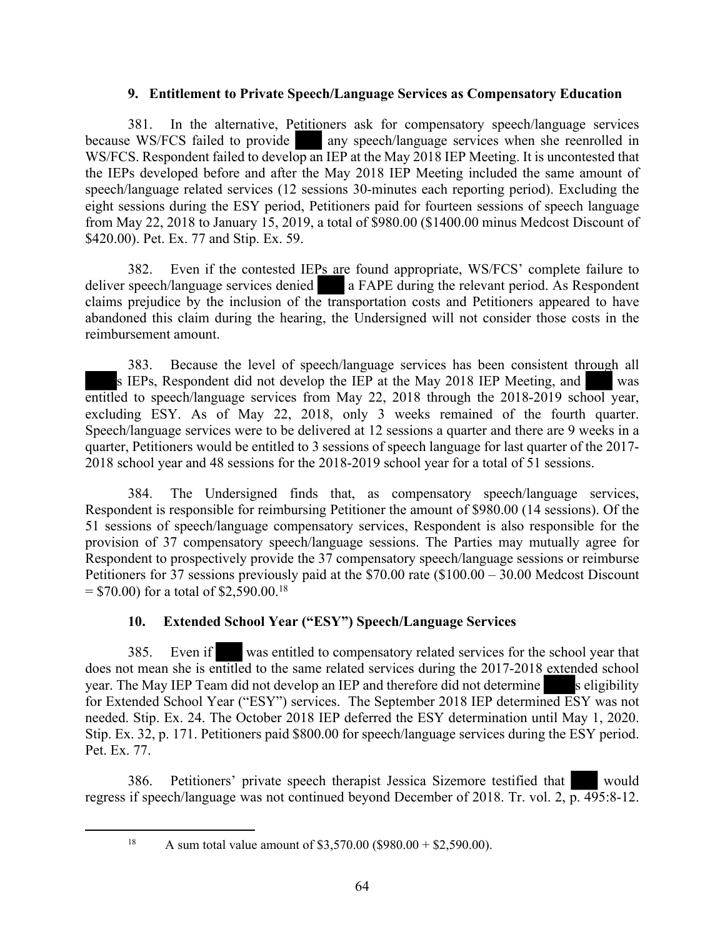#### **9. Entitlement to Private Speech/Language Services as Compensatory Education**

381. In the alternative, Petitioners ask for compensatory speech/language services because WS/FCS failed to provide any speech/language services when she reenrolled in WS/FCS. Respondent failed to develop an IEP at the May 2018 IEP Meeting. It is uncontested that the IEPs developed before and after the May 2018 IEP Meeting included the same amount of speech/language related services (12 sessions 30-minutes each reporting period). Excluding the eight sessions during the ESY period, Petitioners paid for fourteen sessions of speech language from May 22, 2018 to January 15, 2019, a total of \$980.00 (\$1400.00 minus Medcost Discount of \$420.00). Pet. Ex. 77 and Stip. Ex. 59.

382. Even if the contested IEPs are found appropriate, WS/FCS' complete failure to deliver speech/language services denied a FAPE during the relevant period. As Respondent claims prejudice by the inclusion of the transportation costs and Petitioners appeared to have abandoned this claim during the hearing, the Undersigned will not consider those costs in the reimbursement amount.

383. Because the level of speech/language services has been consistent through all s IEPs, Respondent did not develop the IEP at the May 2018 IEP Meeting, and was entitled to speech/language services from May 22, 2018 through the 2018-2019 school year, excluding ESY. As of May 22, 2018, only 3 weeks remained of the fourth quarter. Speech/language services were to be delivered at 12 sessions a quarter and there are 9 weeks in a quarter, Petitioners would be entitled to 3 sessions of speech language for last quarter of the 2017- 2018 school year and 48 sessions for the 2018-2019 school year for a total of 51 sessions.

384. The Undersigned finds that, as compensatory speech/language services, Respondent is responsible for reimbursing Petitioner the amount of \$980.00 (14 sessions). Of the 51 sessions of speech/language compensatory services, Respondent is also responsible for the provision of 37 compensatory speech/language sessions. The Parties may mutually agree for Respondent to prospectively provide the 37 compensatory speech/language sessions or reimburse Petitioners for 37 sessions previously paid at the \$70.00 rate (\$100.00 – 30.00 Medcost Discount  $=$  \$70.00) for a total of \$2,590.00.<sup>18</sup>

# **10. Extended School Year ("ESY") Speech/Language Services**

385. Even if was entitled to compensatory related services for the school year that does not mean she is entitled to the same related services during the 2017-2018 extended school year. The May IEP Team did not develop an IEP and therefore did not determine s eligibility for Extended School Year ("ESY") services. The September 2018 IEP determined ESY was not needed. Stip. Ex. 24. The October 2018 IEP deferred the ESY determination until May 1, 2020. Stip. Ex. 32, p. 171. Petitioners paid \$800.00 for speech/language services during the ESY period. Pet. Ex. 77.

386. Petitioners' private speech therapist Jessica Sizemore testified that would regress if speech/language was not continued beyond December of 2018. Tr. vol. 2, p. 495:8-12.

<sup>&</sup>lt;sup>18</sup> A sum total value amount of \$3,570.00 (\$980.00 + \$2,590.00).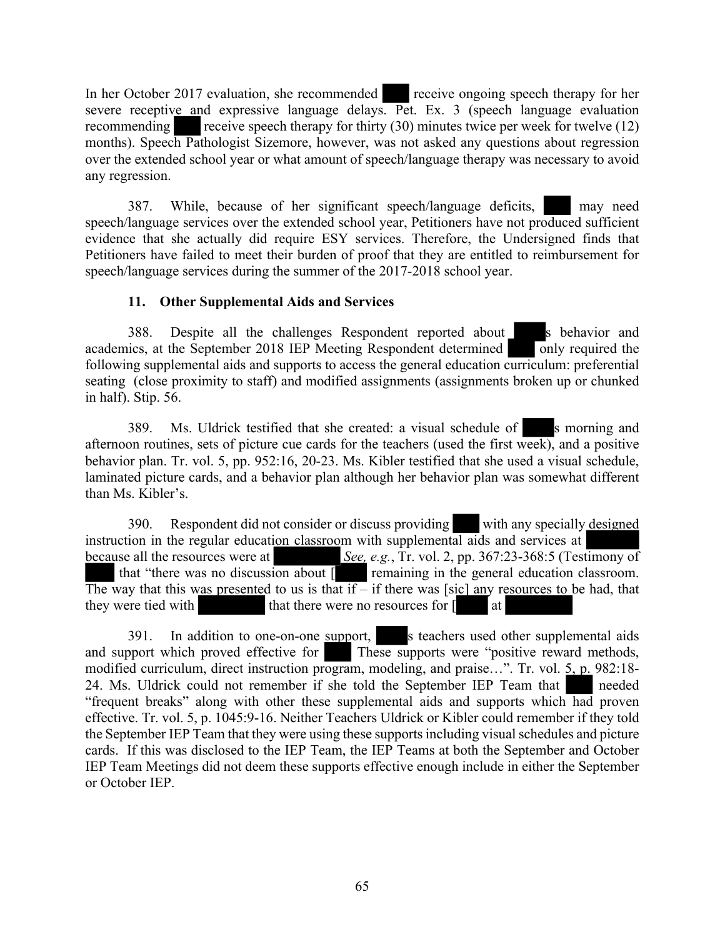In her October 2017 evaluation, she recommended receive ongoing speech therapy for her severe receptive and expressive language delays. Pet. Ex. 3 (speech language evaluation recommending receive speech therapy for thirty (30) minutes twice per week for twelve (12) months). Speech Pathologist Sizemore, however, was not asked any questions about regression over the extended school year or what amount of speech/language therapy was necessary to avoid any regression.

387. While, because of her significant speech/language deficits, may need speech/language services over the extended school year, Petitioners have not produced sufficient evidence that she actually did require ESY services. Therefore, the Undersigned finds that Petitioners have failed to meet their burden of proof that they are entitled to reimbursement for speech/language services during the summer of the 2017-2018 school year.

# **11. Other Supplemental Aids and Services**

388. Despite all the challenges Respondent reported about s behavior and academics, at the September 2018 IEP Meeting Respondent determined  $\Box$  only required the following supplemental aids and supports to access the general education curriculum: preferential seating (close proximity to staff) and modified assignments (assignments broken up or chunked in half). Stip. 56.

389. Ms. Uldrick testified that she created: a visual schedule of s morning and afternoon routines, sets of picture cue cards for the teachers (used the first week), and a positive behavior plan. Tr. vol. 5, pp. 952:16, 20-23. Ms. Kibler testified that she used a visual schedule, laminated picture cards, and a behavior plan although her behavior plan was somewhat different than Ms. Kibler's.

390. Respondent did not consider or discuss providing with any specially designed instruction in the regular education classroom with supplemental aids and services at because all the resources were at *See, e.g.*, Tr. vol. 2, pp. 367:23-368:5 (Testimony of that "there was no discussion about [ remaining in the general education classroom. The way that this was presented to us is that  $if - if$  there was [sic] any resources to be had, that they were tied with that there were no resources for  $\int$  at

391. In addition to one-on-one support, s teachers used other supplemental aids and support which proved effective for These supports were "positive reward methods, modified curriculum, direct instruction program, modeling, and praise…". Tr. vol. 5, p. 982:18- 24. Ms. Uldrick could not remember if she told the September IEP Team that needed "frequent breaks" along with other these supplemental aids and supports which had proven effective. Tr. vol. 5, p. 1045:9-16. Neither Teachers Uldrick or Kibler could remember if they told the September IEP Team that they were using these supports including visual schedules and picture cards. If this was disclosed to the IEP Team, the IEP Teams at both the September and October IEP Team Meetings did not deem these supports effective enough include in either the September or October IEP.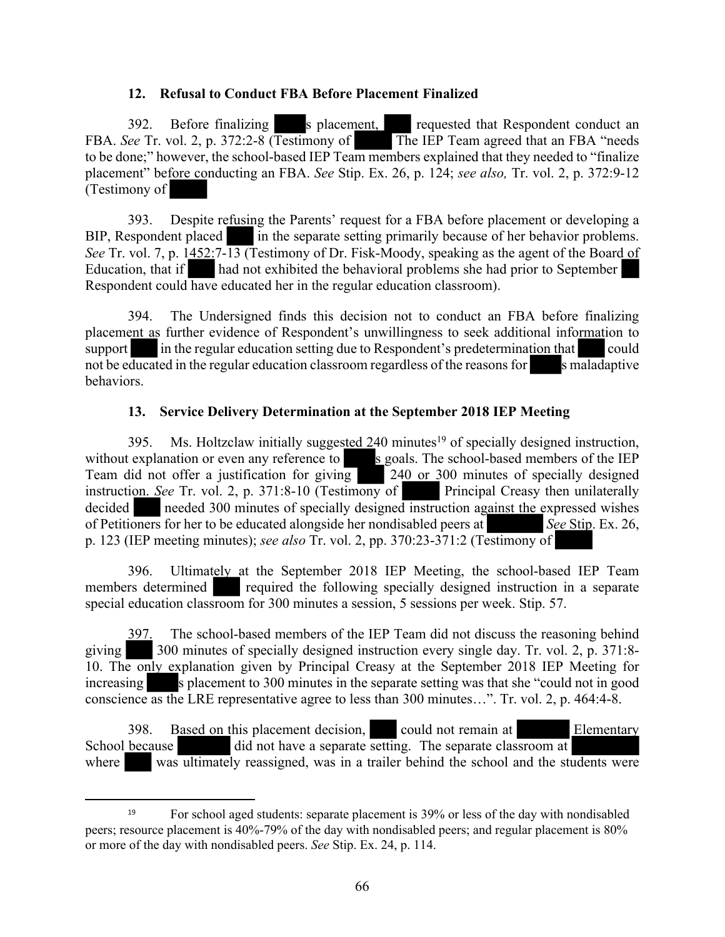# **12. Refusal to Conduct FBA Before Placement Finalized**

392. Before finalizing s placement, requested that Respondent conduct an FBA. *See* Tr. vol. 2, p. 372:2-8 (Testimony of The IEP Team agreed that an FBA "needs" to be done;" however, the school-based IEP Team members explained that they needed to "finalize placement" before conducting an FBA. *See* Stip. Ex. 26, p. 124; *see also,* Tr. vol. 2, p. 372:9-12 (Testimony of

393. Despite refusing the Parents' request for a FBA before placement or developing a BIP, Respondent placed in the separate setting primarily because of her behavior problems. *See* Tr. vol. 7, p. 1452:7-13 (Testimony of Dr. Fisk-Moody, speaking as the agent of the Board of Education, that if and not exhibited the behavioral problems she had prior to September had not exhibited the behavioral problems she had prior to September Respondent could have educated her in the regular education classroom).

394. The Undersigned finds this decision not to conduct an FBA before finalizing placement as further evidence of Respondent's unwillingness to seek additional information to support in the regular education setting due to Respondent's predetermination that could not be educated in the regular education classroom regardless of the reasons for s maladaptive behaviors.

#### **13. Service Delivery Determination at the September 2018 IEP Meeting**

395. Ms. Holtzclaw initially suggested 240 minutes<sup>19</sup> of specially designed instruction, without explanation or even any reference to  $s$  goals. The school-based members of the IEP Team did not offer a justification for giving 240 or 300 minutes of specially designed instruction. *See* Tr. vol. 2, p. 371:8-10 (Testimony of Principal Creasy then unilaterally decided needed 300 minutes of specially designed instruction against the expressed wishes of Petitioners for her to be educated alongside her nondisabled peers at *See* Stip. Ex. 26, p. 123 (IEP meeting minutes); *see also* Tr. vol. 2, pp. 370:23-371:2 (Testimony of

396. Ultimately at the September 2018 IEP Meeting, the school-based IEP Team members determined required the following specially designed instruction in a separate special education classroom for 300 minutes a session, 5 sessions per week. Stip. 57.

397. The school-based members of the IEP Team did not discuss the reasoning behind giving 300 minutes of specially designed instruction every single day. Tr. vol. 2, p. 371:8- 10. The only explanation given by Principal Creasy at the September 2018 IEP Meeting for increasing s placement to 300 minutes in the separate setting was that she "could not in good conscience as the LRE representative agree to less than 300 minutes…". Tr. vol. 2, p. 464:4-8.

398. Based on this placement decision, could not remain at Elementary School because did not have a separate setting. The separate classroom at where was ultimately reassigned, was in a trailer behind the school and the students were

<sup>19</sup> For school aged students: separate placement is 39% or less of the day with nondisabled peers; resource placement is 40%-79% of the day with nondisabled peers; and regular placement is 80% or more of the day with nondisabled peers. *See* Stip. Ex. 24, p. 114.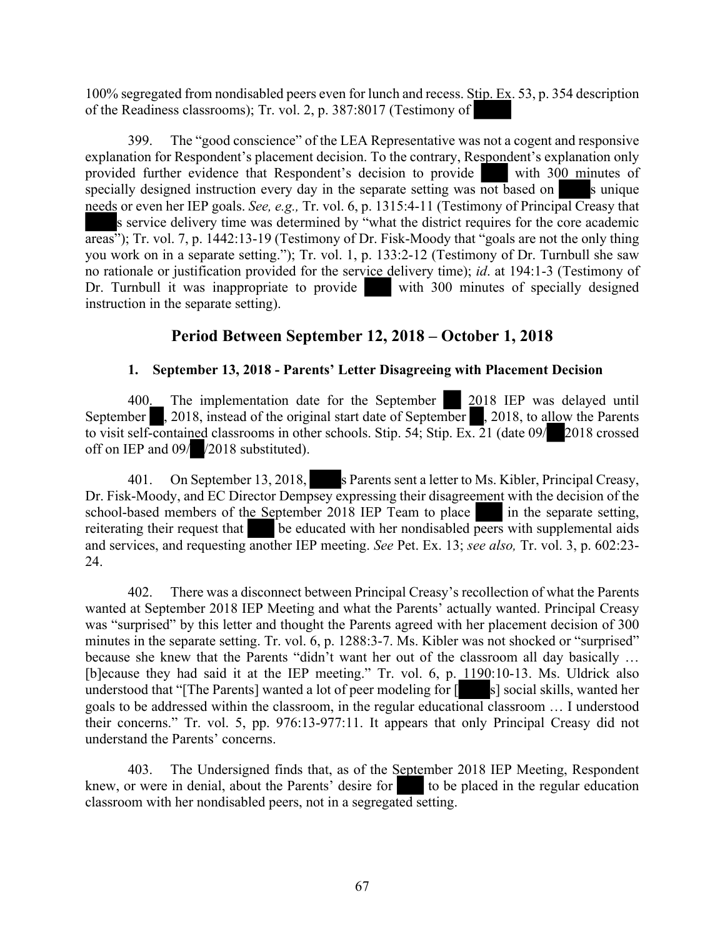100% segregated from nondisabled peers even for lunch and recess. Stip. Ex. 53, p. 354 description of the Readiness classrooms); Tr. vol. 2, p. 387:8017 (Testimony of

399. The "good conscience" of the LEA Representative was not a cogent and responsive explanation for Respondent's placement decision. To the contrary, Respondent's explanation only provided further evidence that Respondent's decision to provide with 300 minutes of specially designed instruction every day in the separate setting was not based on s unique needs or even her IEP goals. *See, e.g.,* Tr. vol. 6, p. 1315:4-11 (Testimony of Principal Creasy that s service delivery time was determined by "what the district requires for the core academic areas"); Tr. vol. 7, p. 1442:13-19 (Testimony of Dr. Fisk-Moody that "goals are not the only thing you work on in a separate setting."); Tr. vol. 1, p. 133:2-12 (Testimony of Dr. Turnbull she saw no rationale or justification provided for the service delivery time); *id*. at 194:1-3 (Testimony of Dr. Turnbull it was inappropriate to provide with 300 minutes of specially designed instruction in the separate setting).

# **Period Between September 12, 2018 – October 1, 2018**

# **1. September 13, 2018 - Parents' Letter Disagreeing with Placement Decision**

400. The implementation date for the September 2018 IEP was delayed until September , 2018, instead of the original start date of September , 2018, to allow the Parents to visit self-contained classrooms in other schools. Stip. 54; Stip. Ex. 21 (date 09/ 2018 crossed off on IEP and 09/ /2018 substituted).

401. On September 13, 2018, s Parents sent a letter to Ms. Kibler, Principal Creasy, Dr. Fisk-Moody, and EC Director Dempsey expressing their disagreement with the decision of the school-based members of the September 2018 IEP Team to place in the separate setting, reiterating their request that be educated with her nondisabled peers with supplemental aids and services, and requesting another IEP meeting. *See* Pet. Ex. 13; *see also,* Tr. vol. 3, p. 602:23- 24.

402. There was a disconnect between Principal Creasy's recollection of what the Parents wanted at September 2018 IEP Meeting and what the Parents' actually wanted. Principal Creasy was "surprised" by this letter and thought the Parents agreed with her placement decision of 300 minutes in the separate setting. Tr. vol. 6, p. 1288:3-7. Ms. Kibler was not shocked or "surprised" because she knew that the Parents "didn't want her out of the classroom all day basically … [b]ecause they had said it at the IEP meeting." Tr. vol. 6, p. 1190:10-13. Ms. Uldrick also understood that "[The Parents] wanted a lot of peer modeling for  $\lceil \cdot \cdot \cdot \rceil$  s] social skills, wanted her goals to be addressed within the classroom, in the regular educational classroom … I understood their concerns." Tr. vol. 5, pp. 976:13-977:11. It appears that only Principal Creasy did not understand the Parents' concerns.

403. The Undersigned finds that, as of the September 2018 IEP Meeting, Respondent knew, or were in denial, about the Parents' desire for to be placed in the regular education classroom with her nondisabled peers, not in a segregated setting.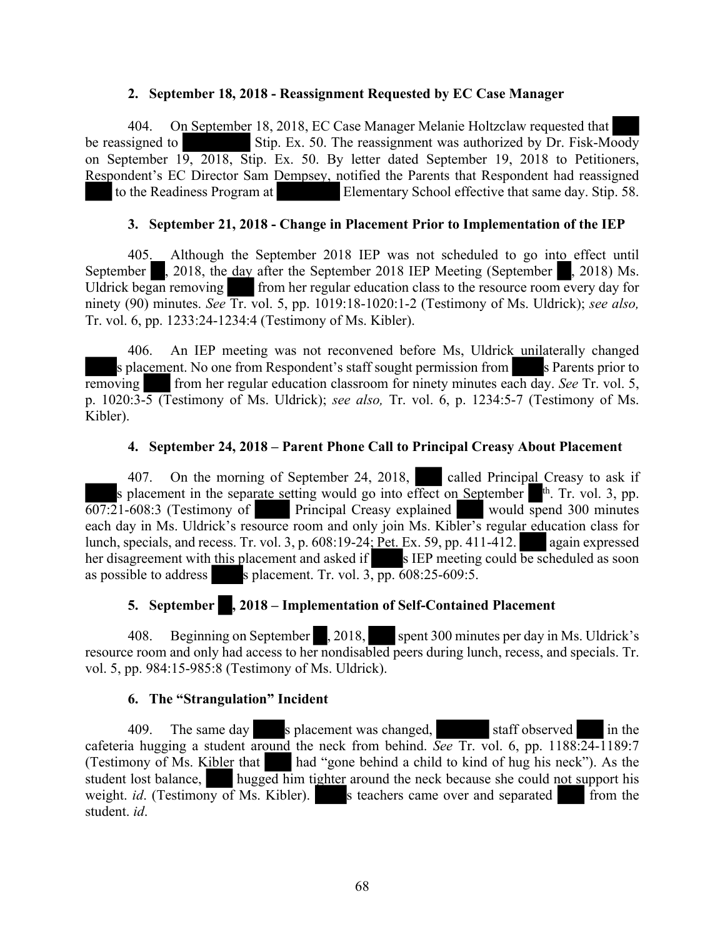#### **2. September 18, 2018 - Reassignment Requested by EC Case Manager**

404. On September 18, 2018, EC Case Manager Melanie Holtzclaw requested that be reassigned to Stip. Ex. 50. The reassignment was authorized by Dr. Fisk-Moody on September 19, 2018, Stip. Ex. 50. By letter dated September 19, 2018 to Petitioners, Respondent's EC Director Sam Dempsey, notified the Parents that Respondent had reassigned to the Readiness Program at Elementary School effective that same day. Stip. 58.

#### **3. September 21, 2018 - Change in Placement Prior to Implementation of the IEP**

405. Although the September 2018 IEP was not scheduled to go into effect until September  $\blacksquare$ , 2018, the day after the September 2018 IEP Meeting (September  $\blacksquare$ , 2018) Ms. Uldrick began removing from her regular education class to the resource room every day for ninety (90) minutes. *See* Tr. vol. 5, pp. 1019:18-1020:1-2 (Testimony of Ms. Uldrick); *see also,* Tr. vol. 6, pp. 1233:24-1234:4 (Testimony of Ms. Kibler).

406. An IEP meeting was not reconvened before Ms, Uldrick unilaterally changed s placement. No one from Respondent's staff sought permission from s Parents prior to removing from her regular education classroom for ninety minutes each day. *See* Tr. vol. 5, p. 1020:3-5 (Testimony of Ms. Uldrick); *see also,* Tr. vol. 6, p. 1234:5-7 (Testimony of Ms. Kibler).

#### **4. September 24, 2018 – Parent Phone Call to Principal Creasy About Placement**

407. On the morning of September 24, 2018, called Principal Creasy to ask if s placement in the separate setting would go into effect on September  $\mathbb{I}^{\text{th}}$ . Tr. vol. 3, pp. 607:21-608:3 (Testimony of Principal Creasy explained would spend 300 minutes each day in Ms. Uldrick's resource room and only join Ms. Kibler's regular education class for lunch, specials, and recess. Tr. vol. 3, p. 608:19-24; Pet. Ex. 59, pp. 411-412. again expressed her disagreement with this placement and asked if s IEP meeting could be scheduled as soon as possible to address s placement. Tr. vol.  $3, pp. 608:25-609:5$ .

# **5. September , 2018 – Implementation of Self-Contained Placement**

408. Beginning on September , 2018, spent 300 minutes per day in Ms. Uldrick's resource room and only had access to her nondisabled peers during lunch, recess, and specials. Tr. vol. 5, pp. 984:15-985:8 (Testimony of Ms. Uldrick).

#### **6. The "Strangulation" Incident**

409. The same day s placement was changed, staff observed in the cafeteria hugging a student around the neck from behind. *See* Tr. vol. 6, pp. 1188:24-1189:7<br>(Testimony of Ms. Kibler that had "gone behind a child to kind of hug his neck"). As the had "gone behind a child to kind of hug his neck"). As the student lost balance, hugged him tighter around the neck because she could not support his weight. *id.* (Testimony of Ms. Kibler). s teachers came over and separated from the student. *id*.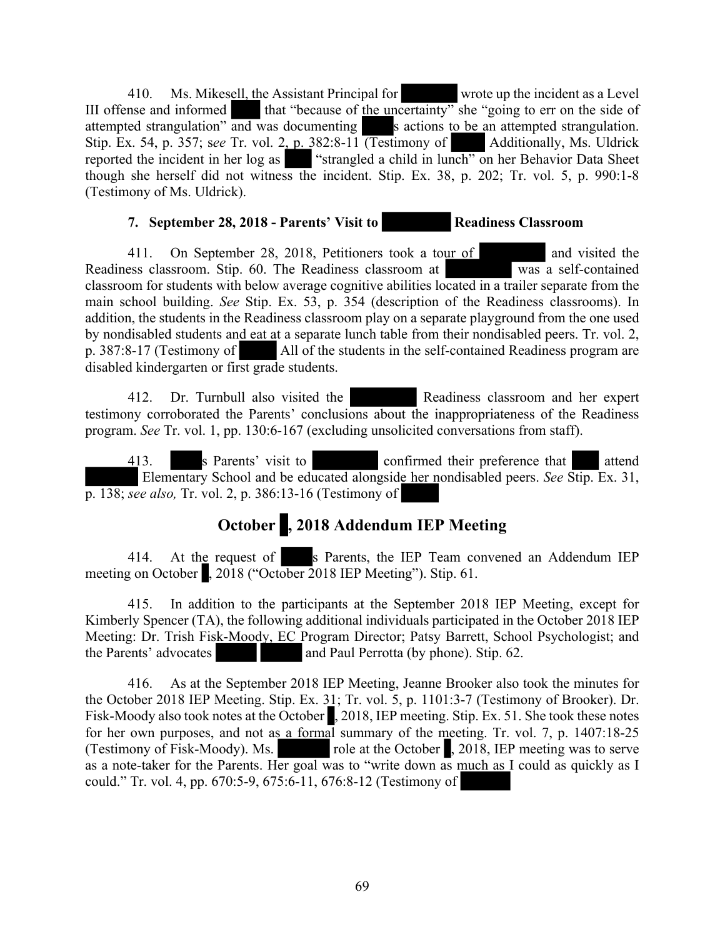410. Ms. Mikesell, the Assistant Principal for wrote up the incident as a Level III offense and informed that "because of the uncertainty" she "going to err on the side of attempted strangulation" and was documenting s actions to be an attempted strangulation. Stip. Ex. 54, p. 357; see Tr. vol. 2, p. 382:8-11 (Testimony of Additionally, Ms. Uldrick reported the incident in her log as "strangled a child in lunch" on her Behavior Data Sheet though she herself did not witness the incident. Stip. Ex. 38, p. 202; Tr. vol. 5, p. 990:1-8 (Testimony of Ms. Uldrick).

# **7. September 28, 2018 - Parents' Visit to Readiness Classroom**

411. On September 28, 2018, Petitioners took a tour of and visited the Readiness classroom. Stip. 60. The Readiness classroom at was a self-contained classroom for students with below average cognitive abilities located in a trailer separate from the main school building. *See* Stip. Ex. 53, p. 354 (description of the Readiness classrooms). In addition, the students in the Readiness classroom play on a separate playground from the one used by nondisabled students and eat at a separate lunch table from their nondisabled peers. Tr. vol. 2, p. 387:8-17 (Testimony of All of the students in the self-contained Readiness program are disabled kindergarten or first grade students.

412. Dr. Turnbull also visited the Readiness classroom and her expert testimony corroborated the Parents' conclusions about the inappropriateness of the Readiness program. *See* Tr. vol. 1, pp. 130:6-167 (excluding unsolicited conversations from staff).

413. s Parents' visit to confirmed their preference that attend Elementary School and be educated alongside her nondisabled peers. *See* Stip. Ex. 31, p. 138; *see also,* Tr. vol. 2, p. 386:13-16 (Testimony of

# **October , 2018 Addendum IEP Meeting**

414. At the request of s Parents, the IEP Team convened an Addendum IEP meeting on October , 2018 ("October 2018 IEP Meeting"). Stip. 61.

415. In addition to the participants at the September 2018 IEP Meeting, except for Kimberly Spencer (TA), the following additional individuals participated in the October 2018 IEP Meeting: Dr. Trish Fisk-Moody, EC Program Director; Patsy Barrett, School Psychologist; and the Parents' advocates and Paul Perrotta (by phone). Stip. 62.

416. As at the September 2018 IEP Meeting, Jeanne Brooker also took the minutes for the October 2018 IEP Meeting. Stip. Ex. 31; Tr. vol. 5, p. 1101:3-7 (Testimony of Brooker). Dr. Fisk-Moody also took notes at the October , 2018, IEP meeting. Stip. Ex. 51. She took these notes for her own purposes, and not as a formal summary of the meeting. Tr. vol. 7, p. 1407:18-25 (Testimony of Fisk-Moody). Ms. role at the October , 2018, IEP meeting was to serve as a note-taker for the Parents. Her goal was to "write down as much as I could as quickly as I could." Tr. vol. 4, pp. 670:5-9, 675:6-11, 676:8-12 (Testimony of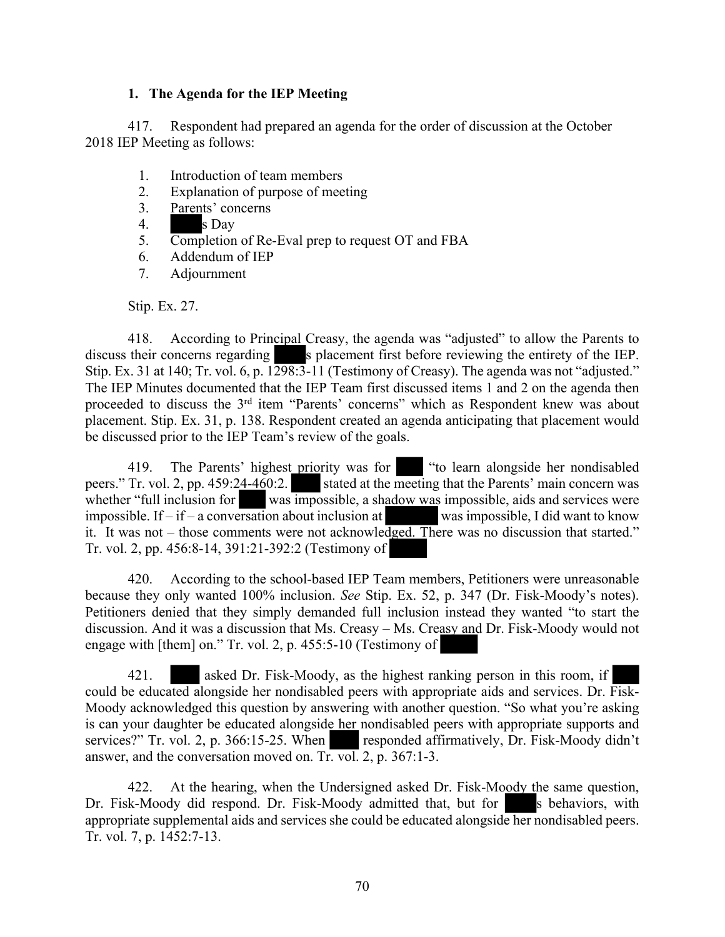#### **1. The Agenda for the IEP Meeting**

417. Respondent had prepared an agenda for the order of discussion at the October 2018 IEP Meeting as follows:

- 1. Introduction of team members
- 2. Explanation of purpose of meeting
- 3. Parents' concerns
- 4. s Day
- 5. Completion of Re-Eval prep to request OT and FBA
- 6. Addendum of IEP
- 7. Adjournment

Stip. Ex. 27.

418. According to Principal Creasy, the agenda was "adjusted" to allow the Parents to discuss their concerns regarding s placement first before reviewing the entirety of the IEP. Stip. Ex. 31 at 140; Tr. vol. 6, p. 1298:3-11 (Testimony of Creasy). The agenda was not "adjusted." The IEP Minutes documented that the IEP Team first discussed items 1 and 2 on the agenda then proceeded to discuss the 3<sup>rd</sup> item "Parents' concerns" which as Respondent knew was about placement. Stip. Ex. 31, p. 138. Respondent created an agenda anticipating that placement would be discussed prior to the IEP Team's review of the goals.

419. The Parents' highest priority was for "to learn alongside her nondisabled peers." Tr. vol. 2, pp. 459:24-460:2. stated at the meeting that the Parents' main concern was whether "full inclusion for was impossible, a shadow was impossible, aids and services were impossible. If  $-$  if  $-$  a conversation about inclusion at was impossible, I did want to know it. It was not – those comments were not acknowledged. There was no discussion that started." Tr. vol. 2, pp. 456:8-14, 391:21-392:2 (Testimony of

420. According to the school-based IEP Team members, Petitioners were unreasonable because they only wanted 100% inclusion. *See* Stip. Ex. 52, p. 347 (Dr. Fisk-Moody's notes). Petitioners denied that they simply demanded full inclusion instead they wanted "to start the discussion. And it was a discussion that Ms. Creasy – Ms. Creasy and Dr. Fisk-Moody would not engage with [them] on." Tr. vol. 2, p. 455:5-10 (Testimony of

421. asked Dr. Fisk-Moody, as the highest ranking person in this room, if could be educated alongside her nondisabled peers with appropriate aids and services. Dr. Fisk-Moody acknowledged this question by answering with another question. "So what you're asking is can your daughter be educated alongside her nondisabled peers with appropriate supports and services?" Tr. vol. 2, p. 366:15-25. When responded affirmatively, Dr. Fisk-Moody didn't answer, and the conversation moved on. Tr. vol. 2, p. 367:1-3.

422. At the hearing, when the Undersigned asked Dr. Fisk-Moody the same question, Dr. Fisk-Moody did respond. Dr. Fisk-Moody admitted that, but for s behaviors, with appropriate supplemental aids and services she could be educated alongside her nondisabled peers. Tr. vol. 7, p. 1452:7-13.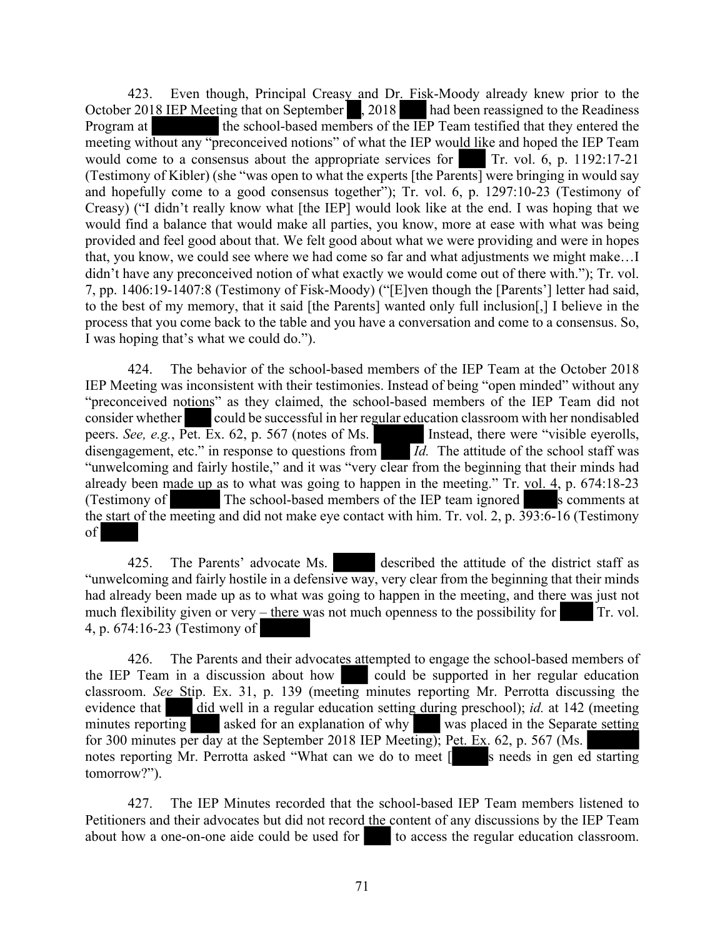423. Even though, Principal Creasy and Dr. Fisk-Moody already knew prior to the October 2018 IEP Meeting that on September , 2018 had been reassigned to the Readiness Program at the school-based members of the IEP Team testified that they entered the meeting without any "preconceived notions" of what the IEP would like and hoped the IEP Team would come to a consensus about the appropriate services for Tr. vol. 6, p. 1192:17-21 (Testimony of Kibler) (she "was open to what the experts [the Parents] were bringing in would say and hopefully come to a good consensus together"); Tr. vol. 6, p. 1297:10-23 (Testimony of Creasy) ("I didn't really know what [the IEP] would look like at the end. I was hoping that we would find a balance that would make all parties, you know, more at ease with what was being provided and feel good about that. We felt good about what we were providing and were in hopes that, you know, we could see where we had come so far and what adjustments we might make…I didn't have any preconceived notion of what exactly we would come out of there with."); Tr. vol. 7, pp. 1406:19-1407:8 (Testimony of Fisk-Moody) ("[E]ven though the [Parents'] letter had said, to the best of my memory, that it said [the Parents] wanted only full inclusion[,] I believe in the process that you come back to the table and you have a conversation and come to a consensus. So, I was hoping that's what we could do.").

424. The behavior of the school-based members of the IEP Team at the October 2018 IEP Meeting was inconsistent with their testimonies. Instead of being "open minded" without any "preconceived notions" as they claimed, the school-based members of the IEP Team did not consider whether could be successful in her regular education classroom with her nondisabled peers. *See, e.g.*, Pet. Ex. 62, p. 567 (notes of Ms. Instead, there were "visible eyerolls, disengagement, etc." in response to questions from *Id.* The attitude of the school staff was "unwelcoming and fairly hostile," and it was "very clear from the beginning that their minds had already been made up as to what was going to happen in the meeting." Tr. vol. 4, p. 674:18-23 (Testimony of The school-based members of the IEP team ignored s comments at the start of the meeting and did not make eye contact with him. Tr. vol. 2, p. 393:6-16 (Testimony of

425. The Parents' advocate Ms. described the attitude of the district staff as "unwelcoming and fairly hostile in a defensive way, very clear from the beginning that their minds had already been made up as to what was going to happen in the meeting, and there was just not much flexibility given or very  $\frac{-\text{there was not much openness to the possibility for}}{Tr}$ . Tr. vol. 4, p. 674:16-23 (Testimony of

426. The Parents and their advocates attempted to engage the school-based members of the IEP Team in a discussion about how could be supported in her regular education classroom. *See* Stip. Ex. 31, p. 139 (meeting minutes reporting Mr. Perrotta discussing the evidence that did well in a regular education setting during preschool); *id.* at 142 (meeting minutes reporting asked for an explanation of why was placed in the Separate setting for 300 minutes per day at the September 2018 IEP Meeting); Pet. Ex. 62, p. 567 (Ms. notes reporting Mr. Perrotta asked "What can we do to meet [see needs in gen ed starting tomorrow?").

427. The IEP Minutes recorded that the school-based IEP Team members listened to Petitioners and their advocates but did not record the content of any discussions by the IEP Team about how a one-on-one aide could be used for to access the regular education classroom.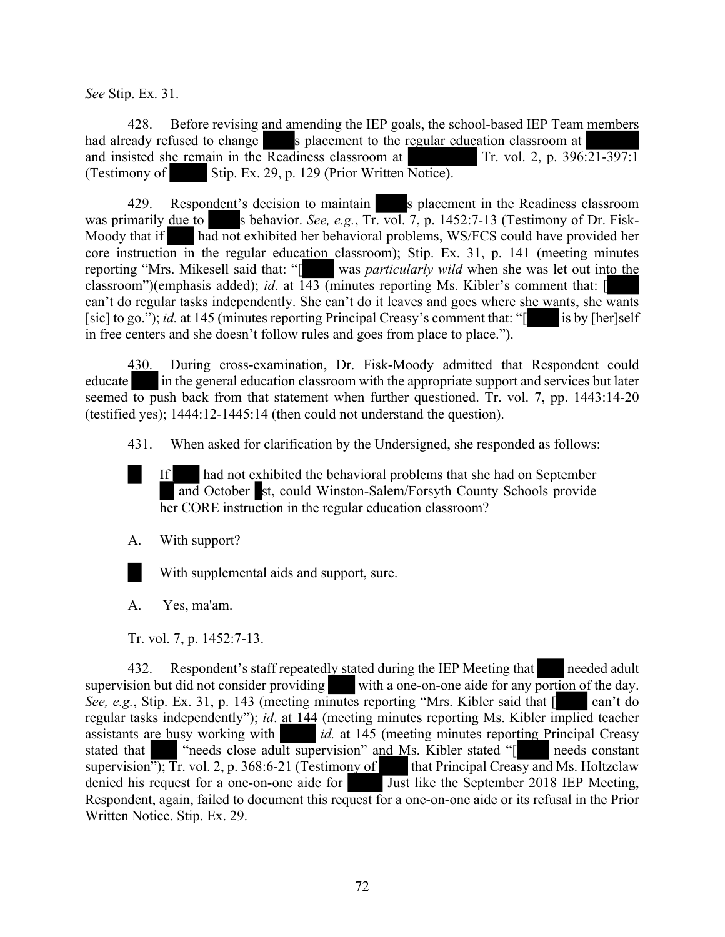*See* Stip. Ex. 31.

428. Before revising and amending the IEP goals, the school-based IEP Team members had already refused to change s placement to the regular education classroom at and insisted she remain in the Readiness classroom at Tr. vol. 2, p. 396:21-397:1 (Testimony of Stip. Ex. 29, p. 129 (Prior Written Notice).

429. Respondent's decision to maintain s placement in the Readiness classroom was primarily due to s behavior. *See, e.g.*, Tr. vol. 7, p. 1452:7-13 (Testimony of Dr. Fisk-Moody that if had not exhibited her behavioral problems, WS/FCS could have provided her core instruction in the regular education classroom); Stip. Ex. 31, p. 141 (meeting minutes reporting "Mrs. Mikesell said that: "[ was *particularly wild* when she was let out into the classroom")(emphasis added); *id.* at  $143$  (minutes reporting Ms. Kibler's comment that: [ can't do regular tasks independently. She can't do it leaves and goes where she wants, she wants [sic] to go."); *id.* at 145 (minutes reporting Principal Creasy's comment that: "[is by [her]self in free centers and she doesn't follow rules and goes from place to place.").

430. During cross-examination, Dr. Fisk-Moody admitted that Respondent could educate in the general education classroom with the appropriate support and services but later seemed to push back from that statement when further questioned. Tr. vol. 7, pp.  $1443:14-20$ (testified yes); 1444:12-1445:14 (then could not understand the question).

431. When asked for clarification by the Undersigned, she responded as follows:

If had not exhibited the behavioral problems that she had on September and October st, could Winston-Salem/Forsyth County Schools provide her CORE instruction in the regular education classroom?

A. With support?

With supplemental aids and support, sure.

A. Yes, ma'am.

Tr. vol. 7, p. 1452:7-13.

432. Respondent's staff repeatedly stated during the IEP Meeting that needed adult supervision but did not consider providing with a one-on-one aide for any portion of the day. *See, e.g.*, Stip. Ex. 31, p. 143 (meeting minutes reporting "Mrs. Kibler said that  $\lceil \cdot \cdot \cdot \rceil$  can't do regular tasks independently"); *id*. at 144 (meeting minutes reporting Ms. Kibler implied teacher assistants are busy working with *id.* at 145 (meeting minutes reporting Principal Creasy stated that wheeds close adult supervision" and Ms. Kibler stated "[ needs constant supervision");  $\overline{T}r$ , vol. 2, p. 368:6-21 (Testimony of that Principal Creasy and Ms. Holtzclaw denied his request for a one-on-one aide for Just like the September 2018 IEP Meeting, Respondent, again, failed to document this request for a one-on-one aide or its refusal in the Prior Written Notice. Stip. Ex. 29.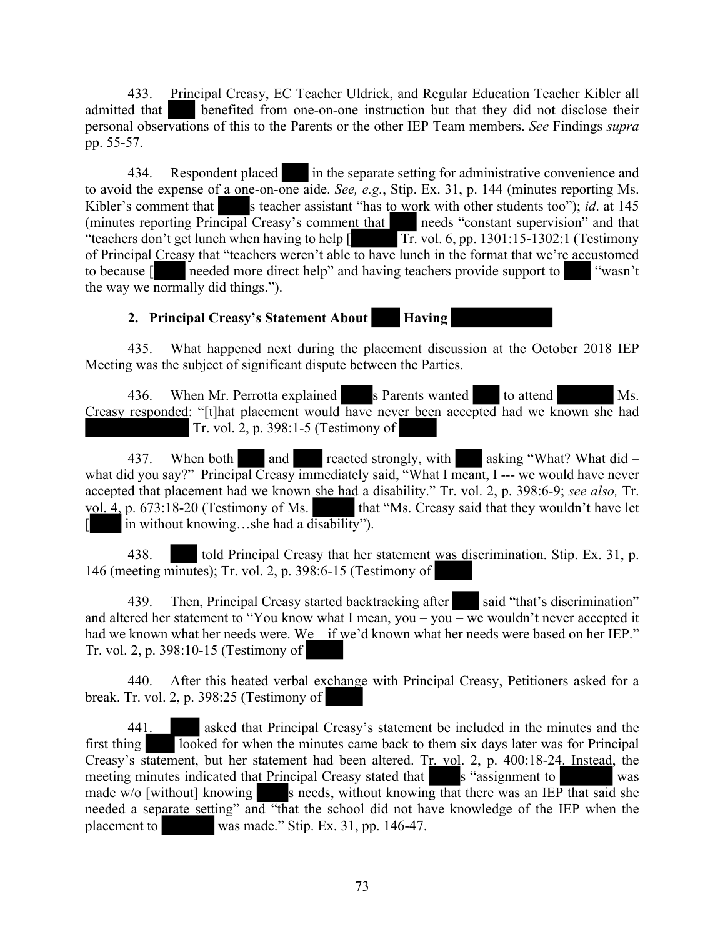433. Principal Creasy, EC Teacher Uldrick, and Regular Education Teacher Kibler all admitted that benefited from one-on-one instruction but that they did not disclose their personal observations of this to the Parents or the other IEP Team members. *See* Findings *supra* pp. 55-57.

434. Respondent placed in the separate setting for administrative convenience and to avoid the expense of a one-on-one aide. *See, e.g.*, Stip. Ex. 31, p. 144 (minutes reporting Ms. Kibler's comment that s teacher assistant "has to work with other students too"); *id*. at 145 (minutes reporting Principal Creasy's comment that needs "constant supervision" and that "teachers don't get lunch when having to help  $\sqrt{\text{Tr}}$  vol. 6, pp. 1301:15-1302:1 (Testimony of Principal Creasy that "teachers weren't able to have lunch in the format that we're accustomed to because [ needed more direct help" and having teachers provide support to "wasn't the way we normally did things.").

### **2. Principal Creasy's Statement About Having**

435. What happened next during the placement discussion at the October 2018 IEP Meeting was the subject of significant dispute between the Parties.

436. When Mr. Perrotta explained s Parents wanted to attend Ms. Creasy responded: "[t]hat placement would have never been accepted had we known she had Tr. vol. 2, p. 398:1-5 (Testimony of

437. When both and reacted strongly, with asking "What? What did – what did you say?" Principal Creasy immediately said, "What I meant, I --- we would have never accepted that placement had we known she had a disability." Tr. vol. 2, p. 398:6-9; *see also,* Tr. vol. 4, p. 673:18-20 (Testimony of Ms. that "Ms. Creasy said that they wouldn't have let [ in without knowing…she had a disability").

438. told Principal Creasy that her statement was discrimination. Stip. Ex. 31, p. 146 (meeting minutes); Tr. vol. 2, p. 398:6-15 (Testimony of

439. Then, Principal Creasy started backtracking after said "that's discrimination" and altered her statement to "You know what I mean, you – you – we wouldn't never accepted it had we known what her needs were. We – if we'd known what her needs were based on her IEP." Tr. vol. 2, p. 398:10-15 (Testimony of

440. After this heated verbal exchange with Principal Creasy, Petitioners asked for a break. Tr. vol. 2, p. 398:25 (Testimony of

441. asked that Principal Creasy's statement be included in the minutes and the first thing looked for when the minutes came back to them six days later was for Principal Creasy's statement, but her statement had been altered. Tr. vol. 2, p. 400:18-24. Instead, the meeting minutes indicated that Principal Creasy stated that s "assignment to was made  $w/o$  [without] knowing s needs, without knowing that there was an IEP that said she needed a separate setting" and "that the school did not have knowledge of the IEP when the placement to was made." Stip. Ex. 31, pp. 146-47.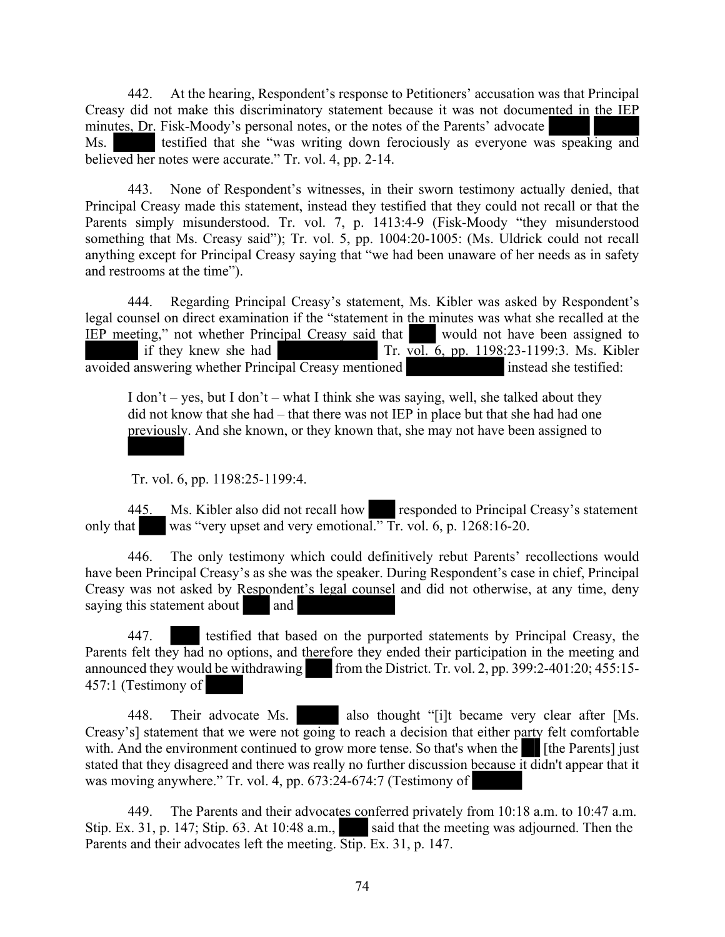442. At the hearing, Respondent's response to Petitioners' accusation was that Principal Creasy did not make this discriminatory statement because it was not documented in the IEP minutes, Dr. Fisk-Moody's personal notes, or the notes of the Parents' advocate Ms. testified that she "was writing down ferociously as everyone was speaking and believed her notes were accurate." Tr. vol. 4, pp. 2-14.

443. None of Respondent's witnesses, in their sworn testimony actually denied, that Principal Creasy made this statement, instead they testified that they could not recall or that the Parents simply misunderstood. Tr. vol. 7, p. 1413:4-9 (Fisk-Moody "they misunderstood something that Ms. Creasy said"); Tr. vol. 5, pp. 1004:20-1005: (Ms. Uldrick could not recall anything except for Principal Creasy saying that "we had been unaware of her needs as in safety and restrooms at the time").

444. Regarding Principal Creasy's statement, Ms. Kibler was asked by Respondent's legal counsel on direct examination if the "statement in the minutes was what she recalled at the IEP meeting," not whether Principal Creasy said that would not have been assigned to if they knew she had  $\frac{\text{Tr. vol. }6, \text{ pp. }1198:23-1199:3. \text{ Ms. Kibler}}{}$ avoided answering whether Principal Creasy mentioned instead she testified:

I don't – yes, but I don't – what I think she was saying, well, she talked about they did not know that she had – that there was not IEP in place but that she had had one previously. And she known, or they known that, she may not have been assigned to

Tr. vol. 6, pp. 1198:25-1199:4.

445. Ms. Kibler also did not recall how responded to Principal Creasy's statement only that was "very upset and very emotional." Tr. vol. 6, p. 1268:16-20.

446. The only testimony which could definitively rebut Parents' recollections would have been Principal Creasy's as she was the speaker. During Respondent's case in chief, Principal Creasy was not asked by Respondent's legal counsel and did not otherwise, at any time, deny saying this statement about and

447. testified that based on the purported statements by Principal Creasy, the Parents felt they had no options, and therefore they ended their participation in the meeting and announced they would be withdrawing from the District. Tr. vol. 2, pp. 399:2-401:20;  $455:15-$ 457:1 (Testimony of

448. Their advocate Ms. also thought "[i]t became very clear after [Ms. Creasy's] statement that we were not going to reach a decision that either party felt comfortable with. And the environment continued to grow more tense. So that's when the [the Parents] just stated that they disagreed and there was really no further discussion because it didn't appear that it was moving anywhere." Tr. vol. 4, pp. 673:24-674:7 (Testimony of

449. The Parents and their advocates conferred privately from 10:18 a.m. to 10:47 a.m. Stip. Ex. 31, p. 147; Stip. 63. At 10:48 a.m., said that the meeting was adjourned. Then the Parents and their advocates left the meeting. Stip. Ex. 31, p. 147.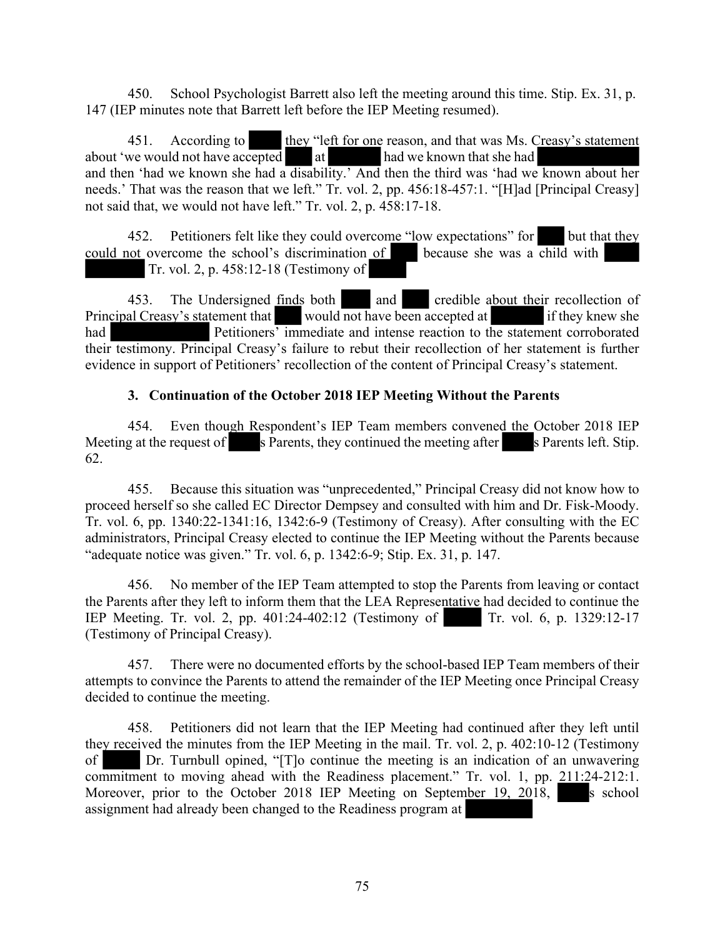450. School Psychologist Barrett also left the meeting around this time. Stip. Ex. 31, p. 147 (IEP minutes note that Barrett left before the IEP Meeting resumed).

451. According to they "left for one reason, and that was Ms. Creasy's statement about 'we would not have accepted at had we known that she had and then 'had we known she had a disability.' And then the third was 'had we known about her needs.' That was the reason that we left." Tr. vol. 2, pp. 456:18-457:1. "[H]ad [Principal Creasy] not said that, we would not have left." Tr. vol. 2, p. 458:17-18.

452. Petitioners felt like they could overcome "low expectations" for but that they could not overcome the school's discrimination of because she was a child with Tr. vol. 2, p. 458:12-18 (Testimony of

453. The Undersigned finds both and credible about their recollection of Principal Creasy's statement that would not have been accepted at if they knew she had Petitioners' immediate and intense reaction to the statement corroborated their testimony. Principal Creasy's failure to rebut their recollection of her statement is further evidence in support of Petitioners' recollection of the content of Principal Creasy's statement.

#### **3. Continuation of the October 2018 IEP Meeting Without the Parents**

454. Even though Respondent's IEP Team members convened the October 2018 IEP Meeting at the request of s Parents, they continued the meeting after s Parents left. Stip. 62.

455. Because this situation was "unprecedented," Principal Creasy did not know how to proceed herself so she called EC Director Dempsey and consulted with him and Dr. Fisk-Moody. Tr. vol. 6, pp. 1340:22-1341:16, 1342:6-9 (Testimony of Creasy). After consulting with the EC administrators, Principal Creasy elected to continue the IEP Meeting without the Parents because "adequate notice was given." Tr. vol. 6, p. 1342:6-9; Stip. Ex. 31, p. 147.

456. No member of the IEP Team attempted to stop the Parents from leaving or contact the Parents after they left to inform them that the LEA Representative had decided to continue the IEP Meeting. Tr. vol. 2, pp. 401:24-402:12 (Testimony of Tr. vol. 6, p. 1329:12-17 (Testimony of Principal Creasy).

457. There were no documented efforts by the school-based IEP Team members of their attempts to convince the Parents to attend the remainder of the IEP Meeting once Principal Creasy decided to continue the meeting.

458. Petitioners did not learn that the IEP Meeting had continued after they left until they received the minutes from the IEP Meeting in the mail. Tr. vol. 2, p. 402:10-12 (Testimony of Dr. Turnbull opined, "[T]o continue the meeting is an indication of an unwavering commitment to moving ahead with the Readiness placement." Tr. vol. 1, pp. 211:24-212:1. Moreover, prior to the October 2018 IEP Meeting on September 19, 2018, s school assignment had already been changed to the Readiness program at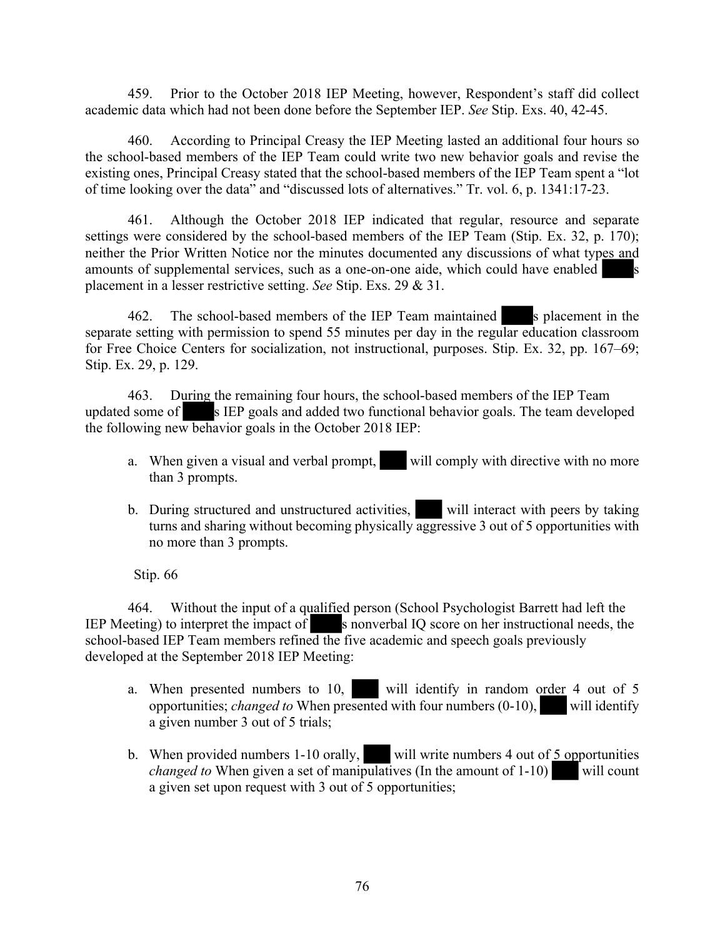459. Prior to the October 2018 IEP Meeting, however, Respondent's staff did collect academic data which had not been done before the September IEP. *See* Stip. Exs. 40, 42-45.

460. According to Principal Creasy the IEP Meeting lasted an additional four hours so the school-based members of the IEP Team could write two new behavior goals and revise the existing ones, Principal Creasy stated that the school-based members of the IEP Team spent a "lot of time looking over the data" and "discussed lots of alternatives." Tr. vol. 6, p. 1341:17-23.

461. Although the October 2018 IEP indicated that regular, resource and separate settings were considered by the school-based members of the IEP Team (Stip. Ex. 32, p. 170); neither the Prior Written Notice nor the minutes documented any discussions of what types and amounts of supplemental services, such as a one-on-one aide, which could have enabled s placement in a lesser restrictive setting. *See* Stip. Exs. 29 & 31.

462. The school-based members of the IEP Team maintained s placement in the separate setting with permission to spend 55 minutes per day in the regular education classroom for Free Choice Centers for socialization, not instructional, purposes. Stip. Ex. 32, pp. 167–69; Stip. Ex. 29, p. 129.

463. During the remaining four hours, the school-based members of the IEP Team updated some of  $\blacksquare$  s IEP goals and added two functional behavior goals. The team developed the following new behavior goals in the October 2018 IEP:

- a. When given a visual and verbal prompt, will comply with directive with no more than 3 prompts.
- b. During structured and unstructured activities, will interact with peers by taking turns and sharing without becoming physically aggressive 3 out of 5 opportunities with no more than 3 prompts.

Stip. 66

464. Without the input of a qualified person (School Psychologist Barrett had left the IEP Meeting) to interpret the impact of s nonverbal IQ score on her instructional needs, the school-based IEP Team members refined the five academic and speech goals previously developed at the September 2018 IEP Meeting:

- a. When presented numbers to 10, will identify in random order 4 out of 5 opportunities; *changed to* When presented with four numbers (0-10), will identify a given number 3 out of 5 trials;
- b. When provided numbers 1-10 orally, will write numbers 4 out of  $\frac{5}{2}$  opportunities *changed to* When given a set of manipulatives (In the amount of 1-10) will count a given set upon request with 3 out of 5 opportunities;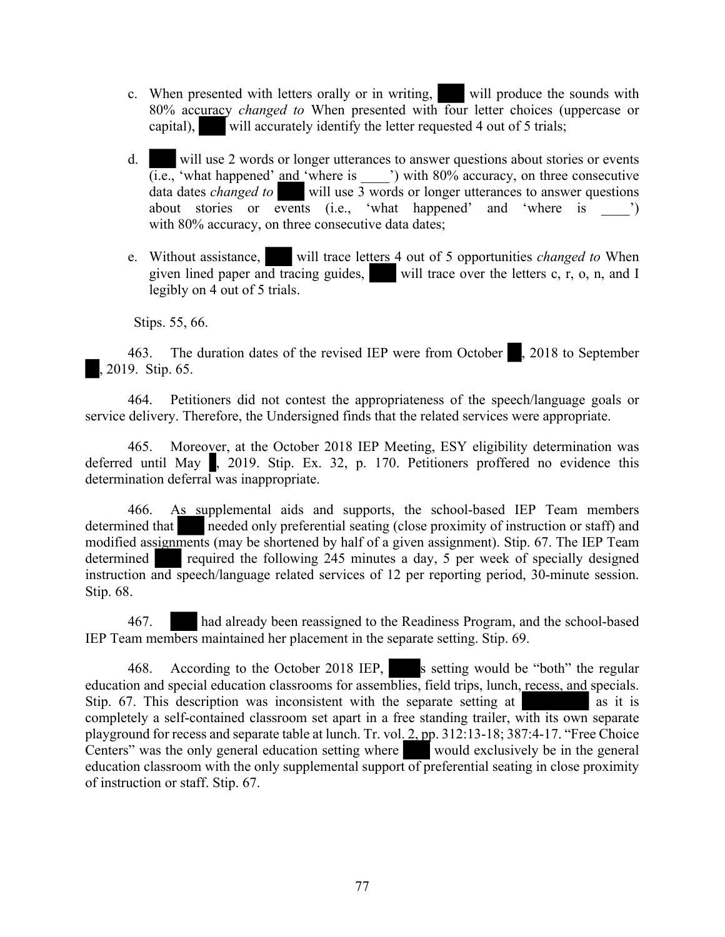- c. When presented with letters orally or in writing, will produce the sounds with 80% accuracy *changed to* When presented with four letter choices (uppercase or capital), will accurately identify the letter requested 4 out of 5 trials;
- d. will use 2 words or longer utterances to answer questions about stories or events  $\overline{(i.e.,)}$  'what happened' and 'where is  $\overline{a}$ ') with 80% accuracy, on three consecutive data dates *changed to* will use 3 words or longer utterances to answer questions about stories or events  $(i.e., 'what happened' and 'where is '')$ with 80% accuracy, on three consecutive data dates;
- e. Without assistance, will trace letters 4 out of 5 opportunities *changed to* When given lined paper and tracing guides, will trace over the letters c, r, o, n, and I legibly on 4 out of 5 trials.

Stips. 55, 66.

463. The duration dates of the revised IEP were from October , 2018 to September , 2019. Stip. 65.

464. Petitioners did not contest the appropriateness of the speech/language goals or service delivery. Therefore, the Undersigned finds that the related services were appropriate.

465. Moreover, at the October 2018 IEP Meeting, ESY eligibility determination was deferred until May , 2019. Stip. Ex. 32, p. 170. Petitioners proffered no evidence this determination deferral was inappropriate.

466. As supplemental aids and supports, the school-based IEP Team members determined that needed only preferential seating (close proximity of instruction or staff) and modified assignments (may be shortened by half of a given assignment). Stip. 67. The IEP Team determined required the following 245 minutes a day, 5 per week of specially designed instruction and speech/language related services of 12 per reporting period, 30-minute session. Stip. 68.

467. had already been reassigned to the Readiness Program, and the school-based IEP Team members maintained her placement in the separate setting. Stip. 69.

468. According to the October 2018 IEP, s setting would be "both" the regular education and special education classrooms for assemblies, field trips, lunch, recess, and specials. Stip.  $67$ . This description was inconsistent with the separate setting at as it is completely a self-contained classroom set apart in a free standing trailer, with its own separate playground for recess and separate table at lunch. Tr. vol. 2, pp. 312:13-18; 387:4-17. "Free Choice Centers" was the only general education setting where would exclusively be in the general education classroom with the only supplemental support of preferential seating in close proximity of instruction or staff. Stip. 67.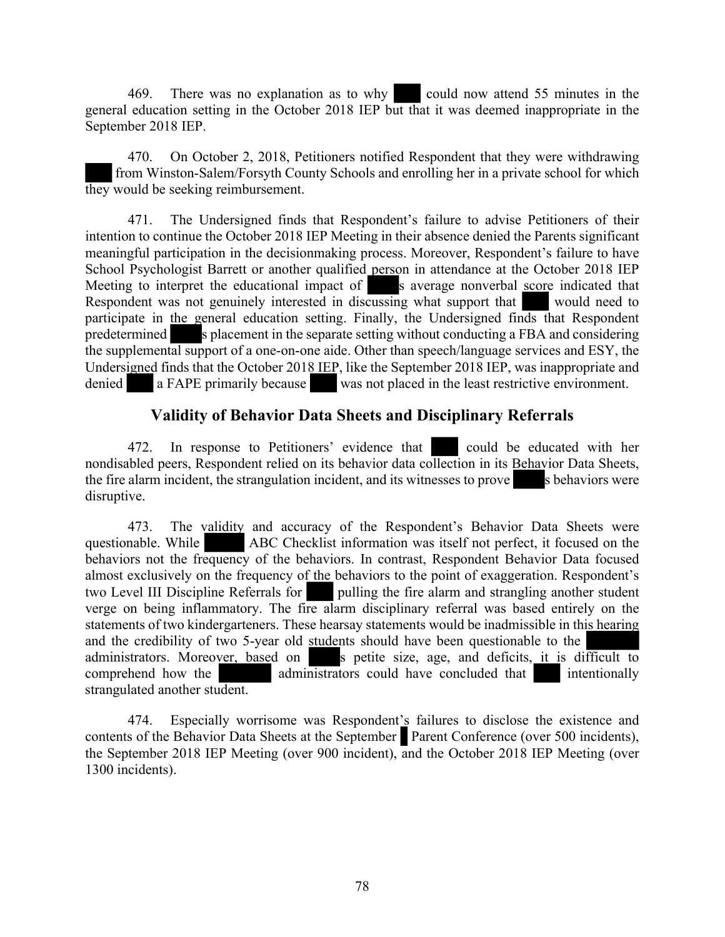469. There was no explanation as to why could now attend 55 minutes in the general education setting in the October 2018 IEP but that it was deemed inappropriate in the September 2018 IEP.

470. On October 2, 2018, Petitioners notified Respondent that they were withdrawing from Winston-Salem/Forsyth County Schools and enrolling her in a private school for which they would be seeking reimbursement.

471. The Undersigned finds that Respondent's failure to advise Petitioners of their intention to continue the October 2018 IEP Meeting in their absence denied the Parents significant meaningful participation in the decisionmaking process. Moreover, Respondent's failure to have School Psychologist Barrett or another qualified person in attendance at the October 2018 IEP Meeting to interpret the educational impact of s average nonverbal score indicated that Respondent was not genuinely interested in discussing what support that would need to participate in the general education setting. Finally, the Undersigned finds that Respondent predetermined s placement in the separate setting without conducting a FBA and considering the supplemental support of a one-on-one aide. Other than speech/language services and ESY, the Undersigned finds that the October 2018 IEP, like the September 2018 IEP, was inappropriate and denied a FAPE primarily because was not placed in the least restrictive environment.

### **Validity of Behavior Data Sheets and Disciplinary Referrals**

472. In response to Petitioners' evidence that could be educated with her nondisabled peers, Respondent relied on its behavior data collection in its Behavior Data Sheets, the fire alarm incident, the strangulation incident, and its witnesses to prove s behaviors were disruptive.

473. The validity and accuracy of the Respondent's Behavior Data Sheets were questionable. While ABC Checklist information was itself not perfect, it focused on the behaviors not the frequency of the behaviors. In contrast, Respondent Behavior Data focused almost exclusively on the frequency of the behaviors to the point of exaggeration. Respondent's two Level III Discipline Referrals for pulling the fire alarm and strangling another student verge on being inflammatory. The fire alarm disciplinary referral was based entirely on the statements of two kindergarteners. These hearsay statements would be inadmissible in this hearing and the credibility of two 5-year old students should have been questionable to the administrators. Moreover, based on settle size, age, and deficits, it is different a petite size, age, and deficits, it is difficult to comprehend how the administrators could have concluded that intentionally strangulated another student.

474. Especially worrisome was Respondent's failures to disclose the existence and contents of the Behavior Data Sheets at the September Parent Conference (over 500 incidents), the September 2018 IEP Meeting (over 900 incident), and the October 2018 IEP Meeting (over 1300 incidents).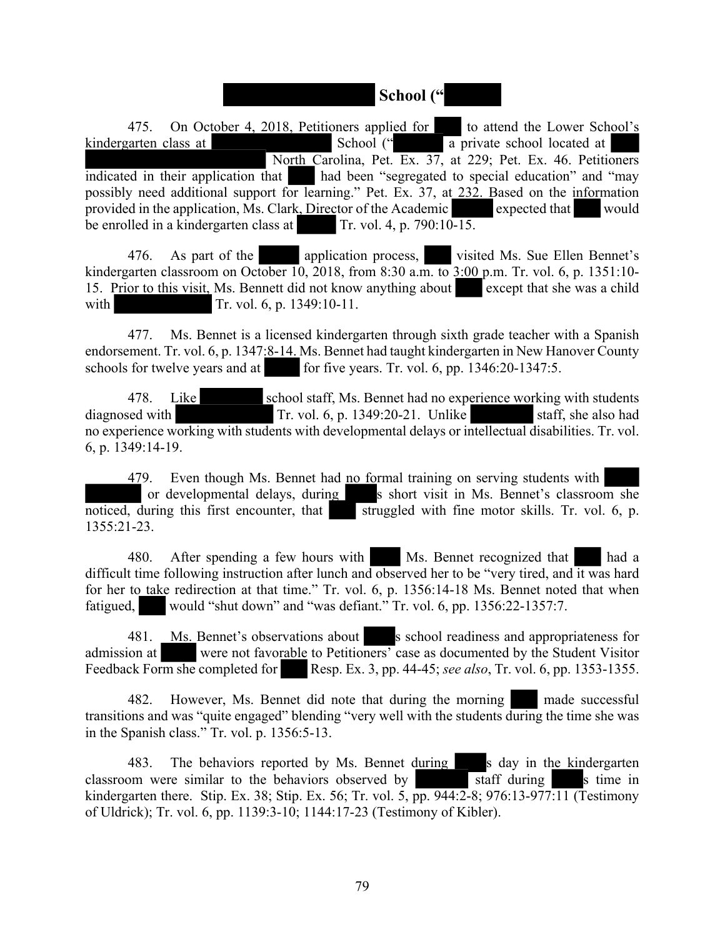### **School ("**

475. On October 4, 2018, Petitioners applied for to attend the Lower School's kindergarten class at School (" a private school located at North Carolina, Pet. Ex. 37, at 229; Pet. Ex. 46. Petitioners indicated in their application that had been "segregated to special education" and "may possibly need additional support for learning." Pet. Ex. 37, at 232. Based on the information provided in the application, Ms. Clark, Director of the Academic expected that would be enrolled in a kindergarten class at Tr. vol. 4, p.  $790:10-15$ .

476. As part of the application process, visited Ms. Sue Ellen Bennet's kindergarten classroom on October 10, 2018, from 8:30 a.m. to 3:00 p.m. Tr. vol. 6, p. 1351:10- 15. Prior to this visit, Ms. Bennett did not know anything about except that she was a child with Tr. vol. 6, p. 1349:10-11.

477. Ms. Bennet is a licensed kindergarten through sixth grade teacher with a Spanish endorsement. Tr. vol. 6, p. 1347:8-14. Ms. Bennet had taught kindergarten in New Hanover County schools for twelve years and at for five years. Tr. vol. 6, pp. 1346:20-1347:5.

478. Like school staff, Ms. Bennet had no experience working with students diagnosed with Tr. vol. 6, p. 1349:20-21. Unlike staff, she also had no experience working with students with developmental delays or intellectual disabilities. Tr. vol. 6, p. 1349:14-19.

479. Even though Ms. Bennet had no formal training on serving students with or developmental delays, during s short visit in Ms. Bennet's classroom she noticed, during this first encounter, that  $\overline{\phantom{a}}$  struggled with fine motor skills. Tr. vol. 6, p. 1355:21-23.

480. After spending a few hours with Ms. Bennet recognized that had a difficult time following instruction after lunch and observed her to be "very tired, and it was hard for her to take redirection at that time." Tr. vol. 6, p. 1356:14-18 Ms. Bennet noted that when fatigued, would "shut down" and "was defiant." Tr. vol. 6, pp. 1356:22-1357:7.

481. Ms. Bennet's observations about s school readiness and appropriateness for admission at were not favorable to Petitioners' case as documented by the Student Visitor Feedback Form she completed for Resp. Ex. 3, pp. 44-45; *see also*, Tr. vol. 6, pp. 1353-1355.

482. However, Ms. Bennet did note that during the morning made successful transitions and was "quite engaged" blending "very well with the students during the time she was in the Spanish class." Tr. vol. p. 1356:5-13.

483. The behaviors reported by Ms. Bennet during s day in the kindergarten classroom were similar to the behaviors observed by staff during s time in kindergarten there. Stip. Ex. 38; Stip. Ex. 56; Tr. vol. 5, pp. 944:2-8; 976:13-977:11 (Testimony of Uldrick); Tr. vol. 6, pp. 1139:3-10; 1144:17-23 (Testimony of Kibler).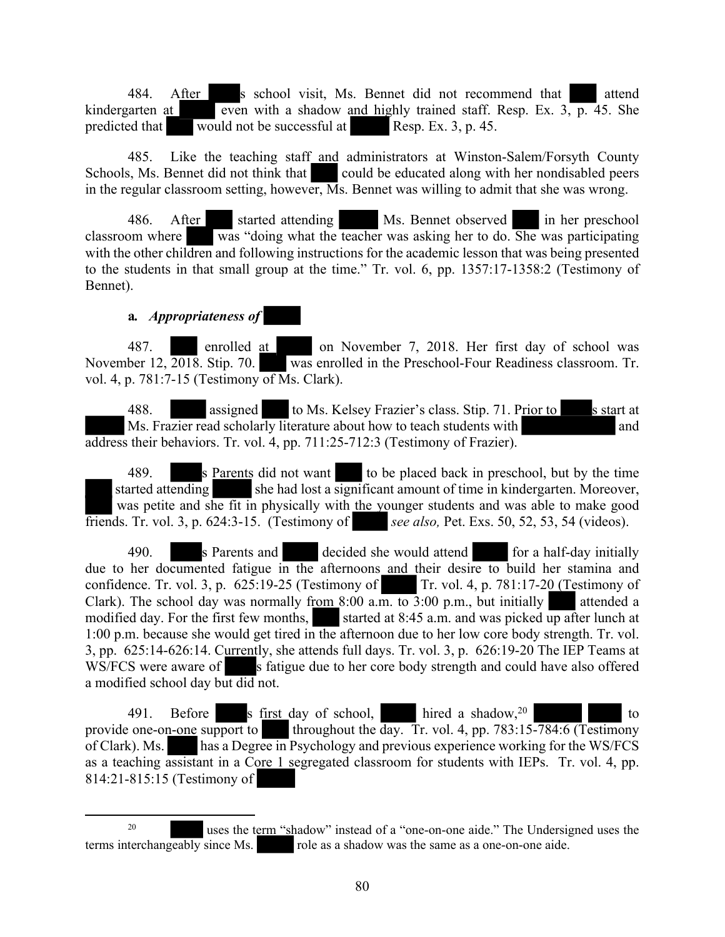484. After s school visit, Ms. Bennet did not recommend that attend kindergarten at even with a shadow and highly trained staff. Resp. Ex.  $3, p. 45$ . She predicted that would not be successful at Resp. Ex. 3, p. 45.

485. Like the teaching staff and administrators at Winston-Salem/Forsyth County Schools, Ms. Bennet did not think that could be educated along with her nondisabled peers in the regular classroom setting, however,  $\overline{M}$ s. Bennet was willing to admit that she was wrong.

486. After started attending Ms. Bennet observed in her preschool classroom where was "doing what the teacher was asking her to do. She was participating with the other children and following instructions for the academic lesson that was being presented to the students in that small group at the time." Tr. vol. 6, pp. 1357:17-1358:2 (Testimony of Bennet).

#### **a***. Appropriateness of*

487. enrolled at on November 7, 2018. Her first day of school was November 12,  $\overline{2018}$ . Stip. 70. was enrolled in the Preschool-Four Readiness classroom. Tr. vol. 4, p. 781:7-15 (Testimony of Ms. Clark).

488. **assigned** to Ms. Kelsey Frazier's class. Stip. 71. Prior to s start at Ms. Frazier read scholarly literature about how to teach students with and address their behaviors. Tr. vol. 4, pp. 711:25-712:3 (Testimony of Frazier).

489. s Parents did not want to be placed back in preschool, but by the time started attending she had lost a significant amount of time in kindergarten. Moreover, was petite and she fit in physically with the younger students and was able to make good friends. Tr. vol. 3, p. 624:3-15. (Testimony of *see also,* Pet. Exs. 50, 52, 53, 54 (videos).

490. s Parents and decided she would attend for a half-day initially due to her documented fatigue in the afternoons and their desire to build her stamina and confidence. Tr. vol. 3, p.  $625:19-25$  (Testimony of Tr. vol. 4, p.  $781:17-20$  (Testimony of Clark). The school day was normally from 8:00 a.m. to  $3:00$  p.m., but initially attended a modified day. For the first few months, started at  $8:45$  a.m. and was picked up after lunch at 1:00 p.m. because she would get tired in the afternoon due to her low core body strength. Tr. vol. 3, pp. 625:14-626:14. Currently, she attends full days. Tr. vol. 3, p. 626:19-20 The IEP Teams at WS/FCS were aware of s fatigue due to her core body strength and could have also offered a modified school day but did not.

491. Before s first day of school, hired a shadow,  $20$  to provide one-on-one support to throughout the day. Tr. vol. 4, pp. 783:15-784:6 (Testimony of Clark). Ms. has a Degree in Psychology and previous experience working for the WS/FCS as a teaching assistant in a Core 1 segregated classroom for students with IEPs. Tr. vol. 4, pp. 814:21-815:15 (Testimony of

<sup>&</sup>lt;sup>20</sup> uses the term "shadow" instead of a "one-on-one aide." The Undersigned uses the terms interchangeably since Ms. role as a shadow was the same as a one-on-one aide.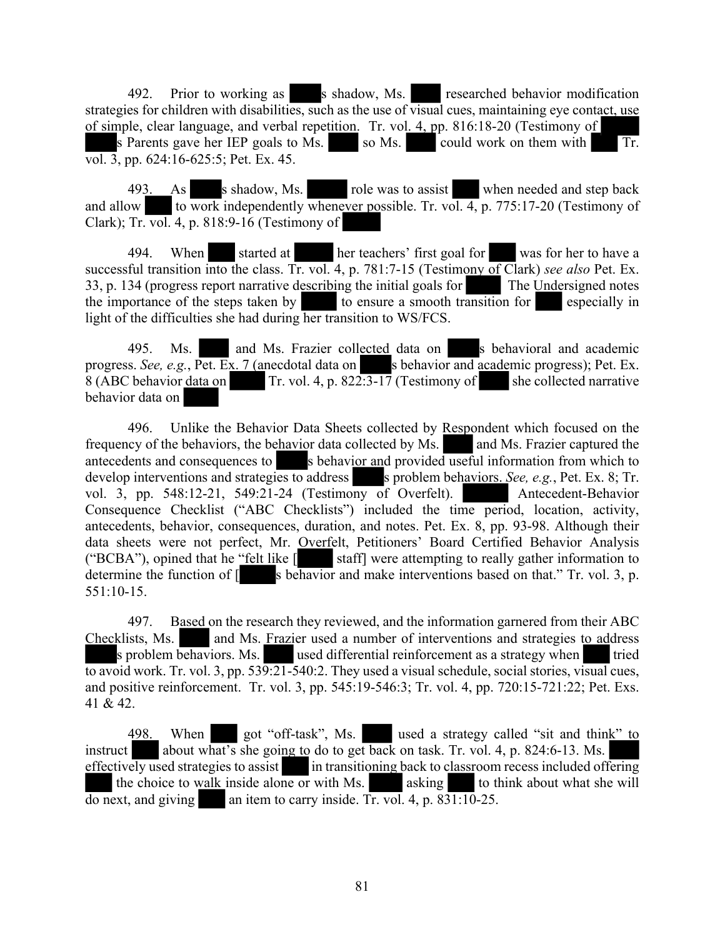492. Prior to working as shadow, Ms. researched behavior modification strategies for children with disabilities, such as the use of visual cues, maintaining eye contact, use of simple, clear language, and verbal repetition. Tr. vol. 4, pp. 816:18-20 (Testimony of s Parents gave her IEP goals to Ms. so Ms. could work on them with Tr. vol. 3, pp. 624:16-625:5; Pet. Ex. 45.

493. As shadow, Ms. role was to assist when needed and step back and allow to work independently whenever possible. Tr. vol. 4, p. 775:17-20 (Testimony of Clark); Tr. vol. 4, p. 818:9-16 (Testimony of

494. When started at her teachers' first goal for was for her to have a successful transition into the class. Tr. vol. 4, p. 781:7-15 (Testimony of Clark) *see also* Pet. Ex. 33, p. 134 (progress report narrative describing the initial goals for The Undersigned notes the importance of the steps taken by to ensure a smooth transition for especially in light of the difficulties she had during her transition to WS/FCS.

495. Ms. and Ms. Frazier collected data on s behavioral and academic progress. *See, e.g.*, Pet. Ex. 7 (anecdotal data on s behavior and academic progress); Pet. Ex.  $8$  (ABC behavior data on Tr. vol. 4, p. 822:3-17 (Testimony of she collected narrative behavior data on

496. Unlike the Behavior Data Sheets collected by Respondent which focused on the frequency of the behaviors, the behavior data collected by Ms. and Ms. Frazier captured the antecedents and consequences to s behavior and provided useful information from which to develop interventions and strategies to address solution behaviors. *See, e.g.*, Pet. Ex. 8; Tr. vol. 3, pp. 548:12-21, 549:21-24 (Testimony of Overfelt). Antecedent-Behavior Consequence Checklist ("ABC Checklists") included the time period, location, activity, antecedents, behavior, consequences, duration, and notes. Pet. Ex. 8, pp. 93-98. Although their data sheets were not perfect, Mr. Overfelt, Petitioners' Board Certified Behavior Analysis ("BCBA"), opined that he "felt like  $\begin{bmatrix} \bullet & \bullet \\ \bullet & \bullet \end{bmatrix}$  staff] were attempting to really gather information to staff] were attempting to really gather information to determine the function of  $\lceil$  s behavior and make interventions based on that." Tr. vol. 3, p. 551:10-15.

497. Based on the research they reviewed, and the information garnered from their ABC Checklists, Ms. and Ms. Frazier used a number of interventions and strategies to address s problem behaviors. Ms. used differential reinforcement as a strategy when tried to avoid work. Tr. vol. 3, pp. 539:21-540:2. They used a visual schedule, social stories, visual cues, and positive reinforcement. Tr. vol. 3, pp. 545:19-546:3; Tr. vol. 4, pp. 720:15-721:22; Pet. Exs. 41 & 42.

498. When got "off-task", Ms. used a strategy called "sit and think" to instruct about what's she going to do to get back on task. Tr. vol. 4, p. 824:6-13. Ms. effectively used strategies to assist in transitioning back to classroom recess included offering the choice to walk inside alone or with Ms. asking to think about what she will  $\overline{d}$  do next, and giving an item to carry inside. Tr. vol. 4, p. 831:10-25.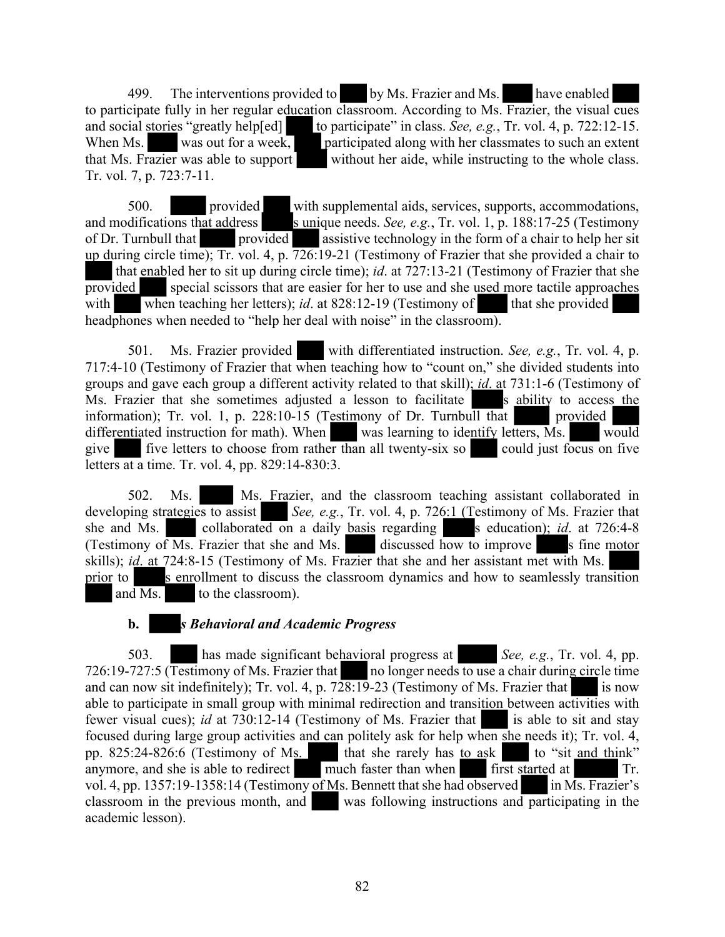499. The interventions provided to by Ms. Frazier and Ms. have enabled to participate fully in her regular education classroom. According to Ms. Frazier, the visual cues and social stories "greatly help[ed] to participate" in class. *See, e.g.*, Tr. vol. 4, p. 722:12-15.<br>When Ms. was out for a week, participated along with her classmates to such an extent When Ms. was out for a week, participated along with her classmates to such an extent that Ms. Frazier was able to support without her aide, while instructing to the whole class. Tr. vol. 7, p. 723:7-11.

500. provided with supplemental aids, services, supports, accommodations, and modifications that address sunique needs. *See, e.g.*, Tr. vol. 1, p. 188:17-25 (Testimony of Dr. Turnbull that provided assistive technology in the form of a chair to help her sit up during circle time); Tr. vol. 4, p. 726:19-21 (Testimony of Frazier that she provided a chair to that enabled her to sit up during circle time); *id*. at 727:13-21 (Testimony of Frazier that she provided special scissors that are easier for her to use and she used more tactile approaches with when teaching her letters); *id.* at  $828:12-19$  (Testimony of that she provided headphones when needed to "help her deal with noise" in the classroom).

501. Ms. Frazier provided with differentiated instruction. *See, e.g.*, Tr. vol. 4, p. 717:4-10 (Testimony of Frazier that when teaching how to "count on," she divided students into groups and gave each group a different activity related to that skill); *id*. at 731:1-6 (Testimony of Ms. Frazier that she sometimes adjusted a lesson to facilitate s ability to access the information); Tr. vol. 1, p. 228:10-15 (Testimony of Dr. Turnbull that provided differentiated instruction for math). When was learning to identify letters, Ms. would give  $\blacksquare$  five letters to choose from rather than all twenty-six so could just focus on five letters at a time. Tr. vol. 4, pp. 829:14-830:3.

502. Ms. Ms. Frazier, and the classroom teaching assistant collaborated in developing strategies to assist *See, e.g.*, Tr. vol. 4, p. 726:1 (Testimony of Ms. Frazier that she and Ms. collaborated on a daily basis regarding s education); *id.* at 726:4-8 (Testimony of Ms. Frazier that she and Ms. discussed how to improve s fine motor skills); *id*. at 724:8-15 (Testimony of Ms. Frazier that she and her assistant met with Ms. prior to search s enrollment to discuss the classroom dynamics and how to seamlessly transition and Ms. to the classroom).

#### **b.** *s Behavioral and Academic Progress*

503. has made significant behavioral progress at *See, e.g.*, Tr. vol. 4, pp. 726:19-727:5 (Testimony of Ms. Frazier that no longer needs to use a chair during circle time and can now sit indefinitely); Tr. vol. 4, p.  $728:19-23$  (Testimony of Ms. Frazier that is now able to participate in small group with minimal redirection and transition between activities with fewer visual cues); *id* at 730:12-14 (Testimony of Ms. Frazier that is able to sit and stay focused during large group activities and can politely ask for help when she needs it); Tr. vol. 4, pp.  $825:24-826:6$  (Testimony of Ms. that she rarely has to ask to "sit and think" anymore, and she is able to redirect much faster than when first started at Tr. vol. 4, pp. 1357:19-1358:14 (Testimony of Ms. Bennett that she had observed in Ms. Frazier's classroom in the previous month, and was following instructions and participating in the academic lesson).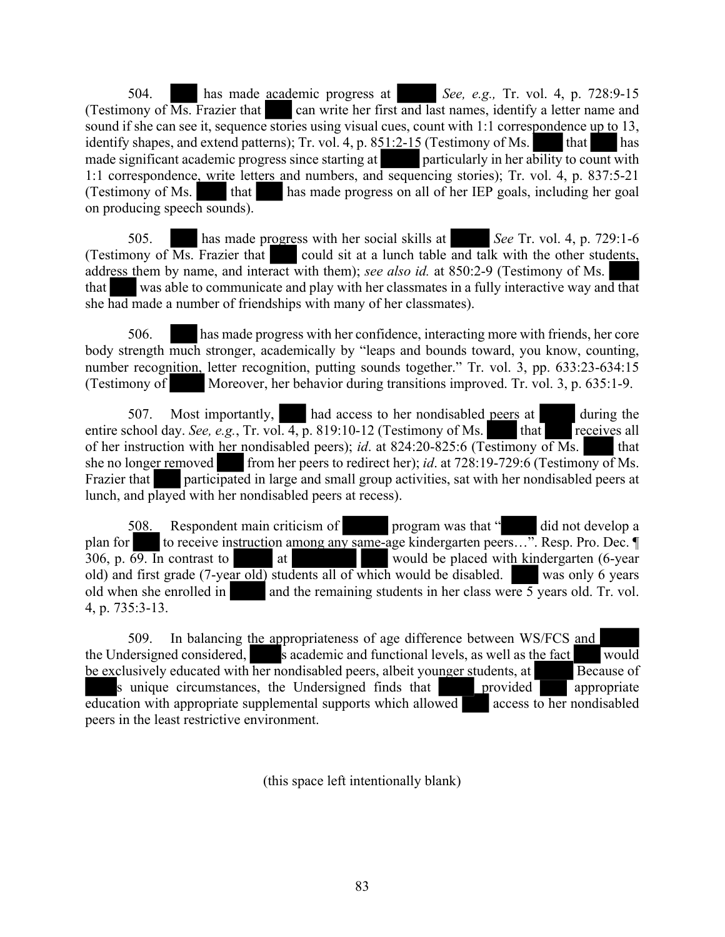504. has made academic progress at *See, e.g.,* Tr. vol. 4, p. 728:9-15 (Testimony of  $\overline{Ms}$ . Frazier that can write her first and last names, identify a letter name and sound if she can see it, sequence stories using visual cues, count with 1:1 correspondence up to 13, identify shapes, and extend patterns); Tr. vol. 4, p.  $851:2-15$  (Testimony of Ms. that has made significant academic progress since starting at particularly in her ability to count with 1:1 correspondence, write letters and numbers, and sequencing stories); Tr. vol. 4, p. 837:5-21 (Testimony of Ms. that has made progress on all of her IEP goals, including her goal on producing speech sounds).

505. has made progress with her social skills at *See* Tr. vol. 4, p. 729:1-6 (Testimony of  $\overline{Ms}$ . Frazier that could sit at a lunch table and talk with the other students, address them by name, and interact with them); *see also id.* at 850:2-9 (Testimony of Ms. that was able to communicate and play with her classmates in a fully interactive way and that she had made a number of friendships with many of her classmates).

506. has made progress with her confidence, interacting more with friends, her core body strength much stronger, academically by "leaps and bounds toward, you know, counting, number recognition, letter recognition, putting sounds together." Tr. vol. 3, pp. 633:23-634:15 (Testimony of Moreover, her behavior during transitions improved. Tr. vol. 3, p. 635:1-9.

507. Most importantly, had access to her nondisabled peers at during the entire school day. *See, e.g.*, Tr. vol. 4, p. 819:10-12 (Testimony of Ms. that receives all of her instruction with her nondisabled peers); *id.* at 824:20-825:6 (Testimony of Ms. that she no longer removed from her peers to redirect her); *id.* at 728:19-729:6 (Testimony of Ms. Frazier that participated in large and small group activities, sat with her nondisabled peers at lunch, and played with her nondisabled peers at recess).

508. Respondent main criticism of program was that " did not develop a plan for to receive instruction among any same-age kindergarten peers...". Resp. Pro. Dec. ¶ 306, p. 69. In contrast to at at would be placed with kindergarten (6-year old) and first grade (7-year old) students all of which would be disabled. was only 6 years old when she enrolled in and the remaining students in her class were 5 years old. Tr. vol. 4, p. 735:3-13.

509. In balancing the appropriateness of age difference between WS/FCS and the Undersigned considered, s academic and functional levels, as well as the fact would be exclusively educated with her nondisabled peers, albeit younger students, at Because of s unique circumstances, the Undersigned finds that provided appropriate  $\overline{eduction}$  with appropriate supplemental supports which allowed access to her nondisabled peers in the least restrictive environment.

(this space left intentionally blank)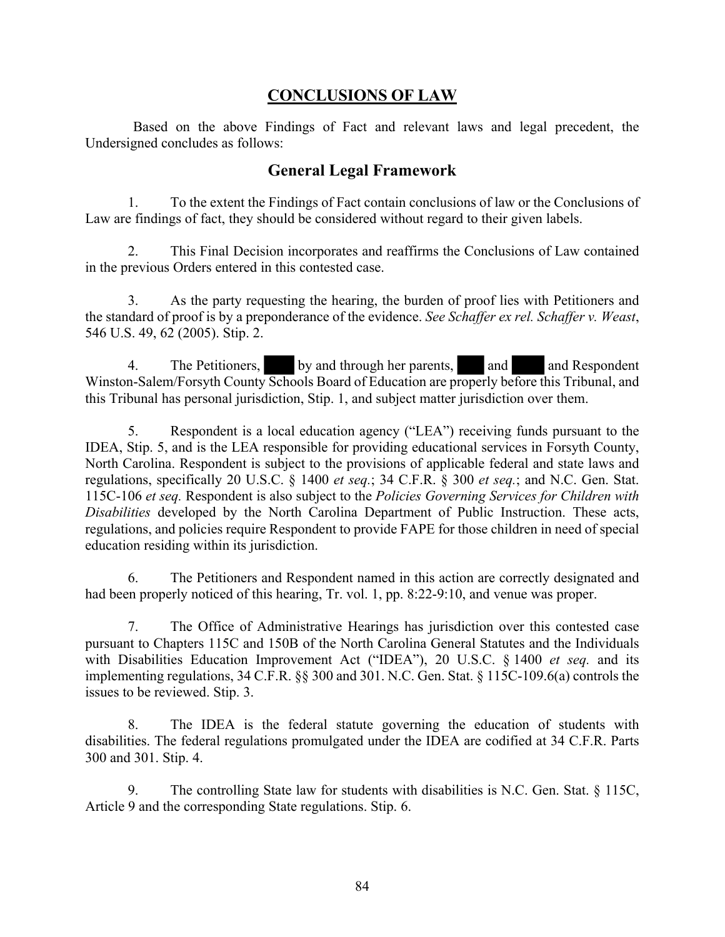# **CONCLUSIONS OF LAW**

Based on the above Findings of Fact and relevant laws and legal precedent, the Undersigned concludes as follows:

### **General Legal Framework**

1. To the extent the Findings of Fact contain conclusions of law or the Conclusions of Law are findings of fact, they should be considered without regard to their given labels.

2. This Final Decision incorporates and reaffirms the Conclusions of Law contained in the previous Orders entered in this contested case.

3. As the party requesting the hearing, the burden of proof lies with Petitioners and the standard of proof is by a preponderance of the evidence. *See Schaffer ex rel. Schaffer v. Weast*, 546 U.S. 49, 62 (2005). Stip. 2.

4. The Petitioners, by and through her parents, and and Respondent Winston-Salem/Forsyth County Schools Board of Education are properly before this Tribunal, and this Tribunal has personal jurisdiction, Stip. 1, and subject matter jurisdiction over them.

5. Respondent is a local education agency ("LEA") receiving funds pursuant to the IDEA, Stip. 5, and is the LEA responsible for providing educational services in Forsyth County, North Carolina. Respondent is subject to the provisions of applicable federal and state laws and regulations, specifically 20 U.S.C. § 1400 *et seq.*; 34 C.F.R. § 300 *et seq.*; and N.C. Gen. Stat. 115C-106 *et seq.* Respondent is also subject to the *Policies Governing Services for Children with Disabilities* developed by the North Carolina Department of Public Instruction. These acts, regulations, and policies require Respondent to provide FAPE for those children in need of special education residing within its jurisdiction.

6. The Petitioners and Respondent named in this action are correctly designated and had been properly noticed of this hearing, Tr. vol. 1, pp. 8:22-9:10, and venue was proper.

7. The Office of Administrative Hearings has jurisdiction over this contested case pursuant to Chapters 115C and 150B of the North Carolina General Statutes and the Individuals with Disabilities Education Improvement Act ("IDEA"), 20 U.S.C. § 1400 *et seq.* and its implementing regulations, 34 C.F.R. §§ 300 and 301. N.C. Gen. Stat. § 115C-109.6(a) controls the issues to be reviewed. Stip. 3.

8. The IDEA is the federal statute governing the education of students with disabilities. The federal regulations promulgated under the IDEA are codified at 34 C.F.R. Parts 300 and 301. Stip. 4.

9. The controlling State law for students with disabilities is N.C. Gen. Stat. § 115C, Article 9 and the corresponding State regulations. Stip. 6.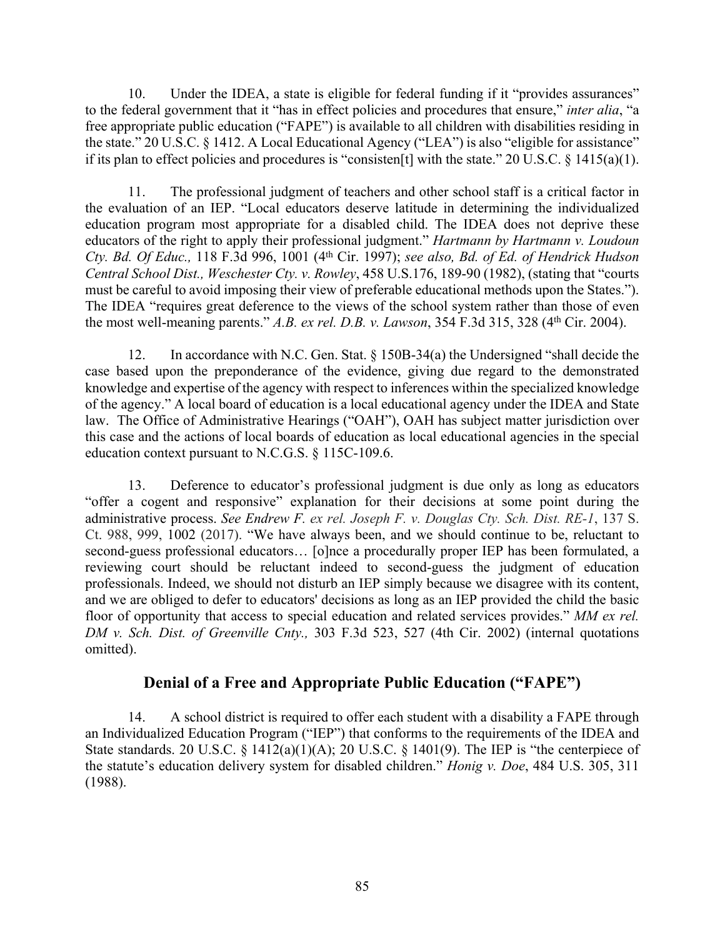10. Under the IDEA, a state is eligible for federal funding if it "provides assurances" to the federal government that it "has in effect policies and procedures that ensure," *inter alia*, "a free appropriate public education ("FAPE") is available to all children with disabilities residing in the state." 20 U.S.C. § 1412. A Local Educational Agency ("LEA") is also "eligible for assistance" if its plan to effect policies and procedures is "consisten[t] with the state." 20 U.S.C. § 1415(a)(1).

11. The professional judgment of teachers and other school staff is a critical factor in the evaluation of an IEP. "Local educators deserve latitude in determining the individualized education program most appropriate for a disabled child. The IDEA does not deprive these educators of the right to apply their professional judgment." *Hartmann by Hartmann v. Loudoun Cty. Bd. Of Educ.,* 118 F.3d 996, 1001 (4th Cir. 1997); *see also, Bd. of Ed. of Hendrick Hudson Central School Dist., Weschester Cty. v. Rowley*, 458 U.S.176, 189-90 (1982), (stating that "courts must be careful to avoid imposing their view of preferable educational methods upon the States."). The IDEA "requires great deference to the views of the school system rather than those of even the most well-meaning parents." *A.B. ex rel. D.B. v. Lawson*, 354 F.3d 315, 328 (4th Cir. 2004).

12. In accordance with N.C. Gen. Stat. § 150B-34(a) the Undersigned "shall decide the case based upon the preponderance of the evidence, giving due regard to the demonstrated knowledge and expertise of the agency with respect to inferences within the specialized knowledge of the agency." A local board of education is a local educational agency under the IDEA and State law. The Office of Administrative Hearings ("OAH"), OAH has subject matter jurisdiction over this case and the actions of local boards of education as local educational agencies in the special education context pursuant to N.C.G.S. § 115C-109.6.

13. Deference to educator's professional judgment is due only as long as educators "offer a cogent and responsive" explanation for their decisions at some point during the administrative process. *See Endrew F. ex rel. Joseph F. v. Douglas Cty. Sch. Dist. RE-1*, 137 S. Ct. 988, 999, 1002 (2017). "We have always been, and we should continue to be, reluctant to second-guess professional educators… [o]nce a procedurally proper IEP has been formulated, a reviewing court should be reluctant indeed to second-guess the judgment of education professionals. Indeed, we should not disturb an IEP simply because we disagree with its content, and we are obliged to defer to educators' decisions as long as an IEP provided the child the basic floor of opportunity that access to special education and related services provides." *MM ex rel. DM v. Sch. Dist. of Greenville Cnty.,* 303 F.3d 523, 527 (4th Cir. 2002) (internal quotations omitted).

# **Denial of a Free and Appropriate Public Education ("FAPE")**

14. A school district is required to offer each student with a disability a FAPE through an Individualized Education Program ("IEP") that conforms to the requirements of the IDEA and State standards. 20 U.S.C.  $\S$  1412(a)(1)(A); 20 U.S.C.  $\S$  1401(9). The IEP is "the centerpiece of the statute's education delivery system for disabled children." *Honig v. Doe*, 484 U.S. 305, 311 (1988).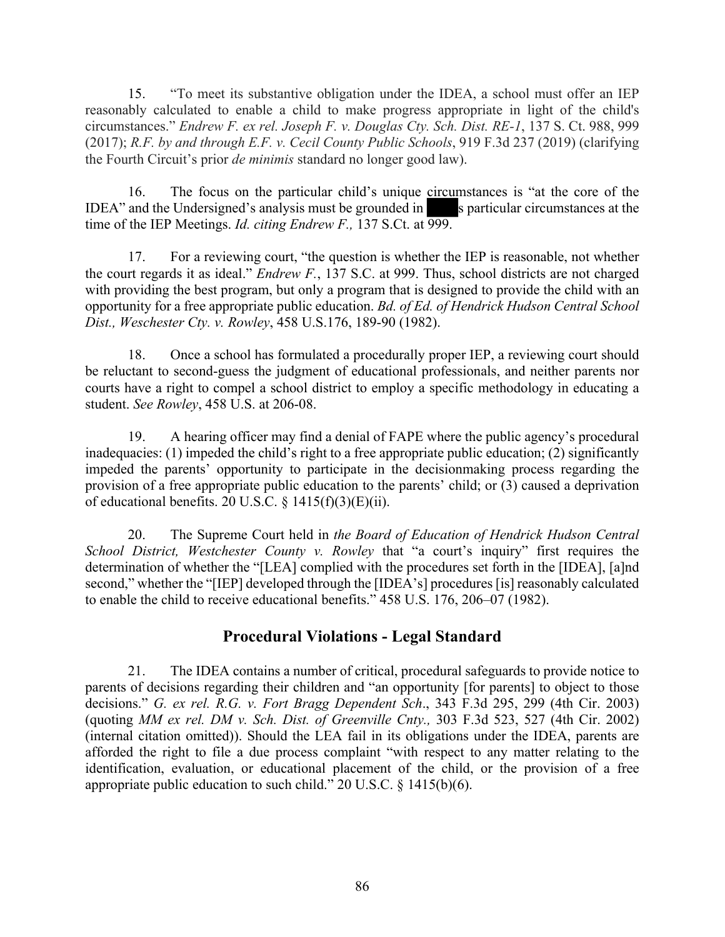15. "To meet its substantive obligation under the IDEA, a school must offer an IEP reasonably calculated to enable a child to make progress appropriate in light of the child's circumstances." *Endrew F. ex rel. Joseph F. v. Douglas Cty. Sch. Dist. RE-1*, 137 S. Ct. 988, 999 (2017); *R.F. by and through E.F. v. Cecil County Public Schools*, 919 F.3d 237 (2019) (clarifying the Fourth Circuit's prior *de minimis* standard no longer good law).

16. The focus on the particular child's unique circumstances is "at the core of the IDEA" and the Undersigned's analysis must be grounded in sparticular circumstances at the time of the IEP Meetings. *Id. citing Endrew F.*, 137 S.Ct. at  $\overline{999}$ .

17. For a reviewing court, "the question is whether the IEP is reasonable, not whether the court regards it as ideal." *Endrew F.*, 137 S.C. at 999. Thus, school districts are not charged with providing the best program, but only a program that is designed to provide the child with an opportunity for a free appropriate public education. *Bd. of Ed. of Hendrick Hudson Central School Dist., Weschester Cty. v. Rowley*, 458 U.S.176, 189-90 (1982).

18. Once a school has formulated a procedurally proper IEP, a reviewing court should be reluctant to second-guess the judgment of educational professionals, and neither parents nor courts have a right to compel a school district to employ a specific methodology in educating a student. *See Rowley*, 458 U.S. at 206-08.

19. A hearing officer may find a denial of FAPE where the public agency's procedural inadequacies: (1) impeded the child's right to a free appropriate public education; (2) significantly impeded the parents' opportunity to participate in the decisionmaking process regarding the provision of a free appropriate public education to the parents' child; or (3) caused a deprivation of educational benefits. 20 U.S.C.  $\S$  1415(f)(3)(E)(ii).

20. The Supreme Court held in *the Board of Education of Hendrick Hudson Central School District, Westchester County v. Rowley* that "a court's inquiry" first requires the determination of whether the "[LEA] complied with the procedures set forth in the [IDEA], [a]nd second," whether the "[IEP] developed through the [IDEA's] procedures [is] reasonably calculated to enable the child to receive educational benefits." 458 U.S. 176, 206–07 (1982).

# **Procedural Violations - Legal Standard**

21. The IDEA contains a number of critical, procedural safeguards to provide notice to parents of decisions regarding their children and "an opportunity [for parents] to object to those decisions." *G. ex rel. R.G. v. Fort Bragg Dependent Sch*., 343 F.3d 295, 299 (4th Cir. 2003) (quoting *MM ex rel. DM v. Sch. Dist. of Greenville Cnty.,* 303 F.3d 523, 527 (4th Cir. 2002) (internal citation omitted)). Should the LEA fail in its obligations under the IDEA, parents are afforded the right to file a due process complaint "with respect to any matter relating to the identification, evaluation, or educational placement of the child, or the provision of a free appropriate public education to such child." 20 U.S.C. § 1415(b)(6).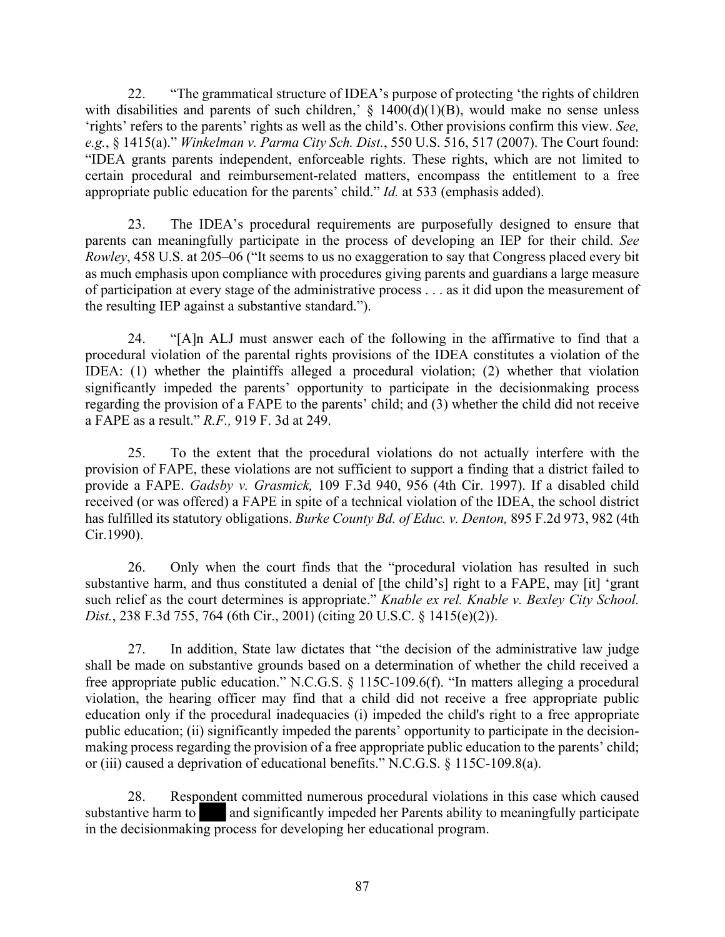22. "The grammatical structure of IDEA's purpose of protecting 'the rights of children with disabilities and parents of such children,'  $\S$  1400(d)(1)(B), would make no sense unless 'rights' refers to the parents' rights as well as the child's. Other provisions confirm this view. *See, e.g.*, § 1415(a)." *Winkelman v. Parma City Sch. Dist.*, 550 U.S. 516, 517 (2007). The Court found: "IDEA grants parents independent, enforceable rights. These rights, which are not limited to certain procedural and reimbursement-related matters, encompass the entitlement to a free appropriate public education for the parents' child." *Id.* at 533 (emphasis added).

23. The IDEA's procedural requirements are purposefully designed to ensure that parents can meaningfully participate in the process of developing an IEP for their child. *See Rowley*, 458 U.S. at 205–06 ("It seems to us no exaggeration to say that Congress placed every bit as much emphasis upon compliance with procedures giving parents and guardians a large measure of participation at every stage of the administrative process . . . as it did upon the measurement of the resulting IEP against a substantive standard.").

24. "[A]n ALJ must answer each of the following in the affirmative to find that a procedural violation of the parental rights provisions of the IDEA constitutes a violation of the IDEA: (1) whether the plaintiffs alleged a procedural violation; (2) whether that violation significantly impeded the parents' opportunity to participate in the decisionmaking process regarding the provision of a FAPE to the parents' child; and (3) whether the child did not receive a FAPE as a result." *R.F.,* 919 F. 3d at 249.

25. To the extent that the procedural violations do not actually interfere with the provision of FAPE, these violations are not sufficient to support a finding that a district failed to provide a FAPE. *Gadsby v. Grasmick,* 109 F.3d 940, 956 (4th Cir. 1997). If a disabled child received (or was offered) a FAPE in spite of a technical violation of the IDEA, the school district has fulfilled its statutory obligations. *Burke County Bd. of Educ. v. Denton,* 895 F.2d 973, 982 (4th Cir.1990).

26. Only when the court finds that the "procedural violation has resulted in such substantive harm, and thus constituted a denial of [the child's] right to a FAPE, may [it] 'grant such relief as the court determines is appropriate." *Knable ex rel. Knable v. Bexley City School. Dist.*, 238 F.3d 755, 764 (6th Cir., 2001) (citing 20 U.S.C. § 1415(e)(2)).

27. In addition, State law dictates that "the decision of the administrative law judge shall be made on substantive grounds based on a determination of whether the child received a free appropriate public education." N.C.G.S. § 115C-109.6(f). "In matters alleging a procedural violation, the hearing officer may find that a child did not receive a free appropriate public education only if the procedural inadequacies (i) impeded the child's right to a free appropriate public education; (ii) significantly impeded the parents' opportunity to participate in the decisionmaking process regarding the provision of a free appropriate public education to the parents' child; or (iii) caused a deprivation of educational benefits." N.C.G.S. § 115C-109.8(a).

28. Respondent committed numerous procedural violations in this case which caused substantive harm to and significantly impeded her Parents ability to meaningfully participate in the decisionmaking process for developing her educational program.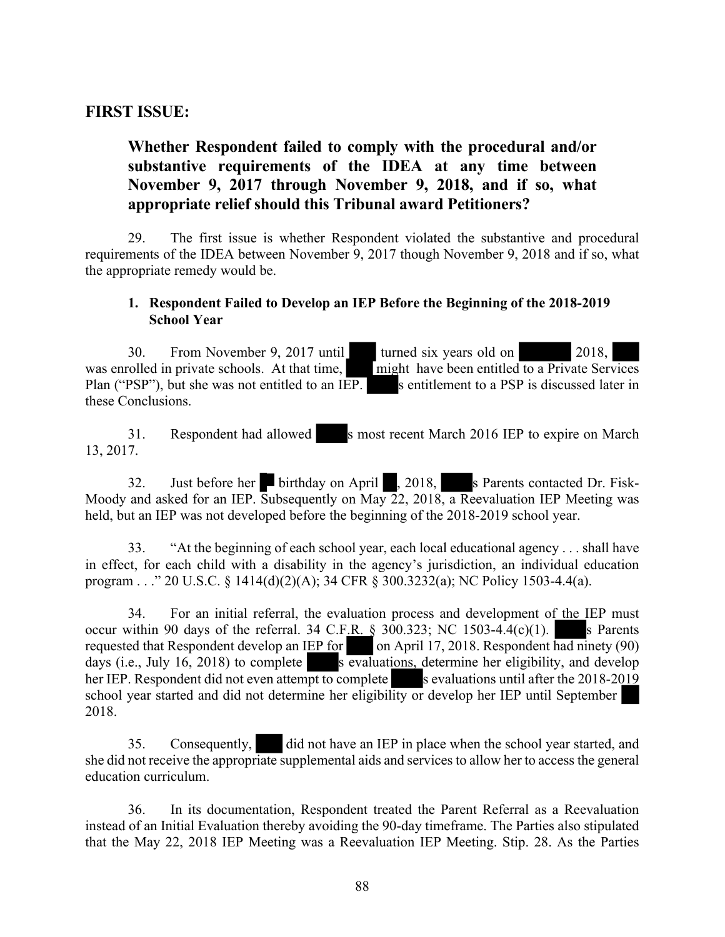### **FIRST ISSUE:**

# **Whether Respondent failed to comply with the procedural and/or substantive requirements of the IDEA at any time between November 9, 2017 through November 9, 2018, and if so, what appropriate relief should this Tribunal award Petitioners?**

29. The first issue is whether Respondent violated the substantive and procedural requirements of the IDEA between November 9, 2017 though November 9, 2018 and if so, what the appropriate remedy would be.

#### **1. Respondent Failed to Develop an IEP Before the Beginning of the 2018-2019 School Year**

30. From November 9, 2017 until turned six years old on 2018, was enrolled in private schools. At that time, might have been entitled to a Private Services Plan ("PSP"), but she was not entitled to an IEP. s entitlement to a PSP is discussed later in these Conclusions.

31. Respondent had allowed s most recent March 2016 IEP to expire on March 13, 2017.

32. Just before her birthday on April , 2018, s Parents contacted Dr. Fisk-Moody and asked for an IEP. Subsequently on May 22, 2018, a Reevaluation IEP Meeting was held, but an IEP was not developed before the beginning of the 2018-2019 school year.

33. "At the beginning of each school year, each local educational agency . . . shall have in effect, for each child with a disability in the agency's jurisdiction, an individual education program . . ." 20 U.S.C. § 1414(d)(2)(A); 34 CFR § 300.3232(a); NC Policy 1503-4.4(a).

34. For an initial referral, the evaluation process and development of the IEP must occur within 90 days of the referral. 34 C.F.R.  $\S$  300.323; NC 1503-4.4(c)(1). s Parents requested that Respondent develop an IEP for on April 17, 2018. Respondent had ninety (90) days (i.e., July 16, 2018) to complete s evaluations, determine her eligibility, and develop her IEP. Respondent did not even attempt to complete s evaluations until after the 2018-2019 school year started and did not determine her eligibility or develop her IEP until September 2018.

35. Consequently, did not have an IEP in place when the school year started, and she did not receive the appropriate supplemental aids and services to allow her to access the general education curriculum.

36. In its documentation, Respondent treated the Parent Referral as a Reevaluation instead of an Initial Evaluation thereby avoiding the 90-day timeframe. The Parties also stipulated that the May 22, 2018 IEP Meeting was a Reevaluation IEP Meeting. Stip. 28. As the Parties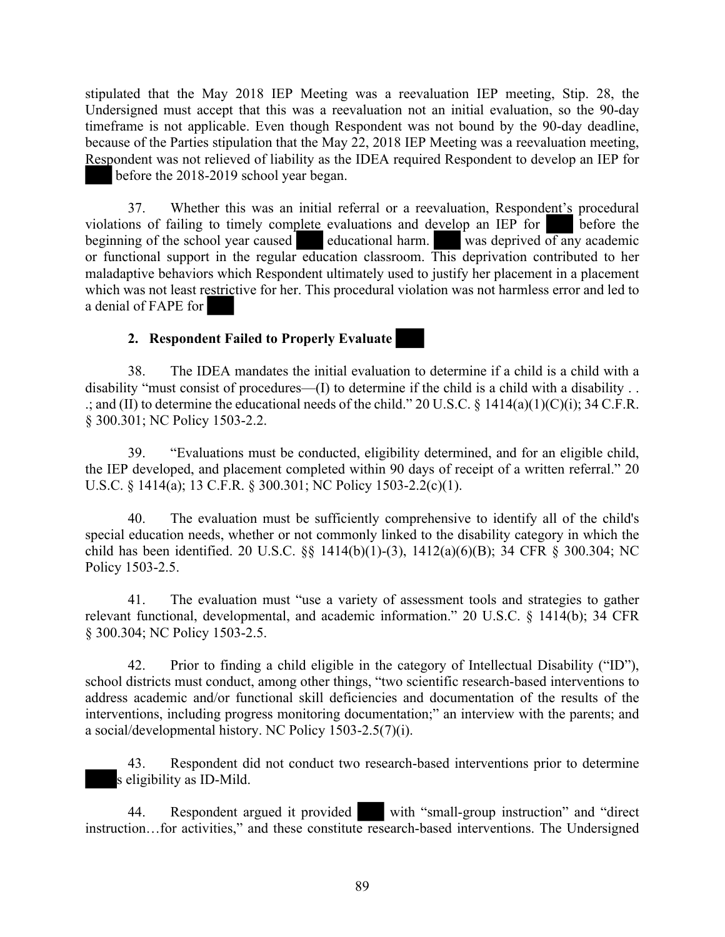stipulated that the May 2018 IEP Meeting was a reevaluation IEP meeting, Stip. 28, the Undersigned must accept that this was a reevaluation not an initial evaluation, so the 90-day timeframe is not applicable. Even though Respondent was not bound by the 90-day deadline, because of the Parties stipulation that the May 22, 2018 IEP Meeting was a reevaluation meeting, Respondent was not relieved of liability as the IDEA required Respondent to develop an IEP for before the 2018-2019 school year began.

37. Whether this was an initial referral or a reevaluation, Respondent's procedural violations of failing to timely complete evaluations and develop an IEP for before the beginning of the school year caused educational harm. was deprived  $\overline{of}$  any academic or functional support in the regular education classroom. This deprivation contributed to her maladaptive behaviors which Respondent ultimately used to justify her placement in a placement which was not least restrictive for her. This procedural violation was not harmless error and led to a denial of FAPE for

#### **2. Respondent Failed to Properly Evaluate**

38. The IDEA mandates the initial evaluation to determine if a child is a child with a disability "must consist of procedures—(I) to determine if the child is a child with a disability . . .; and (II) to determine the educational needs of the child." 20 U.S.C. § 1414(a)(1)(C)(i); 34 C.F.R. § 300.301; NC Policy 1503-2.2.

39. "Evaluations must be conducted, eligibility determined, and for an eligible child, the IEP developed, and placement completed within 90 days of receipt of a written referral." 20 U.S.C. § 1414(a); 13 C.F.R. § 300.301; NC Policy 1503-2.2(c)(1).

40. The evaluation must be sufficiently comprehensive to identify all of the child's special education needs, whether or not commonly linked to the disability category in which the child has been identified. 20 U.S.C. §§ 1414(b)(1)-(3), 1412(a)(6)(B); 34 CFR § 300.304; NC Policy 1503-2.5.

41. The evaluation must "use a variety of assessment tools and strategies to gather relevant functional, developmental, and academic information." 20 U.S.C. § 1414(b); 34 CFR § 300.304; NC Policy 1503-2.5.

42. Prior to finding a child eligible in the category of Intellectual Disability ("ID"), school districts must conduct, among other things, "two scientific research-based interventions to address academic and/or functional skill deficiencies and documentation of the results of the interventions, including progress monitoring documentation;" an interview with the parents; and a social/developmental history. NC Policy 1503-2.5(7)(i).

43. Respondent did not conduct two research-based interventions prior to determine s eligibility as ID-Mild.

44. Respondent argued it provided with "small-group instruction" and "direct instruction…for activities," and these constitute research-based interventions. The Undersigned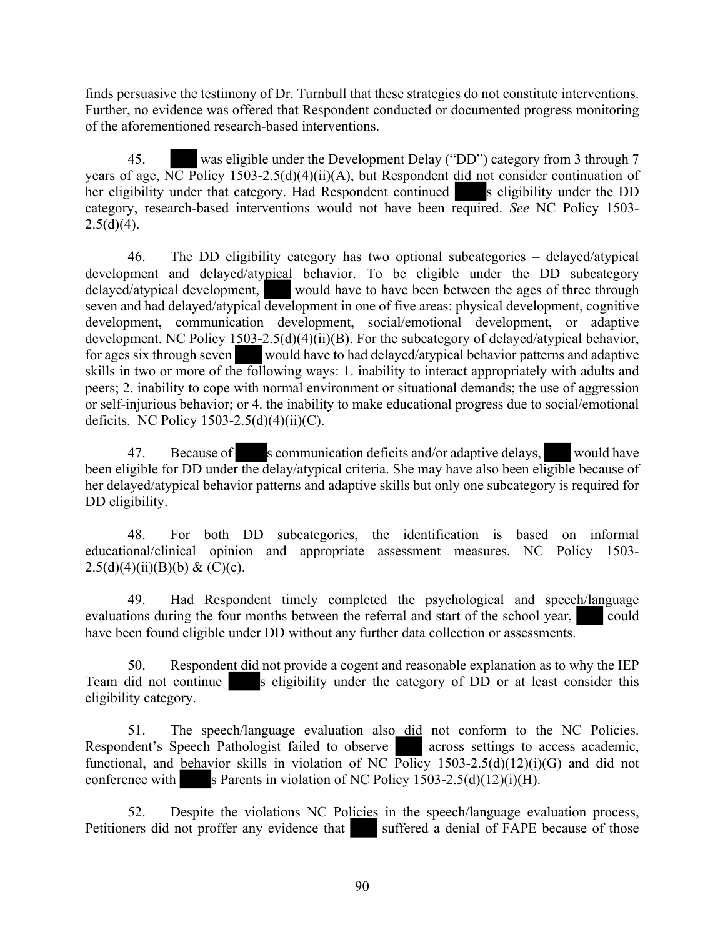finds persuasive the testimony of Dr. Turnbull that these strategies do not constitute interventions. Further, no evidence was offered that Respondent conducted or documented progress monitoring of the aforementioned research-based interventions.

45. was eligible under the Development Delay ("DD") category from 3 through 7 years of age, NC Policy 1503-2.5(d)(4)(ii)(A), but Respondent did not consider continuation of her eligibility under that category. Had Respondent continued s eligibility under the DD category, research-based interventions would not have been required. *See* NC Policy 1503-  $2.5(d)(4)$ .

46. The DD eligibility category has two optional subcategories – delayed/atypical development and delayed/atypical behavior. To be eligible under the DD subcategory delayed/atypical development, would have to have been between the ages of three through seven and had delayed/atypical development in one of five areas: physical development, cognitive development, communication development, social/emotional development, or adaptive development. NC Policy 1503-2.5(d)(4)(ii)(B). For the subcategory of delayed/atypical behavior, for ages six through seven would have to had delayed/atypical behavior patterns and adaptive skills in two or more of the following ways: 1. inability to interact appropriately with adults and peers; 2. inability to cope with normal environment or situational demands; the use of aggression or self-injurious behavior; or 4. the inability to make educational progress due to social/emotional deficits. NC Policy  $1503-2.5(d)(4)(ii)(C)$ .

47. Because of s communication deficits and/or adaptive delays, would have been eligible for DD under the delay/atypical criteria. She may have also been eligible because of her delayed/atypical behavior patterns and adaptive skills but only one subcategory is required for DD eligibility.

48. For both DD subcategories, the identification is based on informal educational/clinical opinion and appropriate assessment measures. NC Policy 1503- 2.5(d)(4)(ii)(B)(b) & (C)(c).

49. Had Respondent timely completed the psychological and speech/language evaluations during the four months between the referral and start of the school year, could have been found eligible under DD without any further data collection or assessments.

50. Respondent did not provide a cogent and reasonable explanation as to why the IEP Team did not continue s eligibility under the category of DD or at least consider this eligibility category.

51. The speech/language evaluation also did not conform to the NC Policies. Respondent's Speech Pathologist failed to observe across settings to access academic, functional, and behavior skills in violation of NC Policy 1503-2.5(d)(12)(i)(G) and did not conference with s Parents in violation of NC Policy  $1503-2.5(d)(12)(i)(H)$ .

52. Despite the violations NC Policies in the speech/language evaluation process, Petitioners did not proffer any evidence that suffered a denial of FAPE because of those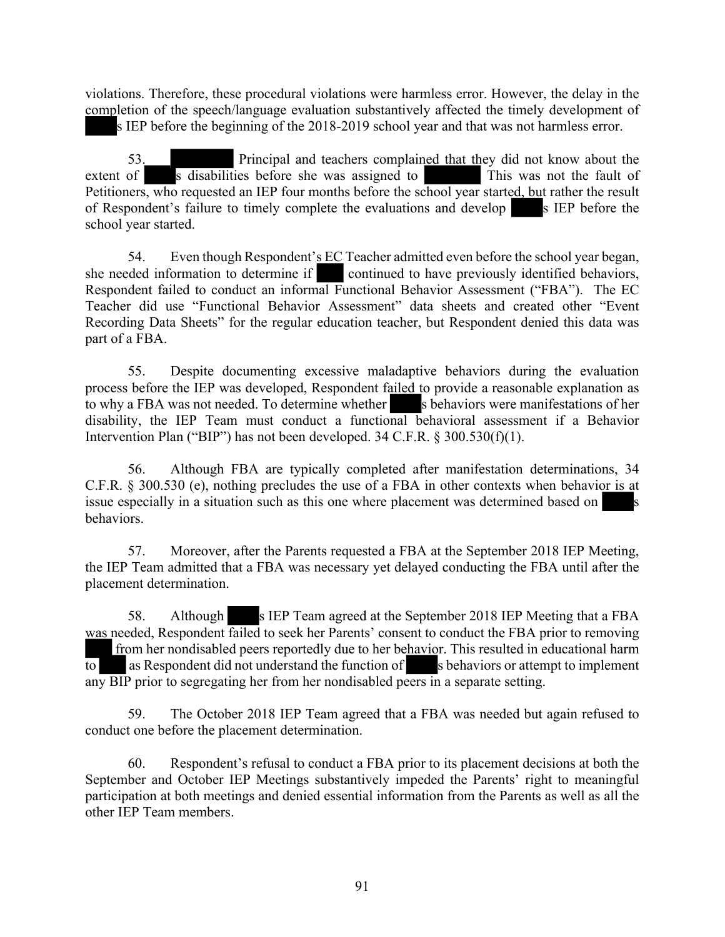violations. Therefore, these procedural violations were harmless error. However, the delay in the completion of the speech/language evaluation substantively affected the timely development of

s IEP before the beginning of the 2018-2019 school year and that was not harmless error.

53. Principal and teachers complained that they did not know about the extent of s disabilities before she was assigned to This was not the fault of Petitioners, who requested an IEP four months before the school year started, but rather the result of Respondent's failure to timely complete the evaluations and develop s IEP before the school year started.

54. Even though Respondent's EC Teacher admitted even before the school year began, she needed information to determine if continued to have previously identified behaviors, Respondent failed to conduct an informal Functional Behavior Assessment ("FBA"). The EC Teacher did use "Functional Behavior Assessment" data sheets and created other "Event Recording Data Sheets" for the regular education teacher, but Respondent denied this data was part of a FBA.

55. Despite documenting excessive maladaptive behaviors during the evaluation process before the IEP was developed, Respondent failed to provide a reasonable explanation as to why a FBA was not needed. To determine whether s behaviors were manifestations of her disability, the IEP Team must conduct a functional behavioral assessment if a Behavior Intervention Plan ("BIP") has not been developed. 34 C.F.R. § 300.530(f)(1).

56. Although FBA are typically completed after manifestation determinations, 34 C.F.R. § 300.530 (e), nothing precludes the use of a FBA in other contexts when behavior is at issue especially in a situation such as this one where placement was determined based on behaviors.

57. Moreover, after the Parents requested a FBA at the September 2018 IEP Meeting, the IEP Team admitted that a FBA was necessary yet delayed conducting the FBA until after the placement determination.

58. Although s IEP Team agreed at the September 2018 IEP Meeting that a FBA was needed, Respondent failed to seek her Parents' consent to conduct the FBA prior to removing from her nondisabled peers reportedly due to her behavior. This resulted in educational harm  $\overline{t}$  as Respondent did not understand the function of s behaviors or attempt to implement any BIP prior to segregating her from her nondisabled peers in a separate setting.

59. The October 2018 IEP Team agreed that a FBA was needed but again refused to conduct one before the placement determination.

60. Respondent's refusal to conduct a FBA prior to its placement decisions at both the September and October IEP Meetings substantively impeded the Parents' right to meaningful participation at both meetings and denied essential information from the Parents as well as all the other IEP Team members.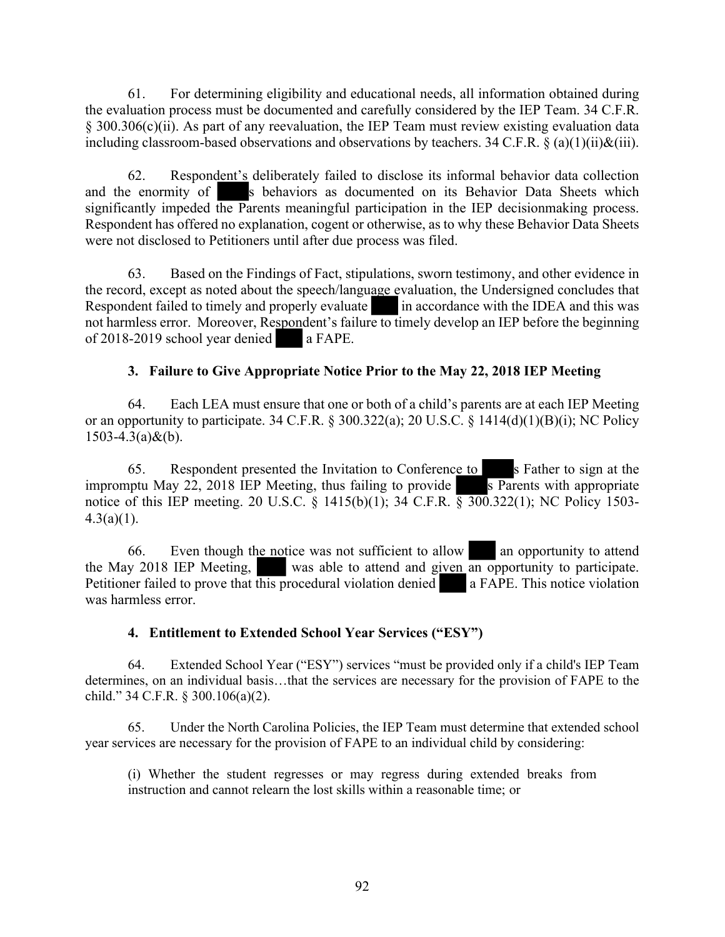61. For determining eligibility and educational needs, all information obtained during the evaluation process must be documented and carefully considered by the IEP Team. 34 C.F.R. § 300.306(c)(ii). As part of any reevaluation, the IEP Team must review existing evaluation data including classroom-based observations and observations by teachers. 34 C.F.R. § (a)(1)(ii)&(iii).

62. Respondent's deliberately failed to disclose its informal behavior data collection and the enormity of s behaviors as documented on its Behavior Data Sheets which significantly impeded the Parents meaningful participation in the IEP decisionmaking process. Respondent has offered no explanation, cogent or otherwise, as to why these Behavior Data Sheets were not disclosed to Petitioners until after due process was filed.

63. Based on the Findings of Fact, stipulations, sworn testimony, and other evidence in the record, except as noted about the speech/language evaluation, the Undersigned concludes that Respondent failed to timely and properly evaluate in accordance with the IDEA and this was not harmless error. Moreover, Respondent's failure to timely develop an IEP before the beginning of 2018-2019 school year denied a FAPE.

### **3. Failure to Give Appropriate Notice Prior to the May 22, 2018 IEP Meeting**

64. Each LEA must ensure that one or both of a child's parents are at each IEP Meeting or an opportunity to participate. 34 C.F.R. § 300.322(a); 20 U.S.C. § 1414(d)(1)(B)(i); NC Policy  $1503 - 4.3(a) \& (b)$ .

65. Respondent presented the Invitation to Conference to s Father to sign at the impromptu May 22, 2018 IEP Meeting, thus failing to provide  $\overline{s}$  Parents with appropriate notice of this IEP meeting. 20 U.S.C. § 1415(b)(1); 34 C.F.R. § 300.322(1); NC Policy 1503- $4.3(a)(1)$ .

66. Even though the notice was not sufficient to allow an opportunity to attend the May 2018 IEP Meeting, was able to attend and given an opportunity to participate. Petitioner failed to prove that this procedural violation denied a FAPE. This notice violation was harmless error.

#### **4. Entitlement to Extended School Year Services ("ESY")**

64. Extended School Year ("ESY") services "must be provided only if a child's IEP Team determines, on an individual basis…that the services are necessary for the provision of FAPE to the child." 34 C.F.R. § 300.106(a)(2).

65. Under the North Carolina Policies, the IEP Team must determine that extended school year services are necessary for the provision of FAPE to an individual child by considering:

(i) Whether the student regresses or may regress during extended breaks from instruction and cannot relearn the lost skills within a reasonable time; or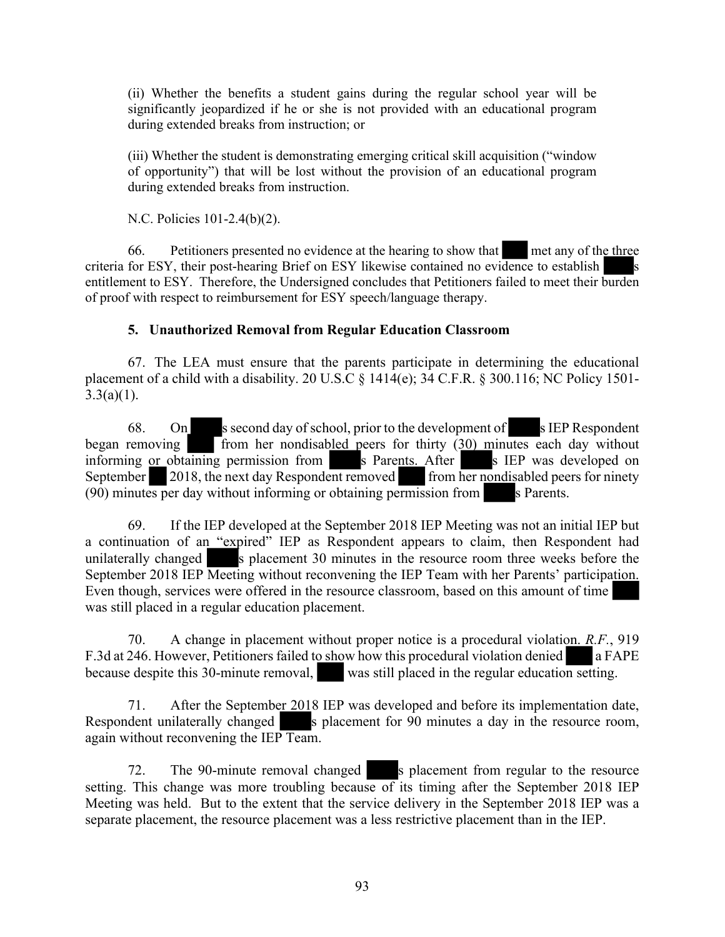(ii) Whether the benefits a student gains during the regular school year will be significantly jeopardized if he or she is not provided with an educational program during extended breaks from instruction; or

(iii) Whether the student is demonstrating emerging critical skill acquisition ("window of opportunity") that will be lost without the provision of an educational program during extended breaks from instruction.

N.C. Policies 101-2.4(b)(2).

66. Petitioners presented no evidence at the hearing to show that met any of the three criteria for ESY, their post-hearing Brief on ESY likewise contained no evidence to establish entitlement to ESY. Therefore, the Undersigned concludes that Petitioners failed to meet their burden of proof with respect to reimbursement for ESY speech/language therapy.

#### **5. Unauthorized Removal from Regular Education Classroom**

67. The LEA must ensure that the parents participate in determining the educational placement of a child with a disability. 20 U.S.C § 1414(e); 34 C.F.R. § 300.116; NC Policy 1501-  $3.3(a)(1)$ .

68. On s second day of school, prior to the development of s IEP Respondent began removing from her nondisabled peers for thirty (30) minutes each day without from her nondisabled peers for thirty  $(30)$  minutes each day without informing or obtaining permission from s Parents. After s IEP was developed on September 2018, the next day Respondent removed from her nondisabled peers for ninety  $(90)$  minutes per day without informing or obtaining permission from s Parents.

69. If the IEP developed at the September 2018 IEP Meeting was not an initial IEP but a continuation of an "expired" IEP as Respondent appears to claim, then Respondent had unilaterally changed s placement 30 minutes in the resource room three weeks before the September 2018 IEP Meeting without reconvening the IEP Team with her Parents' participation. Even though, services were offered in the resource classroom, based on this amount of time was still placed in a regular education placement.

70. A change in placement without proper notice is a procedural violation. *R.F.*, 919 F.3d at 246. However, Petitioners failed to show how this procedural violation denied a FAPE because despite this 30-minute removal, was still placed in the regular education setting.

71. After the September 2018 IEP was developed and before its implementation date, Respondent unilaterally changed s placement for 90 minutes a day in the resource room, again without reconvening the IEP Team.

72. The 90-minute removal changed s placement from regular to the resource setting. This change was more troubling because of its timing after the September 2018 IEP Meeting was held. But to the extent that the service delivery in the September 2018 IEP was a separate placement, the resource placement was a less restrictive placement than in the IEP.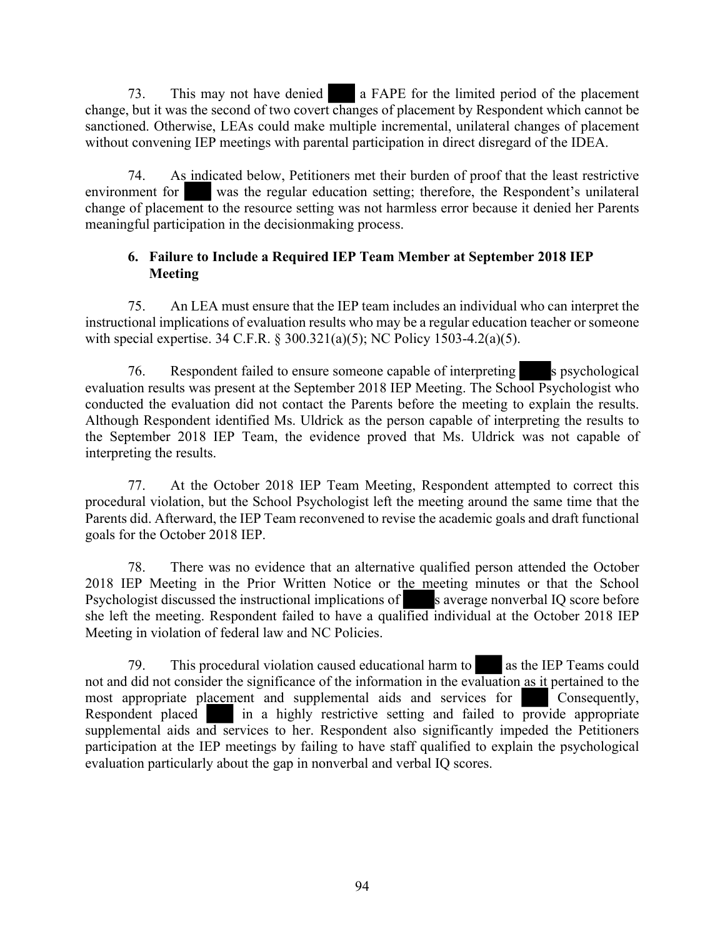73. This may not have denied a FAPE for the limited period of the placement change, but it was the second of two covert changes of placement by Respondent which cannot be sanctioned. Otherwise, LEAs could make multiple incremental, unilateral changes of placement without convening IEP meetings with parental participation in direct disregard of the IDEA.

74. As indicated below, Petitioners met their burden of proof that the least restrictive environment for was the regular education setting; therefore, the Respondent's unilateral change of placement to the resource setting was not harmless error because it denied her Parents meaningful participation in the decisionmaking process.

#### **6. Failure to Include a Required IEP Team Member at September 2018 IEP Meeting**

75. An LEA must ensure that the IEP team includes an individual who can interpret the instructional implications of evaluation results who may be a regular education teacher or someone with special expertise. 34 C.F.R. § 300.321(a)(5); NC Policy 1503-4.2(a)(5).

76. Respondent failed to ensure someone capable of interpreting s psychological evaluation results was present at the September 2018 IEP Meeting. The School Psychologist who conducted the evaluation did not contact the Parents before the meeting to explain the results. Although Respondent identified Ms. Uldrick as the person capable of interpreting the results to the September 2018 IEP Team, the evidence proved that Ms. Uldrick was not capable of interpreting the results.

77. At the October 2018 IEP Team Meeting, Respondent attempted to correct this procedural violation, but the School Psychologist left the meeting around the same time that the Parents did. Afterward, the IEP Team reconvened to revise the academic goals and draft functional goals for the October 2018 IEP.

78. There was no evidence that an alternative qualified person attended the October 2018 IEP Meeting in the Prior Written Notice or the meeting minutes or that the School Psychologist discussed the instructional implications of s average nonverbal IQ score before she left the meeting. Respondent failed to have a qualified individual at the October 2018 IEP Meeting in violation of federal law and NC Policies.

79. This procedural violation caused educational harm to as the IEP Teams could not and did not consider the significance of the information in the evaluation as it pertained to the most appropriate placement and supplemental aids and services for Consequently, Respondent placed in a highly restrictive setting and failed to provide appropriate supplemental aids and services to her. Respondent also significantly impeded the Petitioners participation at the IEP meetings by failing to have staff qualified to explain the psychological evaluation particularly about the gap in nonverbal and verbal IQ scores.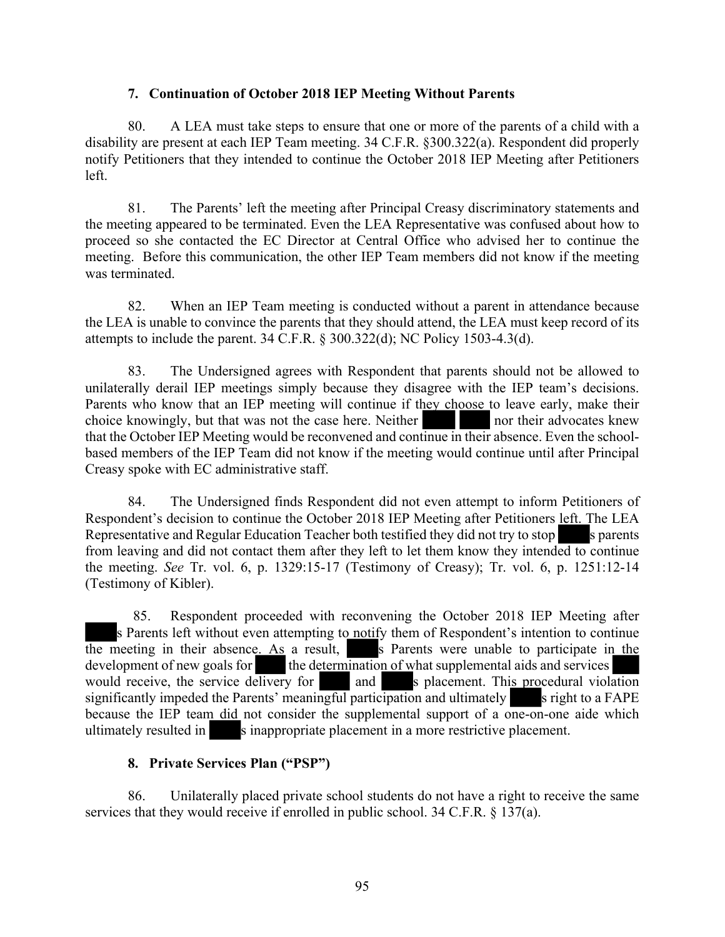#### **7. Continuation of October 2018 IEP Meeting Without Parents**

80. A LEA must take steps to ensure that one or more of the parents of a child with a disability are present at each IEP Team meeting. 34 C.F.R. §300.322(a). Respondent did properly notify Petitioners that they intended to continue the October 2018 IEP Meeting after Petitioners left.

81. The Parents' left the meeting after Principal Creasy discriminatory statements and the meeting appeared to be terminated. Even the LEA Representative was confused about how to proceed so she contacted the EC Director at Central Office who advised her to continue the meeting. Before this communication, the other IEP Team members did not know if the meeting was terminated.

82. When an IEP Team meeting is conducted without a parent in attendance because the LEA is unable to convince the parents that they should attend, the LEA must keep record of its attempts to include the parent. 34 C.F.R. § 300.322(d); NC Policy 1503-4.3(d).

83. The Undersigned agrees with Respondent that parents should not be allowed to unilaterally derail IEP meetings simply because they disagree with the IEP team's decisions. Parents who know that an IEP meeting will continue if they choose to leave early, make their choice knowingly, but that was not the case here. Neither nor their advocates knew that the October IEP Meeting would be reconvened and continue in their absence. Even the schoolbased members of the IEP Team did not know if the meeting would continue until after Principal Creasy spoke with EC administrative staff.

84. The Undersigned finds Respondent did not even attempt to inform Petitioners of Respondent's decision to continue the October 2018 IEP Meeting after Petitioners left. The LEA Representative and Regular Education Teacher both testified they did not try to stop s parents from leaving and did not contact them after they left to let them know they intended to continue the meeting. *See* Tr. vol. 6, p. 1329:15-17 (Testimony of Creasy); Tr. vol. 6, p. 1251:12-14 (Testimony of Kibler).

85. Respondent proceeded with reconvening the October 2018 IEP Meeting after s Parents left without even attempting to notify them of Respondent's intention to continue the meeting in their absence. As a result, s Parents were unable to participate in the development of new goals for the determination of what supplemental aids and services would receive, the service delivery for and spherement. This procedural viola and s placement. This procedural violation significantly impeded the Parents' meaningful participation and ultimately s right to a FAPE because the IEP team did not consider the supplemental support of a one-on-one aide which ultimately resulted in s inappropriate placement in a more restrictive placement.

#### **8. Private Services Plan ("PSP")**

86. Unilaterally placed private school students do not have a right to receive the same services that they would receive if enrolled in public school. 34 C.F.R. § 137(a).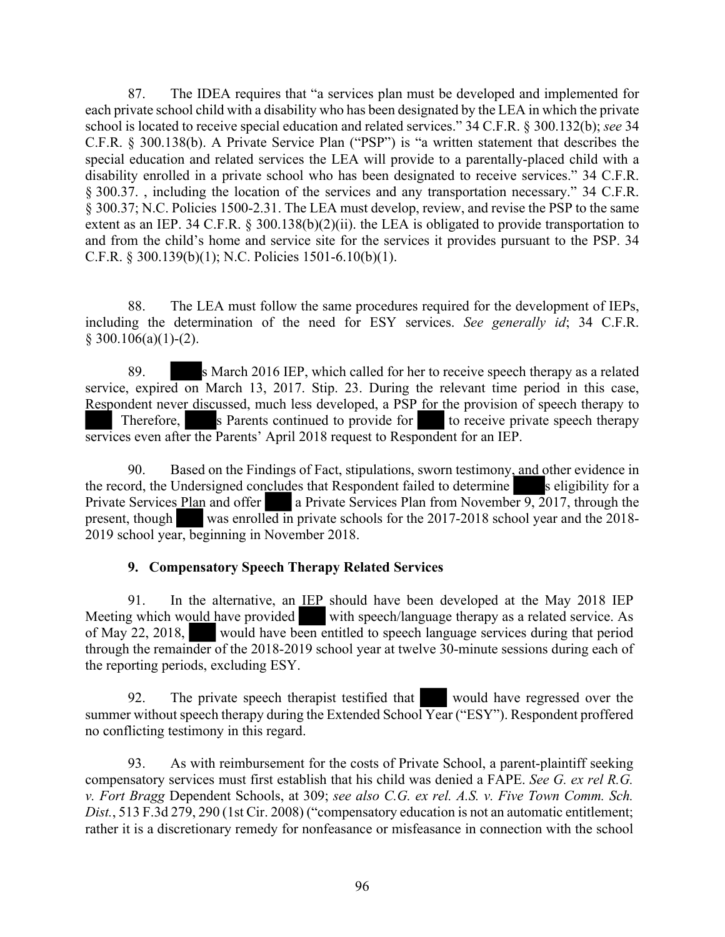87. The IDEA requires that "a services plan must be developed and implemented for each private school child with a disability who has been designated by the LEA in which the private school is located to receive special education and related services." 34 C.F.R. § 300.132(b); *see* 34 C.F.R. § 300.138(b). A Private Service Plan ("PSP") is "a written statement that describes the special education and related services the LEA will provide to a parentally-placed child with a disability enrolled in a private school who has been designated to receive services." 34 C.F.R. § 300.37. , including the location of the services and any transportation necessary." 34 C.F.R. § 300.37; N.C. Policies 1500-2.31. The LEA must develop, review, and revise the PSP to the same extent as an IEP. 34 C.F.R. § 300.138(b)(2)(ii). the LEA is obligated to provide transportation to and from the child's home and service site for the services it provides pursuant to the PSP. 34 C.F.R. § 300.139(b)(1); N.C. Policies 1501-6.10(b)(1).

88. The LEA must follow the same procedures required for the development of IEPs, including the determination of the need for ESY services. *See generally id*; 34 C.F.R.  $$300.106(a)(1)-(2).$ 

89. s March 2016 IEP, which called for her to receive speech therapy as a related service, expired on March 13, 2017. Stip. 23. During the relevant time period in this case, Respondent never discussed, much less developed, a PSP for the provision of speech therapy to Therefore, s Parents continued to provide for to receive private speech therapy services even after the Parents' April 2018 request to Respondent for an IEP.

90. Based on the Findings of Fact, stipulations, sworn testimony, and other evidence in the record, the Undersigned concludes that Respondent failed to determine s eligibility for a Private Services Plan and offer a Private Services Plan from November 9, 2017, through the present, though was enrolled in private schools for the 2017-2018 school year and the 2018- 2019 school year, beginning in November 2018.

#### **9. Compensatory Speech Therapy Related Services**

91. In the alternative, an IEP should have been developed at the May 2018 IEP Meeting which would have provided with speech/language therapy as a related service. As of May 22, 2018, would have been entitled to speech language services during that period through the remainder of the 2018-2019 school year at twelve 30-minute sessions during each of the reporting periods, excluding ESY.

92. The private speech therapist testified that would have regressed over the summer without speech therapy during the Extended School Year ("ESY"). Respondent proffered no conflicting testimony in this regard.

93. As with reimbursement for the costs of Private School, a parent-plaintiff seeking compensatory services must first establish that his child was denied a FAPE. *See G. ex rel R.G. v. Fort Bragg* Dependent Schools, at 309; *see also C.G. ex rel. A.S. v. Five Town Comm. Sch. Dist.*, 513 F.3d 279, 290 (1st Cir. 2008) ("compensatory education is not an automatic entitlement; rather it is a discretionary remedy for nonfeasance or misfeasance in connection with the school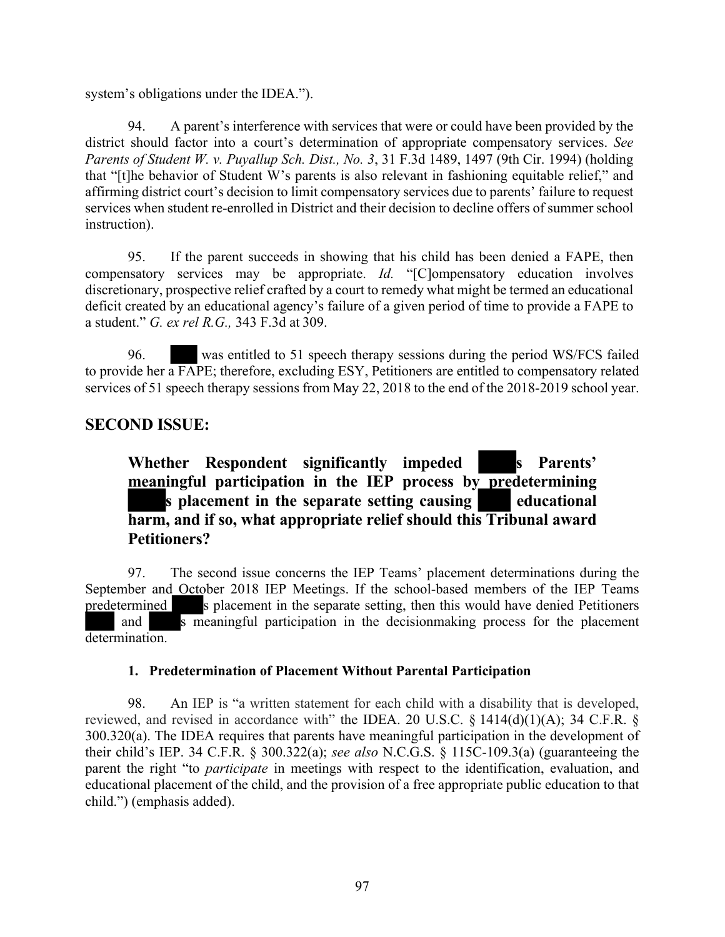system's obligations under the IDEA.").

94. A parent's interference with services that were or could have been provided by the district should factor into a court's determination of appropriate compensatory services. *See Parents of Student W. v. Puyallup Sch. Dist., No. 3*, 31 F.3d 1489, 1497 (9th Cir. 1994) (holding that "[t]he behavior of Student W's parents is also relevant in fashioning equitable relief," and affirming district court's decision to limit compensatory services due to parents' failure to request services when student re-enrolled in District and their decision to decline offers of summer school instruction).

95. If the parent succeeds in showing that his child has been denied a FAPE, then compensatory services may be appropriate. *Id.* "[C]ompensatory education involves discretionary, prospective relief crafted by a court to remedy what might be termed an educational deficit created by an educational agency's failure of a given period of time to provide a FAPE to a student." *G. ex rel R.G.,* 343 F.3d at 309.

96. was entitled to 51 speech therapy sessions during the period WS/FCS failed to provide her a FAPE; therefore, excluding ESY, Petitioners are entitled to compensatory related services of 51 speech therapy sessions from May 22, 2018 to the end of the 2018-2019 school year.

### **SECOND ISSUE:**

**Whether Respondent significantly impeded s Parents' meaningful participation in the IEP process by predetermining s placement in the separate setting causing educational harm, and if so, what appropriate relief should this Tribunal award Petitioners?**

97. The second issue concerns the IEP Teams' placement determinations during the September and October 2018 IEP Meetings. If the school-based members of the IEP Teams predetermined s placement in the separate setting, then this would have denied Petitioners and s meaningful participation in the decision making process for the placement determination.

#### **1. Predetermination of Placement Without Parental Participation**

98. An IEP is "a written statement for each child with a disability that is developed, reviewed, and revised in accordance with" the IDEA. 20 U.S.C. § 1414(d)(1)(A); 34 C.F.R. § 300.320(a). The IDEA requires that parents have meaningful participation in the development of their child's IEP. 34 C.F.R. § 300.322(a); *see also* N.C.G.S. § 115C-109.3(a) (guaranteeing the parent the right "to *participate* in meetings with respect to the identification, evaluation, and educational placement of the child, and the provision of a free appropriate public education to that child.") (emphasis added).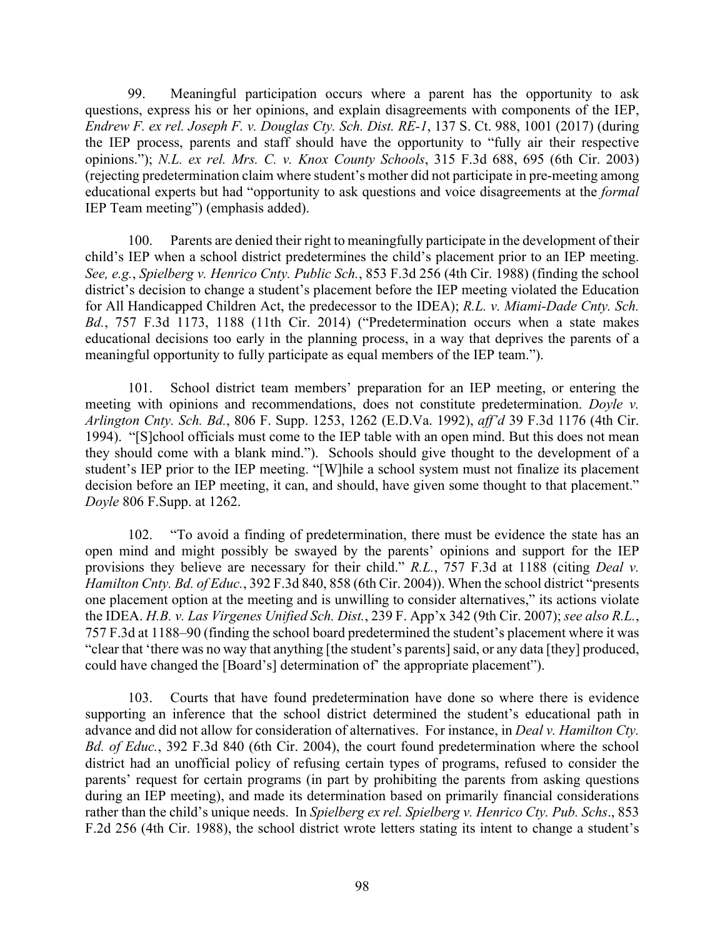99. Meaningful participation occurs where a parent has the opportunity to ask questions, express his or her opinions, and explain disagreements with components of the IEP, *Endrew F. ex rel. Joseph F. v. Douglas Cty. Sch. Dist. RE-1*, 137 S. Ct. 988, 1001 (2017) (during the IEP process, parents and staff should have the opportunity to "fully air their respective opinions."); *N.L. ex rel. Mrs. C. v. Knox County Schools*, 315 F.3d 688, 695 (6th Cir. 2003) (rejecting predetermination claim where student's mother did not participate in pre-meeting among educational experts but had "opportunity to ask questions and voice disagreements at the *formal* IEP Team meeting") (emphasis added).

100. Parents are denied their right to meaningfully participate in the development of their child's IEP when a school district predetermines the child's placement prior to an IEP meeting. *See, e.g.*, *Spielberg v. Henrico Cnty. Public Sch.*, 853 F.3d 256 (4th Cir. 1988) (finding the school district's decision to change a student's placement before the IEP meeting violated the Education for All Handicapped Children Act, the predecessor to the IDEA); *R.L. v. Miami-Dade Cnty. Sch. Bd.*, 757 F.3d 1173, 1188 (11th Cir. 2014) ("Predetermination occurs when a state makes educational decisions too early in the planning process, in a way that deprives the parents of a meaningful opportunity to fully participate as equal members of the IEP team.").

101. School district team members' preparation for an IEP meeting, or entering the meeting with opinions and recommendations, does not constitute predetermination. *Doyle v. Arlington Cnty. Sch. Bd.*, 806 F. Supp. 1253, 1262 (E.D.Va. 1992), *aff'd* 39 F.3d 1176 (4th Cir. 1994). "[S]chool officials must come to the IEP table with an open mind. But this does not mean they should come with a blank mind."). Schools should give thought to the development of a student's IEP prior to the IEP meeting. "[W]hile a school system must not finalize its placement decision before an IEP meeting, it can, and should, have given some thought to that placement." *Doyle* 806 F.Supp. at 1262.

102. "To avoid a finding of predetermination, there must be evidence the state has an open mind and might possibly be swayed by the parents' opinions and support for the IEP provisions they believe are necessary for their child." *R.L.*, 757 F.3d at 1188 (citing *Deal v*. *Hamilton Cnty. Bd. of Educ.*, 392 F.3d 840, 858 (6th Cir. 2004)). When the school district "presents one placement option at the meeting and is unwilling to consider alternatives," its actions violate the IDEA. *H.B. v. Las Virgenes Unified Sch. Dist.*, 239 F. App'x 342 (9th Cir. 2007); *see also R.L.*, 757 F.3d at 1188–90 (finding the school board predetermined the student's placement where it was "clear that 'there was no way that anything [the student's parents]said, or any data [they] produced, could have changed the [Board's] determination of' the appropriate placement").

103. Courts that have found predetermination have done so where there is evidence supporting an inference that the school district determined the student's educational path in advance and did not allow for consideration of alternatives. For instance, in *Deal v. Hamilton Cty. Bd. of Educ.*, 392 F.3d 840 (6th Cir. 2004), the court found predetermination where the school district had an unofficial policy of refusing certain types of programs, refused to consider the parents' request for certain programs (in part by prohibiting the parents from asking questions during an IEP meeting), and made its determination based on primarily financial considerations rather than the child's unique needs. In *Spielberg ex rel. Spielberg v. Henrico Cty. Pub. Schs*., 853 F.2d 256 (4th Cir. 1988), the school district wrote letters stating its intent to change a student's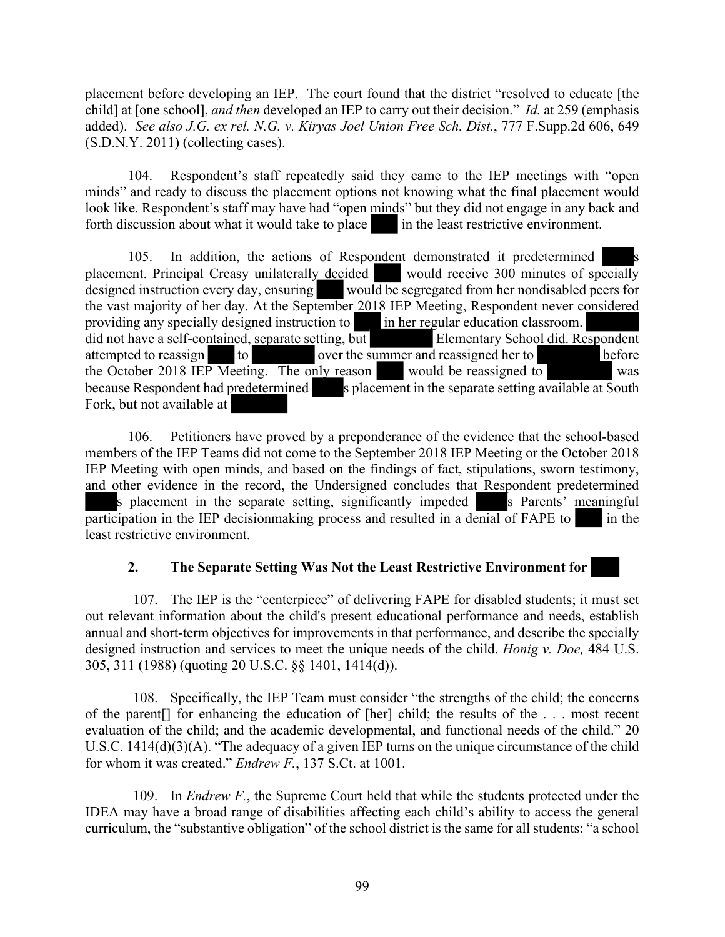placement before developing an IEP. The court found that the district "resolved to educate [the child] at [one school], *and then* developed an IEP to carry out their decision." *Id.* at 259 (emphasis added). *See also J.G. ex rel. N.G. v. Kiryas Joel Union Free Sch. Dist.*, 777 F.Supp.2d 606, 649 (S.D.N.Y. 2011) (collecting cases).

104. Respondent's staff repeatedly said they came to the IEP meetings with "open minds" and ready to discuss the placement options not knowing what the final placement would look like. Respondent's staff may have had "open minds" but they did not engage in any back and forth discussion about what it would take to place in the least restrictive environment.

105. In addition, the actions of Respondent demonstrated it predetermined placement. Principal Creasy unilaterally decided would receive 300 minutes of specially designed instruction every day, ensuring would be segregated from her nondisabled peers for the vast majority of her day. At the September 2018 IEP Meeting, Respondent never considered providing any specially designed instruction to in her regular education classroom. did not have a self-contained, separate setting, but Elementary School did. Respondent attempted to reassign to over the summer and reassigned her to before the October 2018 IEP Meeting. The only reason would be reassigned to was because Respondent had predetermined s placement in the separate setting available at South Fork, but not available at

106. Petitioners have proved by a preponderance of the evidence that the school-based members of the IEP Teams did not come to the September 2018 IEP Meeting or the October 2018 IEP Meeting with open minds, and based on the findings of fact, stipulations, sworn testimony, and other evidence in the record, the Undersigned concludes that Respondent predetermined s placement in the separate setting, significantly impeded s Parents' meaningful participation in the IEP decisionmaking process and resulted in a denial of  $FAPE$  to in the least restrictive environment.

#### **2. The Separate Setting Was Not the Least Restrictive Environment for**

107. The IEP is the "centerpiece" of delivering FAPE for disabled students; it must set out relevant information about the child's present educational performance and needs, establish annual and short-term objectives for improvements in that performance, and describe the specially designed instruction and services to meet the unique needs of the child. *Honig v. Doe,* 484 U.S. 305, 311 (1988) (quoting 20 U.S.C. §§ 1401, 1414(d)).

108. Specifically, the IEP Team must consider "the strengths of the child; the concerns of the parent[] for enhancing the education of [her] child; the results of the . . . most recent evaluation of the child; and the academic developmental, and functional needs of the child." 20 U.S.C. 1414(d)(3)(A). "The adequacy of a given IEP turns on the unique circumstance of the child for whom it was created." *Endrew F.*, 137 S.Ct. at 1001.

109. In *Endrew F.*, the Supreme Court held that while the students protected under the IDEA may have a broad range of disabilities affecting each child's ability to access the general curriculum, the "substantive obligation" of the school district is the same for all students: "a school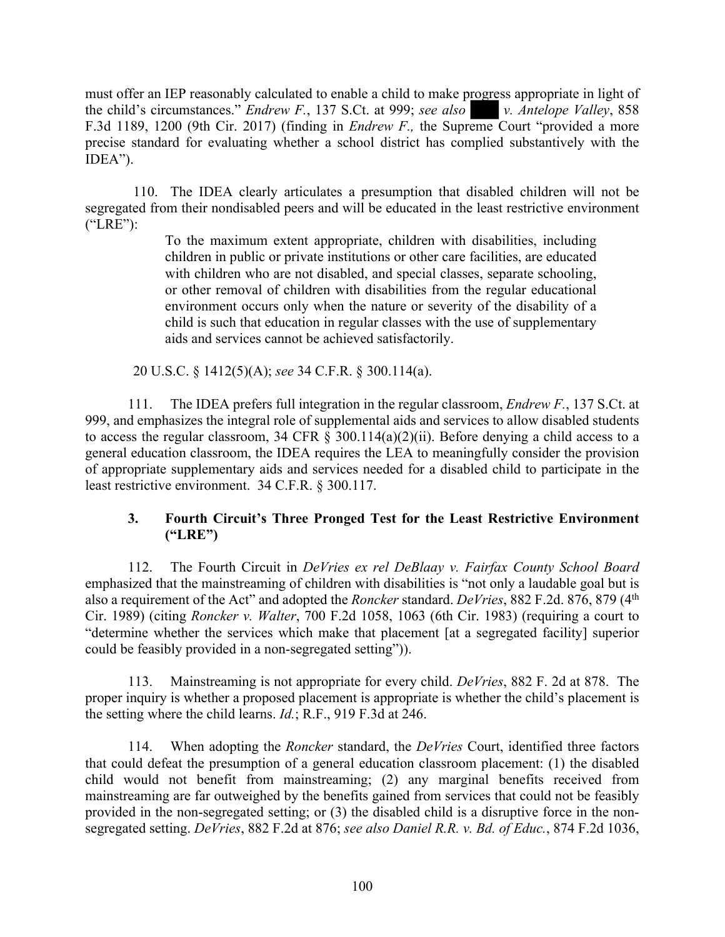must offer an IEP reasonably calculated to enable a child to make progress appropriate in light of the child's circumstances." *Endrew F.*, 137 S.Ct. at 999; *see also v. Antelope Valley*, 858 F.3d 1189, 1200 (9th Cir. 2017) (finding in *Endrew F.,* the Supreme Court "provided a more precise standard for evaluating whether a school district has complied substantively with the IDEA").

110. The IDEA clearly articulates a presumption that disabled children will not be segregated from their nondisabled peers and will be educated in the least restrictive environment ("LRE"):

> To the maximum extent appropriate, children with disabilities, including children in public or private institutions or other care facilities, are educated with children who are not disabled, and special classes, separate schooling, or other removal of children with disabilities from the regular educational environment occurs only when the nature or severity of the disability of a child is such that education in regular classes with the use of supplementary aids and services cannot be achieved satisfactorily.

20 U.S.C. § 1412(5)(A); *see* 34 C.F.R. § 300.114(a).

111. The IDEA prefers full integration in the regular classroom, *Endrew F.*, 137 S.Ct. at 999, and emphasizes the integral role of supplemental aids and services to allow disabled students to access the regular classroom, 34 CFR  $\S$  300.114(a)(2)(ii). Before denying a child access to a general education classroom, the IDEA requires the LEA to meaningfully consider the provision of appropriate supplementary aids and services needed for a disabled child to participate in the least restrictive environment. 34 C.F.R. § 300.117.

### **3. Fourth Circuit's Three Pronged Test for the Least Restrictive Environment ("LRE")**

112. The Fourth Circuit in *DeVries ex rel DeBlaay v. Fairfax County School Board* emphasized that the mainstreaming of children with disabilities is "not only a laudable goal but is also a requirement of the Act" and adopted the *Roncker* standard. *DeVries*, 882 F.2d. 876, 879 (4th Cir. 1989) (citing *Roncker v. Walter*, 700 F.2d 1058, 1063 (6th Cir. 1983) (requiring a court to "determine whether the services which make that placement [at a segregated facility] superior could be feasibly provided in a non-segregated setting")).

113. Mainstreaming is not appropriate for every child. *DeVries*, 882 F. 2d at 878. The proper inquiry is whether a proposed placement is appropriate is whether the child's placement is the setting where the child learns. *Id.*; R.F., 919 F.3d at 246.

114. When adopting the *Roncker* standard, the *DeVries* Court, identified three factors that could defeat the presumption of a general education classroom placement: (1) the disabled child would not benefit from mainstreaming; (2) any marginal benefits received from mainstreaming are far outweighed by the benefits gained from services that could not be feasibly provided in the non-segregated setting; or (3) the disabled child is a disruptive force in the nonsegregated setting. *DeVries*, 882 F.2d at 876; *see also Daniel R.R. v. Bd. of Educ.*, 874 F.2d 1036,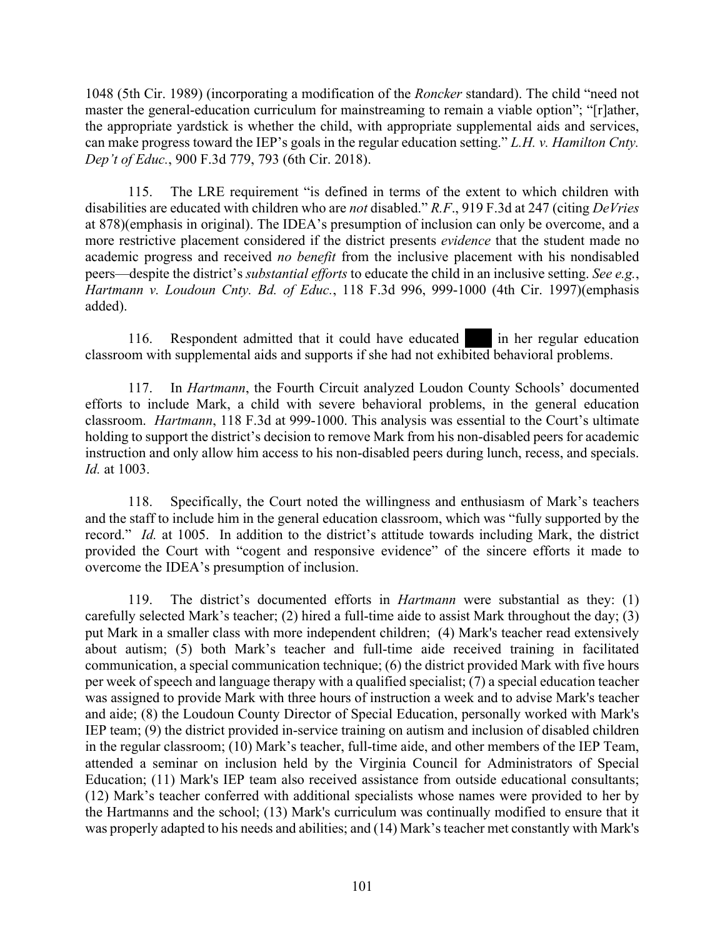1048 (5th Cir. 1989) (incorporating a modification of the *Roncker* standard). The child "need not master the general-education curriculum for mainstreaming to remain a viable option"; "[r]ather, the appropriate yardstick is whether the child, with appropriate supplemental aids and services, can make progress toward the IEP's goals in the regular education setting." *L.H. v. Hamilton Cnty. Dep't of Educ.*, 900 F.3d 779, 793 (6th Cir. 2018).

115. The LRE requirement "is defined in terms of the extent to which children with disabilities are educated with children who are *not* disabled." *R.F*., 919 F.3d at 247 (citing *DeVries*  at 878)(emphasis in original). The IDEA's presumption of inclusion can only be overcome, and a more restrictive placement considered if the district presents *evidence* that the student made no academic progress and received *no benefit* from the inclusive placement with his nondisabled peers—despite the district's *substantial efforts* to educate the child in an inclusive setting. *See e.g.*, *Hartmann v. Loudoun Cnty. Bd. of Educ.*, 118 F.3d 996, 999-1000 (4th Cir. 1997)(emphasis added).

116. Respondent admitted that it could have educated in her regular education classroom with supplemental aids and supports if she had not exhibited behavioral problems.

117. In *Hartmann*, the Fourth Circuit analyzed Loudon County Schools' documented efforts to include Mark, a child with severe behavioral problems, in the general education classroom. *Hartmann*, 118 F.3d at 999-1000. This analysis was essential to the Court's ultimate holding to support the district's decision to remove Mark from his non-disabled peers for academic instruction and only allow him access to his non-disabled peers during lunch, recess, and specials. *Id.* at 1003.

118. Specifically, the Court noted the willingness and enthusiasm of Mark's teachers and the staff to include him in the general education classroom, which was "fully supported by the record." *Id.* at 1005. In addition to the district's attitude towards including Mark, the district provided the Court with "cogent and responsive evidence" of the sincere efforts it made to overcome the IDEA's presumption of inclusion.

119. The district's documented efforts in *Hartmann* were substantial as they: (1) carefully selected Mark's teacher; (2) hired a full-time aide to assist Mark throughout the day; (3) put Mark in a smaller class with more independent children; (4) Mark's teacher read extensively about autism; (5) both Mark's teacher and full-time aide received training in facilitated communication, a special communication technique; (6) the district provided Mark with five hours per week of speech and language therapy with a qualified specialist; (7) a special education teacher was assigned to provide Mark with three hours of instruction a week and to advise Mark's teacher and aide; (8) the Loudoun County Director of Special Education, personally worked with Mark's IEP team; (9) the district provided in-service training on autism and inclusion of disabled children in the regular classroom; (10) Mark's teacher, full-time aide, and other members of the IEP Team, attended a seminar on inclusion held by the Virginia Council for Administrators of Special Education; (11) Mark's IEP team also received assistance from outside educational consultants; (12) Mark's teacher conferred with additional specialists whose names were provided to her by the Hartmanns and the school; (13) Mark's curriculum was continually modified to ensure that it was properly adapted to his needs and abilities; and (14) Mark's teacher met constantly with Mark's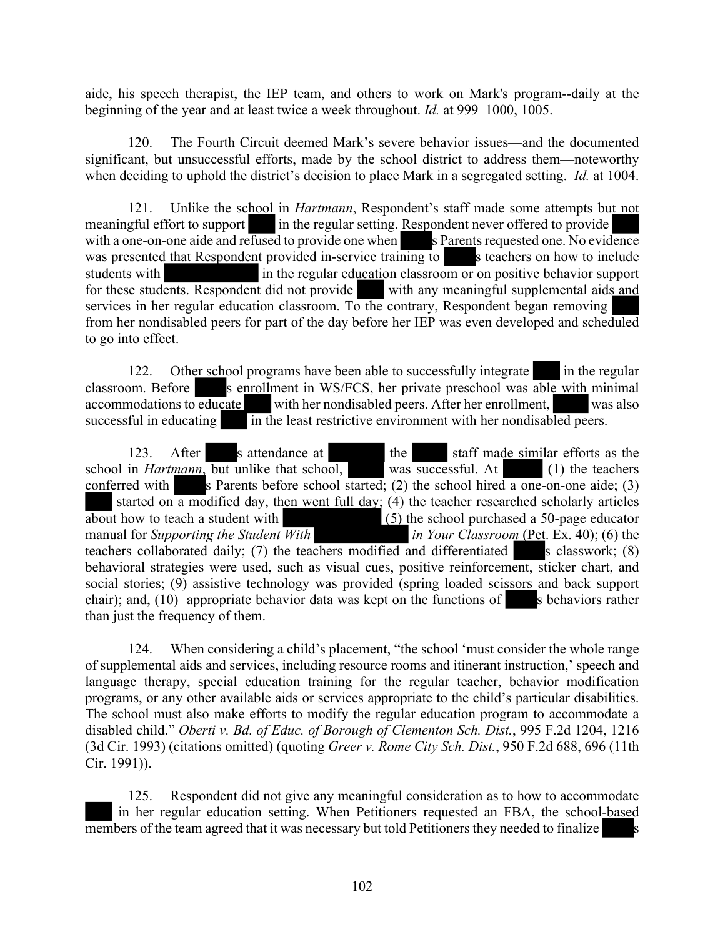aide, his speech therapist, the IEP team, and others to work on Mark's program--daily at the beginning of the year and at least twice a week throughout. *Id.* at 999–1000, 1005.

120. The Fourth Circuit deemed Mark's severe behavior issues—and the documented significant, but unsuccessful efforts, made by the school district to address them—noteworthy when deciding to uphold the district's decision to place Mark in a segregated setting. *Id.* at 1004.

121. Unlike the school in *Hartmann*, Respondent's staff made some attempts but not meaningful effort to support in the regular setting. Respondent never offered to provide with a one-on-one aide and refused to provide one when s Parents requested one. No evidence was presented that Respondent provided in-service training to s teachers on how to include students with in the regular education classroom or on positive behavior support for these students. Respondent did not provide with any meaningful supplemental aids and services in her regular education classroom. To the contrary, Respondent began removing from her nondisabled peers for part of the day before her IEP was even developed and scheduled to go into effect.

122. Other school programs have been able to successfully integrate in the regular classroom. Before s enrollment in WS/FCS, her private preschool was able with minimal accommodations to educate with her nondisabled peers. After her enrollment, with her nondisabled peers. After her enrollment, was also successful in educating in the least restrictive environment with her nondisabled peers.

123. After s attendance at the staff made similar efforts as the school in *Hartmann*, but unlike that school, was successful. At (1) the teachers conferred with s Parents before school started; (2) the school hired a one-on-one aide; (3) started on a modified day, then went full day; (4) the teacher researched scholarly articles about how to teach a student with (5) the school purchased a 50-page educator manual for *Supporting the Student With in Your Classroom* (Pet. Ex. 40); (6) the teachers collaborated daily; (7) the teachers modified and differentiated s classwork;  $(8)$ behavioral strategies were used, such as visual cues, positive reinforcement, sticker chart, and social stories; (9) assistive technology was provided (spring loaded scissors and back support chair); and,  $(10)$  appropriate behavior data was kept on the functions of s behaviors rather than just the frequency of them.

124. When considering a child's placement, "the school 'must consider the whole range of supplemental aids and services, including resource rooms and itinerant instruction,' speech and language therapy, special education training for the regular teacher, behavior modification programs, or any other available aids or services appropriate to the child's particular disabilities. The school must also make efforts to modify the regular education program to accommodate a disabled child." *Oberti v. Bd. of Educ. of Borough of Clementon Sch. Dist.*, 995 F.2d 1204, 1216 (3d Cir. 1993) (citations omitted) (quoting *Greer v. Rome City Sch. Dist.*, 950 F.2d 688, 696 (11th Cir. 1991)).

125. Respondent did not give any meaningful consideration as to how to accommodate in her regular education setting. When Petitioners requested an FBA, the school-based members of the team agreed that it was necessary but told Petitioners they needed to finalize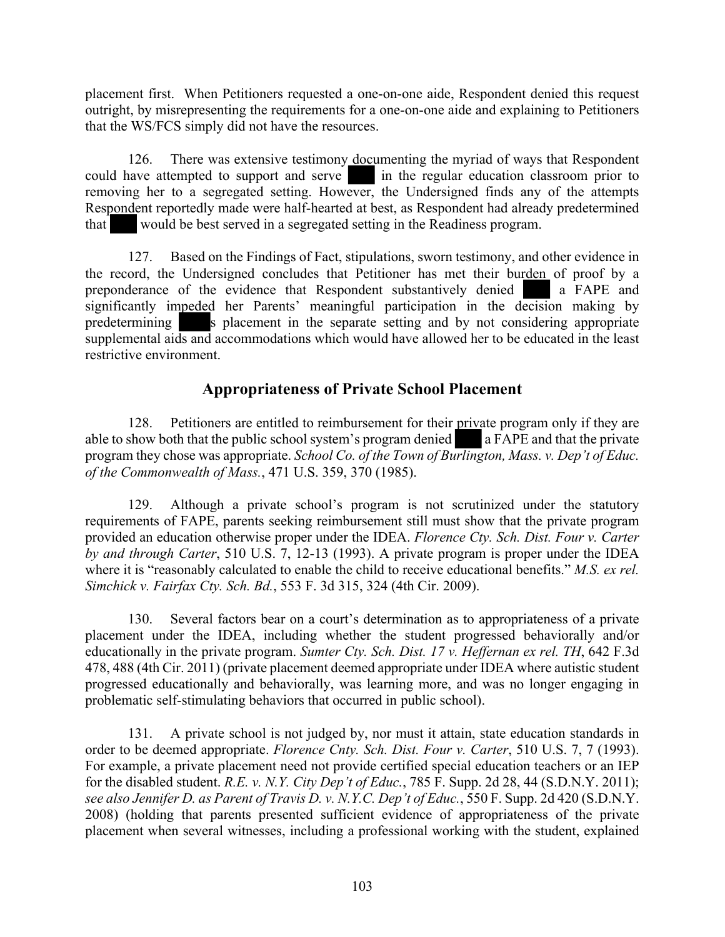placement first. When Petitioners requested a one-on-one aide, Respondent denied this request outright, by misrepresenting the requirements for a one-on-one aide and explaining to Petitioners that the WS/FCS simply did not have the resources.

126. There was extensive testimony documenting the myriad of ways that Respondent could have attempted to support and serve in the regular education classroom prior to removing her to a segregated setting. However, the Undersigned finds any of the attempts Respondent reportedly made were half-hearted at best, as Respondent had already predetermined that would be best served in a segregated setting in the Readiness program.

127. Based on the Findings of Fact, stipulations, sworn testimony, and other evidence in the record, the Undersigned concludes that Petitioner has met their burden of proof by a preponderance of the evidence that Respondent substantively denied a FAPE and significantly impeded her Parents' meaningful participation in the decision making by predetermining s placement in the separate setting and by not considering appropriate supplemental aids and accommodations which would have allowed her to be educated in the least restrictive environment.

# **Appropriateness of Private School Placement**

128. Petitioners are entitled to reimbursement for their private program only if they are able to show both that the public school system's program denied a FAPE and that the private program they chose was appropriate. *School Co. of the Town of Burlington, Mass. v. Dep't of Educ. of the Commonwealth of Mass.*, 471 U.S. 359, 370 (1985).

129. Although a private school's program is not scrutinized under the statutory requirements of FAPE, parents seeking reimbursement still must show that the private program provided an education otherwise proper under the IDEA. *Florence Cty. Sch. Dist. Four v. Carter by and through Carter*, 510 U.S. 7, 12-13 (1993). A private program is proper under the IDEA where it is "reasonably calculated to enable the child to receive educational benefits." *M.S. ex rel. Simchick v. Fairfax Cty. Sch. Bd.*, 553 F. 3d 315, 324 (4th Cir. 2009).

130. Several factors bear on a court's determination as to appropriateness of a private placement under the IDEA, including whether the student progressed behaviorally and/or educationally in the private program. *Sumter Cty. Sch. Dist. 17 v. Heffernan ex rel. TH*, 642 F.3d 478, 488 (4th Cir. 2011) (private placement deemed appropriate under IDEA where autistic student progressed educationally and behaviorally, was learning more, and was no longer engaging in problematic self-stimulating behaviors that occurred in public school).

131. A private school is not judged by, nor must it attain, state education standards in order to be deemed appropriate. *Florence Cnty. Sch. Dist. Four v. Carter*, 510 U.S. 7, 7 (1993). For example, a private placement need not provide certified special education teachers or an IEP for the disabled student. *R.E. v. N.Y. City Dep't of Educ.*, 785 F. Supp. 2d 28, 44 (S.D.N.Y. 2011); *see also Jennifer D. as Parent of Travis D. v. N.Y.C. Dep't of Educ.*, 550 F. Supp. 2d 420 (S.D.N.Y. 2008) (holding that parents presented sufficient evidence of appropriateness of the private placement when several witnesses, including a professional working with the student, explained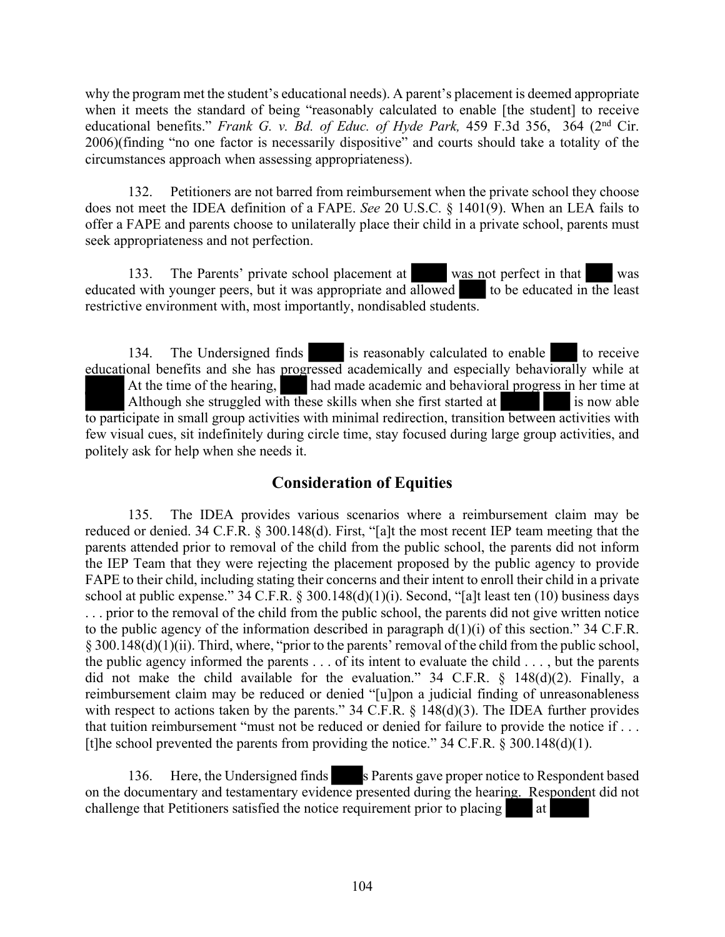why the program met the student's educational needs). A parent's placement is deemed appropriate when it meets the standard of being "reasonably calculated to enable [the student] to receive educational benefits." *Frank G. v. Bd. of Educ. of Hyde Park,* 459 F.3d 356, 364 (2nd Cir. 2006)(finding "no one factor is necessarily dispositive" and courts should take a totality of the circumstances approach when assessing appropriateness).

132. Petitioners are not barred from reimbursement when the private school they choose does not meet the IDEA definition of a FAPE. *See* 20 U.S.C. § 1401(9). When an LEA fails to offer a FAPE and parents choose to unilaterally place their child in a private school, parents must seek appropriateness and not perfection.

133. The Parents' private school placement at was not perfect in that was educated with younger peers, but it was appropriate and allowed to be educated in the least restrictive environment with, most importantly, nondisabled students.

134. The Undersigned finds is reasonably calculated to enable to receive educational benefits and she has progressed academically and especially behaviorally while at At the time of the hearing, had made academic and behavioral progress in her time at Although she struggled with these skills when she first started at is now able to participate in small group activities with minimal redirection, transition between activities with few visual cues, sit indefinitely during circle time, stay focused during large group activities, and politely ask for help when she needs it.

# **Consideration of Equities**

135. The IDEA provides various scenarios where a reimbursement claim may be reduced or denied. 34 C.F.R. § 300.148(d). First, "[a]t the most recent IEP team meeting that the parents attended prior to removal of the child from the public school, the parents did not inform the IEP Team that they were rejecting the placement proposed by the public agency to provide FAPE to their child, including stating their concerns and their intent to enroll their child in a private school at public expense." 34 C.F.R. § 300.148(d)(1)(i). Second, "[a]t least ten (10) business days . . . prior to the removal of the child from the public school, the parents did not give written notice to the public agency of the information described in paragraph  $d(1)(i)$  of this section." 34 C.F.R. § 300.148(d)(1)(ii). Third, where, "prior to the parents' removal of the child from the public school, the public agency informed the parents . . . of its intent to evaluate the child . . . , but the parents did not make the child available for the evaluation." 34 C.F.R. § 148(d)(2). Finally, a reimbursement claim may be reduced or denied "[u]pon a judicial finding of unreasonableness with respect to actions taken by the parents." 34 C.F.R. § 148(d)(3). The IDEA further provides that tuition reimbursement "must not be reduced or denied for failure to provide the notice if . . . [t]he school prevented the parents from providing the notice."  $34$  C.F.R. § 300.148(d)(1).

136. Here, the Undersigned finds s Parents gave proper notice to Respondent based on the documentary and testamentary evidence presented during the hearing. Respondent did not challenge that Petitioners satisfied the notice requirement prior to placing at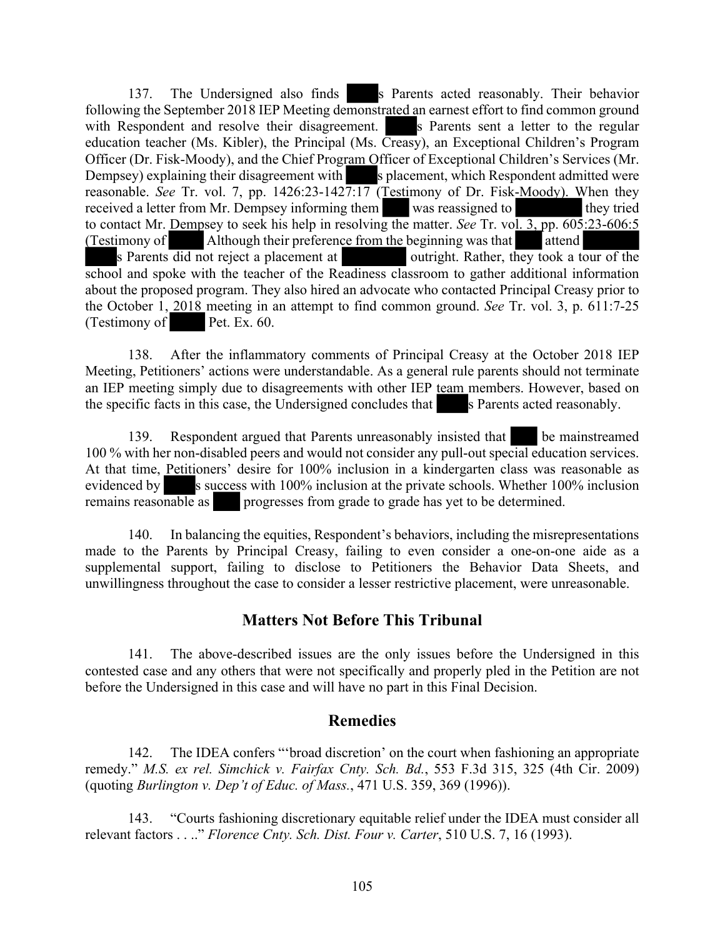137. The Undersigned also finds s Parents acted reasonably. Their behavior following the September 2018 IEP Meeting demonstrated an earnest effort to find common ground with Respondent and resolve their disagreement. Solutions is Parents sent a letter to the regular education teacher (Ms. Kibler), the Principal (Ms. Creasy), an Exceptional Children's Program Officer (Dr. Fisk-Moody), and the Chief Program Officer of Exceptional Children's Services (Mr. Dempsey) explaining their disagreement with s placement, which Respondent admitted were reasonable. *See* Tr. vol. 7, pp. 1426:23-1427:17 (Testimony of Dr. Fisk-Moody). When they received a letter from Mr. Dempsey informing them was reassigned to they tried to contact Mr. Dempsey to seek his help in resolving the matter. *See* Tr. vol. 3, pp. 605:23-606:5 (Testimony of Although their preference from the beginning was that attend s Parents did not reject a placement at attending outright. Rather, they took a to outright. Rather, they took a tour of the school and spoke with the teacher of the Readiness classroom to gather additional information about the proposed program. They also hired an advocate who contacted Principal Creasy prior to the October 1, 2018 meeting in an attempt to find common ground. *See* Tr. vol. 3, p. 611:7-25 (Testimony of Pet. Ex. 60.

138. After the inflammatory comments of Principal Creasy at the October 2018 IEP Meeting, Petitioners' actions were understandable. As a general rule parents should not terminate an IEP meeting simply due to disagreements with other IEP team members. However, based on the specific facts in this case, the Undersigned concludes that s Parents acted reasonably.

139. Respondent argued that Parents unreasonably insisted that be mainstreamed 100 % with her non-disabled peers and would not consider any pull-out special education services. At that time, Petitioners' desire for 100% inclusion in a kindergarten class was reasonable as evidenced by s success with 100% inclusion at the private schools. Whether 100% inclusion remains reasonable as progresses from grade to grade has yet to be determined.

140. In balancing the equities, Respondent's behaviors, including the misrepresentations made to the Parents by Principal Creasy, failing to even consider a one-on-one aide as a supplemental support, failing to disclose to Petitioners the Behavior Data Sheets, and unwillingness throughout the case to consider a lesser restrictive placement, were unreasonable.

# **Matters Not Before This Tribunal**

141. The above-described issues are the only issues before the Undersigned in this contested case and any others that were not specifically and properly pled in the Petition are not before the Undersigned in this case and will have no part in this Final Decision.

### **Remedies**

142. The IDEA confers "'broad discretion' on the court when fashioning an appropriate remedy." *M.S. ex rel. Simchick v. Fairfax Cnty. Sch. Bd.*, 553 F.3d 315, 325 (4th Cir. 2009) (quoting *Burlington v. Dep't of Educ. of Mass.*, 471 U.S. 359, 369 (1996)).

143. "Courts fashioning discretionary equitable relief under the IDEA must consider all relevant factors . . .." *Florence Cnty. Sch. Dist. Four v. Carter*, 510 U.S. 7, 16 (1993).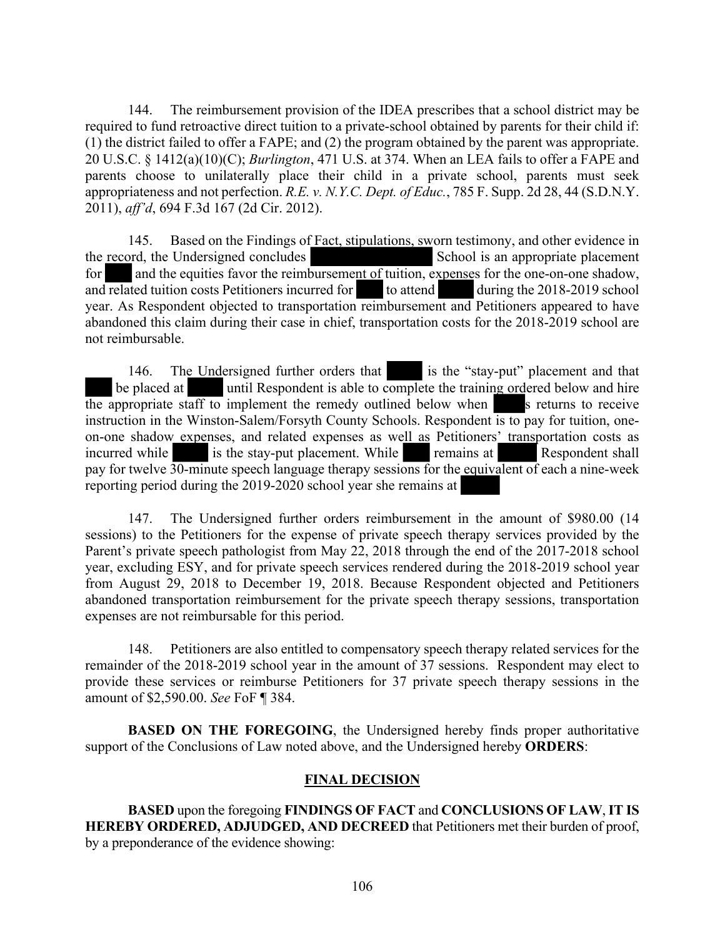144. The reimbursement provision of the IDEA prescribes that a school district may be required to fund retroactive direct tuition to a private-school obtained by parents for their child if: (1) the district failed to offer a FAPE; and (2) the program obtained by the parent was appropriate. 20 U.S.C. § 1412(a)(10)(C); *Burlington*, 471 U.S. at 374. When an LEA fails to offer a FAPE and parents choose to unilaterally place their child in a private school, parents must seek appropriateness and not perfection. *R.E. v. N.Y.C. Dept. of Educ.*, 785 F. Supp. 2d 28, 44 (S.D.N.Y. 2011), *aff'd*, 694 F.3d 167 (2d Cir. 2012).

145. Based on the Findings of Fact, stipulations, sworn testimony, and other evidence in the record, the Undersigned concludes School is an appropriate placement for and the equities favor the reimbursement of tuition, expenses for the one-on-one shadow, and related tuition costs Petitioners incurred for to attend during the 2018-2019 school year. As Respondent objected to transportation reimbursement and Petitioners appeared to have abandoned this claim during their case in chief, transportation costs for the 2018-2019 school are not reimbursable.

146. The Undersigned further orders that is the "stay-put" placement and that be placed at until Respondent is able to complete the training ordered below and hire the appropriate staff to implement the remedy outlined below when  $\sim$  s returns to receive instruction in the Winston-Salem/Forsyth County Schools. Respondent is to pay for tuition, oneon-one shadow expenses, and related expenses as well as Petitioners' transportation costs as incurred while is the stay-put placement. While remains at Respondent shall pay for twelve 30-minute speech language therapy sessions for the equivalent of each a nine-week reporting period during the 2019-2020 school year she remains at

147. The Undersigned further orders reimbursement in the amount of \$980.00 (14 sessions) to the Petitioners for the expense of private speech therapy services provided by the Parent's private speech pathologist from May 22, 2018 through the end of the 2017-2018 school year, excluding ESY, and for private speech services rendered during the 2018-2019 school year from August 29, 2018 to December 19, 2018. Because Respondent objected and Petitioners abandoned transportation reimbursement for the private speech therapy sessions, transportation expenses are not reimbursable for this period.

148. Petitioners are also entitled to compensatory speech therapy related services for the remainder of the 2018-2019 school year in the amount of 37 sessions. Respondent may elect to provide these services or reimburse Petitioners for 37 private speech therapy sessions in the amount of \$2,590.00. *See* FoF ¶ 384.

**BASED ON THE FOREGOING**, the Undersigned hereby finds proper authoritative support of the Conclusions of Law noted above, and the Undersigned hereby **ORDERS**:

#### **FINAL DECISION**

**BASED** upon the foregoing **FINDINGS OF FACT** and **CONCLUSIONS OF LAW**, **IT IS HEREBY ORDERED, ADJUDGED, AND DECREED** that Petitioners met their burden of proof, by a preponderance of the evidence showing: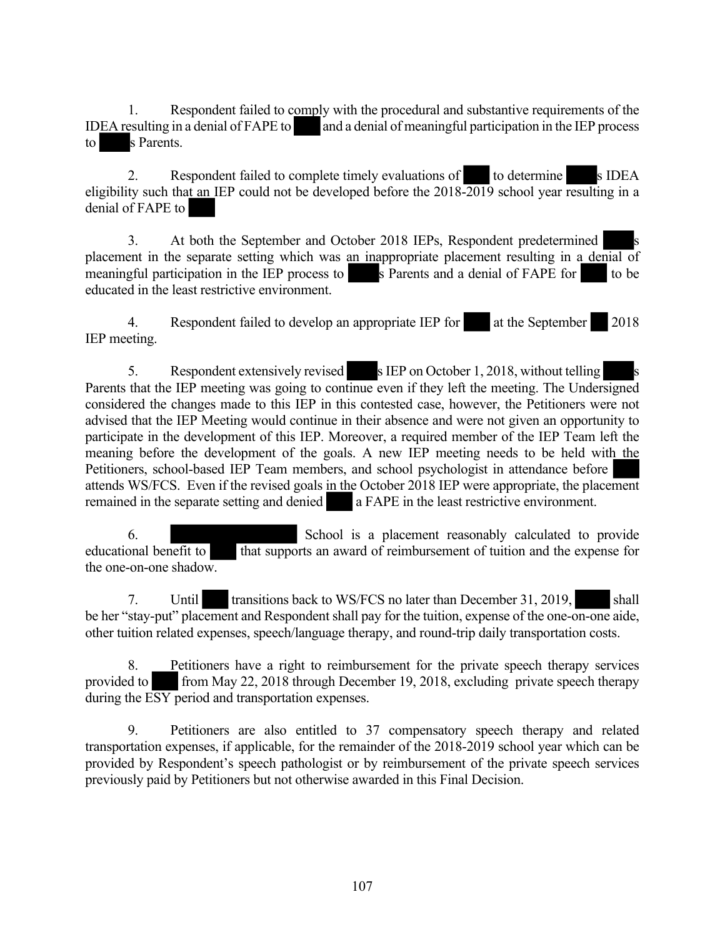1. Respondent failed to comply with the procedural and substantive requirements of the IDEA resulting in a denial of FAPE to and a denial of meaningful participation in the IEP process to s Parents.

2. Respondent failed to complete timely evaluations of to determine s IDEA eligibility such that an IEP could not be developed before the 2018-2019 school year resulting in a denial of FAPE to

3. At both the September and October 2018 IEPs, Respondent predetermined placement in the separate setting which was an inappropriate placement resulting in a denial of meaningful participation in the IEP process to s Parents and a denial of FAPE for to be educated in the least restrictive environment.

4. Respondent failed to develop an appropriate IEP for at the September 2018 IEP meeting.

5. Respondent extensively revised sIEP on October 1, 2018, without telling Parents that the IEP meeting was going to continue even if they left the meeting. The Undersigned considered the changes made to this IEP in this contested case, however, the Petitioners were not advised that the IEP Meeting would continue in their absence and were not given an opportunity to participate in the development of this IEP. Moreover, a required member of the IEP Team left the meaning before the development of the goals. A new IEP meeting needs to be held with the Petitioners, school-based IEP Team members, and school psychologist in attendance before attends WS/FCS. Even if the revised goals in the October 2018 IEP were appropriate, the placement remained in the separate setting and denied a FAPE in the least restrictive environment.

6. School is a placement reasonably calculated to provide educational benefit to that supports an award of reimbursement of tuition and the expense for the one-on-one shadow.

7. Until transitions back to WS/FCS no later than December 31, 2019, shall be her "stay-put" placement and Respondent shall pay for the tuition, expense of the one-on-one aide, other tuition related expenses, speech/language therapy, and round-trip daily transportation costs.

8. Petitioners have a right to reimbursement for the private speech therapy services provided to from May 22, 2018 through December 19, 2018, excluding private speech therapy during the ESY period and transportation expenses.

9. Petitioners are also entitled to 37 compensatory speech therapy and related transportation expenses, if applicable, for the remainder of the 2018-2019 school year which can be provided by Respondent's speech pathologist or by reimbursement of the private speech services previously paid by Petitioners but not otherwise awarded in this Final Decision.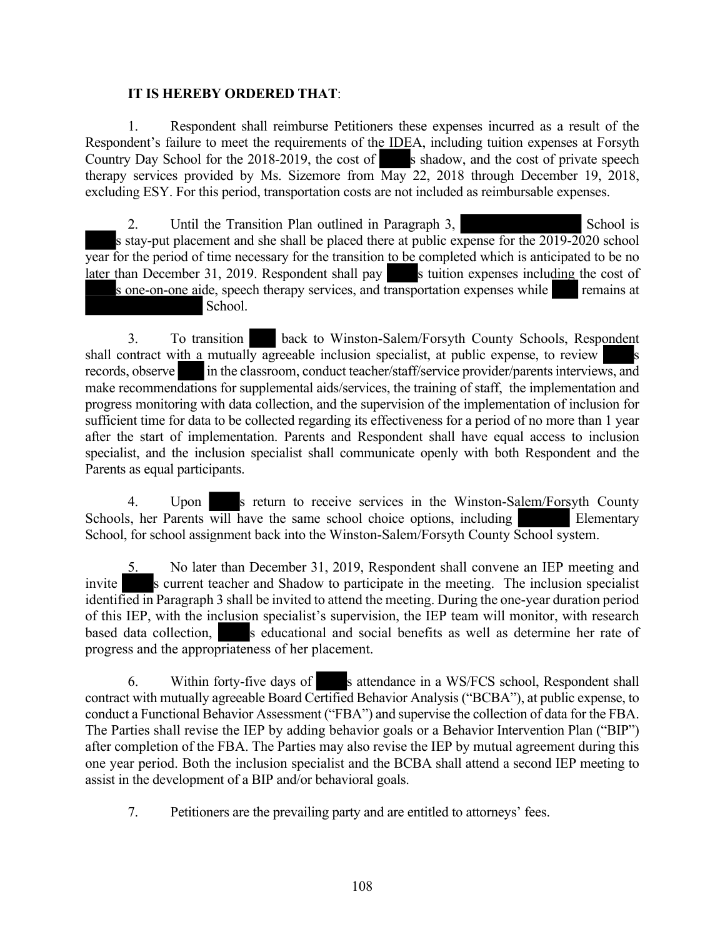#### **IT IS HEREBY ORDERED THAT**:

1. Respondent shall reimburse Petitioners these expenses incurred as a result of the Respondent's failure to meet the requirements of the IDEA, including tuition expenses at Forsyth Country Day School for the  $2018-2019$ , the cost of s shadow, and the cost of private speech therapy services provided by Ms. Sizemore from  $\overline{\text{May}}$  22, 2018 through December 19, 2018, excluding ESY. For this period, transportation costs are not included as reimbursable expenses.

2. Until the Transition Plan outlined in Paragraph 3, School is s stay-put placement and she shall be placed there at public expense for the 2019-2020 school year for the period of time necessary for the transition to be completed which is anticipated to be no later than December 31, 2019. Respondent shall pay s tuition expenses including the cost of s one-on-one aide, speech therapy services, and transportation expenses while remains at School.

3. To transition back to Winston-Salem/Forsyth County Schools, Respondent shall contract with a mutually agreeable inclusion specialist, at public expense, to review records, observe in the classroom, conduct teacher/staff/service provider/parents interviews, and make recommendations for supplemental aids/services, the training of staff, the implementation and progress monitoring with data collection, and the supervision of the implementation of inclusion for sufficient time for data to be collected regarding its effectiveness for a period of no more than 1 year after the start of implementation. Parents and Respondent shall have equal access to inclusion specialist, and the inclusion specialist shall communicate openly with both Respondent and the Parents as equal participants.

4. Upon s return to receive services in the Winston-Salem/Forsyth County Schools, her Parents will have the same school choice options, including Elementary School, for school assignment back into the Winston-Salem/Forsyth County School system.

5. No later than December 31, 2019, Respondent shall convene an IEP meeting and invite s current teacher and Shadow to participate in the meeting. The inclusion specialist identified in Paragraph 3 shall be invited to attend the meeting. During the one-year duration period of this IEP, with the inclusion specialist's supervision, the IEP team will monitor, with research based data collection, s educational and social benefits as well as determine her rate of progress and the appropriateness of her placement.

6. Within forty-five days of s attendance in a WS/FCS school, Respondent shall contract with mutually agreeable Board Certified Behavior Analysis ("BCBA"), at public expense, to conduct a Functional Behavior Assessment ("FBA") and supervise the collection of data for the FBA. The Parties shall revise the IEP by adding behavior goals or a Behavior Intervention Plan ("BIP") after completion of the FBA. The Parties may also revise the IEP by mutual agreement during this one year period. Both the inclusion specialist and the BCBA shall attend a second IEP meeting to assist in the development of a BIP and/or behavioral goals.

7. Petitioners are the prevailing party and are entitled to attorneys' fees.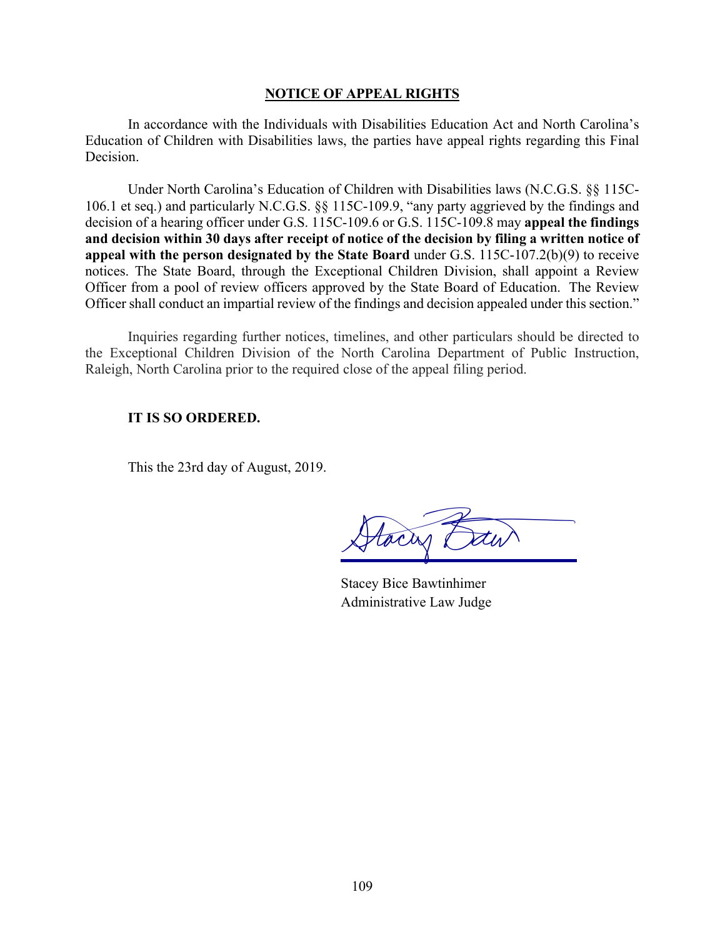## **NOTICE OF APPEAL RIGHTS**

In accordance with the Individuals with Disabilities Education Act and North Carolina's Education of Children with Disabilities laws, the parties have appeal rights regarding this Final Decision.

Under North Carolina's Education of Children with Disabilities laws (N.C.G.S. §§ 115C-106.1 et seq.) and particularly N.C.G.S. §§ 115C-109.9, "any party aggrieved by the findings and decision of a hearing officer under G.S. 115C-109.6 or G.S. 115C-109.8 may **appeal the findings and decision within 30 days after receipt of notice of the decision by filing a written notice of appeal with the person designated by the State Board** under G.S. 115C-107.2(b)(9) to receive notices. The State Board, through the Exceptional Children Division, shall appoint a Review Officer from a pool of review officers approved by the State Board of Education. The Review Officer shall conduct an impartial review of the findings and decision appealed under this section."

Inquiries regarding further notices, timelines, and other particulars should be directed to the Exceptional Children Division of the North Carolina Department of Public Instruction, Raleigh, North Carolina prior to the required close of the appeal filing period.

## **IT IS SO ORDERED.**

This the 23rd day of August, 2019.

tacas e

Stacey Bice Bawtinhimer Administrative Law Judge